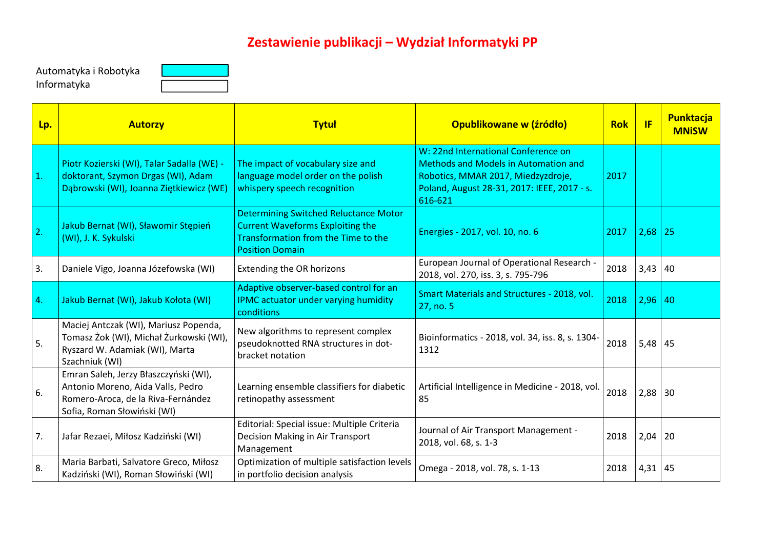## **Zestawienie publikacji – Wydział Informatyki PP**

Automatyka i Robotyka Informatyka



| Lp. | <b>Autorzy</b>                                                                                                                                  | <b>Tytuł</b>                                                                                                                                             | <b>Opublikowane w (źródło)</b>                                                                                                                                                     | <b>Rok</b> | <b>IF</b>   | Punktacja<br><b>MNiSW</b> |
|-----|-------------------------------------------------------------------------------------------------------------------------------------------------|----------------------------------------------------------------------------------------------------------------------------------------------------------|------------------------------------------------------------------------------------------------------------------------------------------------------------------------------------|------------|-------------|---------------------------|
| 1.  | Piotr Kozierski (WI), Talar Sadalla (WE) -<br>doktorant, Szymon Drgas (WI), Adam<br>Dąbrowski (WI), Joanna Ziętkiewicz (WE)                     | The impact of vocabulary size and<br>language model order on the polish<br>whispery speech recognition                                                   | W: 22nd International Conference on<br><b>Methods and Models in Automation and</b><br>Robotics, MMAR 2017, Miedzyzdroje,<br>Poland, August 28-31, 2017: IEEE, 2017 - s.<br>616-621 | 2017       |             |                           |
| 2.  | Jakub Bernat (WI), Sławomir Stępień<br>(WI), J. K. Sykulski                                                                                     | <b>Determining Switched Reluctance Motor</b><br><b>Current Waveforms Exploiting the</b><br>Transformation from the Time to the<br><b>Position Domain</b> | Energies - 2017, vol. 10, no. 6                                                                                                                                                    | 2017       | $2,68$ 25   |                           |
| 3.  | Daniele Vigo, Joanna Józefowska (WI)                                                                                                            | Extending the OR horizons                                                                                                                                | European Journal of Operational Research -<br>2018, vol. 270, iss. 3, s. 795-796                                                                                                   | 2018       | $3,43$ 40   |                           |
| 4.  | Jakub Bernat (WI), Jakub Kołota (WI)                                                                                                            | Adaptive observer-based control for an<br><b>IPMC actuator under varying humidity</b><br>conditions                                                      | Smart Materials and Structures - 2018, vol.<br>27, no. 5                                                                                                                           | 2018       | $2,96$ 40   |                           |
| 5.  | Maciej Antczak (WI), Mariusz Popenda,<br>Tomasz Żok (WI), Michał Żurkowski (WI),<br>Ryszard W. Adamiak (WI), Marta<br>Szachniuk (WI)            | New algorithms to represent complex<br>pseudoknotted RNA structures in dot-<br>bracket notation                                                          | Bioinformatics - 2018, vol. 34, iss. 8, s. 1304-<br>1312                                                                                                                           | 2018       | $5,48$ 45   |                           |
| 6.  | Emran Saleh, Jerzy Błaszczyński (WI),<br>Antonio Moreno, Aida Valls, Pedro<br>Romero-Aroca, de la Riva-Fernández<br>Sofia, Roman Słowiński (WI) | Learning ensemble classifiers for diabetic<br>retinopathy assessment                                                                                     | Artificial Intelligence in Medicine - 2018, vol.<br>85                                                                                                                             | 2018       | $2,88$ 30   |                           |
| 7.  | Jafar Rezaei, Miłosz Kadziński (WI)                                                                                                             | Editorial: Special issue: Multiple Criteria<br>Decision Making in Air Transport<br>Management                                                            | Journal of Air Transport Management -<br>2018, vol. 68, s. 1-3                                                                                                                     | 2018       | $2,04$   20 |                           |
| 8.  | Maria Barbati, Salvatore Greco, Miłosz<br>Kadziński (WI), Roman Słowiński (WI)                                                                  | Optimization of multiple satisfaction levels<br>in portfolio decision analysis                                                                           | Omega - 2018, vol. 78, s. 1-13                                                                                                                                                     | 2018       | $4,31$   45 |                           |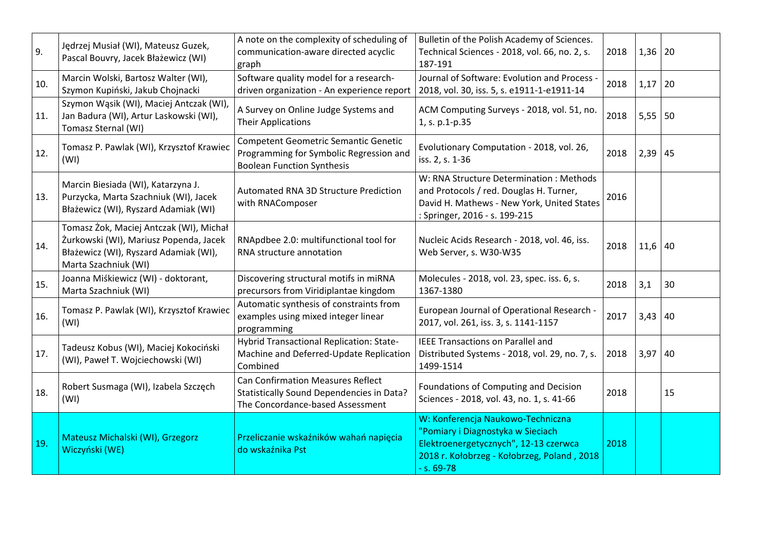| 9.  | Jędrzej Musiał (WI), Mateusz Guzek,<br>Pascal Bouvry, Jacek Błażewicz (WI)                                                                         | A note on the complexity of scheduling of<br>communication-aware directed acyclic<br>graph                                  | Bulletin of the Polish Academy of Sciences.<br>Technical Sciences - 2018, vol. 66, no. 2, s.<br>187-191                                                                          | 2018 | 1,36      | 20 |
|-----|----------------------------------------------------------------------------------------------------------------------------------------------------|-----------------------------------------------------------------------------------------------------------------------------|----------------------------------------------------------------------------------------------------------------------------------------------------------------------------------|------|-----------|----|
| 10. | Marcin Wolski, Bartosz Walter (WI),<br>Szymon Kupiński, Jakub Chojnacki                                                                            | Software quality model for a research-<br>driven organization - An experience report                                        | Journal of Software: Evolution and Process -<br>2018, vol. 30, iss. 5, s. e1911-1-e1911-14                                                                                       | 2018 | 1,17      | 20 |
| 11. | Szymon Wąsik (WI), Maciej Antczak (WI),<br>Jan Badura (WI), Artur Laskowski (WI),<br>Tomasz Sternal (WI)                                           | A Survey on Online Judge Systems and<br><b>Their Applications</b>                                                           | ACM Computing Surveys - 2018, vol. 51, no.<br>1, s. p.1-p.35                                                                                                                     | 2018 | $5,55$ 50 |    |
| 12. | Tomasz P. Pawlak (WI), Krzysztof Krawiec<br>(WI)                                                                                                   | <b>Competent Geometric Semantic Genetic</b><br>Programming for Symbolic Regression and<br><b>Boolean Function Synthesis</b> | Evolutionary Computation - 2018, vol. 26,<br>iss. 2, s. 1-36                                                                                                                     | 2018 | 2,39      | 45 |
| 13. | Marcin Biesiada (WI), Katarzyna J.<br>Purzycka, Marta Szachniuk (WI), Jacek<br>Błażewicz (WI), Ryszard Adamiak (WI)                                | Automated RNA 3D Structure Prediction<br>with RNAComposer                                                                   | W: RNA Structure Determination: Methods<br>and Protocols / red. Douglas H. Turner,<br>David H. Mathews - New York, United States<br>: Springer, 2016 - s. 199-215                | 2016 |           |    |
| 14. | Tomasz Żok, Maciej Antczak (WI), Michał<br>Żurkowski (WI), Mariusz Popenda, Jacek<br>Błażewicz (WI), Ryszard Adamiak (WI),<br>Marta Szachniuk (WI) | RNApdbee 2.0: multifunctional tool for<br>RNA structure annotation                                                          | Nucleic Acids Research - 2018, vol. 46, iss.<br>Web Server, s. W30-W35                                                                                                           | 2018 | 11,6      | 40 |
| 15. | Joanna Miśkiewicz (WI) - doktorant,<br>Marta Szachniuk (WI)                                                                                        | Discovering structural motifs in miRNA<br>precursors from Viridiplantae kingdom                                             | Molecules - 2018, vol. 23, spec. iss. 6, s.<br>1367-1380                                                                                                                         | 2018 | 3,1       | 30 |
| 16. | Tomasz P. Pawlak (WI), Krzysztof Krawiec<br>(WI)                                                                                                   | Automatic synthesis of constraints from<br>examples using mixed integer linear<br>programming                               | European Journal of Operational Research -<br>2017, vol. 261, iss. 3, s. 1141-1157                                                                                               | 2017 | 3,43      | 40 |
| 17. | Tadeusz Kobus (WI), Maciej Kokociński<br>(WI), Paweł T. Wojciechowski (WI)                                                                         | Hybrid Transactional Replication: State-<br>Machine and Deferred-Update Replication<br>Combined                             | <b>IEEE Transactions on Parallel and</b><br>Distributed Systems - 2018, vol. 29, no. 7, s.<br>1499-1514                                                                          | 2018 | 3,97      | 40 |
| 18. | Robert Susmaga (WI), Izabela Szczęch<br>(WI)                                                                                                       | <b>Can Confirmation Measures Reflect</b><br>Statistically Sound Dependencies in Data?<br>The Concordance-based Assessment   | Foundations of Computing and Decision<br>Sciences - 2018, vol. 43, no. 1, s. 41-66                                                                                               | 2018 |           | 15 |
| 19. | Mateusz Michalski (WI), Grzegorz<br>Wiczyński (WE)                                                                                                 | Przeliczanie wskaźników wahań napięcia<br>do wskaźnika Pst                                                                  | W: Konferencja Naukowo-Techniczna<br>"Pomiary i Diagnostyka w Sieciach<br>Elektroenergetycznych", 12-13 czerwca<br>2018 r. Kołobrzeg - Kołobrzeg, Poland, 2018<br>$- s. 69 - 78$ | 2018 |           |    |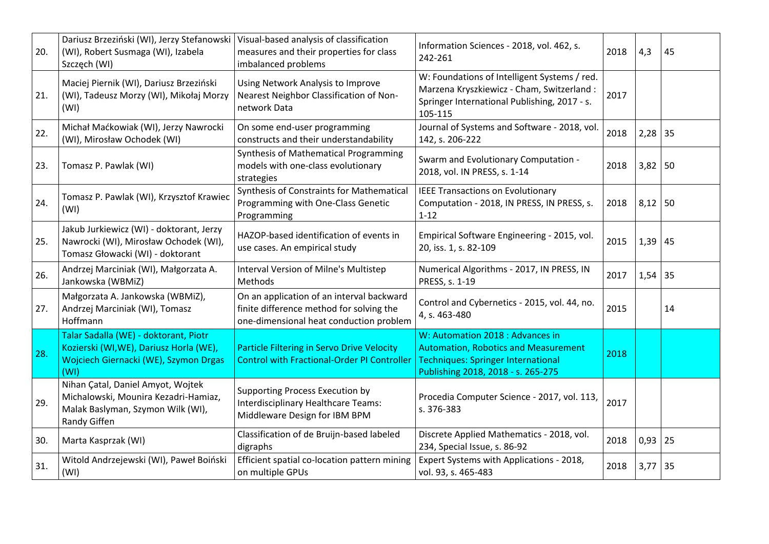| 20. | Dariusz Brzeziński (WI), Jerzy Stefanowski<br>(WI), Robert Susmaga (WI), Izabela<br>Szczęch (WI)                                  | Visual-based analysis of classification<br>measures and their properties for class<br>imbalanced problems                        | Information Sciences - 2018, vol. 462, s.<br>242-261                                                                                                               | 2018 | 4,3         | 45 |
|-----|-----------------------------------------------------------------------------------------------------------------------------------|----------------------------------------------------------------------------------------------------------------------------------|--------------------------------------------------------------------------------------------------------------------------------------------------------------------|------|-------------|----|
| 21. | Maciej Piernik (WI), Dariusz Brzeziński<br>(WI), Tadeusz Morzy (WI), Mikołaj Morzy<br>(WI)                                        | Using Network Analysis to Improve<br>Nearest Neighbor Classification of Non-<br>network Data                                     | W: Foundations of Intelligent Systems / red.<br>Marzena Kryszkiewicz - Cham, Switzerland:<br>Springer International Publishing, 2017 - s.<br>105-115               | 2017 |             |    |
| 22. | Michał Maćkowiak (WI), Jerzy Nawrocki<br>(WI), Mirosław Ochodek (WI)                                                              | On some end-user programming<br>constructs and their understandability                                                           | Journal of Systems and Software - 2018, vol.<br>142, s. 206-222                                                                                                    | 2018 | $2,28$ 35   |    |
| 23. | Tomasz P. Pawlak (WI)                                                                                                             | Synthesis of Mathematical Programming<br>models with one-class evolutionary<br>strategies                                        | Swarm and Evolutionary Computation -<br>2018, vol. IN PRESS, s. 1-14                                                                                               | 2018 | $3,82$ 50   |    |
| 24. | Tomasz P. Pawlak (WI), Krzysztof Krawiec<br>(WI)                                                                                  | Synthesis of Constraints for Mathematical<br>Programming with One-Class Genetic<br>Programming                                   | <b>IEEE Transactions on Evolutionary</b><br>Computation - 2018, IN PRESS, IN PRESS, s.<br>$1 - 12$                                                                 | 2018 | 8,12        | 50 |
| 25. | Jakub Jurkiewicz (WI) - doktorant, Jerzy<br>Nawrocki (WI), Mirosław Ochodek (WI),<br>Tomasz Głowacki (WI) - doktorant             | HAZOP-based identification of events in<br>use cases. An empirical study                                                         | Empirical Software Engineering - 2015, vol.<br>20, iss. 1, s. 82-109                                                                                               | 2015 | $1,39$ 45   |    |
| 26. | Andrzej Marciniak (WI), Małgorzata A.<br>Jankowska (WBMiZ)                                                                        | Interval Version of Milne's Multistep<br>Methods                                                                                 | Numerical Algorithms - 2017, IN PRESS, IN<br>PRESS, s. 1-19                                                                                                        | 2017 | $1,54$ 35   |    |
| 27. | Małgorzata A. Jankowska (WBMiZ),<br>Andrzej Marciniak (WI), Tomasz<br>Hoffmann                                                    | On an application of an interval backward<br>finite difference method for solving the<br>one-dimensional heat conduction problem | Control and Cybernetics - 2015, vol. 44, no.<br>4, s. 463-480                                                                                                      | 2015 |             | 14 |
| 28. | Talar Sadalla (WE) - doktorant, Piotr<br>Kozierski (WI, WE), Dariusz Horla (WE),<br>Wojciech Giernacki (WE), Szymon Drgas<br>(WI) | Particle Filtering in Servo Drive Velocity<br><b>Control with Fractional-Order PI Controller</b>                                 | W: Automation 2018 : Advances in<br><b>Automation, Robotics and Measurement</b><br><b>Techniques: Springer International</b><br>Publishing 2018, 2018 - s. 265-275 | 2018 |             |    |
| 29. | Nihan Çatal, Daniel Amyot, Wojtek<br>Michalowski, Mounira Kezadri-Hamiaz,<br>Malak Baslyman, Szymon Wilk (WI),<br>Randy Giffen    | <b>Supporting Process Execution by</b><br>Interdisciplinary Healthcare Teams:<br>Middleware Design for IBM BPM                   | Procedia Computer Science - 2017, vol. 113,<br>s. 376-383                                                                                                          | 2017 |             |    |
| 30. | Marta Kasprzak (WI)                                                                                                               | Classification of de Bruijn-based labeled<br>digraphs                                                                            | Discrete Applied Mathematics - 2018, vol.<br>234, Special Issue, s. 86-92                                                                                          | 2018 | $0,93$   25 |    |
| 31. | Witold Andrzejewski (WI), Paweł Boiński<br>(WI)                                                                                   | Efficient spatial co-location pattern mining<br>on multiple GPUs                                                                 | Expert Systems with Applications - 2018,<br>vol. 93, s. 465-483                                                                                                    | 2018 | 3,77        | 35 |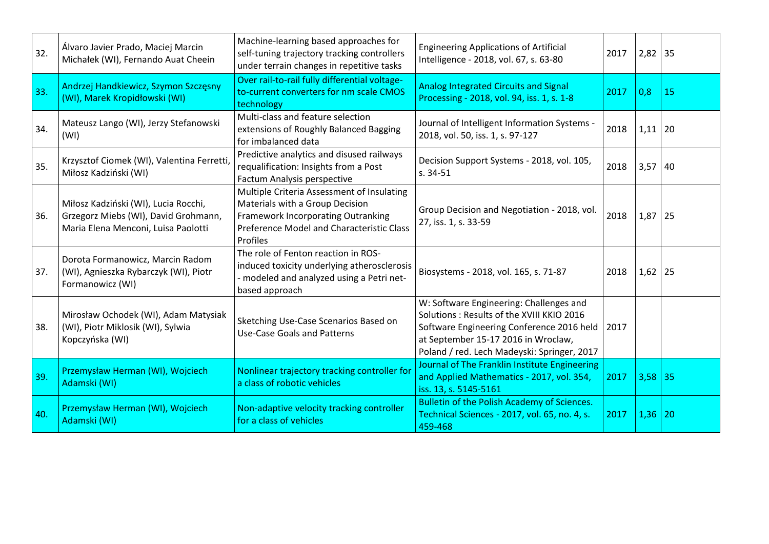| 32. | Álvaro Javier Prado, Maciej Marcin<br>Michałek (WI), Fernando Auat Cheein                                           | Machine-learning based approaches for<br>self-tuning trajectory tracking controllers<br>under terrain changes in repetitive tasks                                                   | <b>Engineering Applications of Artificial</b><br>Intelligence - 2018, vol. 67, s. 63-80                                                                                                                                 | 2017 | $2,82$ 35 |    |
|-----|---------------------------------------------------------------------------------------------------------------------|-------------------------------------------------------------------------------------------------------------------------------------------------------------------------------------|-------------------------------------------------------------------------------------------------------------------------------------------------------------------------------------------------------------------------|------|-----------|----|
| 33. | Andrzej Handkiewicz, Szymon Szczęsny<br>(WI), Marek Kropidłowski (WI)                                               | Over rail-to-rail fully differential voltage-<br>to-current converters for nm scale CMOS<br>technology                                                                              | <b>Analog Integrated Circuits and Signal</b><br>Processing - 2018, vol. 94, iss. 1, s. 1-8                                                                                                                              | 2017 | 0,8       | 15 |
| 34. | Mateusz Lango (WI), Jerzy Stefanowski<br>(WI)                                                                       | Multi-class and feature selection<br>extensions of Roughly Balanced Bagging<br>for imbalanced data                                                                                  | Journal of Intelligent Information Systems -<br>2018, vol. 50, iss. 1, s. 97-127                                                                                                                                        | 2018 | 1,11      | 20 |
| 35. | Krzysztof Ciomek (WI), Valentina Ferretti,<br>Miłosz Kadziński (WI)                                                 | Predictive analytics and disused railways<br>requalification: Insights from a Post<br>Factum Analysis perspective                                                                   | Decision Support Systems - 2018, vol. 105,<br>$s. 34-51$                                                                                                                                                                | 2018 | 3,57      | 40 |
| 36. | Miłosz Kadziński (WI), Lucia Rocchi,<br>Grzegorz Miebs (WI), David Grohmann,<br>Maria Elena Menconi, Luisa Paolotti | Multiple Criteria Assessment of Insulating<br>Materials with a Group Decision<br><b>Framework Incorporating Outranking</b><br>Preference Model and Characteristic Class<br>Profiles | Group Decision and Negotiation - 2018, vol.<br>27, iss. 1, s. 33-59                                                                                                                                                     | 2018 | $1,87$ 25 |    |
| 37. | Dorota Formanowicz, Marcin Radom<br>(WI), Agnieszka Rybarczyk (WI), Piotr<br>Formanowicz (WI)                       | The role of Fenton reaction in ROS-<br>induced toxicity underlying atherosclerosis<br>- modeled and analyzed using a Petri net-<br>based approach                                   | Biosystems - 2018, vol. 165, s. 71-87                                                                                                                                                                                   | 2018 | $1,62$ 25 |    |
| 38. | Mirosław Ochodek (WI), Adam Matysiak<br>(WI), Piotr Miklosik (WI), Sylwia<br>Kopczyńska (WI)                        | Sketching Use-Case Scenarios Based on<br><b>Use-Case Goals and Patterns</b>                                                                                                         | W: Software Engineering: Challenges and<br>Solutions: Results of the XVIII KKIO 2016<br>Software Engineering Conference 2016 held<br>at September 15-17 2016 in Wroclaw,<br>Poland / red. Lech Madeyski: Springer, 2017 | 2017 |           |    |
| 39. | Przemysław Herman (WI), Wojciech<br>Adamski (WI)                                                                    | Nonlinear trajectory tracking controller for<br>a class of robotic vehicles                                                                                                         | Journal of The Franklin Institute Engineering<br>and Applied Mathematics - 2017, vol. 354,<br>iss. 13, s. 5145-5161                                                                                                     | 2017 | $3,58$ 35 |    |
| 40. | Przemysław Herman (WI), Wojciech<br>Adamski (WI)                                                                    | Non-adaptive velocity tracking controller<br>for a class of vehicles                                                                                                                | Bulletin of the Polish Academy of Sciences.<br>Technical Sciences - 2017, vol. 65, no. 4, s.<br>459-468                                                                                                                 | 2017 | 1,36      | 20 |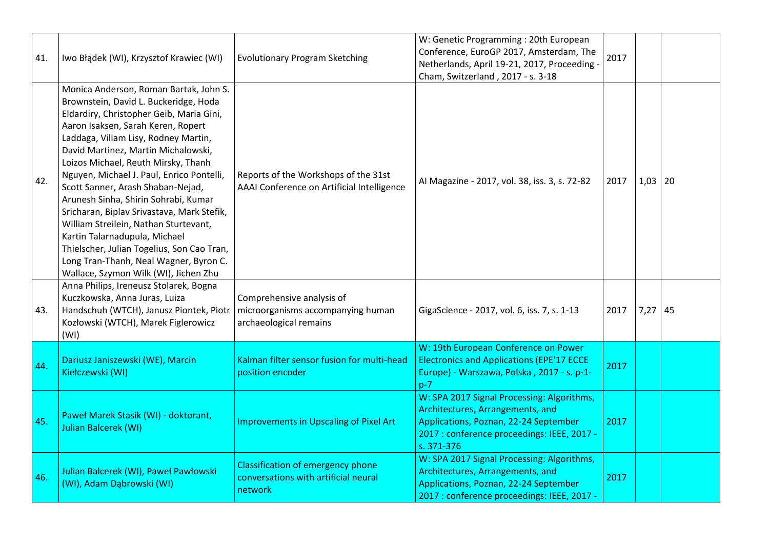| 41. | Iwo Błądek (WI), Krzysztof Krawiec (WI)                                                                                                                                                                                                                                                                                                                                                                                                                                                                                                                                                                                                                                    | <b>Evolutionary Program Sketching</b>                                                       | W: Genetic Programming : 20th European<br>Conference, EuroGP 2017, Amsterdam, The<br>Netherlands, April 19-21, 2017, Proceeding -<br>Cham, Switzerland, 2017 - s. 3-18               | 2017 |           |  |
|-----|----------------------------------------------------------------------------------------------------------------------------------------------------------------------------------------------------------------------------------------------------------------------------------------------------------------------------------------------------------------------------------------------------------------------------------------------------------------------------------------------------------------------------------------------------------------------------------------------------------------------------------------------------------------------------|---------------------------------------------------------------------------------------------|--------------------------------------------------------------------------------------------------------------------------------------------------------------------------------------|------|-----------|--|
| 42. | Monica Anderson, Roman Bartak, John S.<br>Brownstein, David L. Buckeridge, Hoda<br>Eldardiry, Christopher Geib, Maria Gini,<br>Aaron Isaksen, Sarah Keren, Ropert<br>Laddaga, Viliam Lisy, Rodney Martin,<br>David Martinez, Martin Michalowski,<br>Loizos Michael, Reuth Mirsky, Thanh<br>Nguyen, Michael J. Paul, Enrico Pontelli,<br>Scott Sanner, Arash Shaban-Nejad,<br>Arunesh Sinha, Shirin Sohrabi, Kumar<br>Sricharan, Biplav Srivastava, Mark Stefik,<br>William Streilein, Nathan Sturtevant,<br>Kartin Talarnadupula, Michael<br>Thielscher, Julian Togelius, Son Cao Tran,<br>Long Tran-Thanh, Neal Wagner, Byron C.<br>Wallace, Szymon Wilk (WI), Jichen Zhu | Reports of the Workshops of the 31st<br>AAAI Conference on Artificial Intelligence          | Al Magazine - 2017, vol. 38, iss. 3, s. 72-82                                                                                                                                        | 2017 | $1,03$ 20 |  |
| 43. | Anna Philips, Ireneusz Stolarek, Bogna<br>Kuczkowska, Anna Juras, Luiza<br>Handschuh (WTCH), Janusz Piontek, Piotr<br>Kozłowski (WTCH), Marek Figlerowicz<br>(WI)                                                                                                                                                                                                                                                                                                                                                                                                                                                                                                          | Comprehensive analysis of<br>microorganisms accompanying human<br>archaeological remains    | GigaScience - 2017, vol. 6, iss. 7, s. 1-13                                                                                                                                          | 2017 | $7,27$ 45 |  |
| 44. | Dariusz Janiszewski (WE), Marcin<br>Kiełczewski (WI)                                                                                                                                                                                                                                                                                                                                                                                                                                                                                                                                                                                                                       | Kalman filter sensor fusion for multi-head<br>position encoder                              | W: 19th European Conference on Power<br><b>Electronics and Applications (EPE'17 ECCE</b><br>Europe) - Warszawa, Polska, 2017 - s. p-1-<br>$p-7$                                      | 2017 |           |  |
| 45. | Paweł Marek Stasik (WI) - doktorant,<br>Julian Balcerek (WI)                                                                                                                                                                                                                                                                                                                                                                                                                                                                                                                                                                                                               | Improvements in Upscaling of Pixel Art                                                      | W: SPA 2017 Signal Processing: Algorithms,<br>Architectures, Arrangements, and<br>Applications, Poznan, 22-24 September<br>2017 : conference proceedings: IEEE, 2017 -<br>s. 371-376 | 2017 |           |  |
| 46. | Julian Balcerek (WI), Paweł Pawłowski<br>(WI), Adam Dąbrowski (WI)                                                                                                                                                                                                                                                                                                                                                                                                                                                                                                                                                                                                         | <b>Classification of emergency phone</b><br>conversations with artificial neural<br>network | W: SPA 2017 Signal Processing: Algorithms,<br>Architectures, Arrangements, and<br>Applications, Poznan, 22-24 September<br>2017 : conference proceedings: IEEE, 2017 -               | 2017 |           |  |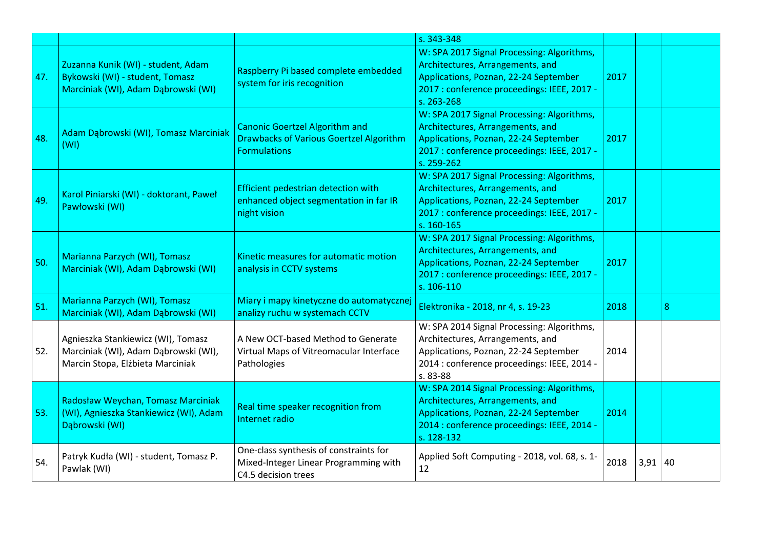|     |                                                                                                                |                                                                                                                | s. 343-348                                                                                                                                                                           |      |           |   |
|-----|----------------------------------------------------------------------------------------------------------------|----------------------------------------------------------------------------------------------------------------|--------------------------------------------------------------------------------------------------------------------------------------------------------------------------------------|------|-----------|---|
| 47. | Zuzanna Kunik (WI) - student, Adam<br>Bykowski (WI) - student, Tomasz<br>Marciniak (WI), Adam Dabrowski (WI)   | Raspberry Pi based complete embedded<br>system for iris recognition                                            | W: SPA 2017 Signal Processing: Algorithms,<br>Architectures, Arrangements, and<br>Applications, Poznan, 22-24 September<br>2017 : conference proceedings: IEEE, 2017 -<br>s. 263-268 | 2017 |           |   |
| 48. | Adam Dąbrowski (WI), Tomasz Marciniak<br>(WI)                                                                  | <b>Canonic Goertzel Algorithm and</b><br><b>Drawbacks of Various Goertzel Algorithm</b><br><b>Formulations</b> | W: SPA 2017 Signal Processing: Algorithms,<br>Architectures, Arrangements, and<br>Applications, Poznan, 22-24 September<br>2017 : conference proceedings: IEEE, 2017 -<br>s. 259-262 | 2017 |           |   |
| 49. | Karol Piniarski (WI) - doktorant, Paweł<br>Pawłowski (WI)                                                      | Efficient pedestrian detection with<br>enhanced object segmentation in far IR<br>night vision                  | W: SPA 2017 Signal Processing: Algorithms,<br>Architectures, Arrangements, and<br>Applications, Poznan, 22-24 September<br>2017 : conference proceedings: IEEE, 2017 -<br>s. 160-165 | 2017 |           |   |
| 50. | Marianna Parzych (WI), Tomasz<br>Marciniak (WI), Adam Dąbrowski (WI)                                           | Kinetic measures for automatic motion<br>analysis in CCTV systems                                              | W: SPA 2017 Signal Processing: Algorithms,<br>Architectures, Arrangements, and<br>Applications, Poznan, 22-24 September<br>2017 : conference proceedings: IEEE, 2017 -<br>s. 106-110 | 2017 |           |   |
| 51. | Marianna Parzych (WI), Tomasz<br>Marciniak (WI), Adam Dąbrowski (WI)                                           | Miary i mapy kinetyczne do automatycznej<br>analizy ruchu w systemach CCTV                                     | Elektronika - 2018, nr 4, s. 19-23                                                                                                                                                   | 2018 |           | 8 |
| 52. | Agnieszka Stankiewicz (WI), Tomasz<br>Marciniak (WI), Adam Dąbrowski (WI),<br>Marcin Stopa, Elżbieta Marciniak | A New OCT-based Method to Generate<br>Virtual Maps of Vitreomacular Interface<br>Pathologies                   | W: SPA 2014 Signal Processing: Algorithms,<br>Architectures, Arrangements, and<br>Applications, Poznan, 22-24 September<br>2014 : conference proceedings: IEEE, 2014 -<br>s. 83-88   | 2014 |           |   |
| 53. | Radosław Weychan, Tomasz Marciniak<br>(WI), Agnieszka Stankiewicz (WI), Adam<br>Dąbrowski (WI)                 | Real time speaker recognition from<br>Internet radio                                                           | W: SPA 2014 Signal Processing: Algorithms,<br>Architectures, Arrangements, and<br>Applications, Poznan, 22-24 September<br>2014 : conference proceedings: IEEE, 2014 -<br>s. 128-132 | 2014 |           |   |
| 54. | Patryk Kudła (WI) - student, Tomasz P.<br>Pawlak (WI)                                                          | One-class synthesis of constraints for<br>Mixed-Integer Linear Programming with<br>C4.5 decision trees         | Applied Soft Computing - 2018, vol. 68, s. 1-<br>12                                                                                                                                  | 2018 | $3,91$ 40 |   |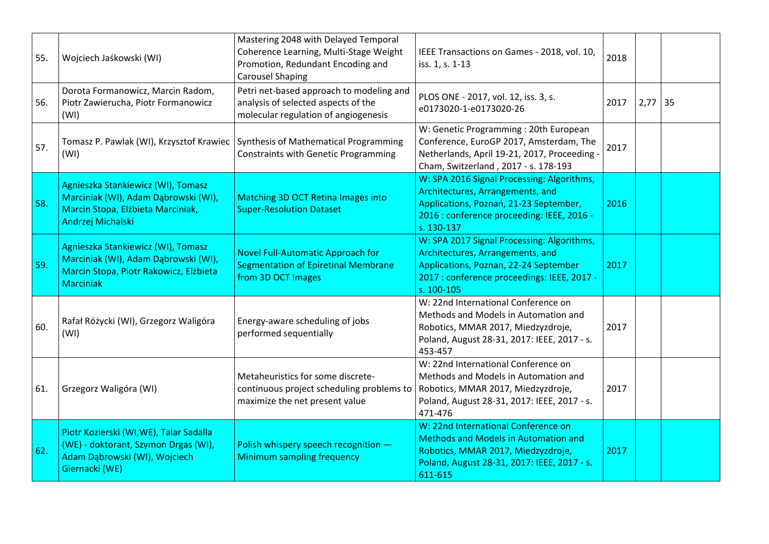| 55. | Wojciech Jaśkowski (WI)                                                                                                                  | Mastering 2048 with Delayed Temporal<br>Coherence Learning, Multi-Stage Weight<br>Promotion, Redundant Encoding and<br><b>Carousel Shaping</b> | IEEE Transactions on Games - 2018, vol. 10,<br>iss. 1, s. 1-13                                                                                                                       | 2018 |      |    |
|-----|------------------------------------------------------------------------------------------------------------------------------------------|------------------------------------------------------------------------------------------------------------------------------------------------|--------------------------------------------------------------------------------------------------------------------------------------------------------------------------------------|------|------|----|
| 56. | Dorota Formanowicz, Marcin Radom,<br>Piotr Zawierucha, Piotr Formanowicz<br>(WI)                                                         | Petri net-based approach to modeling and<br>analysis of selected aspects of the<br>molecular regulation of angiogenesis                        | PLOS ONE - 2017, vol. 12, iss. 3, s.<br>e0173020-1-e0173020-26                                                                                                                       | 2017 | 2,77 | 35 |
| 57. | Tomasz P. Pawlak (WI), Krzysztof Krawiec<br>(WI)                                                                                         | Synthesis of Mathematical Programming<br><b>Constraints with Genetic Programming</b>                                                           | W: Genetic Programming: 20th European<br>Conference, EuroGP 2017, Amsterdam, The<br>Netherlands, April 19-21, 2017, Proceeding -<br>Cham, Switzerland, 2017 - s. 178-193             | 2017 |      |    |
| 58. | Agnieszka Stankiewicz (WI), Tomasz<br>Marciniak (WI), Adam Dąbrowski (WI),<br>Marcin Stopa, Elżbieta Marciniak,<br>Andrzej Michalski     | Matching 3D OCT Retina Images into<br><b>Super-Resolution Dataset</b>                                                                          | W: SPA 2016 Signal Processing: Algorithms,<br>Architectures, Arrangements, and<br>Applications, Poznań, 21-23 September,<br>2016 : conference proceeding: IEEE, 2016 -<br>s. 130-137 | 2016 |      |    |
| 59. | Agnieszka Stankiewicz (WI), Tomasz<br>Marciniak (WI), Adam Dąbrowski (WI),<br>Marcin Stopa, Piotr Rakowicz, Elżbieta<br><b>Marciniak</b> | <b>Novel Full-Automatic Approach for</b><br><b>Segmentation of Epiretinal Membrane</b><br>from 3D OCT Images                                   | W: SPA 2017 Signal Processing: Algorithms,<br>Architectures, Arrangements, and<br>Applications, Poznan, 22-24 September<br>2017 : conference proceedings: IEEE, 2017 -<br>s. 100-105 | 2017 |      |    |
| 60. | Rafał Różycki (WI), Grzegorz Waligóra<br>(WI)                                                                                            | Energy-aware scheduling of jobs<br>performed sequentially                                                                                      | W: 22nd International Conference on<br>Methods and Models in Automation and<br>Robotics, MMAR 2017, Miedzyzdroje,<br>Poland, August 28-31, 2017: IEEE, 2017 - s.<br>453-457          | 2017 |      |    |
| 61. | Grzegorz Waligóra (WI)                                                                                                                   | Metaheuristics for some discrete-<br>continuous project scheduling problems to<br>maximize the net present value                               | W: 22nd International Conference on<br>Methods and Models in Automation and<br>Robotics, MMAR 2017, Miedzyzdroje,<br>Poland, August 28-31, 2017: IEEE, 2017 - s.<br>471-476          | 2017 |      |    |
| 62. | Piotr Kozierski (WI, WE), Talar Sadalla<br>(WE) - doktorant, Szymon Drgas (WI),<br>Adam Dąbrowski (WI), Wojciech<br>Giernacki (WE)       | Polish whispery speech recognition -<br><b>Minimum sampling frequency</b>                                                                      | W: 22nd International Conference on<br><b>Methods and Models in Automation and</b><br>Robotics, MMAR 2017, Miedzyzdroje,<br>Poland, August 28-31, 2017: IEEE, 2017 - s.<br>611-615   | 2017 |      |    |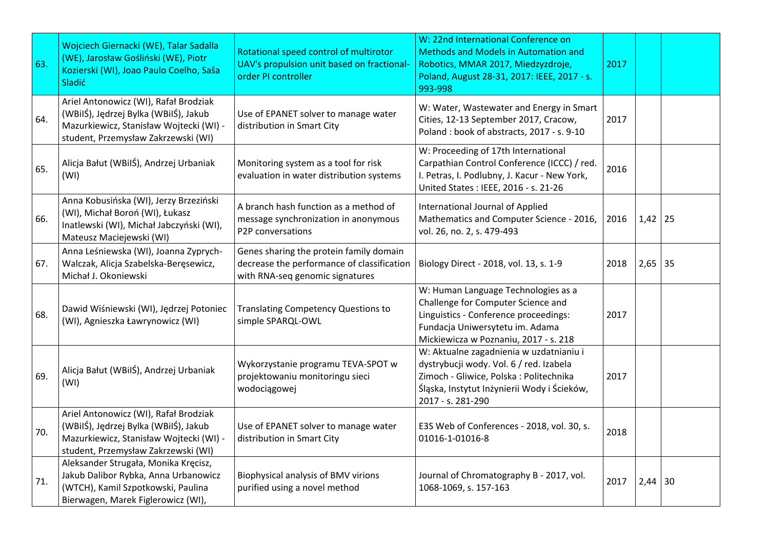| 63. | Wojciech Giernacki (WE), Talar Sadalla<br>(WE), Jarosław Gośliński (WE), Piotr<br>Kozierski (WI), Joao Paulo Coelho, Saša<br><b>Sladić</b>                       | Rotational speed control of multirotor<br>UAV's propulsion unit based on fractional-<br>order PI controller              | W: 22nd International Conference on<br><b>Methods and Models in Automation and</b><br>Robotics, MMAR 2017, Miedzyzdroje,<br>Poland, August 28-31, 2017: IEEE, 2017 - s.<br>993-998                | 2017 |             |    |
|-----|------------------------------------------------------------------------------------------------------------------------------------------------------------------|--------------------------------------------------------------------------------------------------------------------------|---------------------------------------------------------------------------------------------------------------------------------------------------------------------------------------------------|------|-------------|----|
| 64. | Ariel Antonowicz (WI), Rafał Brodziak<br>(WBilŚ), Jędrzej Bylka (WBilŚ), Jakub<br>Mazurkiewicz, Stanisław Wojtecki (WI) -<br>student, Przemysław Zakrzewski (WI) | Use of EPANET solver to manage water<br>distribution in Smart City                                                       | W: Water, Wastewater and Energy in Smart<br>Cities, 12-13 September 2017, Cracow,<br>Poland: book of abstracts, 2017 - s. 9-10                                                                    | 2017 |             |    |
| 65. | Alicja Bałut (WBilŚ), Andrzej Urbaniak<br>(WI)                                                                                                                   | Monitoring system as a tool for risk<br>evaluation in water distribution systems                                         | W: Proceeding of 17th International<br>Carpathian Control Conference (ICCC) / red.<br>I. Petras, I. Podlubny, J. Kacur - New York,<br>United States : IEEE, 2016 - s. 21-26                       | 2016 |             |    |
| 66. | Anna Kobusińska (WI), Jerzy Brzeziński<br>(WI), Michał Boroń (WI), Łukasz<br>Inatlewski (WI), Michał Jabczyński (WI),<br>Mateusz Maciejewski (WI)                | A branch hash function as a method of<br>message synchronization in anonymous<br>P2P conversations                       | International Journal of Applied<br>Mathematics and Computer Science - 2016,<br>vol. 26, no. 2, s. 479-493                                                                                        | 2016 | $1,42$   25 |    |
| 67. | Anna Leśniewska (WI), Joanna Zyprych-<br>Walczak, Alicja Szabelska-Beręsewicz,<br>Michał J. Okoniewski                                                           | Genes sharing the protein family domain<br>decrease the performance of classification<br>with RNA-seq genomic signatures | Biology Direct - 2018, vol. 13, s. 1-9                                                                                                                                                            | 2018 | 2,65        | 35 |
| 68. | Dawid Wiśniewski (WI), Jędrzej Potoniec<br>(WI), Agnieszka Ławrynowicz (WI)                                                                                      | <b>Translating Competency Questions to</b><br>simple SPARQL-OWL                                                          | W: Human Language Technologies as a<br>Challenge for Computer Science and<br>Linguistics - Conference proceedings:<br>Fundacja Uniwersytetu im. Adama<br>Mickiewicza w Poznaniu, 2017 - s. 218    | 2017 |             |    |
| 69. | Alicja Bałut (WBilŚ), Andrzej Urbaniak<br>(WI)                                                                                                                   | Wykorzystanie programu TEVA-SPOT w<br>projektowaniu monitoringu sieci<br>wodociągowej                                    | W: Aktualne zagadnienia w uzdatnianiu i<br>dystrybucji wody. Vol. 6 / red. Izabela<br>Zimoch - Gliwice, Polska : Politechnika<br>Śląska, Instytut Inżynierii Wody i Ścieków,<br>2017 - s. 281-290 | 2017 |             |    |
| 70. | Ariel Antonowicz (WI), Rafał Brodziak<br>(WBilŚ), Jędrzej Bylka (WBilŚ), Jakub<br>Mazurkiewicz, Stanisław Wojtecki (WI) -<br>student, Przemysław Zakrzewski (WI) | Use of EPANET solver to manage water<br>distribution in Smart City                                                       | E3S Web of Conferences - 2018, vol. 30, s.<br>01016-1-01016-8                                                                                                                                     | 2018 |             |    |
| 71. | Aleksander Strugała, Monika Kręcisz,<br>Jakub Dalibor Rybka, Anna Urbanowicz<br>(WTCH), Kamil Szpotkowski, Paulina<br>Bierwagen, Marek Figlerowicz (WI),         | <b>Biophysical analysis of BMV virions</b><br>purified using a novel method                                              | Journal of Chromatography B - 2017, vol.<br>1068-1069, s. 157-163                                                                                                                                 | 2017 | $2,44$ 30   |    |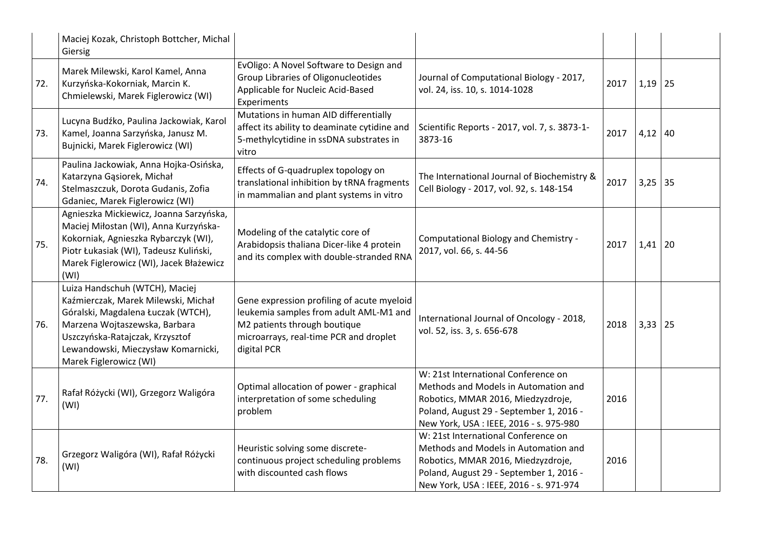|     | Maciej Kozak, Christoph Bottcher, Michal<br>Giersig                                                                                                                                                                                              |                                                                                                                                                                               |                                                                                                                                                                                                         |      |             |  |
|-----|--------------------------------------------------------------------------------------------------------------------------------------------------------------------------------------------------------------------------------------------------|-------------------------------------------------------------------------------------------------------------------------------------------------------------------------------|---------------------------------------------------------------------------------------------------------------------------------------------------------------------------------------------------------|------|-------------|--|
| 72. | Marek Milewski, Karol Kamel, Anna<br>Kurzyńska-Kokorniak, Marcin K.<br>Chmielewski, Marek Figlerowicz (WI)                                                                                                                                       | EvOligo: A Novel Software to Design and<br>Group Libraries of Oligonucleotides<br>Applicable for Nucleic Acid-Based<br>Experiments                                            | Journal of Computational Biology - 2017,<br>vol. 24, iss. 10, s. 1014-1028                                                                                                                              | 2017 | $1,19$ 25   |  |
| 73. | Lucyna Budźko, Paulina Jackowiak, Karol<br>Kamel, Joanna Sarzyńska, Janusz M.<br>Bujnicki, Marek Figlerowicz (WI)                                                                                                                                | Mutations in human AID differentially<br>affect its ability to deaminate cytidine and<br>5-methylcytidine in ssDNA substrates in<br>vitro                                     | Scientific Reports - 2017, vol. 7, s. 3873-1-<br>3873-16                                                                                                                                                | 2017 | $4,12$ 40   |  |
| 74. | Paulina Jackowiak, Anna Hojka-Osińska,<br>Katarzyna Gąsiorek, Michał<br>Stelmaszczuk, Dorota Gudanis, Zofia<br>Gdaniec, Marek Figlerowicz (WI)                                                                                                   | Effects of G-quadruplex topology on<br>translational inhibition by tRNA fragments<br>in mammalian and plant systems in vitro                                                  | The International Journal of Biochemistry &<br>Cell Biology - 2017, vol. 92, s. 148-154                                                                                                                 | 2017 | $3,25$ 35   |  |
| 75. | Agnieszka Mickiewicz, Joanna Sarzyńska,<br>Maciej Miłostan (WI), Anna Kurzyńska-<br>Kokorniak, Agnieszka Rybarczyk (WI),<br>Piotr Łukasiak (WI), Tadeusz Kuliński,<br>Marek Figlerowicz (WI), Jacek Błażewicz<br>(WI)                            | Modeling of the catalytic core of<br>Arabidopsis thaliana Dicer-like 4 protein<br>and its complex with double-stranded RNA                                                    | Computational Biology and Chemistry -<br>2017, vol. 66, s. 44-56                                                                                                                                        | 2017 | $1,41$   20 |  |
| 76. | Luiza Handschuh (WTCH), Maciej<br>Kaźmierczak, Marek Milewski, Michał<br>Góralski, Magdalena Łuczak (WTCH),<br>Marzena Wojtaszewska, Barbara<br>Uszczyńska-Ratajczak, Krzysztof<br>Lewandowski, Mieczysław Komarnicki,<br>Marek Figlerowicz (WI) | Gene expression profiling of acute myeloid<br>leukemia samples from adult AML-M1 and<br>M2 patients through boutique<br>microarrays, real-time PCR and droplet<br>digital PCR | International Journal of Oncology - 2018,<br>vol. 52, iss. 3, s. 656-678                                                                                                                                | 2018 | $3,33$   25 |  |
| 77. | Rafał Różycki (WI), Grzegorz Waligóra<br>(WI)                                                                                                                                                                                                    | Optimal allocation of power - graphical<br>interpretation of some scheduling<br>problem                                                                                       | W: 21st International Conference on<br>Methods and Models in Automation and<br>Robotics, MMAR 2016, Miedzyzdroje,<br>Poland, August 29 - September 1, 2016 -<br>New York, USA : IEEE, 2016 - s. 975-980 | 2016 |             |  |
| 78. | Grzegorz Waligóra (WI), Rafał Różycki<br>(WI)                                                                                                                                                                                                    | Heuristic solving some discrete-<br>continuous project scheduling problems<br>with discounted cash flows                                                                      | W: 21st International Conference on<br>Methods and Models in Automation and<br>Robotics, MMAR 2016, Miedzyzdroje,<br>Poland, August 29 - September 1, 2016 -<br>New York, USA : IEEE, 2016 - s. 971-974 | 2016 |             |  |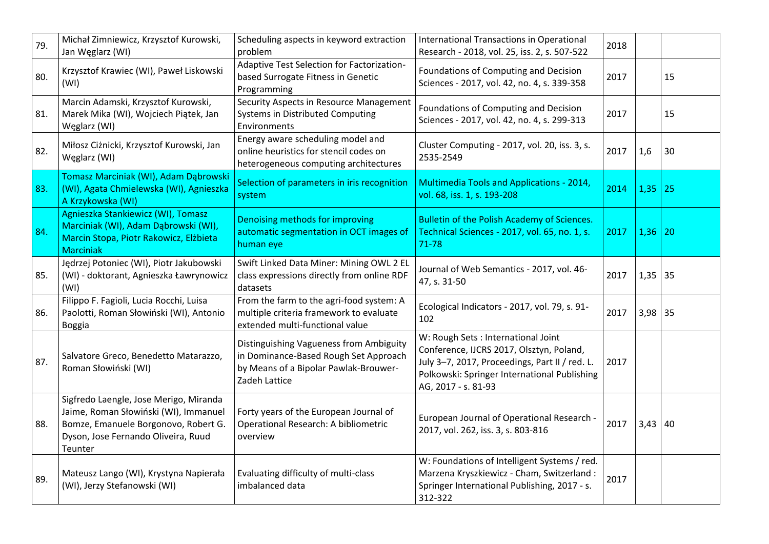| 79. | Michał Zimniewicz, Krzysztof Kurowski,<br>Jan Węglarz (WI)                                                                                                                | Scheduling aspects in keyword extraction<br>problem                                                                                        | International Transactions in Operational<br>Research - 2018, vol. 25, iss. 2, s. 507-522                                                                                                               | 2018 |           |    |
|-----|---------------------------------------------------------------------------------------------------------------------------------------------------------------------------|--------------------------------------------------------------------------------------------------------------------------------------------|---------------------------------------------------------------------------------------------------------------------------------------------------------------------------------------------------------|------|-----------|----|
| 80. | Krzysztof Krawiec (WI), Paweł Liskowski<br>(WI)                                                                                                                           | Adaptive Test Selection for Factorization-<br>based Surrogate Fitness in Genetic<br>Programming                                            | Foundations of Computing and Decision<br>Sciences - 2017, vol. 42, no. 4, s. 339-358                                                                                                                    | 2017 |           | 15 |
| 81. | Marcin Adamski, Krzysztof Kurowski,<br>Marek Mika (WI), Wojciech Piątek, Jan<br>Węglarz (WI)                                                                              | Security Aspects in Resource Management<br>Systems in Distributed Computing<br>Environments                                                | Foundations of Computing and Decision<br>Sciences - 2017, vol. 42, no. 4, s. 299-313                                                                                                                    | 2017 |           | 15 |
| 82. | Miłosz Ciżnicki, Krzysztof Kurowski, Jan<br>Węglarz (WI)                                                                                                                  | Energy aware scheduling model and<br>online heuristics for stencil codes on<br>heterogeneous computing architectures                       | Cluster Computing - 2017, vol. 20, iss. 3, s.<br>2535-2549                                                                                                                                              | 2017 | 1,6       | 30 |
| 83. | Tomasz Marciniak (WI), Adam Dąbrowski<br>(WI), Agata Chmielewska (WI), Agnieszka<br>A Krzykowska (WI)                                                                     | Selection of parameters in iris recognition<br>system                                                                                      | Multimedia Tools and Applications - 2014,<br>vol. 68, iss. 1, s. 193-208                                                                                                                                | 2014 | 1,35      | 25 |
| 84. | Agnieszka Stankiewicz (WI), Tomasz<br>Marciniak (WI), Adam Dąbrowski (WI),<br>Marcin Stopa, Piotr Rakowicz, Elżbieta<br><b>Marciniak</b>                                  | Denoising methods for improving<br>automatic segmentation in OCT images of<br>human eye                                                    | Bulletin of the Polish Academy of Sciences.<br>Technical Sciences - 2017, vol. 65, no. 1, s.<br>71-78                                                                                                   | 2017 | 1,36      | 20 |
| 85. | Jędrzej Potoniec (WI), Piotr Jakubowski<br>(WI) - doktorant, Agnieszka Ławrynowicz<br>(WI)                                                                                | Swift Linked Data Miner: Mining OWL 2 EL<br>class expressions directly from online RDF<br>datasets                                         | Journal of Web Semantics - 2017, vol. 46-<br>47, s. 31-50                                                                                                                                               | 2017 | $1,35$ 35 |    |
| 86. | Filippo F. Fagioli, Lucia Rocchi, Luisa<br>Paolotti, Roman Słowiński (WI), Antonio<br>Boggia                                                                              | From the farm to the agri-food system: A<br>multiple criteria framework to evaluate<br>extended multi-functional value                     | Ecological Indicators - 2017, vol. 79, s. 91-<br>102                                                                                                                                                    | 2017 | $3,98$ 35 |    |
| 87. | Salvatore Greco, Benedetto Matarazzo,<br>Roman Słowiński (WI)                                                                                                             | Distinguishing Vagueness from Ambiguity<br>in Dominance-Based Rough Set Approach<br>by Means of a Bipolar Pawlak-Brouwer-<br>Zadeh Lattice | W: Rough Sets: International Joint<br>Conference, IJCRS 2017, Olsztyn, Poland,<br>July 3-7, 2017, Proceedings, Part II / red. L.<br>Polkowski: Springer International Publishing<br>AG, 2017 - s. 81-93 | 2017 |           |    |
| 88. | Sigfredo Laengle, Jose Merigo, Miranda<br>Jaime, Roman Słowiński (WI), Immanuel<br>Bomze, Emanuele Borgonovo, Robert G.<br>Dyson, Jose Fernando Oliveira, Ruud<br>Teunter | Forty years of the European Journal of<br>Operational Research: A bibliometric<br>overview                                                 | European Journal of Operational Research -<br>2017, vol. 262, iss. 3, s. 803-816                                                                                                                        | 2017 | $3,43$ 40 |    |
| 89. | Mateusz Lango (WI), Krystyna Napierała<br>(WI), Jerzy Stefanowski (WI)                                                                                                    | Evaluating difficulty of multi-class<br>imbalanced data                                                                                    | W: Foundations of Intelligent Systems / red.<br>Marzena Kryszkiewicz - Cham, Switzerland:<br>Springer International Publishing, 2017 - s.<br>312-322                                                    | 2017 |           |    |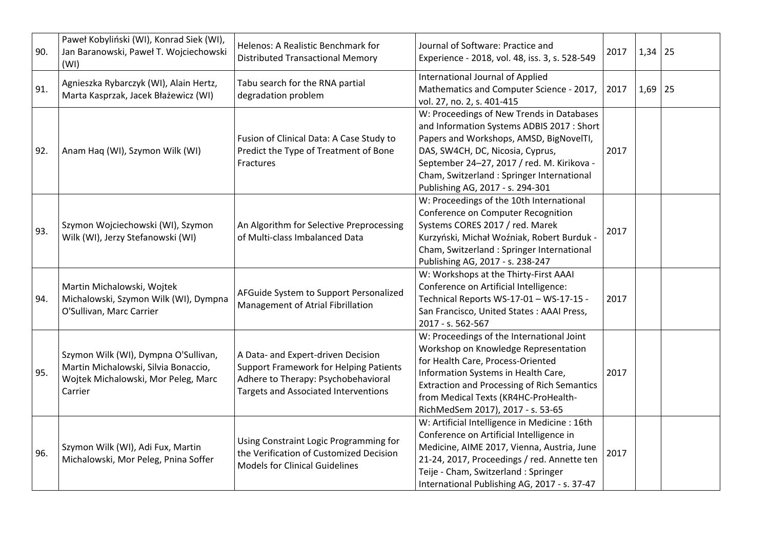| 90. | Paweł Kobyliński (WI), Konrad Siek (WI),<br>Jan Baranowski, Paweł T. Wojciechowski<br>(WI)                                     | Helenos: A Realistic Benchmark for<br><b>Distributed Transactional Memory</b>                                                                                             | Journal of Software: Practice and<br>Experience - 2018, vol. 48, iss. 3, s. 528-549                                                                                                                                                                                                                    | 2017 | 1,34 | 25 |
|-----|--------------------------------------------------------------------------------------------------------------------------------|---------------------------------------------------------------------------------------------------------------------------------------------------------------------------|--------------------------------------------------------------------------------------------------------------------------------------------------------------------------------------------------------------------------------------------------------------------------------------------------------|------|------|----|
| 91. | Agnieszka Rybarczyk (WI), Alain Hertz,<br>Marta Kasprzak, Jacek Błażewicz (WI)                                                 | Tabu search for the RNA partial<br>degradation problem                                                                                                                    | International Journal of Applied<br>Mathematics and Computer Science - 2017,<br>vol. 27, no. 2, s. 401-415                                                                                                                                                                                             | 2017 | 1,69 | 25 |
| 92. | Anam Haq (WI), Szymon Wilk (WI)                                                                                                | Fusion of Clinical Data: A Case Study to<br>Predict the Type of Treatment of Bone<br><b>Fractures</b>                                                                     | W: Proceedings of New Trends in Databases<br>and Information Systems ADBIS 2017 : Short<br>Papers and Workshops, AMSD, BigNovelTI,<br>DAS, SW4CH, DC, Nicosia, Cyprus,<br>September 24-27, 2017 / red. M. Kirikova -<br>Cham, Switzerland : Springer International<br>Publishing AG, 2017 - s. 294-301 | 2017 |      |    |
| 93. | Szymon Wojciechowski (WI), Szymon<br>Wilk (WI), Jerzy Stefanowski (WI)                                                         | An Algorithm for Selective Preprocessing<br>of Multi-class Imbalanced Data                                                                                                | W: Proceedings of the 10th International<br>Conference on Computer Recognition<br>Systems CORES 2017 / red. Marek<br>Kurzyński, Michał Woźniak, Robert Burduk -<br>Cham, Switzerland : Springer International<br>Publishing AG, 2017 - s. 238-247                                                      | 2017 |      |    |
| 94. | Martin Michalowski, Wojtek<br>Michalowski, Szymon Wilk (WI), Dympna<br>O'Sullivan, Marc Carrier                                | AFGuide System to Support Personalized<br>Management of Atrial Fibrillation                                                                                               | W: Workshops at the Thirty-First AAAI<br>Conference on Artificial Intelligence:<br>Technical Reports WS-17-01 - WS-17-15 -<br>San Francisco, United States: AAAI Press,<br>2017 - s. 562-567                                                                                                           | 2017 |      |    |
| 95. | Szymon Wilk (WI), Dympna O'Sullivan,<br>Martin Michalowski, Silvia Bonaccio,<br>Wojtek Michalowski, Mor Peleg, Marc<br>Carrier | A Data- and Expert-driven Decision<br><b>Support Framework for Helping Patients</b><br>Adhere to Therapy: Psychobehavioral<br><b>Targets and Associated Interventions</b> | W: Proceedings of the International Joint<br>Workshop on Knowledge Representation<br>for Health Care, Process-Oriented<br>Information Systems in Health Care,<br><b>Extraction and Processing of Rich Semantics</b><br>from Medical Texts (KR4HC-ProHealth-<br>RichMedSem 2017), 2017 - s. 53-65       | 2017 |      |    |
| 96. | Szymon Wilk (WI), Adi Fux, Martin<br>Michalowski, Mor Peleg, Pnina Soffer                                                      | Using Constraint Logic Programming for<br>the Verification of Customized Decision<br><b>Models for Clinical Guidelines</b>                                                | W: Artificial Intelligence in Medicine: 16th<br>Conference on Artificial Intelligence in<br>Medicine, AIME 2017, Vienna, Austria, June<br>21-24, 2017, Proceedings / red. Annette ten<br>Teije - Cham, Switzerland : Springer<br>International Publishing AG, 2017 - s. 37-47                          | 2017 |      |    |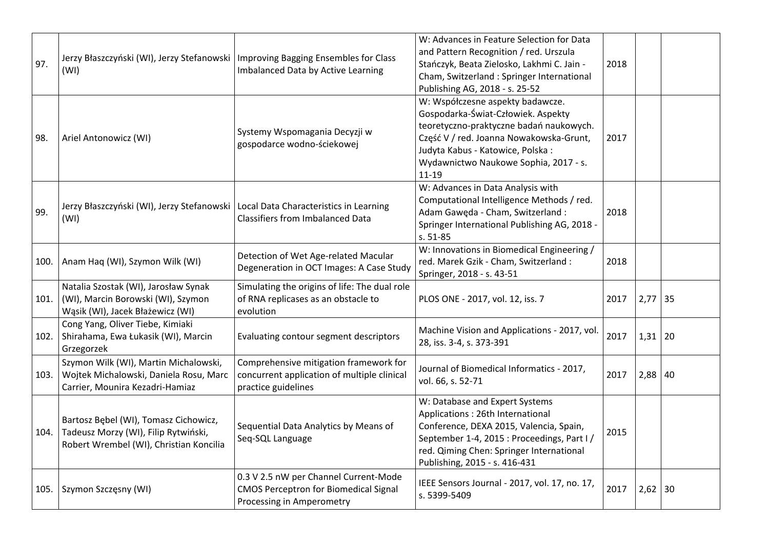| 97.  | Jerzy Błaszczyński (WI), Jerzy Stefanowski   Improving Bagging Ensembles for Class<br>(WI)                               | Imbalanced Data by Active Learning                                                                                 | W: Advances in Feature Selection for Data<br>and Pattern Recognition / red. Urszula<br>Stańczyk, Beata Zielosko, Lakhmi C. Jain -<br>Cham, Switzerland : Springer International<br>Publishing AG, 2018 - s. 25-52                                      | 2018 |           |    |
|------|--------------------------------------------------------------------------------------------------------------------------|--------------------------------------------------------------------------------------------------------------------|--------------------------------------------------------------------------------------------------------------------------------------------------------------------------------------------------------------------------------------------------------|------|-----------|----|
| 98.  | Ariel Antonowicz (WI)                                                                                                    | Systemy Wspomagania Decyzji w<br>gospodarce wodno-ściekowej                                                        | W: Współczesne aspekty badawcze.<br>Gospodarka-Świat-Człowiek. Aspekty<br>teoretyczno-praktyczne badań naukowych.<br>Część V / red. Joanna Nowakowska-Grunt,<br>Judyta Kabus - Katowice, Polska:<br>Wydawnictwo Naukowe Sophia, 2017 - s.<br>$11 - 19$ | 2017 |           |    |
| 99.  | Jerzy Błaszczyński (WI), Jerzy Stefanowski   Local Data Characteristics in Learning<br>(WI)                              | <b>Classifiers from Imbalanced Data</b>                                                                            | W: Advances in Data Analysis with<br>Computational Intelligence Methods / red.<br>Adam Gawęda - Cham, Switzerland :<br>Springer International Publishing AG, 2018 -<br>s. 51-85                                                                        | 2018 |           |    |
|      | 100.   Anam Haq (WI), Szymon Wilk (WI)                                                                                   | Detection of Wet Age-related Macular<br>Degeneration in OCT Images: A Case Study                                   | W: Innovations in Biomedical Engineering /<br>red. Marek Gzik - Cham, Switzerland :<br>Springer, 2018 - s. 43-51                                                                                                                                       | 2018 |           |    |
| 101. | Natalia Szostak (WI), Jarosław Synak<br>(WI), Marcin Borowski (WI), Szymon<br>Wąsik (WI), Jacek Błażewicz (WI)           | Simulating the origins of life: The dual role<br>of RNA replicases as an obstacle to<br>evolution                  | PLOS ONE - 2017, vol. 12, iss. 7                                                                                                                                                                                                                       | 2017 | 2,77      | 35 |
| 102. | Cong Yang, Oliver Tiebe, Kimiaki<br>Shirahama, Ewa Łukasik (WI), Marcin<br>Grzegorzek                                    | Evaluating contour segment descriptors                                                                             | Machine Vision and Applications - 2017, vol.<br>28, iss. 3-4, s. 373-391                                                                                                                                                                               | 2017 | $1,31$ 20 |    |
| 103. | Szymon Wilk (WI), Martin Michalowski,<br>Wojtek Michalowski, Daniela Rosu, Marc<br>Carrier, Mounira Kezadri-Hamiaz       | Comprehensive mitigation framework for<br>concurrent application of multiple clinical<br>practice guidelines       | Journal of Biomedical Informatics - 2017,<br>vol. 66, s. 52-71                                                                                                                                                                                         | 2017 | $2,88$ 40 |    |
| 104. | Bartosz Bębel (WI), Tomasz Cichowicz,<br>Tadeusz Morzy (WI), Filip Rytwiński,<br>Robert Wrembel (WI), Christian Koncilia | Sequential Data Analytics by Means of<br>Seq-SQL Language                                                          | W: Database and Expert Systems<br>Applications: 26th International<br>Conference, DEXA 2015, Valencia, Spain,<br>September 1-4, 2015 : Proceedings, Part I/<br>red. Qiming Chen: Springer International<br>Publishing, 2015 - s. 416-431               | 2015 |           |    |
| 105. | Szymon Szczęsny (WI)                                                                                                     | 0.3 V 2.5 nW per Channel Current-Mode<br><b>CMOS Perceptron for Biomedical Signal</b><br>Processing in Amperometry | IEEE Sensors Journal - 2017, vol. 17, no. 17,<br>s. 5399-5409                                                                                                                                                                                          | 2017 | $2,62$ 30 |    |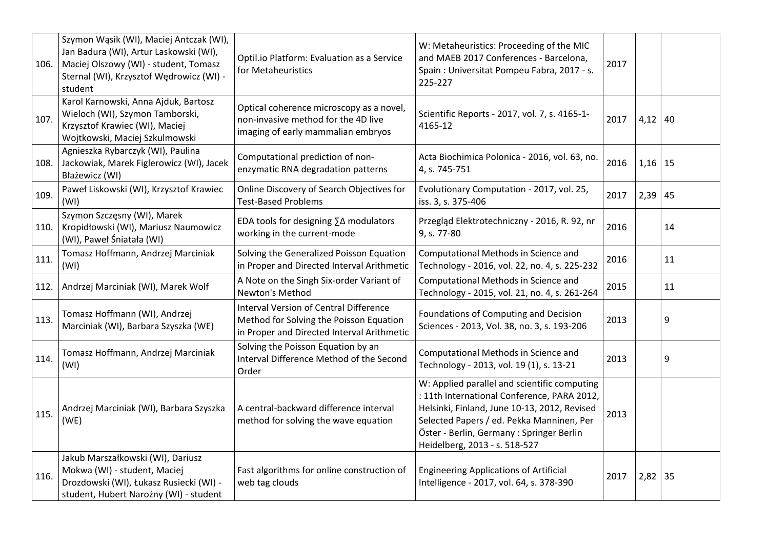| 106. | Szymon Wąsik (WI), Maciej Antczak (WI),<br>Jan Badura (WI), Artur Laskowski (WI),<br>Maciej Olszowy (WI) - student, Tomasz<br>Sternal (WI), Krzysztof Wędrowicz (WI) -<br>student | Optil.io Platform: Evaluation as a Service<br>for Metaheuristics                                                                | W: Metaheuristics: Proceeding of the MIC<br>and MAEB 2017 Conferences - Barcelona,<br>Spain: Universitat Pompeu Fabra, 2017 - s.<br>225-227                                                                                                                            | 2017 |           |    |
|------|-----------------------------------------------------------------------------------------------------------------------------------------------------------------------------------|---------------------------------------------------------------------------------------------------------------------------------|------------------------------------------------------------------------------------------------------------------------------------------------------------------------------------------------------------------------------------------------------------------------|------|-----------|----|
| 107. | Karol Karnowski, Anna Ajduk, Bartosz<br>Wieloch (WI), Szymon Tamborski,<br>Krzysztof Krawiec (WI), Maciej<br>Wojtkowski, Maciej Szkulmowski                                       | Optical coherence microscopy as a novel,<br>non-invasive method for the 4D live<br>imaging of early mammalian embryos           | Scientific Reports - 2017, vol. 7, s. 4165-1-<br>4165-12                                                                                                                                                                                                               | 2017 | $4,12$ 40 |    |
| 108. | Agnieszka Rybarczyk (WI), Paulina<br>Jackowiak, Marek Figlerowicz (WI), Jacek<br>Błażewicz (WI)                                                                                   | Computational prediction of non-<br>enzymatic RNA degradation patterns                                                          | Acta Biochimica Polonica - 2016, vol. 63, no.<br>4, s. 745-751                                                                                                                                                                                                         | 2016 | $1,16$ 15 |    |
| 109. | Paweł Liskowski (WI), Krzysztof Krawiec<br>(WI)                                                                                                                                   | Online Discovery of Search Objectives for<br><b>Test-Based Problems</b>                                                         | Evolutionary Computation - 2017, vol. 25,<br>iss. 3, s. 375-406                                                                                                                                                                                                        | 2017 | $2,39$ 45 |    |
| 110. | Szymon Szczęsny (WI), Marek<br>Kropidłowski (WI), Mariusz Naumowicz<br>(WI), Paweł Śniatała (WI)                                                                                  | EDA tools for designing ∑∆ modulators<br>working in the current-mode                                                            | Przegląd Elektrotechniczny - 2016, R. 92, nr<br>9, s. 77-80                                                                                                                                                                                                            | 2016 |           | 14 |
| 111. | Tomasz Hoffmann, Andrzej Marciniak<br>(WI)                                                                                                                                        | Solving the Generalized Poisson Equation<br>in Proper and Directed Interval Arithmetic                                          | Computational Methods in Science and<br>Technology - 2016, vol. 22, no. 4, s. 225-232                                                                                                                                                                                  | 2016 |           | 11 |
| 112. | Andrzej Marciniak (WI), Marek Wolf                                                                                                                                                | A Note on the Singh Six-order Variant of<br>Newton's Method                                                                     | Computational Methods in Science and<br>Technology - 2015, vol. 21, no. 4, s. 261-264                                                                                                                                                                                  | 2015 |           | 11 |
| 113. | Tomasz Hoffmann (WI), Andrzej<br>Marciniak (WI), Barbara Szyszka (WE)                                                                                                             | Interval Version of Central Difference<br>Method for Solving the Poisson Equation<br>in Proper and Directed Interval Arithmetic | Foundations of Computing and Decision<br>Sciences - 2013, Vol. 38, no. 3, s. 193-206                                                                                                                                                                                   | 2013 |           | 9  |
| 114. | Tomasz Hoffmann, Andrzej Marciniak<br>(WI)                                                                                                                                        | Solving the Poisson Equation by an<br>Interval Difference Method of the Second<br>Order                                         | Computational Methods in Science and<br>Technology - 2013, vol. 19 (1), s. 13-21                                                                                                                                                                                       | 2013 |           | 9  |
| 115. | Andrzej Marciniak (WI), Barbara Szyszka<br>(WE)                                                                                                                                   | A central-backward difference interval<br>method for solving the wave equation                                                  | W: Applied parallel and scientific computing<br>: 11th International Conference, PARA 2012,<br>Helsinki, Finland, June 10-13, 2012, Revised<br>Selected Papers / ed. Pekka Manninen, Per<br>Öster - Berlin, Germany : Springer Berlin<br>Heidelberg, 2013 - s. 518-527 | 2013 |           |    |
| 116. | Jakub Marszałkowski (WI), Dariusz<br>Mokwa (WI) - student, Maciej<br>Drozdowski (WI), Łukasz Rusiecki (WI) -<br>student, Hubert Narożny (WI) - student                            | Fast algorithms for online construction of<br>web tag clouds                                                                    | <b>Engineering Applications of Artificial</b><br>Intelligence - 2017, vol. 64, s. 378-390                                                                                                                                                                              | 2017 | $2,82$ 35 |    |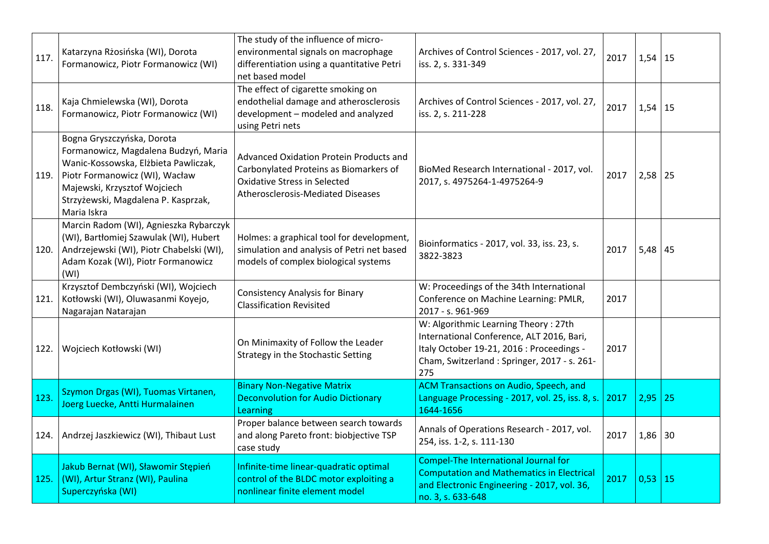| 117. | Katarzyna Rżosińska (WI), Dorota<br>Formanowicz, Piotr Formanowicz (WI)                                                                                                                                                            | The study of the influence of micro-<br>environmental signals on macrophage<br>differentiation using a quantitative Petri<br>net based model                  | Archives of Control Sciences - 2017, vol. 27,<br>iss. 2, s. 331-349                                                                                                                  | 2017 | $1,54$ 15 |    |
|------|------------------------------------------------------------------------------------------------------------------------------------------------------------------------------------------------------------------------------------|---------------------------------------------------------------------------------------------------------------------------------------------------------------|--------------------------------------------------------------------------------------------------------------------------------------------------------------------------------------|------|-----------|----|
| 118. | Kaja Chmielewska (WI), Dorota<br>Formanowicz, Piotr Formanowicz (WI)                                                                                                                                                               | The effect of cigarette smoking on<br>endothelial damage and atherosclerosis<br>development - modeled and analyzed<br>using Petri nets                        | Archives of Control Sciences - 2017, vol. 27,<br>iss. 2, s. 211-228                                                                                                                  | 2017 | $1,54$ 15 |    |
| 119. | Bogna Gryszczyńska, Dorota<br>Formanowicz, Magdalena Budzyń, Maria<br>Wanic-Kossowska, Elżbieta Pawliczak,<br>Piotr Formanowicz (WI), Wacław<br>Majewski, Krzysztof Wojciech<br>Strzyżewski, Magdalena P. Kasprzak,<br>Maria Iskra | Advanced Oxidation Protein Products and<br>Carbonylated Proteins as Biomarkers of<br><b>Oxidative Stress in Selected</b><br>Atherosclerosis-Mediated Diseases | BioMed Research International - 2017, vol.<br>2017, s. 4975264-1-4975264-9                                                                                                           | 2017 | $2,58$ 25 |    |
| 120. | Marcin Radom (WI), Agnieszka Rybarczyk<br>(WI), Bartłomiej Szawulak (WI), Hubert<br>Andrzejewski (WI), Piotr Chabelski (WI),<br>Adam Kozak (WI), Piotr Formanowicz<br>(WI)                                                         | Holmes: a graphical tool for development,<br>simulation and analysis of Petri net based<br>models of complex biological systems                               | Bioinformatics - 2017, vol. 33, iss. 23, s.<br>3822-3823                                                                                                                             | 2017 | $5,48$ 45 |    |
| 121. | Krzysztof Dembczyński (WI), Wojciech<br>Kotłowski (WI), Oluwasanmi Koyejo,<br>Nagarajan Natarajan                                                                                                                                  | <b>Consistency Analysis for Binary</b><br><b>Classification Revisited</b>                                                                                     | W: Proceedings of the 34th International<br>Conference on Machine Learning: PMLR,<br>2017 - s. 961-969                                                                               | 2017 |           |    |
| 122. | Wojciech Kotłowski (WI)                                                                                                                                                                                                            | On Minimaxity of Follow the Leader<br>Strategy in the Stochastic Setting                                                                                      | W: Algorithmic Learning Theory: 27th<br>International Conference, ALT 2016, Bari,<br>Italy October 19-21, 2016 : Proceedings -<br>Cham, Switzerland: Springer, 2017 - s. 261-<br>275 | 2017 |           |    |
| 123. | Szymon Drgas (WI), Tuomas Virtanen,<br>Joerg Luecke, Antti Hurmalainen                                                                                                                                                             | <b>Binary Non-Negative Matrix</b><br><b>Deconvolution for Audio Dictionary</b><br>Learning                                                                    | <b>ACM Transactions on Audio, Speech, and</b><br>Language Processing - 2017, vol. 25, iss. 8, s.<br>1644-1656                                                                        | 2017 | 2,95      | 25 |
| 124. | Andrzej Jaszkiewicz (WI), Thibaut Lust                                                                                                                                                                                             | Proper balance between search towards<br>and along Pareto front: biobjective TSP<br>case study                                                                | Annals of Operations Research - 2017, vol.<br>254, iss. 1-2, s. 111-130                                                                                                              | 2017 | $1,86$ 30 |    |
| 125. | Jakub Bernat (WI), Sławomir Stępień<br>(WI), Artur Stranz (WI), Paulina<br>Superczyńska (WI)                                                                                                                                       | Infinite-time linear-quadratic optimal<br>control of the BLDC motor exploiting a<br>nonlinear finite element model                                            | Compel-The International Journal for<br><b>Computation and Mathematics in Electrical</b><br>and Electronic Engineering - 2017, vol. 36,<br>no. 3, s. 633-648                         | 2017 | 0,53      | 15 |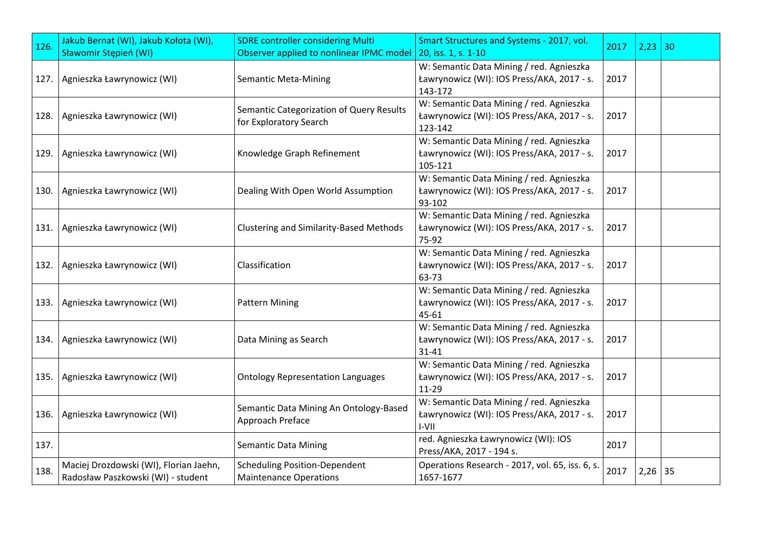| 126. | Jakub Bernat (WI), Jakub Kołota (WI),<br>Sławomir Stępień (WI)               | <b>SDRE controller considering Multi</b><br>Observer applied to nonlinear IPMC model | Smart Structures and Systems - 2017, vol.<br>20, iss. 1, s. 1-10                                    | 2017 | $2,23$ 30 |  |
|------|------------------------------------------------------------------------------|--------------------------------------------------------------------------------------|-----------------------------------------------------------------------------------------------------|------|-----------|--|
|      | 127. Agnieszka Ławrynowicz (WI)                                              | <b>Semantic Meta-Mining</b>                                                          | W: Semantic Data Mining / red. Agnieszka<br>Ławrynowicz (WI): IOS Press/AKA, 2017 - s.<br>143-172   | 2017 |           |  |
| 128. | Agnieszka Ławrynowicz (WI)                                                   | Semantic Categorization of Query Results<br>for Exploratory Search                   | W: Semantic Data Mining / red. Agnieszka<br>Ławrynowicz (WI): IOS Press/AKA, 2017 - s.<br>123-142   | 2017 |           |  |
| 129. | Agnieszka Ławrynowicz (WI)                                                   | Knowledge Graph Refinement                                                           | W: Semantic Data Mining / red. Agnieszka<br>Ławrynowicz (WI): IOS Press/AKA, 2017 - s.<br>105-121   | 2017 |           |  |
| 130. | Agnieszka Ławrynowicz (WI)                                                   | Dealing With Open World Assumption                                                   | W: Semantic Data Mining / red. Agnieszka<br>Ławrynowicz (WI): IOS Press/AKA, 2017 - s.<br>93-102    | 2017 |           |  |
| 131. | Agnieszka Ławrynowicz (WI)                                                   | <b>Clustering and Similarity-Based Methods</b>                                       | W: Semantic Data Mining / red. Agnieszka<br>Ławrynowicz (WI): IOS Press/AKA, 2017 - s.<br>75-92     | 2017 |           |  |
| 132. | Agnieszka Ławrynowicz (WI)                                                   | Classification                                                                       | W: Semantic Data Mining / red. Agnieszka<br>Ławrynowicz (WI): IOS Press/AKA, 2017 - s.<br>63-73     | 2017 |           |  |
| 133. | Agnieszka Ławrynowicz (WI)                                                   | <b>Pattern Mining</b>                                                                | W: Semantic Data Mining / red. Agnieszka<br>Ławrynowicz (WI): IOS Press/AKA, 2017 - s.<br>$45 - 61$ | 2017 |           |  |
|      | 134. Agnieszka Ławrynowicz (WI)                                              | Data Mining as Search                                                                | W: Semantic Data Mining / red. Agnieszka<br>Ławrynowicz (WI): IOS Press/AKA, 2017 - s.<br>$31 - 41$ | 2017 |           |  |
| 135. | Agnieszka Ławrynowicz (WI)                                                   | <b>Ontology Representation Languages</b>                                             | W: Semantic Data Mining / red. Agnieszka<br>Ławrynowicz (WI): IOS Press/AKA, 2017 - s.<br>$11 - 29$ | 2017 |           |  |
|      | 136. Agnieszka Ławrynowicz (WI)                                              | Semantic Data Mining An Ontology-Based<br>Approach Preface                           | W: Semantic Data Mining / red. Agnieszka<br>Ławrynowicz (WI): IOS Press/AKA, 2017 - s.<br>I-VII     | 2017 |           |  |
| 137. |                                                                              | <b>Semantic Data Mining</b>                                                          | red. Agnieszka Ławrynowicz (WI): IOS<br>Press/AKA, 2017 - 194 s.                                    | 2017 |           |  |
| 138. | Maciej Drozdowski (WI), Florian Jaehn,<br>Radosław Paszkowski (WI) - student | <b>Scheduling Position-Dependent</b><br><b>Maintenance Operations</b>                | Operations Research - 2017, vol. 65, iss. 6, s.<br>1657-1677                                        | 2017 | $2,26$ 35 |  |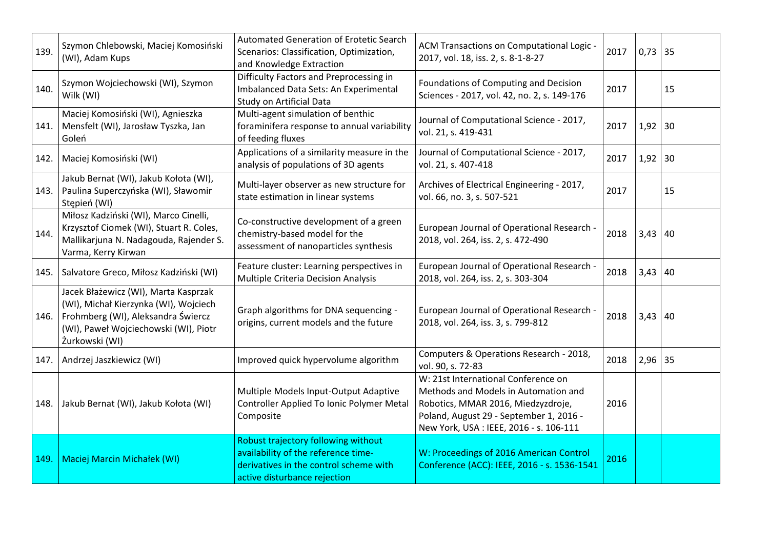| 139. | Szymon Chlebowski, Maciej Komosiński<br>(WI), Adam Kups                                                                                                                        | Automated Generation of Erotetic Search<br>Scenarios: Classification, Optimization,<br>and Knowledge Extraction                                      | ACM Transactions on Computational Logic -<br>2017, vol. 18, iss. 2, s. 8-1-8-27                                                                                                                         | 2017 | $0,73$ 35 |    |
|------|--------------------------------------------------------------------------------------------------------------------------------------------------------------------------------|------------------------------------------------------------------------------------------------------------------------------------------------------|---------------------------------------------------------------------------------------------------------------------------------------------------------------------------------------------------------|------|-----------|----|
| 140. | Szymon Wojciechowski (WI), Szymon<br>Wilk (WI)                                                                                                                                 | Difficulty Factors and Preprocessing in<br>Imbalanced Data Sets: An Experimental<br>Study on Artificial Data                                         | Foundations of Computing and Decision<br>Sciences - 2017, vol. 42, no. 2, s. 149-176                                                                                                                    | 2017 |           | 15 |
| 141. | Maciej Komosiński (WI), Agnieszka<br>Mensfelt (WI), Jarosław Tyszka, Jan<br>Goleń                                                                                              | Multi-agent simulation of benthic<br>foraminifera response to annual variability<br>of feeding fluxes                                                | Journal of Computational Science - 2017,<br>vol. 21, s. 419-431                                                                                                                                         | 2017 | 1,92      | 30 |
|      | 142. Maciej Komosiński (WI)                                                                                                                                                    | Applications of a similarity measure in the<br>analysis of populations of 3D agents                                                                  | Journal of Computational Science - 2017,<br>vol. 21, s. 407-418                                                                                                                                         | 2017 | $1,92$ 30 |    |
| 143. | Jakub Bernat (WI), Jakub Kołota (WI),<br>Paulina Superczyńska (WI), Sławomir<br>Stępień (WI)                                                                                   | Multi-layer observer as new structure for<br>state estimation in linear systems                                                                      | Archives of Electrical Engineering - 2017,<br>vol. 66, no. 3, s. 507-521                                                                                                                                | 2017 |           | 15 |
| 144. | Miłosz Kadziński (WI), Marco Cinelli,<br>Krzysztof Ciomek (WI), Stuart R. Coles,<br>Mallikarjuna N. Nadagouda, Rajender S.<br>Varma, Kerry Kirwan                              | Co-constructive development of a green<br>chemistry-based model for the<br>assessment of nanoparticles synthesis                                     | European Journal of Operational Research -<br>2018, vol. 264, iss. 2, s. 472-490                                                                                                                        | 2018 | $3,43$ 40 |    |
|      | 145. Salvatore Greco, Miłosz Kadziński (WI)                                                                                                                                    | Feature cluster: Learning perspectives in<br>Multiple Criteria Decision Analysis                                                                     | European Journal of Operational Research -<br>2018, vol. 264, iss. 2, s. 303-304                                                                                                                        | 2018 | 3,43      | 40 |
| 146. | Jacek Błażewicz (WI), Marta Kasprzak<br>(WI), Michał Kierzynka (WI), Wojciech<br>Frohmberg (WI), Aleksandra Świercz<br>(WI), Paweł Wojciechowski (WI), Piotr<br>Żurkowski (WI) | Graph algorithms for DNA sequencing -<br>origins, current models and the future                                                                      | European Journal of Operational Research -<br>2018, vol. 264, iss. 3, s. 799-812                                                                                                                        | 2018 | $3,43$ 40 |    |
| 147. | Andrzej Jaszkiewicz (WI)                                                                                                                                                       | Improved quick hypervolume algorithm                                                                                                                 | Computers & Operations Research - 2018,<br>vol. 90, s. 72-83                                                                                                                                            | 2018 | $2,96$ 35 |    |
|      | 148.   Jakub Bernat (WI), Jakub Kołota (WI)                                                                                                                                    | Multiple Models Input-Output Adaptive<br>Controller Applied To Ionic Polymer Metal<br>Composite                                                      | W: 21st International Conference on<br>Methods and Models in Automation and<br>Robotics, MMAR 2016, Miedzyzdroje,<br>Poland, August 29 - September 1, 2016 -<br>New York, USA : IEEE, 2016 - s. 106-111 | 2016 |           |    |
| 149  | <b>Maciej Marcin Michałek (WI)</b>                                                                                                                                             | Robust trajectory following without<br>availability of the reference time-<br>derivatives in the control scheme with<br>active disturbance rejection | W: Proceedings of 2016 American Control<br>Conference (ACC): IEEE, 2016 - s. 1536-1541                                                                                                                  | 2016 |           |    |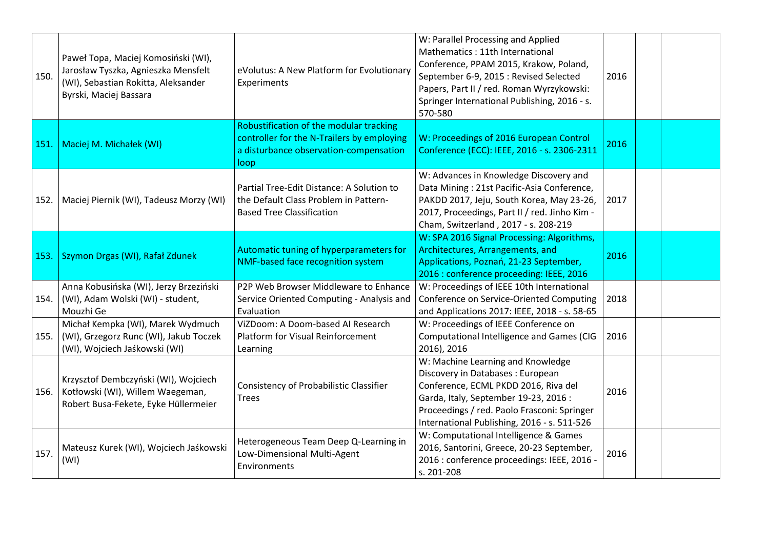| 150. | Paweł Topa, Maciej Komosiński (WI),<br>Jarosław Tyszka, Agnieszka Mensfelt<br>(WI), Sebastian Rokitta, Aleksander<br>Byrski, Maciej Bassara | eVolutus: A New Platform for Evolutionary<br>Experiments                                                                                | W: Parallel Processing and Applied<br>Mathematics: 11th International<br>Conference, PPAM 2015, Krakow, Poland,<br>September 6-9, 2015 : Revised Selected<br>Papers, Part II / red. Roman Wyrzykowski:<br>Springer International Publishing, 2016 - s.<br>570-580 | 2016 |  |
|------|---------------------------------------------------------------------------------------------------------------------------------------------|-----------------------------------------------------------------------------------------------------------------------------------------|-------------------------------------------------------------------------------------------------------------------------------------------------------------------------------------------------------------------------------------------------------------------|------|--|
| 151. | Maciej M. Michałek (WI)                                                                                                                     | Robustification of the modular tracking<br>controller for the N-Trailers by employing<br>a disturbance observation-compensation<br>loop | W: Proceedings of 2016 European Control<br>Conference (ECC): IEEE, 2016 - s. 2306-2311                                                                                                                                                                            | 2016 |  |
|      | 152.   Maciej Piernik (WI), Tadeusz Morzy (WI)                                                                                              | Partial Tree-Edit Distance: A Solution to<br>the Default Class Problem in Pattern-<br><b>Based Tree Classification</b>                  | W: Advances in Knowledge Discovery and<br>Data Mining: 21st Pacific-Asia Conference,<br>PAKDD 2017, Jeju, South Korea, May 23-26,<br>2017, Proceedings, Part II / red. Jinho Kim -<br>Cham, Switzerland, 2017 - s. 208-219                                        | 2017 |  |
|      | 153. Szymon Drgas (WI), Rafał Zdunek                                                                                                        | Automatic tuning of hyperparameters for<br>NMF-based face recognition system                                                            | W: SPA 2016 Signal Processing: Algorithms,<br>Architectures, Arrangements, and<br>Applications, Poznań, 21-23 September,<br>2016 : conference proceeding: IEEE, 2016                                                                                              | 2016 |  |
| 154. | Anna Kobusińska (WI), Jerzy Brzeziński<br>(WI), Adam Wolski (WI) - student,<br>Mouzhi Ge                                                    | P2P Web Browser Middleware to Enhance<br>Service Oriented Computing - Analysis and<br>Evaluation                                        | W: Proceedings of IEEE 10th International<br>Conference on Service-Oriented Computing<br>and Applications 2017: IEEE, 2018 - s. 58-65                                                                                                                             | 2018 |  |
| 155. | Michał Kempka (WI), Marek Wydmuch<br>(WI), Grzegorz Runc (WI), Jakub Toczek<br>(WI), Wojciech Jaśkowski (WI)                                | ViZDoom: A Doom-based AI Research<br>Platform for Visual Reinforcement<br>Learning                                                      | W: Proceedings of IEEE Conference on<br>Computational Intelligence and Games (CIG<br>2016), 2016                                                                                                                                                                  | 2016 |  |
| 156. | Krzysztof Dembczyński (WI), Wojciech<br>Kotłowski (WI), Willem Waegeman,<br>Robert Busa-Fekete, Eyke Hüllermeier                            | <b>Consistency of Probabilistic Classifier</b><br><b>Trees</b>                                                                          | W: Machine Learning and Knowledge<br>Discovery in Databases : European<br>Conference, ECML PKDD 2016, Riva del<br>Garda, Italy, September 19-23, 2016 :<br>Proceedings / red. Paolo Frasconi: Springer<br>International Publishing, 2016 - s. 511-526             | 2016 |  |
| 157. | Mateusz Kurek (WI), Wojciech Jaśkowski<br>(WI)                                                                                              | Heterogeneous Team Deep Q-Learning in<br>Low-Dimensional Multi-Agent<br>Environments                                                    | W: Computational Intelligence & Games<br>2016, Santorini, Greece, 20-23 September,<br>2016 : conference proceedings: IEEE, 2016 -<br>s. 201-208                                                                                                                   | 2016 |  |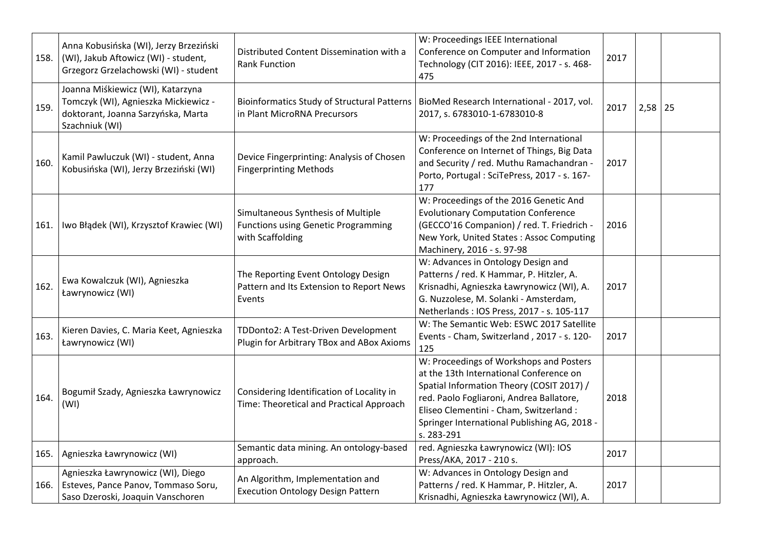| 158. | Anna Kobusińska (WI), Jerzy Brzeziński<br>(WI), Jakub Aftowicz (WI) - student,<br>Grzegorz Grzelachowski (WI) - student           | Distributed Content Dissemination with a<br><b>Rank Function</b>                                     | W: Proceedings IEEE International<br>Conference on Computer and Information<br>Technology (CIT 2016): IEEE, 2017 - s. 468-<br>475                                                                                                                                                    | 2017 |             |  |
|------|-----------------------------------------------------------------------------------------------------------------------------------|------------------------------------------------------------------------------------------------------|--------------------------------------------------------------------------------------------------------------------------------------------------------------------------------------------------------------------------------------------------------------------------------------|------|-------------|--|
| 159. | Joanna Miśkiewicz (WI), Katarzyna<br>Tomczyk (WI), Agnieszka Mickiewicz -<br>doktorant, Joanna Sarzyńska, Marta<br>Szachniuk (WI) | in Plant MicroRNA Precursors                                                                         | Bioinformatics Study of Structural Patterns   BioMed Research International - 2017, vol.<br>2017, s. 6783010-1-6783010-8                                                                                                                                                             | 2017 | $2,58$   25 |  |
| 160. | Kamil Pawluczuk (WI) - student, Anna<br>Kobusińska (WI), Jerzy Brzeziński (WI)                                                    | Device Fingerprinting: Analysis of Chosen<br><b>Fingerprinting Methods</b>                           | W: Proceedings of the 2nd International<br>Conference on Internet of Things, Big Data<br>and Security / red. Muthu Ramachandran -<br>Porto, Portugal: SciTePress, 2017 - s. 167-<br>177                                                                                              | 2017 |             |  |
| 161. | Iwo Błądek (WI), Krzysztof Krawiec (WI)                                                                                           | Simultaneous Synthesis of Multiple<br><b>Functions using Genetic Programming</b><br>with Scaffolding | W: Proceedings of the 2016 Genetic And<br><b>Evolutionary Computation Conference</b><br>(GECCO'16 Companion) / red. T. Friedrich -<br>New York, United States: Assoc Computing<br>Machinery, 2016 - s. 97-98                                                                         | 2016 |             |  |
| 162. | Ewa Kowalczuk (WI), Agnieszka<br>Ławrynowicz (WI)                                                                                 | The Reporting Event Ontology Design<br>Pattern and Its Extension to Report News<br>Events            | W: Advances in Ontology Design and<br>Patterns / red. K Hammar, P. Hitzler, A.<br>Krisnadhi, Agnieszka Ławrynowicz (WI), A.<br>G. Nuzzolese, M. Solanki - Amsterdam,<br>Netherlands: IOS Press, 2017 - s. 105-117                                                                    | 2017 |             |  |
| 163. | Kieren Davies, C. Maria Keet, Agnieszka<br>Ławrynowicz (WI)                                                                       | TDDonto2: A Test-Driven Development<br>Plugin for Arbitrary TBox and ABox Axioms                     | W: The Semantic Web: ESWC 2017 Satellite<br>Events - Cham, Switzerland, 2017 - s. 120-<br>125                                                                                                                                                                                        | 2017 |             |  |
| 164. | Bogumił Szady, Agnieszka Ławrynowicz<br>(WI)                                                                                      | Considering Identification of Locality in<br>Time: Theoretical and Practical Approach                | W: Proceedings of Workshops and Posters<br>at the 13th International Conference on<br>Spatial Information Theory (COSIT 2017) /<br>red. Paolo Fogliaroni, Andrea Ballatore,<br>Eliseo Clementini - Cham, Switzerland :<br>Springer International Publishing AG, 2018 -<br>s. 283-291 | 2018 |             |  |
| 165. | Agnieszka Ławrynowicz (WI)                                                                                                        | Semantic data mining. An ontology-based<br>approach.                                                 | red. Agnieszka Ławrynowicz (WI): IOS<br>Press/AKA, 2017 - 210 s.                                                                                                                                                                                                                     | 2017 |             |  |
| 166. | Agnieszka Ławrynowicz (WI), Diego<br>Esteves, Pance Panov, Tommaso Soru,<br>Saso Dzeroski, Joaquin Vanschoren                     | An Algorithm, Implementation and<br><b>Execution Ontology Design Pattern</b>                         | W: Advances in Ontology Design and<br>Patterns / red. K Hammar, P. Hitzler, A.<br>Krisnadhi, Agnieszka Ławrynowicz (WI), A.                                                                                                                                                          | 2017 |             |  |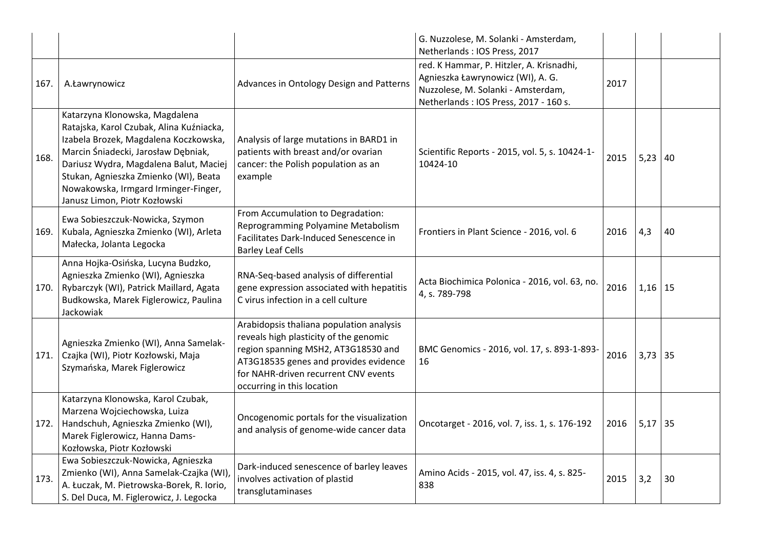|      |                                                                                                                                                                                                                                                                                                                        |                                                                                                                                                                                                                                          | G. Nuzzolese, M. Solanki - Amsterdam,<br>Netherlands: IOS Press, 2017                                                                                        |      |           |    |
|------|------------------------------------------------------------------------------------------------------------------------------------------------------------------------------------------------------------------------------------------------------------------------------------------------------------------------|------------------------------------------------------------------------------------------------------------------------------------------------------------------------------------------------------------------------------------------|--------------------------------------------------------------------------------------------------------------------------------------------------------------|------|-----------|----|
| 167. | A.Ławrynowicz                                                                                                                                                                                                                                                                                                          | Advances in Ontology Design and Patterns                                                                                                                                                                                                 | red. K Hammar, P. Hitzler, A. Krisnadhi,<br>Agnieszka Ławrynowicz (WI), A. G.<br>Nuzzolese, M. Solanki - Amsterdam,<br>Netherlands: IOS Press, 2017 - 160 s. | 2017 |           |    |
| 168. | Katarzyna Klonowska, Magdalena<br>Ratajska, Karol Czubak, Alina Kuźniacka,<br>Izabela Brozek, Magdalena Koczkowska,<br>Marcin Śniadecki, Jarosław Dębniak,<br>Dariusz Wydra, Magdalena Balut, Maciej<br>Stukan, Agnieszka Zmienko (WI), Beata<br>Nowakowska, Irmgard Irminger-Finger,<br>Janusz Limon, Piotr Kozłowski | Analysis of large mutations in BARD1 in<br>patients with breast and/or ovarian<br>cancer: the Polish population as an<br>example                                                                                                         | Scientific Reports - 2015, vol. 5, s. 10424-1-<br>10424-10                                                                                                   | 2015 | $5,23$ 40 |    |
| 169. | Ewa Sobieszczuk-Nowicka, Szymon<br>Kubala, Agnieszka Zmienko (WI), Arleta<br>Małecka, Jolanta Legocka                                                                                                                                                                                                                  | From Accumulation to Degradation:<br>Reprogramming Polyamine Metabolism<br>Facilitates Dark-Induced Senescence in<br><b>Barley Leaf Cells</b>                                                                                            | Frontiers in Plant Science - 2016, vol. 6                                                                                                                    | 2016 | 4,3       | 40 |
| 170. | Anna Hojka-Osińska, Lucyna Budzko,<br>Agnieszka Zmienko (WI), Agnieszka<br>Rybarczyk (WI), Patrick Maillard, Agata<br>Budkowska, Marek Figlerowicz, Paulina<br>Jackowiak                                                                                                                                               | RNA-Seq-based analysis of differential<br>gene expression associated with hepatitis<br>C virus infection in a cell culture                                                                                                               | Acta Biochimica Polonica - 2016, vol. 63, no.<br>4, s. 789-798                                                                                               | 2016 | $1,16$ 15 |    |
| 171. | Agnieszka Zmienko (WI), Anna Samelak-<br>Czajka (WI), Piotr Kozłowski, Maja<br>Szymańska, Marek Figlerowicz                                                                                                                                                                                                            | Arabidopsis thaliana population analysis<br>reveals high plasticity of the genomic<br>region spanning MSH2, AT3G18530 and<br>AT3G18535 genes and provides evidence<br>for NAHR-driven recurrent CNV events<br>occurring in this location | BMC Genomics - 2016, vol. 17, s. 893-1-893-<br>16                                                                                                            | 2016 | $3,73$ 35 |    |
| 172. | Katarzyna Klonowska, Karol Czubak,<br>Marzena Wojciechowska, Luiza<br>Handschuh, Agnieszka Zmienko (WI),<br>Marek Figlerowicz, Hanna Dams-<br>Kozłowska, Piotr Kozłowski                                                                                                                                               | Oncogenomic portals for the visualization<br>and analysis of genome-wide cancer data                                                                                                                                                     | Oncotarget - 2016, vol. 7, iss. 1, s. 176-192                                                                                                                | 2016 | $5,17$ 35 |    |
| 173. | Ewa Sobieszczuk-Nowicka, Agnieszka<br>Zmienko (WI), Anna Samelak-Czajka (WI),<br>A. Łuczak, M. Pietrowska-Borek, R. Iorio,<br>S. Del Duca, M. Figlerowicz, J. Legocka                                                                                                                                                  | Dark-induced senescence of barley leaves<br>involves activation of plastid<br>transglutaminases                                                                                                                                          | Amino Acids - 2015, vol. 47, iss. 4, s. 825-<br>838                                                                                                          | 2015 | 3,2       | 30 |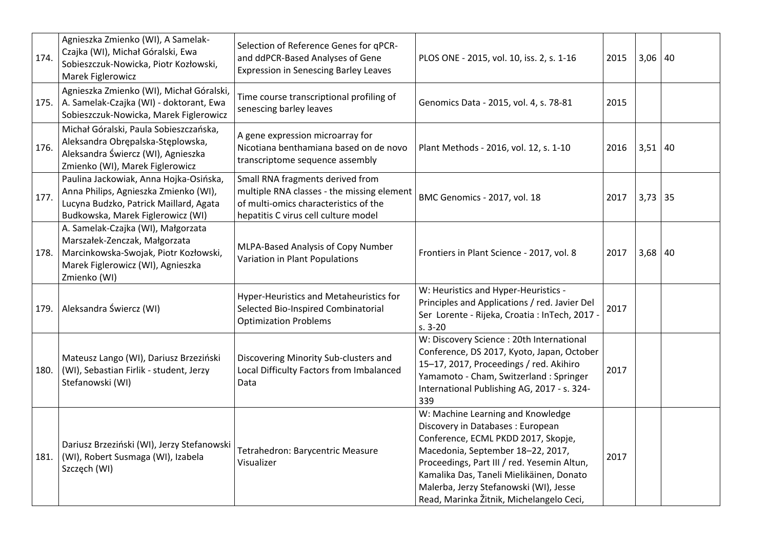| 174. | Agnieszka Zmienko (WI), A Samelak-<br>Czajka (WI), Michał Góralski, Ewa<br>Sobieszczuk-Nowicka, Piotr Kozłowski,<br>Marek Figlerowicz                             | Selection of Reference Genes for qPCR-<br>and ddPCR-Based Analyses of Gene<br><b>Expression in Senescing Barley Leaves</b>                                      | PLOS ONE - 2015, vol. 10, iss. 2, s. 1-16                                                                                                                                                                                                                                                                                          | 2015 | $3,06$ 40 |    |
|------|-------------------------------------------------------------------------------------------------------------------------------------------------------------------|-----------------------------------------------------------------------------------------------------------------------------------------------------------------|------------------------------------------------------------------------------------------------------------------------------------------------------------------------------------------------------------------------------------------------------------------------------------------------------------------------------------|------|-----------|----|
| 175. | Agnieszka Zmienko (WI), Michał Góralski,<br>A. Samelak-Czajka (WI) - doktorant, Ewa<br>Sobieszczuk-Nowicka, Marek Figlerowicz                                     | Time course transcriptional profiling of<br>senescing barley leaves                                                                                             | Genomics Data - 2015, vol. 4, s. 78-81                                                                                                                                                                                                                                                                                             | 2015 |           |    |
| 176. | Michał Góralski, Paula Sobieszczańska,<br>Aleksandra Obrępalska-Stęplowska,<br>Aleksandra Świercz (WI), Agnieszka<br>Zmienko (WI), Marek Figlerowicz              | A gene expression microarray for<br>Nicotiana benthamiana based on de novo<br>transcriptome sequence assembly                                                   | Plant Methods - 2016, vol. 12, s. 1-10                                                                                                                                                                                                                                                                                             | 2016 | $3,51$ 40 |    |
| 177. | Paulina Jackowiak, Anna Hojka-Osińska,<br>Anna Philips, Agnieszka Zmienko (WI),<br>Lucyna Budzko, Patrick Maillard, Agata<br>Budkowska, Marek Figlerowicz (WI)    | Small RNA fragments derived from<br>multiple RNA classes - the missing element<br>of multi-omics characteristics of the<br>hepatitis C virus cell culture model | BMC Genomics - 2017, vol. 18                                                                                                                                                                                                                                                                                                       | 2017 | 3,73      | 35 |
| 178. | A. Samelak-Czajka (WI), Małgorzata<br>Marszałek-Zenczak, Małgorzata<br>Marcinkowska-Swojak, Piotr Kozłowski,<br>Marek Figlerowicz (WI), Agnieszka<br>Zmienko (WI) | MLPA-Based Analysis of Copy Number<br>Variation in Plant Populations                                                                                            | Frontiers in Plant Science - 2017, vol. 8                                                                                                                                                                                                                                                                                          | 2017 | $3,68$ 40 |    |
| 179. | Aleksandra Świercz (WI)                                                                                                                                           | Hyper-Heuristics and Metaheuristics for<br>Selected Bio-Inspired Combinatorial<br><b>Optimization Problems</b>                                                  | W: Heuristics and Hyper-Heuristics -<br>Principles and Applications / red. Javier Del<br>Ser Lorente - Rijeka, Croatia : InTech, 2017 -<br>$s. 3-20$                                                                                                                                                                               | 2017 |           |    |
| 180. | Mateusz Lango (WI), Dariusz Brzeziński<br>(WI), Sebastian Firlik - student, Jerzy<br>Stefanowski (WI)                                                             | Discovering Minority Sub-clusters and<br>Local Difficulty Factors from Imbalanced<br>Data                                                                       | W: Discovery Science : 20th International<br>Conference, DS 2017, Kyoto, Japan, October<br>15-17, 2017, Proceedings / red. Akihiro<br>Yamamoto - Cham, Switzerland : Springer<br>International Publishing AG, 2017 - s. 324-<br>339                                                                                                | 2017 |           |    |
| 181. | Dariusz Brzeziński (WI), Jerzy Stefanowski<br>(WI), Robert Susmaga (WI), Izabela<br>Szczęch (WI)                                                                  | Tetrahedron: Barycentric Measure<br>Visualizer                                                                                                                  | W: Machine Learning and Knowledge<br>Discovery in Databases: European<br>Conference, ECML PKDD 2017, Skopje,<br>Macedonia, September 18-22, 2017,<br>Proceedings, Part III / red. Yesemin Altun,<br>Kamalika Das, Taneli Mielikäinen, Donato<br>Malerba, Jerzy Stefanowski (WI), Jesse<br>Read, Marinka Žitnik, Michelangelo Ceci, | 2017 |           |    |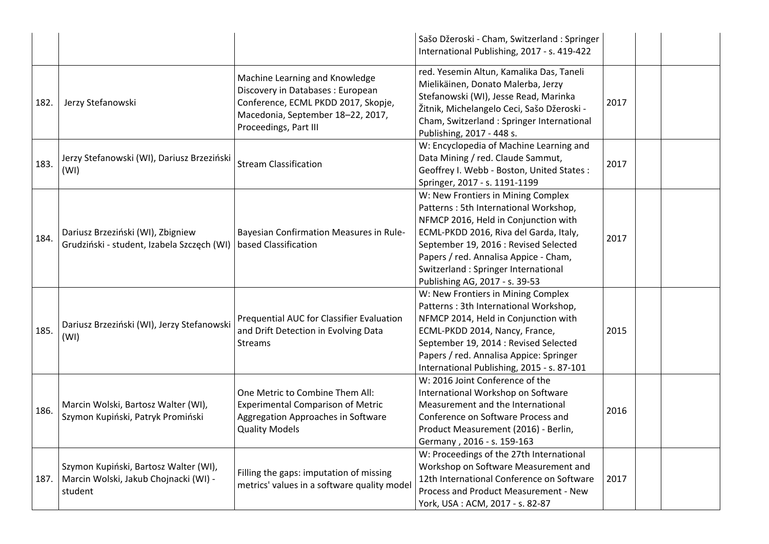|      |                                                                                           |                                                                                                                                                                          | Sašo Džeroski - Cham, Switzerland: Springer<br>International Publishing, 2017 - s. 419-422                                                                                                                                                                                                                               |      |  |
|------|-------------------------------------------------------------------------------------------|--------------------------------------------------------------------------------------------------------------------------------------------------------------------------|--------------------------------------------------------------------------------------------------------------------------------------------------------------------------------------------------------------------------------------------------------------------------------------------------------------------------|------|--|
| 182. | Jerzy Stefanowski                                                                         | Machine Learning and Knowledge<br>Discovery in Databases : European<br>Conference, ECML PKDD 2017, Skopje,<br>Macedonia, September 18-22, 2017,<br>Proceedings, Part III | red. Yesemin Altun, Kamalika Das, Taneli<br>Mielikäinen, Donato Malerba, Jerzy<br>Stefanowski (WI), Jesse Read, Marinka<br>Žitnik, Michelangelo Ceci, Sašo Džeroski -<br>Cham, Switzerland : Springer International<br>Publishing, 2017 - 448 s.                                                                         | 2017 |  |
| 183. | Jerzy Stefanowski (WI), Dariusz Brzeziński<br>(WI)                                        | <b>Stream Classification</b>                                                                                                                                             | W: Encyclopedia of Machine Learning and<br>Data Mining / red. Claude Sammut,<br>Geoffrey I. Webb - Boston, United States:<br>Springer, 2017 - s. 1191-1199                                                                                                                                                               | 2017 |  |
| 184. | Dariusz Brzeziński (WI), Zbigniew<br>Grudziński - student, Izabela Szczęch (WI)           | Bayesian Confirmation Measures in Rule-<br>based Classification                                                                                                          | W: New Frontiers in Mining Complex<br>Patterns: 5th International Workshop,<br>NFMCP 2016, Held in Conjunction with<br>ECML-PKDD 2016, Riva del Garda, Italy,<br>September 19, 2016 : Revised Selected<br>Papers / red. Annalisa Appice - Cham,<br>Switzerland: Springer International<br>Publishing AG, 2017 - s. 39-53 | 2017 |  |
| 185. | Dariusz Brzeziński (WI), Jerzy Stefanowski<br>(WI)                                        | Prequential AUC for Classifier Evaluation<br>and Drift Detection in Evolving Data<br><b>Streams</b>                                                                      | W: New Frontiers in Mining Complex<br>Patterns: 3th International Workshop,<br>NFMCP 2014, Held in Conjunction with<br>ECML-PKDD 2014, Nancy, France,<br>September 19, 2014 : Revised Selected<br>Papers / red. Annalisa Appice: Springer<br>International Publishing, 2015 - s. 87-101                                  | 2015 |  |
| 186. | Marcin Wolski, Bartosz Walter (WI),<br>Szymon Kupiński, Patryk Promiński                  | One Metric to Combine Them All:<br><b>Experimental Comparison of Metric</b><br>Aggregation Approaches in Software<br><b>Quality Models</b>                               | W: 2016 Joint Conference of the<br>International Workshop on Software<br>Measurement and the International<br>Conference on Software Process and<br>Product Measurement (2016) - Berlin,<br>Germany, 2016 - s. 159-163                                                                                                   | 2016 |  |
| 187. | Szymon Kupiński, Bartosz Walter (WI),<br>Marcin Wolski, Jakub Chojnacki (WI) -<br>student | Filling the gaps: imputation of missing<br>metrics' values in a software quality model                                                                                   | W: Proceedings of the 27th International<br>Workshop on Software Measurement and<br>12th International Conference on Software<br>Process and Product Measurement - New<br>York, USA: ACM, 2017 - s. 82-87                                                                                                                | 2017 |  |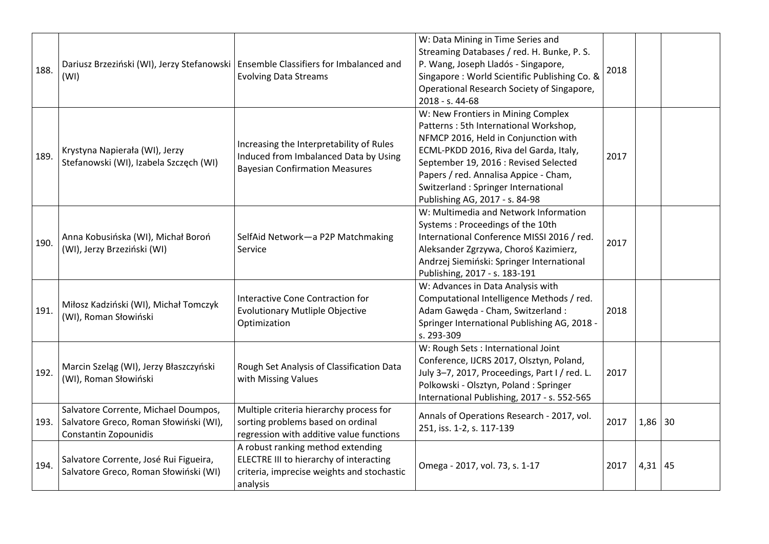| 188. | Dariusz Brzeziński (WI), Jerzy Stefanowski   Ensemble Classifiers for Imbalanced and<br>(WI)            | <b>Evolving Data Streams</b>                                                                                                           | W: Data Mining in Time Series and<br>Streaming Databases / red. H. Bunke, P. S.<br>P. Wang, Joseph Lladós - Singapore,<br>Singapore: World Scientific Publishing Co. &<br>Operational Research Society of Singapore,<br>2018 - s. 44-68                                                                                  | 2018 |             |  |
|------|---------------------------------------------------------------------------------------------------------|----------------------------------------------------------------------------------------------------------------------------------------|--------------------------------------------------------------------------------------------------------------------------------------------------------------------------------------------------------------------------------------------------------------------------------------------------------------------------|------|-------------|--|
| 189. | Krystyna Napierała (WI), Jerzy<br>Stefanowski (WI), Izabela Szczęch (WI)                                | Increasing the Interpretability of Rules<br>Induced from Imbalanced Data by Using<br><b>Bayesian Confirmation Measures</b>             | W: New Frontiers in Mining Complex<br>Patterns: 5th International Workshop,<br>NFMCP 2016, Held in Conjunction with<br>ECML-PKDD 2016, Riva del Garda, Italy,<br>September 19, 2016 : Revised Selected<br>Papers / red. Annalisa Appice - Cham,<br>Switzerland: Springer International<br>Publishing AG, 2017 - s. 84-98 | 2017 |             |  |
| 190. | Anna Kobusińska (WI), Michał Boroń<br>(WI), Jerzy Brzeziński (WI)                                       | SelfAid Network-a P2P Matchmaking<br>Service                                                                                           | W: Multimedia and Network Information<br>Systems: Proceedings of the 10th<br>International Conference MISSI 2016 / red.<br>Aleksander Zgrzywa, Choroś Kazimierz,<br>Andrzej Siemiński: Springer International<br>Publishing, 2017 - s. 183-191                                                                           | 2017 |             |  |
| 191. | Miłosz Kadziński (WI), Michał Tomczyk<br>(WI), Roman Słowiński                                          | Interactive Cone Contraction for<br><b>Evolutionary Mutliple Objective</b><br>Optimization                                             | W: Advances in Data Analysis with<br>Computational Intelligence Methods / red.<br>Adam Gawęda - Cham, Switzerland :<br>Springer International Publishing AG, 2018 -<br>s. 293-309                                                                                                                                        | 2018 |             |  |
| 192. | Marcin Szeląg (WI), Jerzy Błaszczyński<br>(WI), Roman Słowiński                                         | Rough Set Analysis of Classification Data<br>with Missing Values                                                                       | W: Rough Sets : International Joint<br>Conference, IJCRS 2017, Olsztyn, Poland,<br>July 3-7, 2017, Proceedings, Part I / red. L.<br>Polkowski - Olsztyn, Poland : Springer<br>International Publishing, 2017 - s. 552-565                                                                                                | 2017 |             |  |
| 193. | Salvatore Corrente, Michael Doumpos,<br>Salvatore Greco, Roman Słowiński (WI),<br>Constantin Zopounidis | Multiple criteria hierarchy process for<br>sorting problems based on ordinal<br>regression with additive value functions               | Annals of Operations Research - 2017, vol.<br>251, iss. 1-2, s. 117-139                                                                                                                                                                                                                                                  | 2017 | $1,86$ 30   |  |
| 194. | Salvatore Corrente, José Rui Figueira,<br>Salvatore Greco, Roman Słowiński (WI)                         | A robust ranking method extending<br>ELECTRE III to hierarchy of interacting<br>criteria, imprecise weights and stochastic<br>analysis | Omega - 2017, vol. 73, s. 1-17                                                                                                                                                                                                                                                                                           | 2017 | $4,31$   45 |  |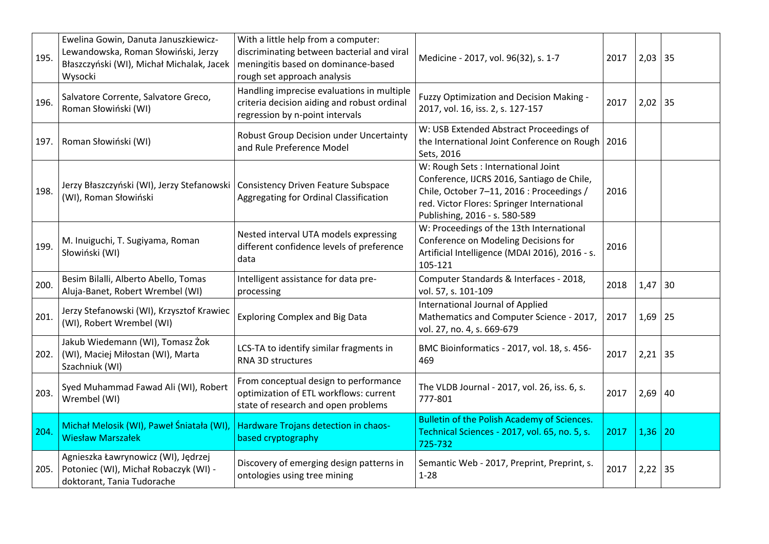| 195. | Ewelina Gowin, Danuta Januszkiewicz-<br>Lewandowska, Roman Słowiński, Jerzy<br>Błaszczyński (WI), Michał Michalak, Jacek<br>Wysocki | With a little help from a computer:<br>discriminating between bacterial and viral<br>meningitis based on dominance-based<br>rough set approach analysis | Medicine - 2017, vol. 96(32), s. 1-7                                                                                                                                                                          | 2017 | $2,03$ 35 |    |
|------|-------------------------------------------------------------------------------------------------------------------------------------|---------------------------------------------------------------------------------------------------------------------------------------------------------|---------------------------------------------------------------------------------------------------------------------------------------------------------------------------------------------------------------|------|-----------|----|
| 196. | Salvatore Corrente, Salvatore Greco,<br>Roman Słowiński (WI)                                                                        | Handling imprecise evaluations in multiple<br>criteria decision aiding and robust ordinal<br>regression by n-point intervals                            | Fuzzy Optimization and Decision Making -<br>2017, vol. 16, iss. 2, s. 127-157                                                                                                                                 | 2017 | $2,02$ 35 |    |
| 197. | Roman Słowiński (WI)                                                                                                                | Robust Group Decision under Uncertainty<br>and Rule Preference Model                                                                                    | W: USB Extended Abstract Proceedings of<br>the International Joint Conference on Rough   2016<br>Sets, 2016                                                                                                   |      |           |    |
| 198. | Jerzy Błaszczyński (WI), Jerzy Stefanowski   Consistency Driven Feature Subspace<br>(WI), Roman Słowiński                           | Aggregating for Ordinal Classification                                                                                                                  | W: Rough Sets : International Joint<br>Conference, IJCRS 2016, Santiago de Chile,<br>Chile, October 7-11, 2016 : Proceedings /<br>red. Victor Flores: Springer International<br>Publishing, 2016 - s. 580-589 | 2016 |           |    |
| 199. | M. Inuiguchi, T. Sugiyama, Roman<br>Słowiński (WI)                                                                                  | Nested interval UTA models expressing<br>different confidence levels of preference<br>data                                                              | W: Proceedings of the 13th International<br>Conference on Modeling Decisions for<br>Artificial Intelligence (MDAI 2016), 2016 - s.<br>105-121                                                                 | 2016 |           |    |
| 200. | Besim Bilalli, Alberto Abello, Tomas<br>Aluja-Banet, Robert Wrembel (WI)                                                            | Intelligent assistance for data pre-<br>processing                                                                                                      | Computer Standards & Interfaces - 2018,<br>vol. 57, s. 101-109                                                                                                                                                | 2018 | 1,47      | 30 |
| 201. | Jerzy Stefanowski (WI), Krzysztof Krawiec<br>(WI), Robert Wrembel (WI)                                                              | <b>Exploring Complex and Big Data</b>                                                                                                                   | International Journal of Applied<br>Mathematics and Computer Science - 2017,<br>vol. 27, no. 4, s. 669-679                                                                                                    | 2017 | 1,69      | 25 |
| 202. | Jakub Wiedemann (WI), Tomasz Żok<br>(WI), Maciej Miłostan (WI), Marta<br>Szachniuk (WI)                                             | LCS-TA to identify similar fragments in<br>RNA 3D structures                                                                                            | BMC Bioinformatics - 2017, vol. 18, s. 456-<br>469                                                                                                                                                            | 2017 | $2,21$ 35 |    |
| 203. | Syed Muhammad Fawad Ali (WI), Robert<br>Wrembel (WI)                                                                                | From conceptual design to performance<br>optimization of ETL workflows: current<br>state of research and open problems                                  | The VLDB Journal - 2017, vol. 26, iss. 6, s.<br>777-801                                                                                                                                                       | 2017 | $2,69$ 40 |    |
| 204. | Michał Melosik (WI), Paweł Śniatała (WI),<br><b>Wiesław Marszałek</b>                                                               | Hardware Trojans detection in chaos-<br>based cryptography                                                                                              | <b>Bulletin of the Polish Academy of Sciences.</b><br>Technical Sciences - 2017, vol. 65, no. 5, s.<br>725-732                                                                                                | 2017 | 1,36      | 20 |
| 205. | Agnieszka Ławrynowicz (WI), Jędrzej<br>Potoniec (WI), Michał Robaczyk (WI) -<br>doktorant, Tania Tudorache                          | Discovery of emerging design patterns in<br>ontologies using tree mining                                                                                | Semantic Web - 2017, Preprint, Preprint, s.<br>$1 - 28$                                                                                                                                                       | 2017 | $2,22$ 35 |    |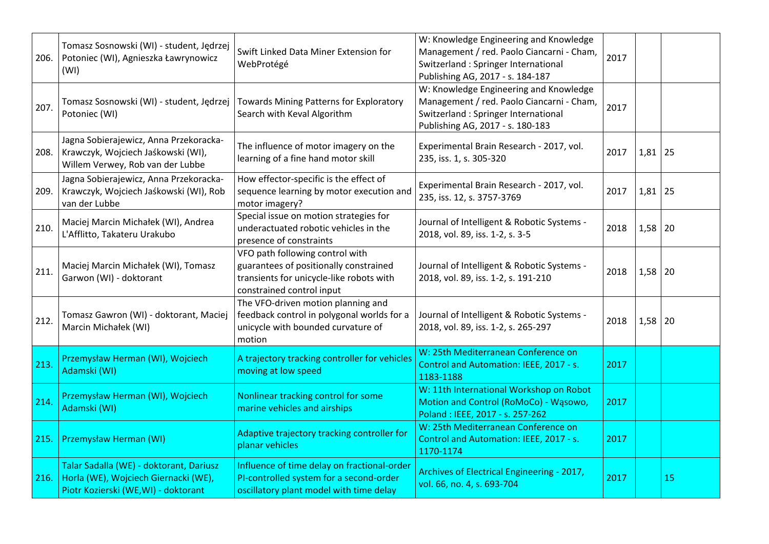| 206. | Tomasz Sosnowski (WI) - student, Jędrzej<br>Potoniec (WI), Agnieszka Ławrynowicz<br>(WI)                               | Swift Linked Data Miner Extension for<br>WebProtégé                                                                                                | W: Knowledge Engineering and Knowledge<br>Management / red. Paolo Ciancarni - Cham,<br>Switzerland : Springer International<br>Publishing AG, 2017 - s. 184-187 | 2017 |           |    |
|------|------------------------------------------------------------------------------------------------------------------------|----------------------------------------------------------------------------------------------------------------------------------------------------|-----------------------------------------------------------------------------------------------------------------------------------------------------------------|------|-----------|----|
| 207. | Tomasz Sosnowski (WI) - student, Jędrzej<br>Potoniec (WI)                                                              | Towards Mining Patterns for Exploratory<br>Search with Keval Algorithm                                                                             | W: Knowledge Engineering and Knowledge<br>Management / red. Paolo Ciancarni - Cham,<br>Switzerland: Springer International<br>Publishing AG, 2017 - s. 180-183  | 2017 |           |    |
| 208. | Jagna Sobierajewicz, Anna Przekoracka-<br>Krawczyk, Wojciech Jaśkowski (WI),<br>Willem Verwey, Rob van der Lubbe       | The influence of motor imagery on the<br>learning of a fine hand motor skill                                                                       | Experimental Brain Research - 2017, vol.<br>235, iss. 1, s. 305-320                                                                                             | 2017 | $1,81$ 25 |    |
| 209. | Jagna Sobierajewicz, Anna Przekoracka-<br>Krawczyk, Wojciech Jaśkowski (WI), Rob<br>van der Lubbe                      | How effector-specific is the effect of<br>sequence learning by motor execution and<br>motor imagery?                                               | Experimental Brain Research - 2017, vol.<br>235, iss. 12, s. 3757-3769                                                                                          | 2017 | $1,81$ 25 |    |
| 210. | Maciej Marcin Michałek (WI), Andrea<br>L'Afflitto, Takateru Urakubo                                                    | Special issue on motion strategies for<br>underactuated robotic vehicles in the<br>presence of constraints                                         | Journal of Intelligent & Robotic Systems -<br>2018, vol. 89, iss. 1-2, s. 3-5                                                                                   | 2018 | $1,58$ 20 |    |
| 211. | Maciej Marcin Michałek (WI), Tomasz<br>Garwon (WI) - doktorant                                                         | VFO path following control with<br>guarantees of positionally constrained<br>transients for unicycle-like robots with<br>constrained control input | Journal of Intelligent & Robotic Systems -<br>2018, vol. 89, iss. 1-2, s. 191-210                                                                               | 2018 | $1,58$ 20 |    |
| 212. | Tomasz Gawron (WI) - doktorant, Maciej<br>Marcin Michałek (WI)                                                         | The VFO-driven motion planning and<br>feedback control in polygonal worlds for a<br>unicycle with bounded curvature of<br>motion                   | Journal of Intelligent & Robotic Systems -<br>2018, vol. 89, iss. 1-2, s. 265-297                                                                               | 2018 | $1,58$ 20 |    |
| 213. | Przemysław Herman (WI), Wojciech<br>Adamski (WI)                                                                       | A trajectory tracking controller for vehicles<br>moving at low speed                                                                               | W: 25th Mediterranean Conference on<br>Control and Automation: IEEE, 2017 - s.<br>1183-1188                                                                     | 2017 |           |    |
| 214. | Przemysław Herman (WI), Wojciech<br>Adamski (WI)                                                                       | Nonlinear tracking control for some<br>marine vehicles and airships                                                                                | W: 11th International Workshop on Robot<br>Motion and Control (RoMoCo) - Wasowo,<br>Poland: IEEE, 2017 - s. 257-262                                             | 2017 |           |    |
| 215. | Przemysław Herman (WI)                                                                                                 | Adaptive trajectory tracking controller for<br>planar vehicles                                                                                     | W: 25th Mediterranean Conference on<br>Control and Automation: IEEE, 2017 - s.<br>1170-1174                                                                     | 2017 |           |    |
| 216. | Talar Sadalla (WE) - doktorant, Dariusz<br>Horla (WE), Wojciech Giernacki (WE),<br>Piotr Kozierski (WE,WI) - doktorant | Influence of time delay on fractional-order<br>PI-controlled system for a second-order<br>oscillatory plant model with time delay                  | Archives of Electrical Engineering - 2017,<br>vol. 66, no. 4, s. 693-704                                                                                        | 2017 |           | 15 |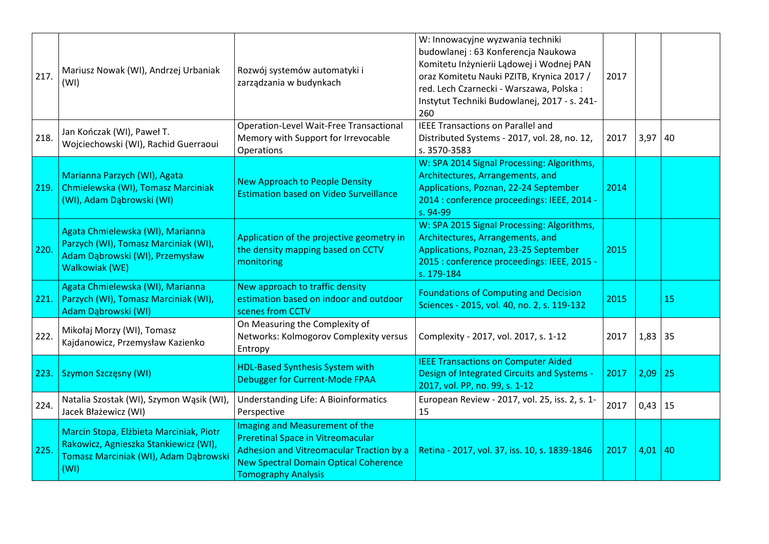| 217. | Mariusz Nowak (WI), Andrzej Urbaniak<br>(WI)                                                                                      | Rozwój systemów automatyki i<br>zarządzania w budynkach                                                                                                                                              | W: Innowacyjne wyzwania techniki<br>budowlanej: 63 Konferencja Naukowa<br>Komitetu Inżynierii Lądowej i Wodnej PAN<br>oraz Komitetu Nauki PZITB, Krynica 2017 /<br>red. Lech Czarnecki - Warszawa, Polska:<br>Instytut Techniki Budowlanej, 2017 - s. 241-<br>260 | 2017 |             |    |
|------|-----------------------------------------------------------------------------------------------------------------------------------|------------------------------------------------------------------------------------------------------------------------------------------------------------------------------------------------------|-------------------------------------------------------------------------------------------------------------------------------------------------------------------------------------------------------------------------------------------------------------------|------|-------------|----|
| 218. | Jan Kończak (WI), Paweł T.<br>Wojciechowski (WI), Rachid Guerraoui                                                                | Operation-Level Wait-Free Transactional<br>Memory with Support for Irrevocable<br>Operations                                                                                                         | <b>IEEE Transactions on Parallel and</b><br>Distributed Systems - 2017, vol. 28, no. 12,<br>s. 3570-3583                                                                                                                                                          | 2017 | 3,97        | 40 |
| 219. | Marianna Parzych (WI), Agata<br>Chmielewska (WI), Tomasz Marciniak<br>(WI), Adam Dąbrowski (WI)                                   | <b>New Approach to People Density</b><br><b>Estimation based on Video Surveillance</b>                                                                                                               | W: SPA 2014 Signal Processing: Algorithms,<br>Architectures, Arrangements, and<br>Applications, Poznan, 22-24 September<br>2014 : conference proceedings: IEEE, 2014 -<br>s. 94-99                                                                                | 2014 |             |    |
| 220. | Agata Chmielewska (WI), Marianna<br>Parzych (WI), Tomasz Marciniak (WI),<br>Adam Dąbrowski (WI), Przemysław<br>Walkowiak (WE)     | Application of the projective geometry in<br>the density mapping based on CCTV<br>monitoring                                                                                                         | W: SPA 2015 Signal Processing: Algorithms,<br>Architectures, Arrangements, and<br>Applications, Poznan, 23-25 September<br>2015 : conference proceedings: IEEE, 2015 -<br>s. 179-184                                                                              | 2015 |             |    |
| 221. | Agata Chmielewska (WI), Marianna<br>Parzych (WI), Tomasz Marciniak (WI),<br>Adam Dąbrowski (WI)                                   | New approach to traffic density<br>estimation based on indoor and outdoor<br>scenes from CCTV                                                                                                        | <b>Foundations of Computing and Decision</b><br>Sciences - 2015, vol. 40, no. 2, s. 119-132                                                                                                                                                                       | 2015 |             | 15 |
| 222. | Mikołaj Morzy (WI), Tomasz<br>Kajdanowicz, Przemysław Kazienko                                                                    | On Measuring the Complexity of<br>Networks: Kolmogorov Complexity versus<br>Entropy                                                                                                                  | Complexity - 2017, vol. 2017, s. 1-12                                                                                                                                                                                                                             | 2017 | 1,83        | 35 |
|      | 223. Szymon Szczęsny (WI)                                                                                                         | <b>HDL-Based Synthesis System with</b><br>Debugger for Current-Mode FPAA                                                                                                                             | <b>IEEE Transactions on Computer Aided</b><br>Design of Integrated Circuits and Systems -<br>2017, vol. PP, no. 99, s. 1-12                                                                                                                                       | 2017 | 2,09        | 25 |
| 224. | Natalia Szostak (WI), Szymon Wąsik (WI),<br>Jacek Błażewicz (WI)                                                                  | Understanding Life: A Bioinformatics<br>Perspective                                                                                                                                                  | European Review - 2017, vol. 25, iss. 2, s. 1-<br>15                                                                                                                                                                                                              | 2017 | $0,43$   15 |    |
| 225. | Marcin Stopa, Elżbieta Marciniak, Piotr<br>Rakowicz, Agnieszka Stankiewicz (WI),<br>Tomasz Marciniak (WI), Adam Dąbrowski<br>(WI) | Imaging and Measurement of the<br><b>Preretinal Space in Vitreomacular</b><br>Adhesion and Vitreomacular Traction by a<br><b>New Spectral Domain Optical Coherence</b><br><b>Tomography Analysis</b> | Retina - 2017, vol. 37, iss. 10, s. 1839-1846                                                                                                                                                                                                                     | 2017 | 4,01        | 40 |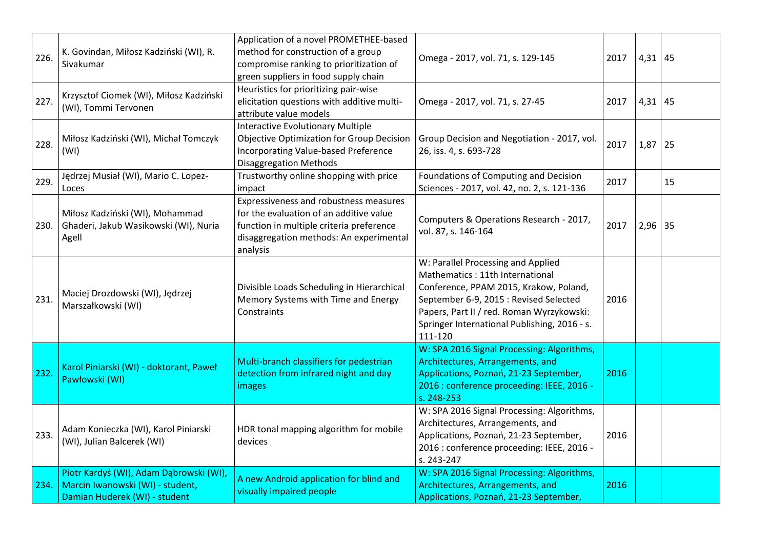| 226. | K. Govindan, Miłosz Kadziński (WI), R.<br>Sivakumar                                                          | Application of a novel PROMETHEE-based<br>method for construction of a group<br>compromise ranking to prioritization of<br>green suppliers in food supply chain                      | Omega - 2017, vol. 71, s. 129-145                                                                                                                                                                                                                                 | 2017 | $4,31$ 45 |            |
|------|--------------------------------------------------------------------------------------------------------------|--------------------------------------------------------------------------------------------------------------------------------------------------------------------------------------|-------------------------------------------------------------------------------------------------------------------------------------------------------------------------------------------------------------------------------------------------------------------|------|-----------|------------|
| 227. | Krzysztof Ciomek (WI), Miłosz Kadziński<br>(WI), Tommi Tervonen                                              | Heuristics for prioritizing pair-wise<br>elicitation questions with additive multi-<br>attribute value models                                                                        | Omega - 2017, vol. 71, s. 27-45                                                                                                                                                                                                                                   | 2017 | 4,31      | 45         |
| 228. | Miłosz Kadziński (WI), Michał Tomczyk<br>(WI)                                                                | <b>Interactive Evolutionary Multiple</b><br><b>Objective Optimization for Group Decision</b><br>Incorporating Value-based Preference<br><b>Disaggregation Methods</b>                | Group Decision and Negotiation - 2017, vol.<br>26, iss. 4, s. 693-728                                                                                                                                                                                             | 2017 | 1,87      | 25         |
| 229. | Jędrzej Musiał (WI), Mario C. Lopez-<br>Loces                                                                | Trustworthy online shopping with price<br>impact                                                                                                                                     | Foundations of Computing and Decision<br>Sciences - 2017, vol. 42, no. 2, s. 121-136                                                                                                                                                                              | 2017 |           | 15         |
| 230. | Miłosz Kadziński (WI), Mohammad<br>Ghaderi, Jakub Wasikowski (WI), Nuria<br>Agell                            | Expressiveness and robustness measures<br>for the evaluation of an additive value<br>function in multiple criteria preference<br>disaggregation methods: An experimental<br>analysis | Computers & Operations Research - 2017,<br>vol. 87, s. 146-164                                                                                                                                                                                                    | 2017 | 2,96      | $\vert 35$ |
| 231. | Maciej Drozdowski (WI), Jędrzej<br>Marszałkowski (WI)                                                        | Divisible Loads Scheduling in Hierarchical<br>Memory Systems with Time and Energy<br>Constraints                                                                                     | W: Parallel Processing and Applied<br>Mathematics: 11th International<br>Conference, PPAM 2015, Krakow, Poland,<br>September 6-9, 2015 : Revised Selected<br>Papers, Part II / red. Roman Wyrzykowski:<br>Springer International Publishing, 2016 - s.<br>111-120 | 2016 |           |            |
| 232. | Karol Piniarski (WI) - doktorant, Paweł<br>Pawłowski (WI)                                                    | Multi-branch classifiers for pedestrian<br>detection from infrared night and day<br>images                                                                                           | W: SPA 2016 Signal Processing: Algorithms,<br>Architectures, Arrangements, and<br>Applications, Poznań, 21-23 September,<br>2016 : conference proceeding: IEEE, 2016 -<br>s. 248-253                                                                              | 2016 |           |            |
| 233. | Adam Konieczka (WI), Karol Piniarski<br>(WI), Julian Balcerek (WI)                                           | HDR tonal mapping algorithm for mobile<br>devices                                                                                                                                    | W: SPA 2016 Signal Processing: Algorithms,<br>Architectures, Arrangements, and<br>Applications, Poznań, 21-23 September,<br>2016 : conference proceeding: IEEE, 2016 -<br>s. 243-247                                                                              | 2016 |           |            |
| 234. | Piotr Kardyś (WI), Adam Dąbrowski (WI),<br>Marcin Iwanowski (WI) - student,<br>Damian Huderek (WI) - student | A new Android application for blind and<br>visually impaired people                                                                                                                  | W: SPA 2016 Signal Processing: Algorithms,<br>Architectures, Arrangements, and<br>Applications, Poznań, 21-23 September,                                                                                                                                          | 2016 |           |            |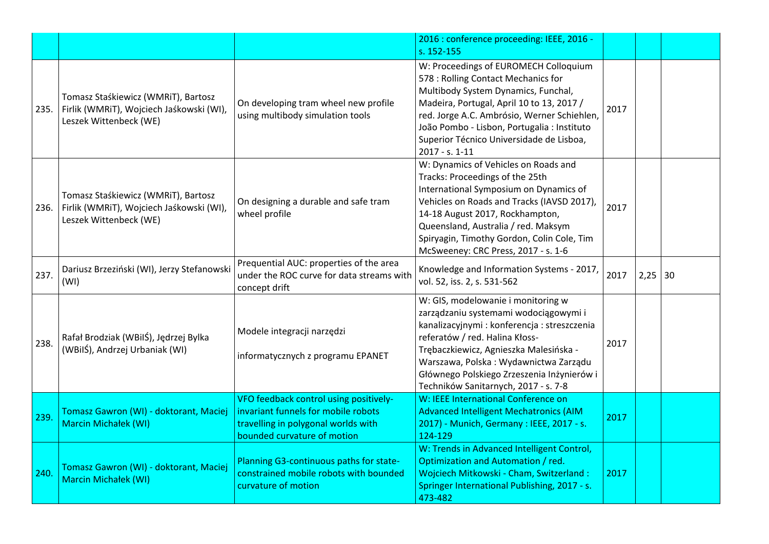|      |                                                                                                           |                                                                                                                                                     | 2016 : conference proceeding: IEEE, 2016 -<br>s. 152-155                                                                                                                                                                                                                                                                               |      |           |  |
|------|-----------------------------------------------------------------------------------------------------------|-----------------------------------------------------------------------------------------------------------------------------------------------------|----------------------------------------------------------------------------------------------------------------------------------------------------------------------------------------------------------------------------------------------------------------------------------------------------------------------------------------|------|-----------|--|
| 235. | Tomasz Staśkiewicz (WMRiT), Bartosz<br>Firlik (WMRiT), Wojciech Jaśkowski (WI),<br>Leszek Wittenbeck (WE) | On developing tram wheel new profile<br>using multibody simulation tools                                                                            | W: Proceedings of EUROMECH Colloquium<br>578 : Rolling Contact Mechanics for<br>Multibody System Dynamics, Funchal,<br>Madeira, Portugal, April 10 to 13, 2017 /<br>red. Jorge A.C. Ambrósio, Werner Schiehlen,<br>João Pombo - Lisbon, Portugalia : Instituto<br>Superior Técnico Universidade de Lisboa,<br>2017 - s. 1-11           | 2017 |           |  |
| 236. | Tomasz Staśkiewicz (WMRiT), Bartosz<br>Firlik (WMRIT), Wojciech Jaśkowski (WI),<br>Leszek Wittenbeck (WE) | On designing a durable and safe tram<br>wheel profile                                                                                               | W: Dynamics of Vehicles on Roads and<br>Tracks: Proceedings of the 25th<br>International Symposium on Dynamics of<br>Vehicles on Roads and Tracks (IAVSD 2017),<br>14-18 August 2017, Rockhampton,<br>Queensland, Australia / red. Maksym<br>Spiryagin, Timothy Gordon, Colin Cole, Tim<br>McSweeney: CRC Press, 2017 - s. 1-6         | 2017 |           |  |
| 237. | Dariusz Brzeziński (WI), Jerzy Stefanowski<br>(WI)                                                        | Prequential AUC: properties of the area<br>under the ROC curve for data streams with<br>concept drift                                               | Knowledge and Information Systems - 2017,<br>vol. 52, iss. 2, s. 531-562                                                                                                                                                                                                                                                               | 2017 | $2,25$ 30 |  |
| 238. | Rafał Brodziak (WBilŚ), Jędrzej Bylka<br>(WBilŚ), Andrzej Urbaniak (WI)                                   | Modele integracji narzędzi<br>informatycznych z programu EPANET                                                                                     | W: GIS, modelowanie i monitoring w<br>zarządzaniu systemami wodociągowymi i<br>kanalizacyjnymi : konferencja : streszczenia<br>referatów / red. Halina Kłoss-<br>Trębaczkiewicz, Agnieszka Malesińska -<br>Warszawa, Polska: Wydawnictwa Zarządu<br>Głównego Polskiego Zrzeszenia Inżynierów i<br>Techników Sanitarnych, 2017 - s. 7-8 | 2017 |           |  |
| 239. | Tomasz Gawron (WI) - doktorant, Maciej<br><b>Marcin Michałek (WI)</b>                                     | VFO feedback control using positively-<br>invariant funnels for mobile robots<br>travelling in polygonal worlds with<br>bounded curvature of motion | W: IEEE International Conference on<br><b>Advanced Intelligent Mechatronics (AIM</b><br>2017) - Munich, Germany : IEEE, 2017 - s.<br>124-129                                                                                                                                                                                           | 2017 |           |  |
| 240. | Tomasz Gawron (WI) - doktorant, Maciej<br><b>Marcin Michałek (WI)</b>                                     | Planning G3-continuous paths for state-<br>constrained mobile robots with bounded<br>curvature of motion                                            | W: Trends in Advanced Intelligent Control,<br>Optimization and Automation / red.<br>Wojciech Mitkowski - Cham, Switzerland:<br>Springer International Publishing, 2017 - s.<br>473-482                                                                                                                                                 | 2017 |           |  |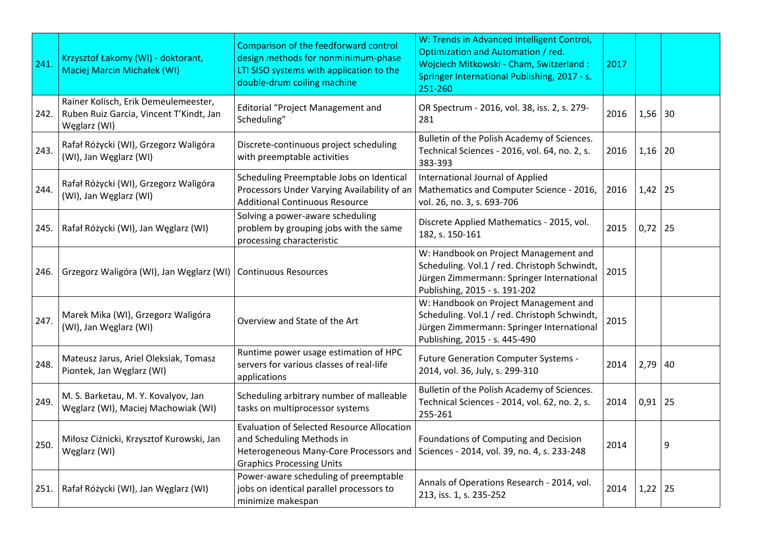| 241. | Krzysztof Łakomy (WI) - doktorant,<br><b>Maciej Marcin Michałek (WI)</b>                        | Comparison of the feedforward control<br>design methods for nonminimum-phase<br>LTI SISO systems with application to the<br>double-drum coiling machine      | W: Trends in Advanced Intelligent Control,<br>Optimization and Automation / red.<br>Wojciech Mitkowski - Cham, Switzerland:<br>Springer International Publishing, 2017 - s.<br>251-260 | 2017 |             |    |
|------|-------------------------------------------------------------------------------------------------|--------------------------------------------------------------------------------------------------------------------------------------------------------------|----------------------------------------------------------------------------------------------------------------------------------------------------------------------------------------|------|-------------|----|
| 242. | Rainer Kolisch, Erik Demeulemeester,<br>Ruben Ruiz Garcia, Vincent T'Kindt, Jan<br>Węglarz (WI) | <b>Editorial "Project Management and</b><br>Scheduling"                                                                                                      | OR Spectrum - 2016, vol. 38, iss. 2, s. 279-<br>281                                                                                                                                    | 2016 | $1,56$ 30   |    |
| 243. | Rafał Różycki (WI), Grzegorz Waligóra<br>(WI), Jan Węglarz (WI)                                 | Discrete-continuous project scheduling<br>with preemptable activities                                                                                        | Bulletin of the Polish Academy of Sciences.<br>Technical Sciences - 2016, vol. 64, no. 2, s.<br>383-393                                                                                | 2016 | $1,16$ 20   |    |
| 244. | Rafał Różycki (WI), Grzegorz Waligóra<br>(WI), Jan Węglarz (WI)                                 | Scheduling Preemptable Jobs on Identical<br>Processors Under Varying Availability of an<br><b>Additional Continuous Resource</b>                             | International Journal of Applied<br>Mathematics and Computer Science - 2016,<br>vol. 26, no. 3, s. 693-706                                                                             | 2016 | 1,42        | 25 |
| 245. | Rafał Różycki (WI), Jan Węglarz (WI)                                                            | Solving a power-aware scheduling<br>problem by grouping jobs with the same<br>processing characteristic                                                      | Discrete Applied Mathematics - 2015, vol.<br>182, s. 150-161                                                                                                                           | 2015 | $0,72$   25 |    |
| 246. | Grzegorz Waligóra (WI), Jan Węglarz (WI)                                                        | <b>Continuous Resources</b>                                                                                                                                  | W: Handbook on Project Management and<br>Scheduling. Vol.1 / red. Christoph Schwindt,<br>Jürgen Zimmermann: Springer International<br>Publishing, 2015 - s. 191-202                    | 2015 |             |    |
| 247. | Marek Mika (WI), Grzegorz Waligóra<br>(WI), Jan Węglarz (WI)                                    | Overview and State of the Art                                                                                                                                | W: Handbook on Project Management and<br>Scheduling. Vol.1 / red. Christoph Schwindt,<br>Jürgen Zimmermann: Springer International<br>Publishing, 2015 - s. 445-490                    | 2015 |             |    |
| 248. | Mateusz Jarus, Ariel Oleksiak, Tomasz<br>Piontek, Jan Węglarz (WI)                              | Runtime power usage estimation of HPC<br>servers for various classes of real-life<br>applications                                                            | Future Generation Computer Systems -<br>2014, vol. 36, July, s. 299-310                                                                                                                | 2014 | $2,79$ 40   |    |
| 249. | M. S. Barketau, M. Y. Kovalyov, Jan<br>Węglarz (WI), Maciej Machowiak (WI)                      | Scheduling arbitrary number of malleable<br>tasks on multiprocessor systems                                                                                  | Bulletin of the Polish Academy of Sciences.<br>Technical Sciences - 2014, vol. 62, no. 2, s.<br>255-261                                                                                | 2014 | $0,91$   25 |    |
| 250. | Miłosz Ciżnicki, Krzysztof Kurowski, Jan<br>Węglarz (WI)                                        | <b>Evaluation of Selected Resource Allocation</b><br>and Scheduling Methods in<br>Heterogeneous Many-Core Processors and<br><b>Graphics Processing Units</b> | Foundations of Computing and Decision<br>Sciences - 2014, vol. 39, no. 4, s. 233-248                                                                                                   | 2014 |             | 9  |
| 251. | Rafał Różycki (WI), Jan Węglarz (WI)                                                            | Power-aware scheduling of preemptable<br>jobs on identical parallel processors to<br>minimize makespan                                                       | Annals of Operations Research - 2014, vol.<br>213, iss. 1, s. 235-252                                                                                                                  | 2014 | 1,22        | 25 |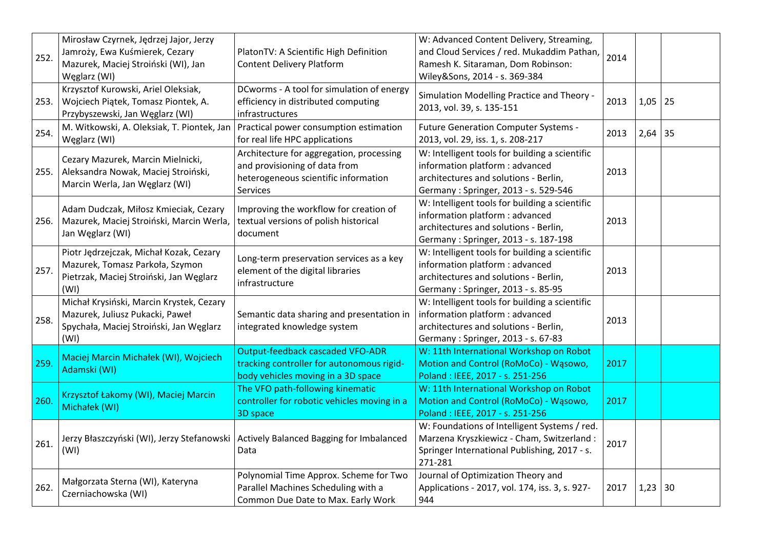| 252. | Mirosław Czyrnek, Jędrzej Jajor, Jerzy<br>Jamroży, Ewa Kuśmierek, Cezary<br>Mazurek, Maciej Stroiński (WI), Jan<br>Węglarz (WI) | PlatonTV: A Scientific High Definition<br><b>Content Delivery Platform</b>                                                    | W: Advanced Content Delivery, Streaming,<br>and Cloud Services / red. Mukaddim Pathan,<br>Ramesh K. Sitaraman, Dom Robinson:<br>Wiley&Sons, 2014 - s. 369-384      | 2014 |             |    |
|------|---------------------------------------------------------------------------------------------------------------------------------|-------------------------------------------------------------------------------------------------------------------------------|--------------------------------------------------------------------------------------------------------------------------------------------------------------------|------|-------------|----|
| 253. | Krzysztof Kurowski, Ariel Oleksiak,<br>Wojciech Piątek, Tomasz Piontek, A.<br>Przybyszewski, Jan Węglarz (WI)                   | DCworms - A tool for simulation of energy<br>efficiency in distributed computing<br>infrastructures                           | Simulation Modelling Practice and Theory -<br>2013, vol. 39, s. 135-151                                                                                            | 2013 | $1,05$   25 |    |
| 254. | M. Witkowski, A. Oleksiak, T. Piontek, Jan<br>Węglarz (WI)                                                                      | Practical power consumption estimation<br>for real life HPC applications                                                      | Future Generation Computer Systems -<br>2013, vol. 29, iss. 1, s. 208-217                                                                                          | 2013 | $2,64$ 35   |    |
| 255. | Cezary Mazurek, Marcin Mielnicki,<br>Aleksandra Nowak, Maciej Stroiński,<br>Marcin Werla, Jan Węglarz (WI)                      | Architecture for aggregation, processing<br>and provisioning of data from<br>heterogeneous scientific information<br>Services | W: Intelligent tools for building a scientific<br>information platform : advanced<br>architectures and solutions - Berlin,<br>Germany: Springer, 2013 - s. 529-546 | 2013 |             |    |
| 256. | Adam Dudczak, Miłosz Kmieciak, Cezary<br>Mazurek, Maciej Stroiński, Marcin Werla,<br>Jan Węglarz (WI)                           | Improving the workflow for creation of<br>textual versions of polish historical<br>document                                   | W: Intelligent tools for building a scientific<br>information platform : advanced<br>architectures and solutions - Berlin,<br>Germany: Springer, 2013 - s. 187-198 | 2013 |             |    |
| 257. | Piotr Jędrzejczak, Michał Kozak, Cezary<br>Mazurek, Tomasz Parkoła, Szymon<br>Pietrzak, Maciej Stroiński, Jan Węglarz<br>(WI)   | Long-term preservation services as a key<br>element of the digital libraries<br>infrastructure                                | W: Intelligent tools for building a scientific<br>information platform : advanced<br>architectures and solutions - Berlin,<br>Germany: Springer, 2013 - s. 85-95   | 2013 |             |    |
| 258. | Michał Krysiński, Marcin Krystek, Cezary<br>Mazurek, Juliusz Pukacki, Paweł<br>Spychała, Maciej Stroiński, Jan Węglarz<br>(WI)  | Semantic data sharing and presentation in<br>integrated knowledge system                                                      | W: Intelligent tools for building a scientific<br>information platform : advanced<br>architectures and solutions - Berlin,<br>Germany: Springer, 2013 - s. 67-83   | 2013 |             |    |
| 259. | Maciej Marcin Michałek (WI), Wojciech<br>Adamski (WI)                                                                           | <b>Output-feedback cascaded VFO-ADR</b><br>tracking controller for autonomous rigid-<br>body vehicles moving in a 3D space    | W: 11th International Workshop on Robot<br>Motion and Control (RoMoCo) - Wąsowo,<br>Poland: IEEE, 2017 - s. 251-256                                                | 2017 |             |    |
| 260. | Krzysztof Łakomy (WI), Maciej Marcin<br>Michałek (WI)                                                                           | The VFO path-following kinematic<br>controller for robotic vehicles moving in a<br>3D space                                   | W: 11th International Workshop on Robot<br>Motion and Control (RoMoCo) - Wąsowo,<br>Poland: IEEE, 2017 - s. 251-256                                                | 2017 |             |    |
| 261. | Jerzy Błaszczyński (WI), Jerzy Stefanowski  <br>(WI)                                                                            | Actively Balanced Bagging for Imbalanced<br>Data                                                                              | W: Foundations of Intelligent Systems / red.<br>Marzena Kryszkiewicz - Cham, Switzerland :<br>Springer International Publishing, 2017 - s.<br>271-281              | 2017 |             |    |
| 262. | Małgorzata Sterna (WI), Kateryna<br>Czerniachowska (WI)                                                                         | Polynomial Time Approx. Scheme for Two<br>Parallel Machines Scheduling with a<br>Common Due Date to Max. Early Work           | Journal of Optimization Theory and<br>Applications - 2017, vol. 174, iss. 3, s. 927-<br>944                                                                        | 2017 | 1,23        | 30 |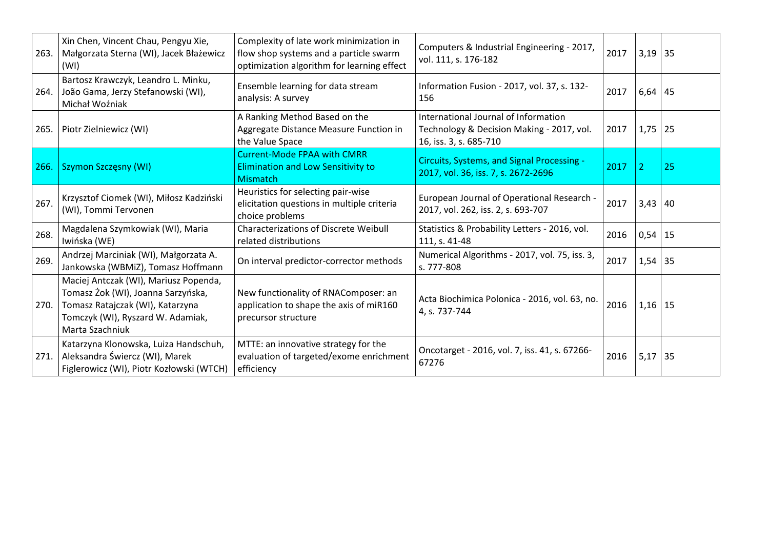|      | Xin Chen, Vincent Chau, Pengyu Xie,<br>263.   Małgorzata Sterna (WI), Jacek Błażewicz<br>(WI)                                                                           | Complexity of late work minimization in<br>flow shop systems and a particle swarm<br>optimization algorithm for learning effect | Computers & Industrial Engineering - 2017,<br>vol. 111, s. 176-182                                          | 2017 | $3,19$ 35      |    |
|------|-------------------------------------------------------------------------------------------------------------------------------------------------------------------------|---------------------------------------------------------------------------------------------------------------------------------|-------------------------------------------------------------------------------------------------------------|------|----------------|----|
| 264. | Bartosz Krawczyk, Leandro L. Minku,<br>João Gama, Jerzy Stefanowski (WI),<br>Michał Woźniak                                                                             | Ensemble learning for data stream<br>analysis: A survey                                                                         | Information Fusion - 2017, vol. 37, s. 132-<br>156                                                          | 2017 | $6,64$ 45      |    |
| 265. | Piotr Zielniewicz (WI)                                                                                                                                                  | A Ranking Method Based on the<br>Aggregate Distance Measure Function in<br>the Value Space                                      | International Journal of Information<br>Technology & Decision Making - 2017, vol.<br>16, iss. 3, s. 685-710 | 2017 | $1,75$ 25      |    |
|      | 266. Szymon Szczęsny (WI)                                                                                                                                               | <b>Current-Mode FPAA with CMRR</b><br><b>Elimination and Low Sensitivity to</b><br><b>Mismatch</b>                              | Circuits, Systems, and Signal Processing -<br>2017, vol. 36, iss. 7, s. 2672-2696                           | 2017 | $\overline{2}$ | 25 |
| 267. | Krzysztof Ciomek (WI), Miłosz Kadziński<br>(WI), Tommi Tervonen                                                                                                         | Heuristics for selecting pair-wise<br>elicitation questions in multiple criteria<br>choice problems                             | European Journal of Operational Research -<br>2017, vol. 262, iss. 2, s. 693-707                            | 2017 | $3,43$ 40      |    |
| 268. | Magdalena Szymkowiak (WI), Maria<br>Iwińska (WE)                                                                                                                        | <b>Characterizations of Discrete Weibull</b><br>related distributions                                                           | Statistics & Probability Letters - 2016, vol.<br>111, s. 41-48                                              | 2016 | $0,54$   15    |    |
| 269. | Andrzej Marciniak (WI), Małgorzata A.<br>Jankowska (WBMiZ), Tomasz Hoffmann                                                                                             | On interval predictor-corrector methods                                                                                         | Numerical Algorithms - 2017, vol. 75, iss. 3,<br>s. 777-808                                                 | 2017 | $1,54$ 35      |    |
| 270. | Maciej Antczak (WI), Mariusz Popenda,<br>Tomasz Żok (WI), Joanna Sarzyńska,<br>Tomasz Ratajczak (WI), Katarzyna<br>Tomczyk (WI), Ryszard W. Adamiak,<br>Marta Szachniuk | New functionality of RNAComposer: an<br>application to shape the axis of miR160<br>precursor structure                          | Acta Biochimica Polonica - 2016, vol. 63, no.<br>4, s. 737-744                                              | 2016 | $1,16$ 15      |    |
|      | Katarzyna Klonowska, Luiza Handschuh,<br>271. Aleksandra Świercz (WI), Marek<br>Figlerowicz (WI), Piotr Kozłowski (WTCH)                                                | MTTE: an innovative strategy for the<br>evaluation of targeted/exome enrichment<br>efficiency                                   | Oncotarget - 2016, vol. 7, iss. 41, s. 67266-<br>67276                                                      | 2016 | $5,17$ 35      |    |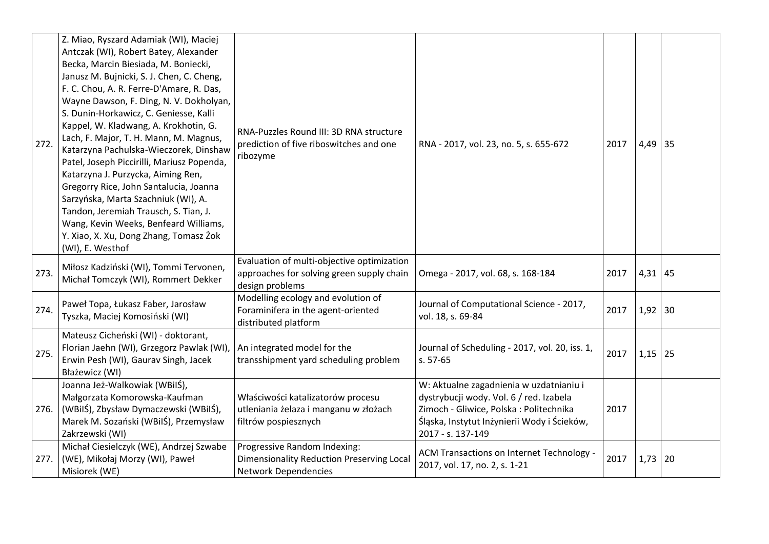| 272. | Z. Miao, Ryszard Adamiak (WI), Maciej<br>Antczak (WI), Robert Batey, Alexander<br>Becka, Marcin Biesiada, M. Boniecki,<br>Janusz M. Bujnicki, S. J. Chen, C. Cheng,<br>F. C. Chou, A. R. Ferre-D'Amare, R. Das,<br>Wayne Dawson, F. Ding, N. V. Dokholyan,<br>S. Dunin-Horkawicz, C. Geniesse, Kalli<br>Kappel, W. Kladwang, A. Krokhotin, G.<br>Lach, F. Major, T. H. Mann, M. Magnus,<br>Katarzyna Pachulska-Wieczorek, Dinshaw<br>Patel, Joseph Piccirilli, Mariusz Popenda,<br>Katarzyna J. Purzycka, Aiming Ren,<br>Gregorry Rice, John Santalucia, Joanna<br>Sarzyńska, Marta Szachniuk (WI), A.<br>Tandon, Jeremiah Trausch, S. Tian, J.<br>Wang, Kevin Weeks, Benfeard Williams,<br>Y. Xiao, X. Xu, Dong Zhang, Tomasz Żok<br>(WI), E. Westhof | RNA-Puzzles Round III: 3D RNA structure<br>prediction of five riboswitches and one<br>ribozyme             | RNA - 2017, vol. 23, no. 5, s. 655-672                                                                                                                                                            | 2017 | $4,49$ 35   |  |
|------|--------------------------------------------------------------------------------------------------------------------------------------------------------------------------------------------------------------------------------------------------------------------------------------------------------------------------------------------------------------------------------------------------------------------------------------------------------------------------------------------------------------------------------------------------------------------------------------------------------------------------------------------------------------------------------------------------------------------------------------------------------|------------------------------------------------------------------------------------------------------------|---------------------------------------------------------------------------------------------------------------------------------------------------------------------------------------------------|------|-------------|--|
| 273. | Miłosz Kadziński (WI), Tommi Tervonen,<br>Michał Tomczyk (WI), Rommert Dekker                                                                                                                                                                                                                                                                                                                                                                                                                                                                                                                                                                                                                                                                          | Evaluation of multi-objective optimization<br>approaches for solving green supply chain<br>design problems | Omega - 2017, vol. 68, s. 168-184                                                                                                                                                                 | 2017 | $4,31$ 45   |  |
| 274. | Paweł Topa, Łukasz Faber, Jarosław<br>Tyszka, Maciej Komosiński (WI)                                                                                                                                                                                                                                                                                                                                                                                                                                                                                                                                                                                                                                                                                   | Modelling ecology and evolution of<br>Foraminifera in the agent-oriented<br>distributed platform           | Journal of Computational Science - 2017,<br>vol. 18, s. 69-84                                                                                                                                     | 2017 | $1,92$ 30   |  |
| 275. | Mateusz Cicheński (WI) - doktorant,<br>Florian Jaehn (WI), Grzegorz Pawlak (WI)<br>Erwin Pesh (WI), Gaurav Singh, Jacek<br>Błażewicz (WI)                                                                                                                                                                                                                                                                                                                                                                                                                                                                                                                                                                                                              | An integrated model for the<br>transshipment yard scheduling problem                                       | Journal of Scheduling - 2017, vol. 20, iss. 1,<br>s. 57-65                                                                                                                                        | 2017 | $1,15$ 25   |  |
| 276. | Joanna Jeż-Walkowiak (WBilŚ),<br>Małgorzata Komorowska-Kaufman<br>(WBilŚ), Zbysław Dymaczewski (WBilŚ),<br>Marek M. Sozański (WBiIŚ), Przemysław<br>Zakrzewski (WI)                                                                                                                                                                                                                                                                                                                                                                                                                                                                                                                                                                                    | Właściwości katalizatorów procesu<br>utleniania żelaza i manganu w złożach<br>filtrów pospiesznych         | W: Aktualne zagadnienia w uzdatnianiu i<br>dystrybucji wody. Vol. 6 / red. Izabela<br>Zimoch - Gliwice, Polska : Politechnika<br>Śląska, Instytut Inżynierii Wody i Ścieków,<br>2017 - s. 137-149 | 2017 |             |  |
| 277. | Michał Ciesielczyk (WE), Andrzej Szwabe<br>(WE), Mikołaj Morzy (WI), Paweł<br>Misiorek (WE)                                                                                                                                                                                                                                                                                                                                                                                                                                                                                                                                                                                                                                                            | Progressive Random Indexing:<br>Dimensionality Reduction Preserving Local<br><b>Network Dependencies</b>   | ACM Transactions on Internet Technology -<br>2017, vol. 17, no. 2, s. 1-21                                                                                                                        | 2017 | $1,73$   20 |  |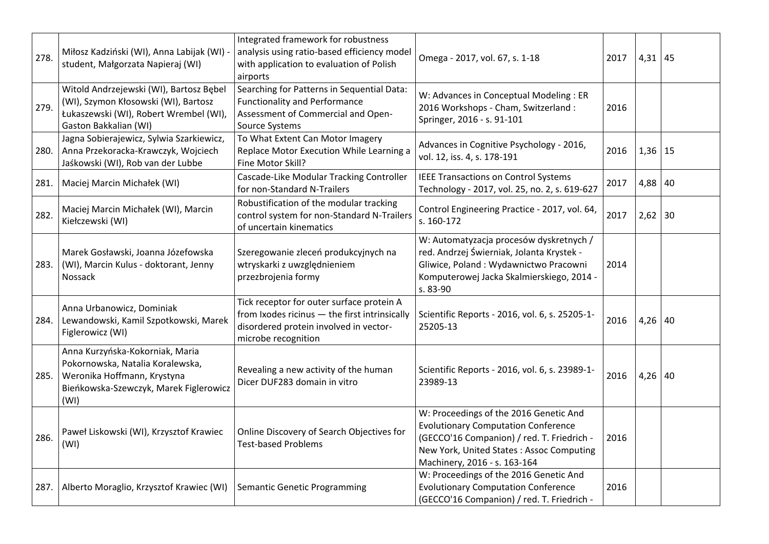| 278. | Miłosz Kadziński (WI), Anna Labijak (WI)<br>student, Małgorzata Napieraj (WI)                                                                        | Integrated framework for robustness<br>analysis using ratio-based efficiency model<br>with application to evaluation of Polish<br>airports                  | Omega - 2017, vol. 67, s. 1-18                                                                                                                                                                                 | 2017 | $4,31$ 45   |  |
|------|------------------------------------------------------------------------------------------------------------------------------------------------------|-------------------------------------------------------------------------------------------------------------------------------------------------------------|----------------------------------------------------------------------------------------------------------------------------------------------------------------------------------------------------------------|------|-------------|--|
| 279. | Witold Andrzejewski (WI), Bartosz Bębel<br>(WI), Szymon Kłosowski (WI), Bartosz<br>Łukaszewski (WI), Robert Wrembel (WI),<br>Gaston Bakkalian (WI)   | Searching for Patterns in Sequential Data:<br><b>Functionality and Performance</b><br>Assessment of Commercial and Open-<br>Source Systems                  | W: Advances in Conceptual Modeling : ER<br>2016 Workshops - Cham, Switzerland:<br>Springer, 2016 - s. 91-101                                                                                                   | 2016 |             |  |
| 280. | Jagna Sobierajewicz, Sylwia Szarkiewicz,<br>Anna Przekoracka-Krawczyk, Wojciech<br>Jaśkowski (WI), Rob van der Lubbe                                 | To What Extent Can Motor Imagery<br>Replace Motor Execution While Learning a<br>Fine Motor Skill?                                                           | Advances in Cognitive Psychology - 2016,<br>vol. 12, iss. 4, s. 178-191                                                                                                                                        | 2016 | $1,36$   15 |  |
| 281. | Maciej Marcin Michałek (WI)                                                                                                                          | Cascade-Like Modular Tracking Controller<br>for non-Standard N-Trailers                                                                                     | <b>IEEE Transactions on Control Systems</b><br>Technology - 2017, vol. 25, no. 2, s. 619-627                                                                                                                   | 2017 | 4,88 40     |  |
| 282. | Maciej Marcin Michałek (WI), Marcin<br>Kiełczewski (WI)                                                                                              | Robustification of the modular tracking<br>control system for non-Standard N-Trailers<br>of uncertain kinematics                                            | Control Engineering Practice - 2017, vol. 64,<br>s. 160-172                                                                                                                                                    | 2017 | $2,62$ 30   |  |
| 283. | Marek Gosławski, Joanna Józefowska<br>(WI), Marcin Kulus - doktorant, Jenny<br>Nossack                                                               | Szeregowanie zleceń produkcyjnych na<br>wtryskarki z uwzględnieniem<br>przezbrojenia formy                                                                  | W: Automatyzacja procesów dyskretnych /<br>red. Andrzej Świerniak, Jolanta Krystek -<br>Gliwice, Poland: Wydawnictwo Pracowni<br>Komputerowej Jacka Skalmierskiego, 2014 -<br>s. 83-90                         | 2014 |             |  |
| 284. | Anna Urbanowicz, Dominiak<br>Lewandowski, Kamil Szpotkowski, Marek<br>Figlerowicz (WI)                                                               | Tick receptor for outer surface protein A<br>from Ixodes ricinus - the first intrinsically<br>disordered protein involved in vector-<br>microbe recognition | Scientific Reports - 2016, vol. 6, s. 25205-1-<br>25205-13                                                                                                                                                     | 2016 | $4,26$ 40   |  |
| 285. | Anna Kurzyńska-Kokorniak, Maria<br>Pokornowska, Natalia Koralewska,<br>Weronika Hoffmann, Krystyna<br>Bieńkowska-Szewczyk, Marek Figlerowicz<br>(WI) | Revealing a new activity of the human<br>Dicer DUF283 domain in vitro                                                                                       | Scientific Reports - 2016, vol. 6, s. 23989-1-<br>23989-13                                                                                                                                                     | 2016 | $4,26$ 40   |  |
| 286. | Paweł Liskowski (WI), Krzysztof Krawiec<br>(WI)                                                                                                      | Online Discovery of Search Objectives for<br><b>Test-based Problems</b>                                                                                     | W: Proceedings of the 2016 Genetic And<br><b>Evolutionary Computation Conference</b><br>(GECCO'16 Companion) / red. T. Friedrich -<br>New York, United States: Assoc Computing<br>Machinery, 2016 - s. 163-164 | 2016 |             |  |
| 287. | Alberto Moraglio, Krzysztof Krawiec (WI)                                                                                                             | <b>Semantic Genetic Programming</b>                                                                                                                         | W: Proceedings of the 2016 Genetic And<br><b>Evolutionary Computation Conference</b><br>(GECCO'16 Companion) / red. T. Friedrich -                                                                             | 2016 |             |  |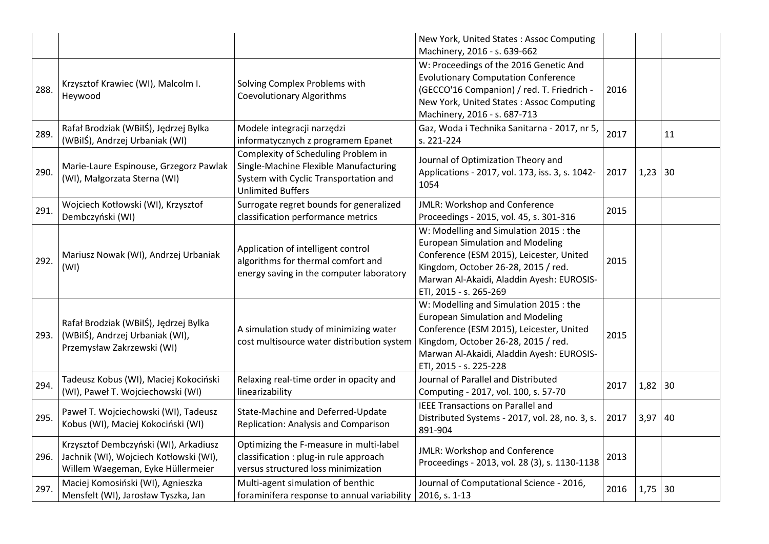|      |                                                                                                                      |                                                                                                                                                   | New York, United States: Assoc Computing<br>Machinery, 2016 - s. 639-662                                                                                                                                                                    |      |           |    |
|------|----------------------------------------------------------------------------------------------------------------------|---------------------------------------------------------------------------------------------------------------------------------------------------|---------------------------------------------------------------------------------------------------------------------------------------------------------------------------------------------------------------------------------------------|------|-----------|----|
| 288. | Krzysztof Krawiec (WI), Malcolm I.<br>Heywood                                                                        | Solving Complex Problems with<br><b>Coevolutionary Algorithms</b>                                                                                 | W: Proceedings of the 2016 Genetic And<br><b>Evolutionary Computation Conference</b><br>(GECCO'16 Companion) / red. T. Friedrich -<br>New York, United States: Assoc Computing<br>Machinery, 2016 - s. 687-713                              | 2016 |           |    |
| 289. | Rafał Brodziak (WBilŚ), Jędrzej Bylka<br>(WBilŚ), Andrzej Urbaniak (WI)                                              | Modele integracji narzędzi<br>informatycznych z programem Epanet                                                                                  | Gaz, Woda i Technika Sanitarna - 2017, nr 5,<br>s. 221-224                                                                                                                                                                                  | 2017 |           | 11 |
| 290. | Marie-Laure Espinouse, Grzegorz Pawlak<br>(WI), Małgorzata Sterna (WI)                                               | Complexity of Scheduling Problem in<br>Single-Machine Flexible Manufacturing<br>System with Cyclic Transportation and<br><b>Unlimited Buffers</b> | Journal of Optimization Theory and<br>Applications - 2017, vol. 173, iss. 3, s. 1042-<br>1054                                                                                                                                               | 2017 | 1,23      | 30 |
| 291. | Wojciech Kotłowski (WI), Krzysztof<br>Dembczyński (WI)                                                               | Surrogate regret bounds for generalized<br>classification performance metrics                                                                     | JMLR: Workshop and Conference<br>Proceedings - 2015, vol. 45, s. 301-316                                                                                                                                                                    | 2015 |           |    |
| 292. | Mariusz Nowak (WI), Andrzej Urbaniak<br>(WI)                                                                         | Application of intelligent control<br>algorithms for thermal comfort and<br>energy saving in the computer laboratory                              | W: Modelling and Simulation 2015 : the<br><b>European Simulation and Modeling</b><br>Conference (ESM 2015), Leicester, United<br>Kingdom, October 26-28, 2015 / red.<br>Marwan Al-Akaidi, Aladdin Ayesh: EUROSIS-<br>ETI, 2015 - s. 265-269 | 2015 |           |    |
| 293. | Rafał Brodziak (WBilŚ), Jędrzej Bylka<br>(WBilŚ), Andrzej Urbaniak (WI),<br>Przemysław Zakrzewski (WI)               | A simulation study of minimizing water<br>cost multisource water distribution system                                                              | W: Modelling and Simulation 2015 : the<br><b>European Simulation and Modeling</b><br>Conference (ESM 2015), Leicester, United<br>Kingdom, October 26-28, 2015 / red.<br>Marwan Al-Akaidi, Aladdin Ayesh: EUROSIS-<br>ETI, 2015 - s. 225-228 | 2015 |           |    |
| 294. | Tadeusz Kobus (WI), Maciej Kokociński<br>(WI), Paweł T. Wojciechowski (WI)                                           | Relaxing real-time order in opacity and<br>linearizability                                                                                        | Journal of Parallel and Distributed<br>Computing - 2017, vol. 100, s. 57-70                                                                                                                                                                 | 2017 | $1,82$ 30 |    |
| 295. | Paweł T. Wojciechowski (WI), Tadeusz<br>Kobus (WI), Maciej Kokociński (WI)                                           | State-Machine and Deferred-Update<br>Replication: Analysis and Comparison                                                                         | <b>IEEE Transactions on Parallel and</b><br>Distributed Systems - 2017, vol. 28, no. 3, s.<br>891-904                                                                                                                                       | 2017 | 3,97      | 40 |
| 296. | Krzysztof Dembczyński (WI), Arkadiusz<br>Jachnik (WI), Wojciech Kotłowski (WI),<br>Willem Waegeman, Eyke Hüllermeier | Optimizing the F-measure in multi-label<br>classification : plug-in rule approach<br>versus structured loss minimization                          | JMLR: Workshop and Conference<br>Proceedings - 2013, vol. 28 (3), s. 1130-1138                                                                                                                                                              | 2013 |           |    |
| 297. | Maciej Komosiński (WI), Agnieszka<br>Mensfelt (WI), Jarosław Tyszka, Jan                                             | Multi-agent simulation of benthic<br>foraminifera response to annual variability                                                                  | Journal of Computational Science - 2016,<br>2016, s. 1-13                                                                                                                                                                                   | 2016 | 1,75      | 30 |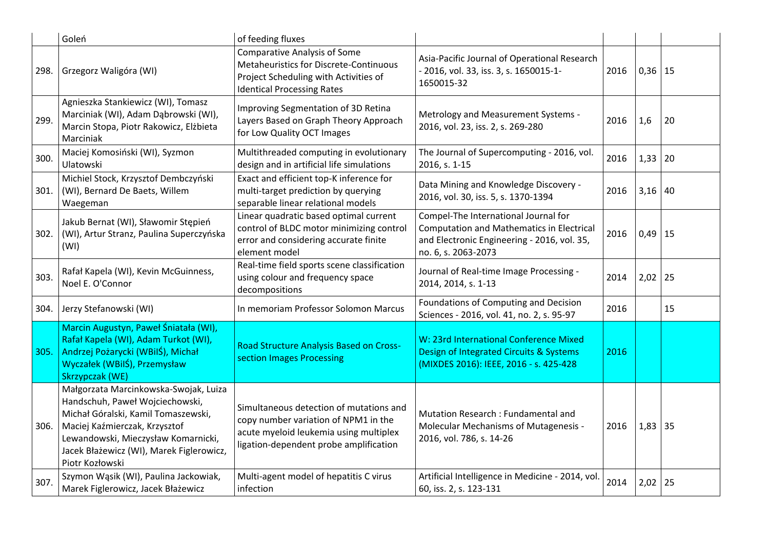|      | Goleń                                                                                                                                                                                                                                                  | of feeding fluxes                                                                                                                                                   |                                                                                                                                                                |      |           |    |
|------|--------------------------------------------------------------------------------------------------------------------------------------------------------------------------------------------------------------------------------------------------------|---------------------------------------------------------------------------------------------------------------------------------------------------------------------|----------------------------------------------------------------------------------------------------------------------------------------------------------------|------|-----------|----|
| 298. | Grzegorz Waligóra (WI)                                                                                                                                                                                                                                 | <b>Comparative Analysis of Some</b><br>Metaheuristics for Discrete-Continuous<br>Project Scheduling with Activities of<br><b>Identical Processing Rates</b>         | Asia-Pacific Journal of Operational Research<br>- 2016, vol. 33, iss. 3, s. 1650015-1-<br>1650015-32                                                           | 2016 | $0,36$ 15 |    |
| 299. | Agnieszka Stankiewicz (WI), Tomasz<br>Marciniak (WI), Adam Dąbrowski (WI),<br>Marcin Stopa, Piotr Rakowicz, Elżbieta<br>Marciniak                                                                                                                      | Improving Segmentation of 3D Retina<br>Layers Based on Graph Theory Approach<br>for Low Quality OCT Images                                                          | Metrology and Measurement Systems -<br>2016, vol. 23, iss. 2, s. 269-280                                                                                       | 2016 | 1,6       | 20 |
| 300. | Maciej Komosiński (WI), Syzmon<br>Ulatowski                                                                                                                                                                                                            | Multithreaded computing in evolutionary<br>design and in artificial life simulations                                                                                | The Journal of Supercomputing - 2016, vol.<br>2016, s. 1-15                                                                                                    | 2016 | 1,33      | 20 |
| 301. | Michiel Stock, Krzysztof Dembczyński<br>(WI), Bernard De Baets, Willem<br>Waegeman                                                                                                                                                                     | Exact and efficient top-K inference for<br>multi-target prediction by querying<br>separable linear relational models                                                | Data Mining and Knowledge Discovery -<br>2016, vol. 30, iss. 5, s. 1370-1394                                                                                   | 2016 | 3,16      | 40 |
| 302. | Jakub Bernat (WI), Sławomir Stępień<br>(WI), Artur Stranz, Paulina Superczyńska<br>(WI)                                                                                                                                                                | Linear quadratic based optimal current<br>control of BLDC motor minimizing control<br>error and considering accurate finite<br>element model                        | Compel-The International Journal for<br><b>Computation and Mathematics in Electrical</b><br>and Electronic Engineering - 2016, vol. 35,<br>no. 6, s. 2063-2073 | 2016 | 0,49      | 15 |
| 303. | Rafał Kapela (WI), Kevin McGuinness,<br>Noel E. O'Connor                                                                                                                                                                                               | Real-time field sports scene classification<br>using colour and frequency space<br>decompositions                                                                   | Journal of Real-time Image Processing -<br>2014, 2014, s. 1-13                                                                                                 | 2014 | 2,02      | 25 |
| 304. | Jerzy Stefanowski (WI)                                                                                                                                                                                                                                 | In memoriam Professor Solomon Marcus                                                                                                                                | Foundations of Computing and Decision<br>Sciences - 2016, vol. 41, no. 2, s. 95-97                                                                             | 2016 |           | 15 |
| 305. | Marcin Augustyn, Paweł Śniatała (WI),<br>Rafał Kapela (WI), Adam Turkot (WI),<br>Andrzej Pożarycki (WBilŚ), Michał<br>Wyczałek (WBilŚ), Przemysław<br>Skrzypczak (WE)                                                                                  | <b>Road Structure Analysis Based on Cross-</b><br>section Images Processing                                                                                         | W: 23rd International Conference Mixed<br>Design of Integrated Circuits & Systems<br>(MIXDES 2016): IEEE, 2016 - s. 425-428                                    | 2016 |           |    |
| 306. | Małgorzata Marcinkowska-Swojak, Luiza<br>Handschuh, Paweł Wojciechowski,<br>Michał Góralski, Kamil Tomaszewski,<br>Maciej Kaźmierczak, Krzysztof<br>Lewandowski, Mieczysław Komarnicki,<br>Jacek Błażewicz (WI), Marek Figlerowicz,<br>Piotr Kozłowski | Simultaneous detection of mutations and<br>copy number variation of NPM1 in the<br>acute myeloid leukemia using multiplex<br>ligation-dependent probe amplification | Mutation Research: Fundamental and<br>Molecular Mechanisms of Mutagenesis -<br>2016, vol. 786, s. 14-26                                                        | 2016 | 1,83      | 35 |
| 307. | Szymon Wąsik (WI), Paulina Jackowiak,<br>Marek Figlerowicz, Jacek Błażewicz                                                                                                                                                                            | Multi-agent model of hepatitis C virus<br>infection                                                                                                                 | Artificial Intelligence in Medicine - 2014, vol.<br>60, iss. 2, s. 123-131                                                                                     | 2014 | 2,02      | 25 |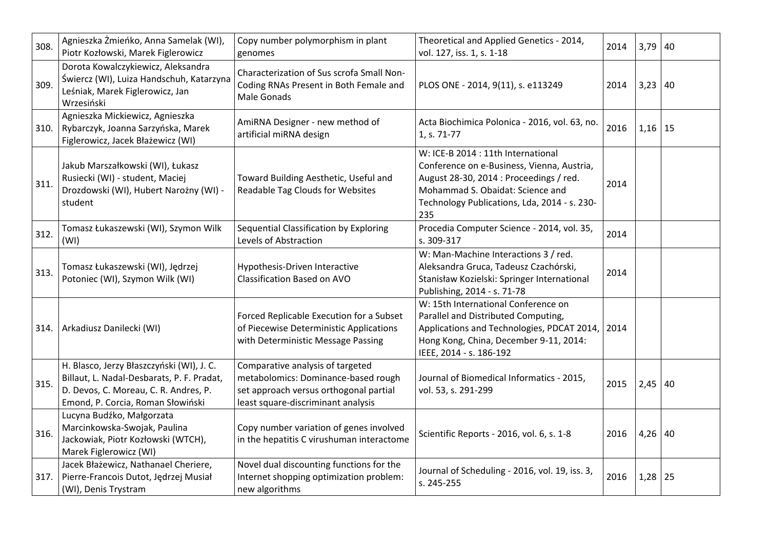| 308. | Agnieszka Żmieńko, Anna Samelak (WI),<br>Piotr Kozłowski, Marek Figlerowicz                                                                                           | Copy number polymorphism in plant<br>genomes                                                                                                            | Theoretical and Applied Genetics - 2014,<br>vol. 127, iss. 1, s. 1-18                                                                                                                                                  | 2014 | 3,79 | 40 |
|------|-----------------------------------------------------------------------------------------------------------------------------------------------------------------------|---------------------------------------------------------------------------------------------------------------------------------------------------------|------------------------------------------------------------------------------------------------------------------------------------------------------------------------------------------------------------------------|------|------|----|
| 309. | Dorota Kowalczykiewicz, Aleksandra<br>Świercz (WI), Luiza Handschuh, Katarzyna<br>Leśniak, Marek Figlerowicz, Jan<br>Wrzesiński                                       | Characterization of Sus scrofa Small Non-<br>Coding RNAs Present in Both Female and<br>Male Gonads                                                      | PLOS ONE - 2014, 9(11), s. e113249                                                                                                                                                                                     | 2014 | 3,23 | 40 |
| 310. | Agnieszka Mickiewicz, Agnieszka<br>Rybarczyk, Joanna Sarzyńska, Marek<br>Figlerowicz, Jacek Błażewicz (WI)                                                            | AmiRNA Designer - new method of<br>artificial miRNA design                                                                                              | Acta Biochimica Polonica - 2016, vol. 63, no.<br>1, s. 71-77                                                                                                                                                           | 2016 | 1,16 | 15 |
| 311. | Jakub Marszałkowski (WI), Łukasz<br>Rusiecki (WI) - student, Maciej<br>Drozdowski (WI), Hubert Narożny (WI) -<br>student                                              | Toward Building Aesthetic, Useful and<br>Readable Tag Clouds for Websites                                                                               | W: ICE-B 2014 : 11th International<br>Conference on e-Business, Vienna, Austria,<br>August 28-30, 2014 : Proceedings / red.<br>Mohammad S. Obaidat: Science and<br>Technology Publications, Lda, 2014 - s. 230-<br>235 | 2014 |      |    |
| 312. | Tomasz Łukaszewski (WI), Szymon Wilk<br>(WI)                                                                                                                          | Sequential Classification by Exploring<br>Levels of Abstraction                                                                                         | Procedia Computer Science - 2014, vol. 35,<br>s. 309-317                                                                                                                                                               | 2014 |      |    |
| 313. | Tomasz Łukaszewski (WI), Jędrzej<br>Potoniec (WI), Szymon Wilk (WI)                                                                                                   | Hypothesis-Driven Interactive<br><b>Classification Based on AVO</b>                                                                                     | W: Man-Machine Interactions 3 / red.<br>Aleksandra Gruca, Tadeusz Czachórski,<br>Stanisław Kozielski: Springer International<br>Publishing, 2014 - s. 71-78                                                            | 2014 |      |    |
| 314. | Arkadiusz Danilecki (WI)                                                                                                                                              | Forced Replicable Execution for a Subset<br>of Piecewise Deterministic Applications<br>with Deterministic Message Passing                               | W: 15th International Conference on<br>Parallel and Distributed Computing,<br>Applications and Technologies, PDCAT 2014, 2014<br>Hong Kong, China, December 9-11, 2014:<br>IEEE, 2014 - s. 186-192                     |      |      |    |
| 315. | H. Blasco, Jerzy Błaszczyński (WI), J. C.<br>Billaut, L. Nadal-Desbarats, P. F. Pradat,<br>D. Devos, C. Moreau, C. R. Andres, P.<br>Emond, P. Corcia, Roman Słowiński | Comparative analysis of targeted<br>metabolomics: Dominance-based rough<br>set approach versus orthogonal partial<br>least square-discriminant analysis | Journal of Biomedical Informatics - 2015,<br>vol. 53, s. 291-299                                                                                                                                                       | 2015 | 2,45 | 40 |
| 316. | Lucyna Budźko, Małgorzata<br>Marcinkowska-Swojak, Paulina<br>Jackowiak, Piotr Kozłowski (WTCH),<br>Marek Figlerowicz (WI)                                             | Copy number variation of genes involved<br>in the hepatitis C virushuman interactome                                                                    | Scientific Reports - 2016, vol. 6, s. 1-8                                                                                                                                                                              | 2016 | 4,26 | 40 |
| 317. | Jacek Błażewicz, Nathanael Cheriere,<br>Pierre-Francois Dutot, Jędrzej Musiał<br>(WI), Denis Trystram                                                                 | Novel dual discounting functions for the<br>Internet shopping optimization problem:<br>new algorithms                                                   | Journal of Scheduling - 2016, vol. 19, iss. 3,<br>s. 245-255                                                                                                                                                           | 2016 | 1,28 | 25 |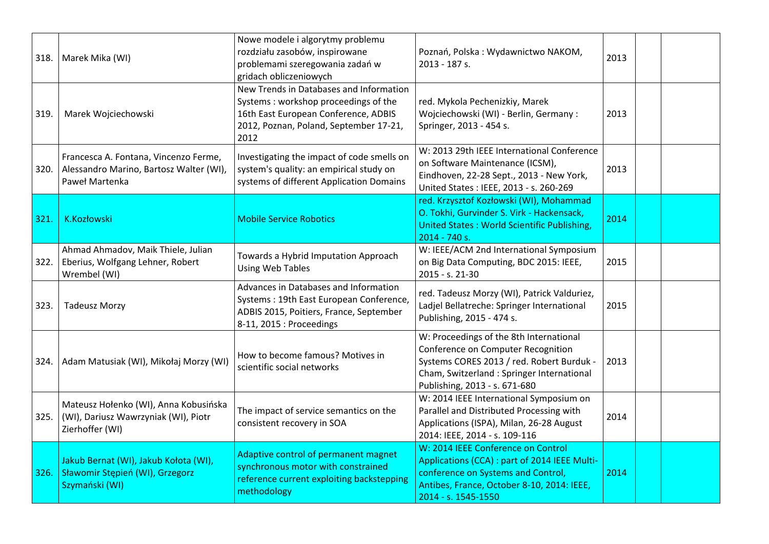| 318. | Marek Mika (WI)                                                                                    | Nowe modele i algorytmy problemu<br>rozdziału zasobów, inspirowane<br>problemami szeregowania zadań w<br>gridach obliczeniowych                                           | Poznań, Polska: Wydawnictwo NAKOM,<br>2013 - 187 s.                                                                                                                                                       | 2013 |  |
|------|----------------------------------------------------------------------------------------------------|---------------------------------------------------------------------------------------------------------------------------------------------------------------------------|-----------------------------------------------------------------------------------------------------------------------------------------------------------------------------------------------------------|------|--|
| 319. | Marek Wojciechowski                                                                                | New Trends in Databases and Information<br>Systems: workshop proceedings of the<br>16th East European Conference, ADBIS<br>2012, Poznan, Poland, September 17-21,<br>2012 | red. Mykola Pechenizkiy, Marek<br>Wojciechowski (WI) - Berlin, Germany :<br>Springer, 2013 - 454 s.                                                                                                       | 2013 |  |
| 320. | Francesca A. Fontana, Vincenzo Ferme,<br>Alessandro Marino, Bartosz Walter (WI),<br>Paweł Martenka | Investigating the impact of code smells on<br>system's quality: an empirical study on<br>systems of different Application Domains                                         | W: 2013 29th IEEE International Conference<br>on Software Maintenance (ICSM),<br>Eindhoven, 22-28 Sept., 2013 - New York,<br>United States : IEEE, 2013 - s. 260-269                                      | 2013 |  |
| 321. | K.Kozłowski                                                                                        | <b>Mobile Service Robotics</b>                                                                                                                                            | red. Krzysztof Kozłowski (WI), Mohammad<br>O. Tokhi, Gurvinder S. Virk - Hackensack,<br><b>United States: World Scientific Publishing,</b><br>2014 - 740 s.                                               | 2014 |  |
| 322. | Ahmad Ahmadov, Maik Thiele, Julian<br>Eberius, Wolfgang Lehner, Robert<br>Wrembel (WI)             | Towards a Hybrid Imputation Approach<br><b>Using Web Tables</b>                                                                                                           | W: IEEE/ACM 2nd International Symposium<br>on Big Data Computing, BDC 2015: IEEE,<br>2015 - s. 21-30                                                                                                      | 2015 |  |
| 323. | <b>Tadeusz Morzy</b>                                                                               | Advances in Databases and Information<br>Systems: 19th East European Conference,<br>ADBIS 2015, Poitiers, France, September<br>8-11, 2015 : Proceedings                   | red. Tadeusz Morzy (WI), Patrick Valduriez,<br>Ladjel Bellatreche: Springer International<br>Publishing, 2015 - 474 s.                                                                                    | 2015 |  |
|      | 324. Adam Matusiak (WI), Mikołaj Morzy (WI)                                                        | How to become famous? Motives in<br>scientific social networks                                                                                                            | W: Proceedings of the 8th International<br>Conference on Computer Recognition<br>Systems CORES 2013 / red. Robert Burduk -<br>Cham, Switzerland : Springer International<br>Publishing, 2013 - s. 671-680 | 2013 |  |
| 325. | Mateusz Hołenko (WI), Anna Kobusińska<br>(WI), Dariusz Wawrzyniak (WI), Piotr<br>Zierhoffer (WI)   | The impact of service semantics on the<br>consistent recovery in SOA                                                                                                      | W: 2014 IEEE International Symposium on<br>Parallel and Distributed Processing with<br>Applications (ISPA), Milan, 26-28 August<br>2014: IEEE, 2014 - s. 109-116                                          | 2014 |  |
| 326. | Jakub Bernat (WI), Jakub Kołota (WI),<br>Sławomir Stępień (WI), Grzegorz<br>Szymański (WI)         | Adaptive control of permanent magnet<br>synchronous motor with constrained<br>reference current exploiting backstepping<br>methodology                                    | W: 2014 IEEE Conference on Control<br>Applications (CCA) : part of 2014 IEEE Multi-<br>conference on Systems and Control,<br>Antibes, France, October 8-10, 2014: IEEE,<br>2014 - s. 1545-1550            | 2014 |  |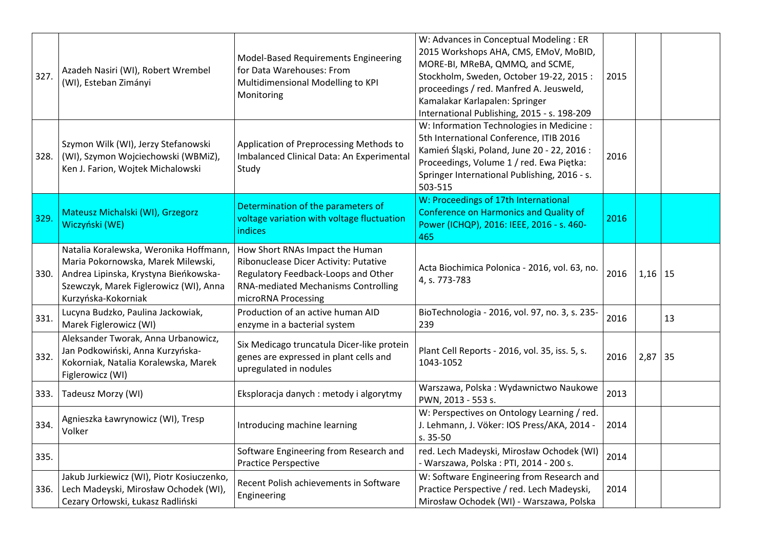| 327. | Azadeh Nasiri (WI), Robert Wrembel<br>(WI), Esteban Zimányi                                                                                                                            | Model-Based Requirements Engineering<br>for Data Warehouses: From<br>Multidimensional Modelling to KPI<br>Monitoring                                                                 | W: Advances in Conceptual Modeling : ER<br>2015 Workshops AHA, CMS, EMoV, MoBID,<br>MORE-BI, MReBA, QMMQ, and SCME,<br>Stockholm, Sweden, October 19-22, 2015:<br>proceedings / red. Manfred A. Jeusweld,<br>Kamalakar Karlapalen: Springer<br>International Publishing, 2015 - s. 198-209 | 2015 |           |    |
|------|----------------------------------------------------------------------------------------------------------------------------------------------------------------------------------------|--------------------------------------------------------------------------------------------------------------------------------------------------------------------------------------|--------------------------------------------------------------------------------------------------------------------------------------------------------------------------------------------------------------------------------------------------------------------------------------------|------|-----------|----|
| 328. | Szymon Wilk (WI), Jerzy Stefanowski<br>(WI), Szymon Wojciechowski (WBMiZ),<br>Ken J. Farion, Wojtek Michalowski                                                                        | Application of Preprocessing Methods to<br>Imbalanced Clinical Data: An Experimental<br>Study                                                                                        | W: Information Technologies in Medicine :<br>5th International Conference, ITIB 2016<br>Kamień Śląski, Poland, June 20 - 22, 2016 :<br>Proceedings, Volume 1 / red. Ewa Pietka:<br>Springer International Publishing, 2016 - s.<br>503-515                                                 | 2016 |           |    |
| 329. | Mateusz Michalski (WI), Grzegorz<br>Wiczyński (WE)                                                                                                                                     | Determination of the parameters of<br>voltage variation with voltage fluctuation<br><b>indices</b>                                                                                   | W: Proceedings of 17th International<br><b>Conference on Harmonics and Quality of</b><br>Power (ICHQP), 2016: IEEE, 2016 - s. 460-<br>465                                                                                                                                                  | 2016 |           |    |
| 330. | Natalia Koralewska, Weronika Hoffmann,<br>Maria Pokornowska, Marek Milewski,<br>Andrea Lipinska, Krystyna Bieńkowska-<br>Szewczyk, Marek Figlerowicz (WI), Anna<br>Kurzyńska-Kokorniak | How Short RNAs Impact the Human<br>Ribonuclease Dicer Activity: Putative<br>Regulatory Feedback-Loops and Other<br><b>RNA-mediated Mechanisms Controlling</b><br>microRNA Processing | Acta Biochimica Polonica - 2016, vol. 63, no.<br>4, s. 773-783                                                                                                                                                                                                                             | 2016 | $1,16$ 15 |    |
| 331. | Lucyna Budzko, Paulina Jackowiak,<br>Marek Figlerowicz (WI)                                                                                                                            | Production of an active human AID<br>enzyme in a bacterial system                                                                                                                    | BioTechnologia - 2016, vol. 97, no. 3, s. 235-<br>239                                                                                                                                                                                                                                      | 2016 |           | 13 |
| 332. | Aleksander Tworak, Anna Urbanowicz,<br>Jan Podkowiński, Anna Kurzyńska-<br>Kokorniak, Natalia Koralewska, Marek<br>Figlerowicz (WI)                                                    | Six Medicago truncatula Dicer-like protein<br>genes are expressed in plant cells and<br>upregulated in nodules                                                                       | Plant Cell Reports - 2016, vol. 35, iss. 5, s.<br>1043-1052                                                                                                                                                                                                                                | 2016 | $2,87$ 35 |    |
| 333. | Tadeusz Morzy (WI)                                                                                                                                                                     | Eksploracja danych : metody i algorytmy                                                                                                                                              | Warszawa, Polska: Wydawnictwo Naukowe<br>PWN, 2013 - 553 s.                                                                                                                                                                                                                                | 2013 |           |    |
| 334. | Agnieszka Ławrynowicz (WI), Tresp<br>Volker                                                                                                                                            | Introducing machine learning                                                                                                                                                         | W: Perspectives on Ontology Learning / red.<br>J. Lehmann, J. Vöker: IOS Press/AKA, 2014 -<br>s. 35-50                                                                                                                                                                                     | 2014 |           |    |
| 335. |                                                                                                                                                                                        | Software Engineering from Research and<br><b>Practice Perspective</b>                                                                                                                | red. Lech Madeyski, Mirosław Ochodek (WI)<br>- Warszawa, Polska: PTI, 2014 - 200 s.                                                                                                                                                                                                        | 2014 |           |    |
| 336. | Jakub Jurkiewicz (WI), Piotr Kosiuczenko,<br>Lech Madeyski, Mirosław Ochodek (WI),<br>Cezary Orłowski, Łukasz Radliński                                                                | Recent Polish achievements in Software<br>Engineering                                                                                                                                | W: Software Engineering from Research and<br>Practice Perspective / red. Lech Madeyski,<br>Mirosław Ochodek (WI) - Warszawa, Polska                                                                                                                                                        | 2014 |           |    |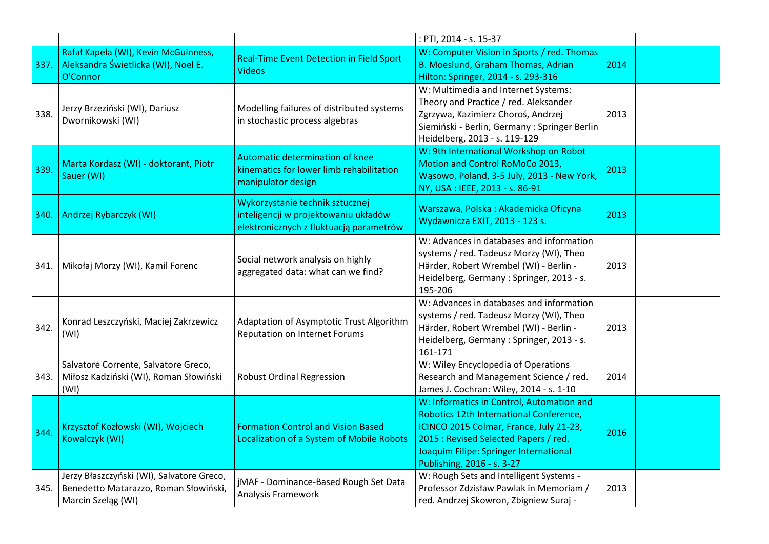|        |                                                                                                          |                                                                                                                    | : PTI, 2014 - s. 15-37                                                                                                                                                                                                                           |      |  |
|--------|----------------------------------------------------------------------------------------------------------|--------------------------------------------------------------------------------------------------------------------|--------------------------------------------------------------------------------------------------------------------------------------------------------------------------------------------------------------------------------------------------|------|--|
| 337.   | Rafał Kapela (WI), Kevin McGuinness,<br>Aleksandra Świetlicka (WI), Noel E.<br>O'Connor                  | Real-Time Event Detection in Field Sport<br><b>Videos</b>                                                          | W: Computer Vision in Sports / red. Thomas<br>B. Moeslund, Graham Thomas, Adrian<br>Hilton: Springer, 2014 - s. 293-316                                                                                                                          | 2014 |  |
| 338.   | Jerzy Brzeziński (WI), Dariusz<br>Dwornikowski (WI)                                                      | Modelling failures of distributed systems<br>in stochastic process algebras                                        | W: Multimedia and Internet Systems:<br>Theory and Practice / red. Aleksander<br>Zgrzywa, Kazimierz Choroś, Andrzej<br>Siemiński - Berlin, Germany : Springer Berlin<br>Heidelberg, 2013 - s. 119-129                                             | 2013 |  |
| 339.   | Marta Kordasz (WI) - doktorant, Piotr<br>Sauer (WI)                                                      | <b>Automatic determination of knee</b><br>kinematics for lower limb rehabilitation<br>manipulator design           | W: 9th International Workshop on Robot<br>Motion and Control RoMoCo 2013,<br>Wąsowo, Poland, 3-5 July, 2013 - New York,<br>NY, USA: IEEE, 2013 - s. 86-91                                                                                        | 2013 |  |
| 340.   | Andrzej Rybarczyk (WI)                                                                                   | Wykorzystanie technik sztucznej<br>inteligencji w projektowaniu układów<br>elektronicznych z fluktuacją parametrów | Warszawa, Polska: Akademicka Oficyna<br>Wydawnicza EXIT, 2013 - 123 s.                                                                                                                                                                           | 2013 |  |
| 341. l | Mikołaj Morzy (WI), Kamil Forenc                                                                         | Social network analysis on highly<br>aggregated data: what can we find?                                            | W: Advances in databases and information<br>systems / red. Tadeusz Morzy (WI), Theo<br>Härder, Robert Wrembel (WI) - Berlin -<br>Heidelberg, Germany: Springer, 2013 - s.<br>195-206                                                             | 2013 |  |
| 342.   | Konrad Leszczyński, Maciej Zakrzewicz<br>(WI)                                                            | Adaptation of Asymptotic Trust Algorithm<br><b>Reputation on Internet Forums</b>                                   | W: Advances in databases and information<br>systems / red. Tadeusz Morzy (WI), Theo<br>Härder, Robert Wrembel (WI) - Berlin -<br>Heidelberg, Germany: Springer, 2013 - s.<br>161-171                                                             | 2013 |  |
| 343.   | Salvatore Corrente, Salvatore Greco,<br>Miłosz Kadziński (WI), Roman Słowiński<br>(WI)                   | <b>Robust Ordinal Regression</b>                                                                                   | W: Wiley Encyclopedia of Operations<br>Research and Management Science / red.<br>James J. Cochran: Wiley, 2014 - s. 1-10                                                                                                                         | 2014 |  |
| 344.   | Krzysztof Kozłowski (WI), Wojciech<br>Kowalczyk (WI)                                                     | <b>Formation Control and Vision Based</b><br><b>Localization of a System of Mobile Robots</b>                      | W: Informatics in Control, Automation and<br>Robotics 12th International Conference,<br>ICINCO 2015 Colmar, France, July 21-23,<br>2015 : Revised Selected Papers / red.<br>Joaquim Filipe: Springer International<br>Publishing, 2016 - s. 3-27 | 2016 |  |
| 345.   | Jerzy Błaszczyński (WI), Salvatore Greco,<br>Benedetto Matarazzo, Roman Słowiński,<br>Marcin Szeląg (WI) | jMAF - Dominance-Based Rough Set Data<br>Analysis Framework                                                        | W: Rough Sets and Intelligent Systems -<br>Professor Zdzisław Pawlak in Memoriam /<br>red. Andrzej Skowron, Zbigniew Suraj -                                                                                                                     | 2013 |  |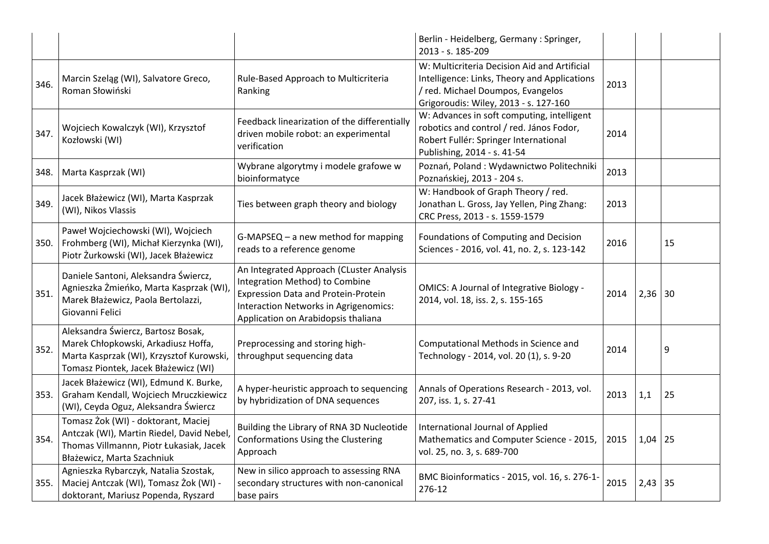|      |                                                                                                                                                               |                                                                                                                                                                                                          | Berlin - Heidelberg, Germany: Springer,<br>2013 - s. 185-209                                                                                                               |      |           |    |
|------|---------------------------------------------------------------------------------------------------------------------------------------------------------------|----------------------------------------------------------------------------------------------------------------------------------------------------------------------------------------------------------|----------------------------------------------------------------------------------------------------------------------------------------------------------------------------|------|-----------|----|
| 346. | Marcin Szeląg (WI), Salvatore Greco,<br>Roman Słowiński                                                                                                       | Rule-Based Approach to Multicriteria<br>Ranking                                                                                                                                                          | W: Multicriteria Decision Aid and Artificial<br>Intelligence: Links, Theory and Applications<br>/ red. Michael Doumpos, Evangelos<br>Grigoroudis: Wiley, 2013 - s. 127-160 | 2013 |           |    |
| 347. | Wojciech Kowalczyk (WI), Krzysztof<br>Kozłowski (WI)                                                                                                          | Feedback linearization of the differentially<br>driven mobile robot: an experimental<br>verification                                                                                                     | W: Advances in soft computing, intelligent<br>robotics and control / red. János Fodor,<br>Robert Fullér: Springer International<br>Publishing, 2014 - s. 41-54             | 2014 |           |    |
| 348. | Marta Kasprzak (WI)                                                                                                                                           | Wybrane algorytmy i modele grafowe w<br>bioinformatyce                                                                                                                                                   | Poznań, Poland: Wydawnictwo Politechniki<br>Poznańskiej, 2013 - 204 s.                                                                                                     | 2013 |           |    |
| 349. | Jacek Błażewicz (WI), Marta Kasprzak<br>(WI), Nikos Vlassis                                                                                                   | Ties between graph theory and biology                                                                                                                                                                    | W: Handbook of Graph Theory / red.<br>Jonathan L. Gross, Jay Yellen, Ping Zhang:<br>CRC Press, 2013 - s. 1559-1579                                                         | 2013 |           |    |
| 350. | Paweł Wojciechowski (WI), Wojciech<br>Frohmberg (WI), Michał Kierzynka (WI),<br>Piotr Żurkowski (WI), Jacek Błażewicz                                         | G-MAPSEQ - a new method for mapping<br>reads to a reference genome                                                                                                                                       | Foundations of Computing and Decision<br>Sciences - 2016, vol. 41, no. 2, s. 123-142                                                                                       | 2016 |           | 15 |
| 351. | Daniele Santoni, Aleksandra Świercz,<br>Agnieszka Żmieńko, Marta Kasprzak (WI),<br>Marek Błażewicz, Paola Bertolazzi,<br>Giovanni Felici                      | An Integrated Approach (CLuster Analysis<br>Integration Method) to Combine<br><b>Expression Data and Protein-Protein</b><br>Interaction Networks in Agrigenomics:<br>Application on Arabidopsis thaliana | <b>OMICS: A Journal of Integrative Biology -</b><br>2014, vol. 18, iss. 2, s. 155-165                                                                                      | 2014 | $2,36$ 30 |    |
| 352. | Aleksandra Świercz, Bartosz Bosak,<br>Marek Chłopkowski, Arkadiusz Hoffa,<br>Marta Kasprzak (WI), Krzysztof Kurowski,<br>Tomasz Piontek, Jacek Błażewicz (WI) | Preprocessing and storing high-<br>throughput sequencing data                                                                                                                                            | Computational Methods in Science and<br>Technology - 2014, vol. 20 (1), s. 9-20                                                                                            | 2014 |           | 9  |
| 353. | Jacek Błażewicz (WI), Edmund K. Burke,<br>Graham Kendall, Wojciech Mruczkiewicz<br>(WI), Ceyda Oguz, Aleksandra Świercz                                       | A hyper-heuristic approach to sequencing<br>by hybridization of DNA sequences                                                                                                                            | Annals of Operations Research - 2013, vol.<br>207, iss. 1, s. 27-41                                                                                                        | 2013 | 1,1       | 25 |
| 354. | Tomasz Żok (WI) - doktorant, Maciej<br>Antczak (WI), Martin Riedel, David Nebel,<br>Thomas Villmannn, Piotr Łukasiak, Jacek<br>Błażewicz, Marta Szachniuk     | Building the Library of RNA 3D Nucleotide<br>Conformations Using the Clustering<br>Approach                                                                                                              | International Journal of Applied<br>Mathematics and Computer Science - 2015,<br>vol. 25, no. 3, s. 689-700                                                                 | 2015 | $1,04$ 25 |    |
| 355. | Agnieszka Rybarczyk, Natalia Szostak,<br>Maciej Antczak (WI), Tomasz Żok (WI) -<br>doktorant, Mariusz Popenda, Ryszard                                        | New in silico approach to assessing RNA<br>secondary structures with non-canonical<br>base pairs                                                                                                         | BMC Bioinformatics - 2015, vol. 16, s. 276-1-<br>276-12                                                                                                                    | 2015 | $2,43$ 35 |    |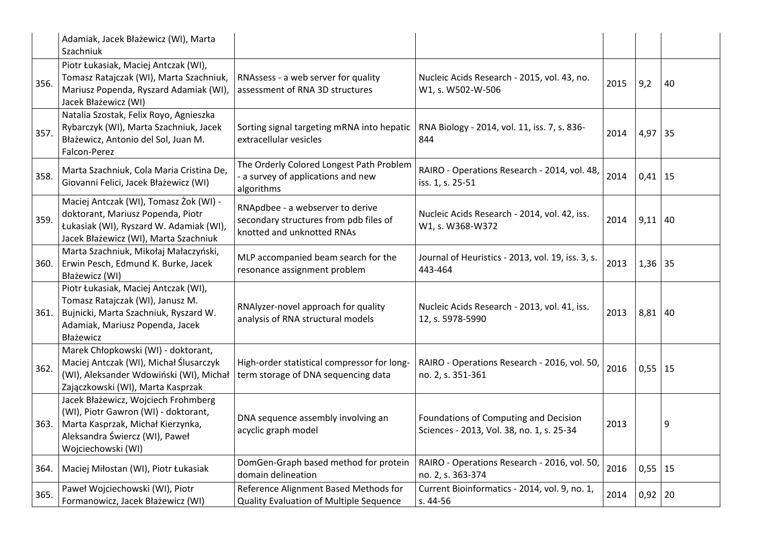|      | Adamiak, Jacek Błażewicz (WI), Marta<br>Szachniuk                                                                                                                        |                                                                                                          |                                                                                    |      |             |    |
|------|--------------------------------------------------------------------------------------------------------------------------------------------------------------------------|----------------------------------------------------------------------------------------------------------|------------------------------------------------------------------------------------|------|-------------|----|
| 356. | Piotr Łukasiak, Maciej Antczak (WI),<br>Tomasz Ratajczak (WI), Marta Szachniuk,<br>Mariusz Popenda, Ryszard Adamiak (WI),<br>Jacek Błażewicz (WI)                        | RNAssess - a web server for quality<br>assessment of RNA 3D structures                                   | Nucleic Acids Research - 2015, vol. 43, no.<br>W1, s. W502-W-506                   | 2015 | 9,2         | 40 |
| 357. | Natalia Szostak, Felix Royo, Agnieszka<br>Rybarczyk (WI), Marta Szachniuk, Jacek<br>Błażewicz, Antonio del Sol, Juan M.<br>Falcon-Perez                                  | Sorting signal targeting mRNA into hepatic<br>extracellular vesicles                                     | RNA Biology - 2014, vol. 11, iss. 7, s. 836-<br>844                                | 2014 | $4,97$ 35   |    |
| 358. | Marta Szachniuk, Cola Maria Cristina De,<br>Giovanni Felici, Jacek Błażewicz (WI)                                                                                        | The Orderly Colored Longest Path Problem<br>- a survey of applications and new<br>algorithms             | RAIRO - Operations Research - 2014, vol. 48,<br>iss. 1, s. 25-51                   | 2014 | $0,41$ 15   |    |
| 359. | Maciej Antczak (WI), Tomasz Żok (WI) -<br>doktorant, Mariusz Popenda, Piotr<br>Łukasiak (WI), Ryszard W. Adamiak (WI),<br>Jacek Błażewicz (WI), Marta Szachniuk          | RNApdbee - a webserver to derive<br>secondary structures from pdb files of<br>knotted and unknotted RNAs | Nucleic Acids Research - 2014, vol. 42, iss.<br>W1, s. W368-W372                   | 2014 | $9,11$ 40   |    |
| 360. | Marta Szachniuk, Mikołaj Małaczyński,<br>Erwin Pesch, Edmund K. Burke, Jacek<br>Błażewicz (WI)                                                                           | MLP accompanied beam search for the<br>resonance assignment problem                                      | Journal of Heuristics - 2013, vol. 19, iss. 3, s.<br>443-464                       | 2013 | $1,36$ 35   |    |
| 361. | Piotr Łukasiak, Maciej Antczak (WI),<br>Tomasz Ratajczak (WI), Janusz M.<br>Bujnicki, Marta Szachniuk, Ryszard W.<br>Adamiak, Mariusz Popenda, Jacek<br>Błażewicz        | RNAlyzer-novel approach for quality<br>analysis of RNA structural models                                 | Nucleic Acids Research - 2013, vol. 41, iss.<br>12, s. 5978-5990                   | 2013 | $8,81$ 40   |    |
| 362. | Marek Chłopkowski (WI) - doktorant,<br>Maciej Antczak (WI), Michał Ślusarczyk<br>(WI), Aleksander Wdowiński (WI), Michał<br>Zajączkowski (WI), Marta Kasprzak            | High-order statistical compressor for long-<br>term storage of DNA sequencing data                       | RAIRO - Operations Research - 2016, vol. 50,<br>no. 2, s. 351-361                  | 2016 | $0,55$   15 |    |
| 363. | Jacek Błażewicz, Wojciech Frohmberg<br>(WI), Piotr Gawron (WI) - doktorant,<br>Marta Kasprzak, Michał Kierzynka,<br>Aleksandra Świercz (WI), Paweł<br>Wojciechowski (WI) | DNA sequence assembly involving an<br>acyclic graph model                                                | Foundations of Computing and Decision<br>Sciences - 2013, Vol. 38, no. 1, s. 25-34 | 2013 |             | 9  |
| 364. | Maciej Miłostan (WI), Piotr Łukasiak                                                                                                                                     | DomGen-Graph based method for protein<br>domain delineation                                              | RAIRO - Operations Research - 2016, vol. 50,<br>no. 2, s. 363-374                  | 2016 | $0,55$ 15   |    |
| 365. | Paweł Wojciechowski (WI), Piotr<br>Formanowicz, Jacek Błażewicz (WI)                                                                                                     | Reference Alignment Based Methods for<br>Quality Evaluation of Multiple Sequence                         | Current Bioinformatics - 2014, vol. 9, no. 1,<br>s. 44-56                          | 2014 | $0,92$   20 |    |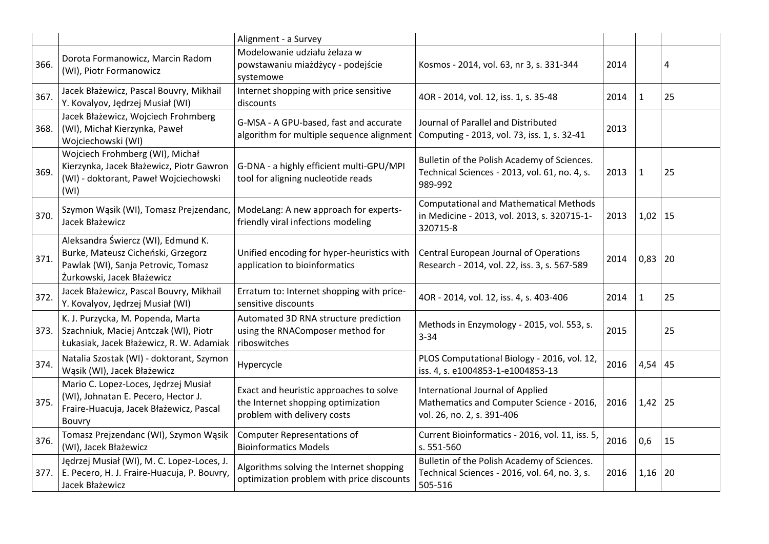|      |                                                                                                                                               | Alignment - a Survey                                                                                                              |                                                                                                            |      |              |    |
|------|-----------------------------------------------------------------------------------------------------------------------------------------------|-----------------------------------------------------------------------------------------------------------------------------------|------------------------------------------------------------------------------------------------------------|------|--------------|----|
| 366. | Dorota Formanowicz, Marcin Radom<br>(WI), Piotr Formanowicz                                                                                   | Modelowanie udziału żelaza w<br>powstawaniu miażdżycy - podejście<br>systemowe                                                    | Kosmos - 2014, vol. 63, nr 3, s. 331-344                                                                   | 2014 |              | 4  |
| 367. | Jacek Błażewicz, Pascal Bouvry, Mikhail<br>Y. Kovalyov, Jędrzej Musiał (WI)                                                                   | Internet shopping with price sensitive<br>discounts                                                                               | 4OR - 2014, vol. 12, iss. 1, s. 35-48                                                                      | 2014 | $\mathbf{1}$ | 25 |
| 368. | Jacek Błażewicz, Wojciech Frohmberg<br>(WI), Michał Kierzynka, Paweł<br>Wojciechowski (WI)                                                    | G-MSA - A GPU-based, fast and accurate<br>algorithm for multiple sequence alignment   Computing - 2013, vol. 73, iss. 1, s. 32-41 | Journal of Parallel and Distributed                                                                        | 2013 |              |    |
| 369. | Wojciech Frohmberg (WI), Michał<br>Kierzynka, Jacek Błażewicz, Piotr Gawron<br>(WI) - doktorant, Paweł Wojciechowski<br>(WI)                  | G-DNA - a highly efficient multi-GPU/MPI<br>tool for aligning nucleotide reads                                                    | Bulletin of the Polish Academy of Sciences.<br>Technical Sciences - 2013, vol. 61, no. 4, s.<br>989-992    | 2013 | $\mathbf{1}$ | 25 |
| 370. | Szymon Wąsik (WI), Tomasz Prejzendanc,<br>Jacek Błażewicz                                                                                     | ModeLang: A new approach for experts-<br>friendly viral infections modeling                                                       | <b>Computational and Mathematical Methods</b><br>in Medicine - 2013, vol. 2013, s. 320715-1-<br>320715-8   | 2013 | $1,02$ 15    |    |
| 371. | Aleksandra Świercz (WI), Edmund K.<br>Burke, Mateusz Cicheński, Grzegorz<br>Pawlak (WI), Sanja Petrovic, Tomasz<br>Żurkowski, Jacek Błażewicz | Unified encoding for hyper-heuristics with<br>application to bioinformatics                                                       | Central European Journal of Operations<br>Research - 2014, vol. 22, iss. 3, s. 567-589                     | 2014 | $0,83$   20  |    |
| 372. | Jacek Błażewicz, Pascal Bouvry, Mikhail<br>Y. Kovalyov, Jędrzej Musiał (WI)                                                                   | Erratum to: Internet shopping with price-<br>sensitive discounts                                                                  | 4OR - 2014, vol. 12, iss. 4, s. 403-406                                                                    | 2014 | $\mathbf{1}$ | 25 |
| 373. | K. J. Purzycka, M. Popenda, Marta<br>Szachniuk, Maciej Antczak (WI), Piotr<br>Łukasiak, Jacek Błażewicz, R. W. Adamiak                        | Automated 3D RNA structure prediction<br>using the RNAComposer method for<br>riboswitches                                         | Methods in Enzymology - 2015, vol. 553, s.<br>$3 - 34$                                                     | 2015 |              | 25 |
| 374. | Natalia Szostak (WI) - doktorant, Szymon<br>Wąsik (WI), Jacek Błażewicz                                                                       | Hypercycle                                                                                                                        | PLOS Computational Biology - 2016, vol. 12,<br>iss. 4, s. e1004853-1-e1004853-13                           | 2016 | 4,54         | 45 |
| 375. | Mario C. Lopez-Loces, Jędrzej Musiał<br>(WI), Johnatan E. Pecero, Hector J.<br>Fraire-Huacuja, Jacek Błażewicz, Pascal<br>Bouvry              | Exact and heuristic approaches to solve<br>the Internet shopping optimization<br>problem with delivery costs                      | International Journal of Applied<br>Mathematics and Computer Science - 2016,<br>vol. 26, no. 2, s. 391-406 | 2016 | 1,42         | 25 |
| 376. | Tomasz Prejzendanc (WI), Szymon Wąsik<br>(WI), Jacek Błażewicz                                                                                | <b>Computer Representations of</b><br><b>Bioinformatics Models</b>                                                                | Current Bioinformatics - 2016, vol. 11, iss. 5,<br>s. 551-560                                              | 2016 | 0,6          | 15 |
| 377. | Jędrzej Musiał (WI), M. C. Lopez-Loces, J.<br>E. Pecero, H. J. Fraire-Huacuja, P. Bouvry,<br>Jacek Błażewicz                                  | Algorithms solving the Internet shopping<br>optimization problem with price discounts                                             | Bulletin of the Polish Academy of Sciences.<br>Technical Sciences - 2016, vol. 64, no. 3, s.<br>505-516    | 2016 | 1,16         | 20 |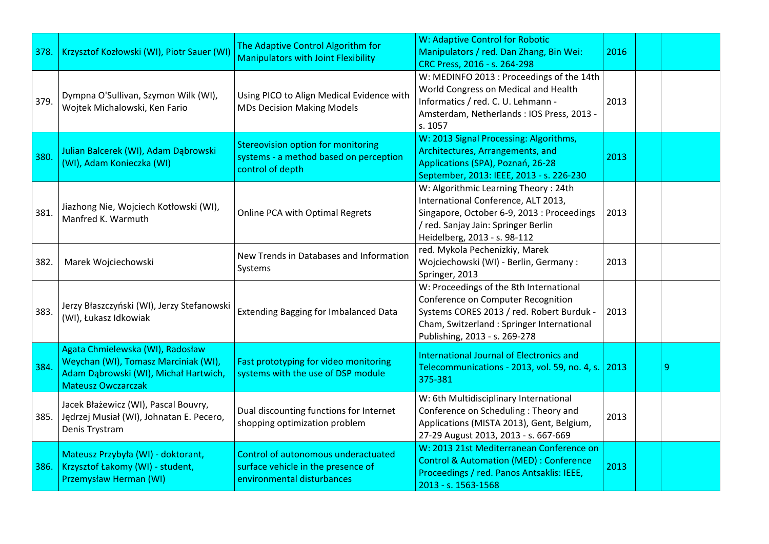| 378. | Krzysztof Kozłowski (WI), Piotr Sauer (WI)                                                                                                     | The Adaptive Control Algorithm for<br><b>Manipulators with Joint Flexibility</b>                        | W: Adaptive Control for Robotic<br>Manipulators / red. Dan Zhang, Bin Wei:<br>CRC Press, 2016 - s. 264-298                                                                                                | 2016 |   |
|------|------------------------------------------------------------------------------------------------------------------------------------------------|---------------------------------------------------------------------------------------------------------|-----------------------------------------------------------------------------------------------------------------------------------------------------------------------------------------------------------|------|---|
| 379. | Dympna O'Sullivan, Szymon Wilk (WI),<br>Wojtek Michalowski, Ken Fario                                                                          | Using PICO to Align Medical Evidence with<br><b>MDs Decision Making Models</b>                          | W: MEDINFO 2013 : Proceedings of the 14th<br>World Congress on Medical and Health<br>Informatics / red. C. U. Lehmann -<br>Amsterdam, Netherlands: IOS Press, 2013 -<br>s. 1057                           | 2013 |   |
| 380. | Julian Balcerek (WI), Adam Dąbrowski<br>(WI), Adam Konieczka (WI)                                                                              | <b>Stereovision option for monitoring</b><br>systems - a method based on perception<br>control of depth | W: 2013 Signal Processing: Algorithms,<br>Architectures, Arrangements, and<br>Applications (SPA), Poznań, 26-28<br>September, 2013: IEEE, 2013 - s. 226-230                                               | 2013 |   |
| 381. | Jiazhong Nie, Wojciech Kotłowski (WI),<br>Manfred K. Warmuth                                                                                   | Online PCA with Optimal Regrets                                                                         | W: Algorithmic Learning Theory: 24th<br>International Conference, ALT 2013,<br>Singapore, October 6-9, 2013 : Proceedings<br>/ red. Sanjay Jain: Springer Berlin<br>Heidelberg, 2013 - s. 98-112          | 2013 |   |
| 382. | Marek Wojciechowski                                                                                                                            | New Trends in Databases and Information<br>Systems                                                      | red. Mykola Pechenizkiy, Marek<br>Wojciechowski (WI) - Berlin, Germany:<br>Springer, 2013                                                                                                                 | 2013 |   |
| 383. | Jerzy Błaszczyński (WI), Jerzy Stefanowski<br>(WI), Łukasz Idkowiak                                                                            | <b>Extending Bagging for Imbalanced Data</b>                                                            | W: Proceedings of the 8th International<br>Conference on Computer Recognition<br>Systems CORES 2013 / red. Robert Burduk -<br>Cham, Switzerland : Springer International<br>Publishing, 2013 - s. 269-278 | 2013 |   |
| 384. | Agata Chmielewska (WI), Radosław<br>Weychan (WI), Tomasz Marciniak (WI),<br>Adam Dąbrowski (WI), Michał Hartwich,<br><b>Mateusz Owczarczak</b> | Fast prototyping for video monitoring<br>systems with the use of DSP module                             | International Journal of Electronics and<br>Telecommunications - 2013, vol. 59, no. 4, s. 2013<br>375-381                                                                                                 |      | 9 |
|      | Jacek Błażewicz (WI), Pascal Bouvry,<br>385. Jędrzej Musiał (WI), Johnatan E. Pecero,<br>Denis Trystram                                        | Dual discounting functions for Internet<br>shopping optimization problem                                | W: 6th Multidisciplinary International<br>Conference on Scheduling: Theory and<br>Applications (MISTA 2013), Gent, Belgium,<br>27-29 August 2013, 2013 - s. 667-669                                       | 2013 |   |
| 386. | Mateusz Przybyła (WI) - doktorant,<br>Krzysztof Łakomy (WI) - student,<br>Przemysław Herman (WI)                                               | Control of autonomous underactuated<br>surface vehicle in the presence of<br>environmental disturbances | W: 2013 21st Mediterranean Conference on<br><b>Control &amp; Automation (MED): Conference</b><br>Proceedings / red. Panos Antsaklis: IEEE,<br>2013 - s. 1563-1568                                         | 2013 |   |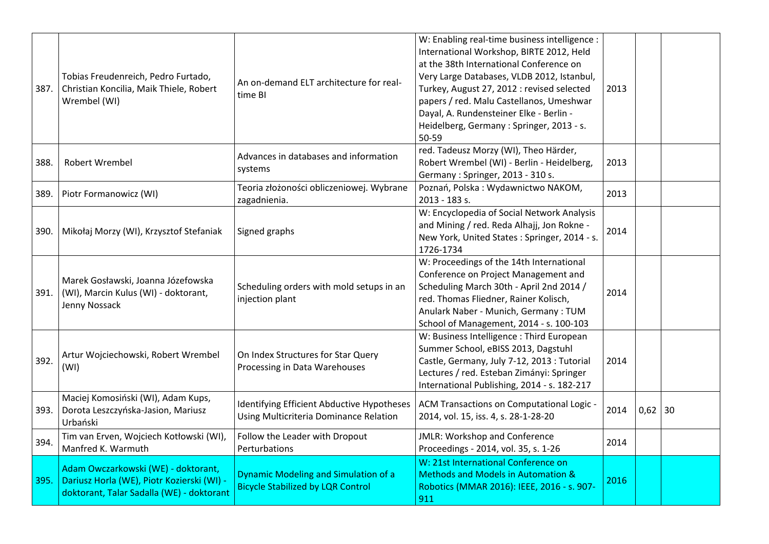| 387. | Tobias Freudenreich, Pedro Furtado,<br>Christian Koncilia, Maik Thiele, Robert<br>Wrembel (WI)                                 | An on-demand ELT architecture for real-<br>time BI                                      | W: Enabling real-time business intelligence :<br>International Workshop, BIRTE 2012, Held<br>at the 38th International Conference on<br>Very Large Databases, VLDB 2012, Istanbul,<br>Turkey, August 27, 2012 : revised selected<br>papers / red. Malu Castellanos, Umeshwar<br>Dayal, A. Rundensteiner Elke - Berlin -<br>Heidelberg, Germany: Springer, 2013 - s.<br>50-59 | 2013 |           |  |
|------|--------------------------------------------------------------------------------------------------------------------------------|-----------------------------------------------------------------------------------------|------------------------------------------------------------------------------------------------------------------------------------------------------------------------------------------------------------------------------------------------------------------------------------------------------------------------------------------------------------------------------|------|-----------|--|
| 388. | <b>Robert Wrembel</b>                                                                                                          | Advances in databases and information<br>systems                                        | red. Tadeusz Morzy (WI), Theo Härder,<br>Robert Wrembel (WI) - Berlin - Heidelberg,<br>Germany: Springer, 2013 - 310 s.                                                                                                                                                                                                                                                      | 2013 |           |  |
| 389. | Piotr Formanowicz (WI)                                                                                                         | Teoria złożoności obliczeniowej. Wybrane<br>zagadnienia.                                | Poznań, Polska: Wydawnictwo NAKOM,<br>2013 - 183 s.                                                                                                                                                                                                                                                                                                                          | 2013 |           |  |
| 390. | Mikołaj Morzy (WI), Krzysztof Stefaniak                                                                                        | Signed graphs                                                                           | W: Encyclopedia of Social Network Analysis<br>and Mining / red. Reda Alhajj, Jon Rokne -<br>New York, United States: Springer, 2014 - s.<br>1726-1734                                                                                                                                                                                                                        | 2014 |           |  |
| 391. | Marek Gosławski, Joanna Józefowska<br>(WI), Marcin Kulus (WI) - doktorant,<br>Jenny Nossack                                    | Scheduling orders with mold setups in an<br>injection plant                             | W: Proceedings of the 14th International<br>Conference on Project Management and<br>Scheduling March 30th - April 2nd 2014 /<br>red. Thomas Fliedner, Rainer Kolisch,<br>Anulark Naber - Munich, Germany: TUM<br>School of Management, 2014 - s. 100-103                                                                                                                     | 2014 |           |  |
| 392. | Artur Wojciechowski, Robert Wrembel<br>(WI)                                                                                    | On Index Structures for Star Query<br>Processing in Data Warehouses                     | W: Business Intelligence : Third European<br>Summer School, eBISS 2013, Dagstuhl<br>Castle, Germany, July 7-12, 2013 : Tutorial<br>Lectures / red. Esteban Zimányi: Springer<br>International Publishing, 2014 - s. 182-217                                                                                                                                                  | 2014 |           |  |
| 393. | Maciej Komosiński (WI), Adam Kups,<br>Dorota Leszczyńska-Jasion, Mariusz<br>Urbański                                           | Identifying Efficient Abductive Hypotheses<br>Using Multicriteria Dominance Relation    | ACM Transactions on Computational Logic -<br>2014, vol. 15, iss. 4, s. 28-1-28-20                                                                                                                                                                                                                                                                                            | 2014 | $0,62$ 30 |  |
| 394. | Tim van Erven, Wojciech Kotłowski (WI),<br>Manfred K. Warmuth                                                                  | Follow the Leader with Dropout<br>Perturbations                                         | <b>JMLR: Workshop and Conference</b><br>Proceedings - 2014, vol. 35, s. 1-26                                                                                                                                                                                                                                                                                                 | 2014 |           |  |
| 395. | Adam Owczarkowski (WE) - doktorant,<br>Dariusz Horla (WE), Piotr Kozierski (WI) -<br>doktorant, Talar Sadalla (WE) - doktorant | <b>Dynamic Modeling and Simulation of a</b><br><b>Bicycle Stabilized by LQR Control</b> | W: 21st International Conference on<br><b>Methods and Models in Automation &amp;</b><br>Robotics (MMAR 2016): IEEE, 2016 - s. 907-<br>911                                                                                                                                                                                                                                    | 2016 |           |  |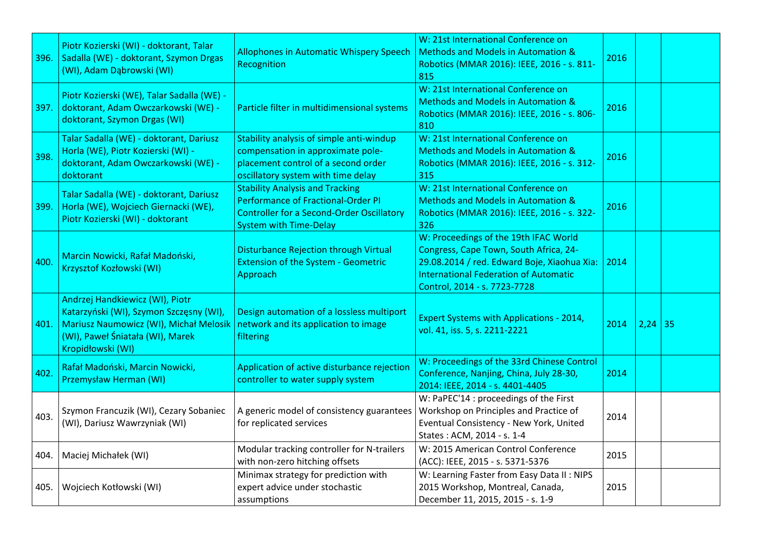| 396. | Piotr Kozierski (WI) - doktorant, Talar<br>Sadalla (WE) - doktorant, Szymon Drgas<br>(WI), Adam Dąbrowski (WI)                                                                | <b>Allophones in Automatic Whispery Speech</b><br>Recognition                                                                                                            | W: 21st International Conference on<br><b>Methods and Models in Automation &amp;</b><br>Robotics (MMAR 2016): IEEE, 2016 - s. 811-<br>815                                                                      | 2016 |           |  |
|------|-------------------------------------------------------------------------------------------------------------------------------------------------------------------------------|--------------------------------------------------------------------------------------------------------------------------------------------------------------------------|----------------------------------------------------------------------------------------------------------------------------------------------------------------------------------------------------------------|------|-----------|--|
| 397. | Piotr Kozierski (WE), Talar Sadalla (WE) -<br>doktorant, Adam Owczarkowski (WE) -<br>doktorant, Szymon Drgas (WI)                                                             | Particle filter in multidimensional systems                                                                                                                              | W: 21st International Conference on<br><b>Methods and Models in Automation &amp;</b><br>Robotics (MMAR 2016): IEEE, 2016 - s. 806-<br>810                                                                      | 2016 |           |  |
| 398. | Talar Sadalla (WE) - doktorant, Dariusz<br>Horla (WE), Piotr Kozierski (WI) -<br>doktorant, Adam Owczarkowski (WE) -<br>doktorant                                             | Stability analysis of simple anti-windup<br>compensation in approximate pole-<br>placement control of a second order<br>oscillatory system with time delay               | W: 21st International Conference on<br><b>Methods and Models in Automation &amp;</b><br>Robotics (MMAR 2016): IEEE, 2016 - s. 312-<br>315                                                                      | 2016 |           |  |
| 399. | Talar Sadalla (WE) - doktorant, Dariusz<br>Horla (WE), Wojciech Giernacki (WE),<br>Piotr Kozierski (WI) - doktorant                                                           | <b>Stability Analysis and Tracking</b><br><b>Performance of Fractional-Order PI</b><br><b>Controller for a Second-Order Oscillatory</b><br><b>System with Time-Delay</b> | W: 21st International Conference on<br><b>Methods and Models in Automation &amp;</b><br>Robotics (MMAR 2016): IEEE, 2016 - s. 322-<br>326                                                                      | 2016 |           |  |
| 400. | Marcin Nowicki, Rafał Madoński,<br>Krzysztof Kozłowski (WI)                                                                                                                   | <b>Disturbance Rejection through Virtual</b><br><b>Extension of the System - Geometric</b><br>Approach                                                                   | W: Proceedings of the 19th IFAC World<br>Congress, Cape Town, South Africa, 24-<br>29.08.2014 / red. Edward Boje, Xiaohua Xia:<br><b>International Federation of Automatic</b><br>Control, 2014 - s. 7723-7728 | 2014 |           |  |
| 401. | Andrzej Handkiewicz (WI), Piotr<br>Katarzyński (WI), Szymon Szczęsny (WI),<br>Mariusz Naumowicz (WI), Michał Melosik<br>(WI), Paweł Śniatała (WI), Marek<br>Kropidłowski (WI) | Design automation of a lossless multiport<br>network and its application to image<br>filtering                                                                           | <b>Expert Systems with Applications - 2014,</b><br>vol. 41, iss. 5, s. 2211-2221                                                                                                                               | 2014 | $2,24$ 35 |  |
| 402. | Rafał Madoński, Marcin Nowicki,<br>Przemysław Herman (WI)                                                                                                                     | Application of active disturbance rejection<br>controller to water supply system                                                                                         | W: Proceedings of the 33rd Chinese Control<br>Conference, Nanjing, China, July 28-30,<br>2014: IEEE, 2014 - s. 4401-4405                                                                                       | 2014 |           |  |
| 403. | Szymon Francuzik (WI), Cezary Sobaniec<br>(WI), Dariusz Wawrzyniak (WI)                                                                                                       | A generic model of consistency guarantees<br>for replicated services                                                                                                     | W: PaPEC'14 : proceedings of the First<br>Workshop on Principles and Practice of<br>Eventual Consistency - New York, United<br>States: ACM, 2014 - s. 1-4                                                      | 2014 |           |  |
| 404. | Maciej Michałek (WI)                                                                                                                                                          | Modular tracking controller for N-trailers<br>with non-zero hitching offsets                                                                                             | W: 2015 American Control Conference<br>(ACC): IEEE, 2015 - s. 5371-5376                                                                                                                                        | 2015 |           |  |
| 405. | Wojciech Kotłowski (WI)                                                                                                                                                       | Minimax strategy for prediction with<br>expert advice under stochastic<br>assumptions                                                                                    | W: Learning Faster from Easy Data II: NIPS<br>2015 Workshop, Montreal, Canada,<br>December 11, 2015, 2015 - s. 1-9                                                                                             | 2015 |           |  |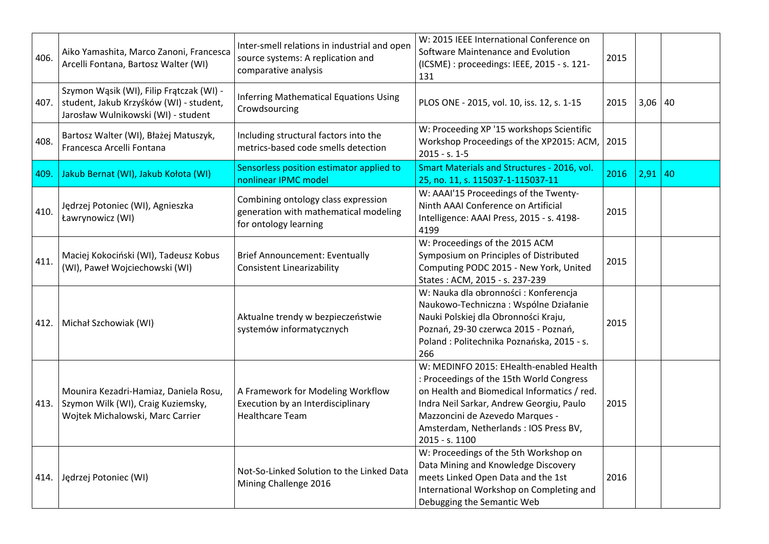| 406. | Aiko Yamashita, Marco Zanoni, Francesca<br>Arcelli Fontana, Bartosz Walter (WI)                                            | Inter-smell relations in industrial and open<br>source systems: A replication and<br>comparative analysis | W: 2015 IEEE International Conference on<br>Software Maintenance and Evolution<br>(ICSME) : proceedings: IEEE, 2015 - s. 121-<br>131                                                                                                                                          | 2015 |           |    |
|------|----------------------------------------------------------------------------------------------------------------------------|-----------------------------------------------------------------------------------------------------------|-------------------------------------------------------------------------------------------------------------------------------------------------------------------------------------------------------------------------------------------------------------------------------|------|-----------|----|
| 407. | Szymon Wąsik (WI), Filip Frątczak (WI) -<br>student, Jakub Krzyśków (WI) - student,<br>Jarosław Wulnikowski (WI) - student | <b>Inferring Mathematical Equations Using</b><br>Crowdsourcing                                            | PLOS ONE - 2015, vol. 10, iss. 12, s. 1-15                                                                                                                                                                                                                                    | 2015 | $3,06$ 40 |    |
| 408. | Bartosz Walter (WI), Błażej Matuszyk,<br>Francesca Arcelli Fontana                                                         | Including structural factors into the<br>metrics-based code smells detection                              | W: Proceeding XP '15 workshops Scientific<br>Workshop Proceedings of the XP2015: ACM,<br>$2015 - s. 1 - 5$                                                                                                                                                                    | 2015 |           |    |
| 409. | Jakub Bernat (WI), Jakub Kołota (WI)                                                                                       | Sensorless position estimator applied to<br>nonlinear IPMC model                                          | Smart Materials and Structures - 2016, vol.<br>25, no. 11, s. 115037-1-115037-11                                                                                                                                                                                              | 2016 | 2,91      | 40 |
| 410. | Jędrzej Potoniec (WI), Agnieszka<br>Ławrynowicz (WI)                                                                       | Combining ontology class expression<br>generation with mathematical modeling<br>for ontology learning     | W: AAAI'15 Proceedings of the Twenty-<br>Ninth AAAI Conference on Artificial<br>Intelligence: AAAI Press, 2015 - s. 4198-<br>4199                                                                                                                                             | 2015 |           |    |
| 411. | Maciej Kokociński (WI), Tadeusz Kobus<br>(WI), Paweł Wojciechowski (WI)                                                    | <b>Brief Announcement: Eventually</b><br><b>Consistent Linearizability</b>                                | W: Proceedings of the 2015 ACM<br>Symposium on Principles of Distributed<br>Computing PODC 2015 - New York, United<br>States: ACM, 2015 - s. 237-239                                                                                                                          | 2015 |           |    |
| 412. | Michał Szchowiak (WI)                                                                                                      | Aktualne trendy w bezpieczeństwie<br>systemów informatycznych                                             | W: Nauka dla obronności : Konferencja<br>Naukowo-Techniczna: Wspólne Działanie<br>Nauki Polskiej dla Obronności Kraju,<br>Poznań, 29-30 czerwca 2015 - Poznań,<br>Poland: Politechnika Poznańska, 2015 - s.<br>266                                                            | 2015 |           |    |
| 413. | Mounira Kezadri-Hamiaz, Daniela Rosu,<br>Szymon Wilk (WI), Craig Kuziemsky,<br>Wojtek Michalowski, Marc Carrier            | A Framework for Modeling Workflow<br>Execution by an Interdisciplinary<br><b>Healthcare Team</b>          | W: MEDINFO 2015: EHealth-enabled Health<br>: Proceedings of the 15th World Congress<br>on Health and Biomedical Informatics / red.<br>Indra Neil Sarkar, Andrew Georgiu, Paulo<br>Mazzoncini de Azevedo Marques -<br>Amsterdam, Netherlands : IOS Press BV,<br>2015 - s. 1100 | 2015 |           |    |
|      | 414. Jędrzej Potoniec (WI)                                                                                                 | Not-So-Linked Solution to the Linked Data<br>Mining Challenge 2016                                        | W: Proceedings of the 5th Workshop on<br>Data Mining and Knowledge Discovery<br>meets Linked Open Data and the 1st<br>International Workshop on Completing and<br>Debugging the Semantic Web                                                                                  | 2016 |           |    |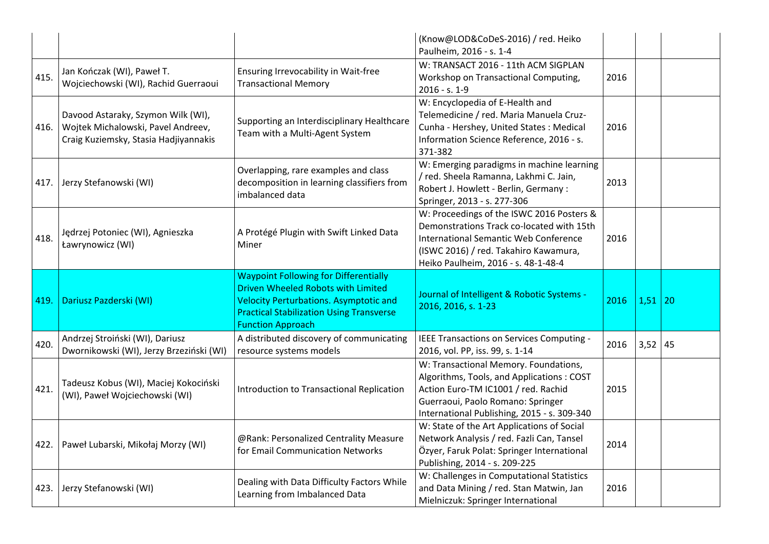|      |                                                                                                                   |                                                                                                                                                                           | (Know@LOD&CoDeS-2016) / red. Heiko<br>Paulheim, 2016 - s. 1-4                                                                                                                                                   |      |      |    |
|------|-------------------------------------------------------------------------------------------------------------------|---------------------------------------------------------------------------------------------------------------------------------------------------------------------------|-----------------------------------------------------------------------------------------------------------------------------------------------------------------------------------------------------------------|------|------|----|
| 415. | Jan Kończak (WI), Paweł T.<br>Wojciechowski (WI), Rachid Guerraoui                                                | Ensuring Irrevocability in Wait-free<br><b>Transactional Memory</b>                                                                                                       | W: TRANSACT 2016 - 11th ACM SIGPLAN<br>Workshop on Transactional Computing,<br>2016 - s. 1-9                                                                                                                    | 2016 |      |    |
| 416. | Davood Astaraky, Szymon Wilk (WI),<br>Wojtek Michalowski, Pavel Andreev,<br>Craig Kuziemsky, Stasia Hadjiyannakis | Supporting an Interdisciplinary Healthcare<br>Team with a Multi-Agent System                                                                                              | W: Encyclopedia of E-Health and<br>Telemedicine / red. Maria Manuela Cruz-<br>Cunha - Hershey, United States: Medical<br>Information Science Reference, 2016 - s.<br>371-382                                    | 2016 |      |    |
| 417. | Jerzy Stefanowski (WI)                                                                                            | Overlapping, rare examples and class<br>decomposition in learning classifiers from<br>imbalanced data                                                                     | W: Emerging paradigms in machine learning<br>/ red. Sheela Ramanna, Lakhmi C. Jain,<br>Robert J. Howlett - Berlin, Germany :<br>Springer, 2013 - s. 277-306                                                     | 2013 |      |    |
| 418. | Jędrzej Potoniec (WI), Agnieszka<br>Ławrynowicz (WI)                                                              | A Protégé Plugin with Swift Linked Data<br>Miner                                                                                                                          | W: Proceedings of the ISWC 2016 Posters &<br>Demonstrations Track co-located with 15th<br>International Semantic Web Conference<br>(ISWC 2016) / red. Takahiro Kawamura,<br>Heiko Paulheim, 2016 - s. 48-1-48-4 | 2016 |      |    |
|      |                                                                                                                   | <b>Waypoint Following for Differentially</b>                                                                                                                              |                                                                                                                                                                                                                 |      |      |    |
| 419. | Dariusz Pazderski (WI)                                                                                            | <b>Driven Wheeled Robots with Limited</b><br><b>Velocity Perturbations. Asymptotic and</b><br><b>Practical Stabilization Using Transverse</b><br><b>Function Approach</b> | Journal of Intelligent & Robotic Systems -<br>2016, 2016, s. 1-23                                                                                                                                               | 2016 | 1,51 | 20 |
| 420. | Andrzej Stroiński (WI), Dariusz<br>Dwornikowski (WI), Jerzy Brzeziński (WI)                                       | A distributed discovery of communicating<br>resource systems models                                                                                                       | IEEE Transactions on Services Computing -<br>2016, vol. PP, iss. 99, s. 1-14                                                                                                                                    | 2016 | 3,52 | 45 |
| 421. | Tadeusz Kobus (WI), Maciej Kokociński<br>(WI), Paweł Wojciechowski (WI)                                           | <b>Introduction to Transactional Replication</b>                                                                                                                          | W: Transactional Memory. Foundations,<br>Algorithms, Tools, and Applications: COST<br>Action Euro-TM IC1001 / red. Rachid<br>Guerraoui, Paolo Romano: Springer<br>International Publishing, 2015 - s. 309-340   | 2015 |      |    |
| 422. | Paweł Lubarski, Mikołaj Morzy (WI)                                                                                | @Rank: Personalized Centrality Measure<br>for Email Communication Networks                                                                                                | W: State of the Art Applications of Social<br>Network Analysis / red. Fazli Can, Tansel<br>Özyer, Faruk Polat: Springer International<br>Publishing, 2014 - s. 209-225                                          | 2014 |      |    |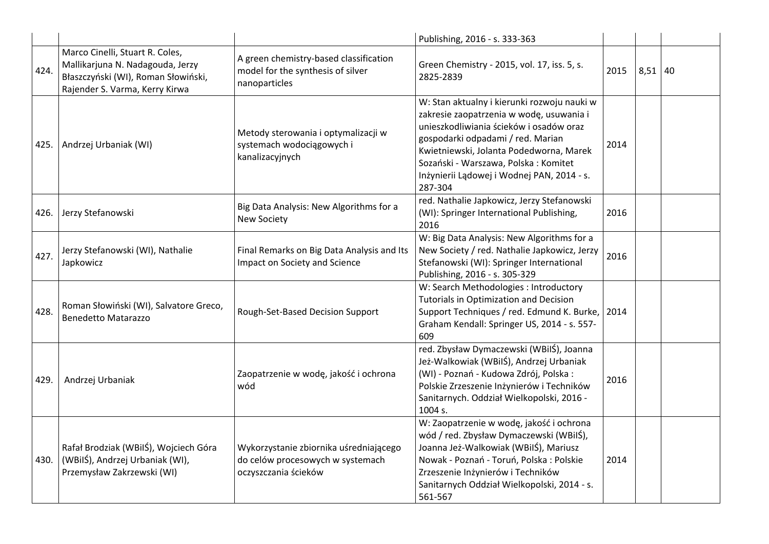|        |                                                                                                                                              |                                                                                                    | Publishing, 2016 - s. 333-363                                                                                                                                                                                                                                                                                       |      |           |  |
|--------|----------------------------------------------------------------------------------------------------------------------------------------------|----------------------------------------------------------------------------------------------------|---------------------------------------------------------------------------------------------------------------------------------------------------------------------------------------------------------------------------------------------------------------------------------------------------------------------|------|-----------|--|
| 424.   | Marco Cinelli, Stuart R. Coles,<br>Mallikarjuna N. Nadagouda, Jerzy<br>Błaszczyński (WI), Roman Słowiński,<br>Rajender S. Varma, Kerry Kirwa | A green chemistry-based classification<br>model for the synthesis of silver<br>nanoparticles       | Green Chemistry - 2015, vol. 17, iss. 5, s.<br>2825-2839                                                                                                                                                                                                                                                            | 2015 | $8,51$ 40 |  |
| 425. I | Andrzej Urbaniak (WI)                                                                                                                        | Metody sterowania i optymalizacji w<br>systemach wodociągowych i<br>kanalizacyjnych                | W: Stan aktualny i kierunki rozwoju nauki w<br>zakresie zaopatrzenia w wodę, usuwania i<br>unieszkodliwiania ścieków i osadów oraz<br>gospodarki odpadami / red. Marian<br>Kwietniewski, Jolanta Podedworna, Marek<br>Sozański - Warszawa, Polska: Komitet<br>Inżynierii Lądowej i Wodnej PAN, 2014 - s.<br>287-304 | 2014 |           |  |
| 426.   | Jerzy Stefanowski                                                                                                                            | Big Data Analysis: New Algorithms for a<br><b>New Society</b>                                      | red. Nathalie Japkowicz, Jerzy Stefanowski<br>(WI): Springer International Publishing,<br>2016                                                                                                                                                                                                                      | 2016 |           |  |
| 427.   | Jerzy Stefanowski (WI), Nathalie<br>Japkowicz                                                                                                | Final Remarks on Big Data Analysis and Its<br>Impact on Society and Science                        | W: Big Data Analysis: New Algorithms for a<br>New Society / red. Nathalie Japkowicz, Jerzy<br>Stefanowski (WI): Springer International<br>Publishing, 2016 - s. 305-329                                                                                                                                             | 2016 |           |  |
| 428.   | Roman Słowiński (WI), Salvatore Greco,<br><b>Benedetto Matarazzo</b>                                                                         | Rough-Set-Based Decision Support                                                                   | W: Search Methodologies : Introductory<br><b>Tutorials in Optimization and Decision</b><br>Support Techniques / red. Edmund K. Burke,<br>Graham Kendall: Springer US, 2014 - s. 557-<br>609                                                                                                                         | 2014 |           |  |
| 429.   | Andrzej Urbaniak                                                                                                                             | Zaopatrzenie w wodę, jakość i ochrona<br>wód                                                       | red. Zbysław Dymaczewski (WBilŚ), Joanna<br>Jeż-Walkowiak (WBilŚ), Andrzej Urbaniak<br>(WI) - Poznań - Kudowa Zdrój, Polska:<br>Polskie Zrzeszenie Inżynierów i Techników<br>Sanitarnych. Oddział Wielkopolski, 2016 -<br>1004 s.                                                                                   | 2016 |           |  |
| 430.   | Rafał Brodziak (WBilŚ), Wojciech Góra<br>(WBilŚ), Andrzej Urbaniak (WI),<br>Przemysław Zakrzewski (WI)                                       | Wykorzystanie zbiornika uśredniającego<br>do celów procesowych w systemach<br>oczyszczania ścieków | W: Zaopatrzenie w wodę, jakość i ochrona<br>wód / red. Zbysław Dymaczewski (WBiIŚ),<br>Joanna Jeż-Walkowiak (WBilŚ), Mariusz<br>Nowak - Poznań - Toruń, Polska : Polskie<br>Zrzeszenie Inżynierów i Techników<br>Sanitarnych Oddział Wielkopolski, 2014 - s.<br>561-567                                             | 2014 |           |  |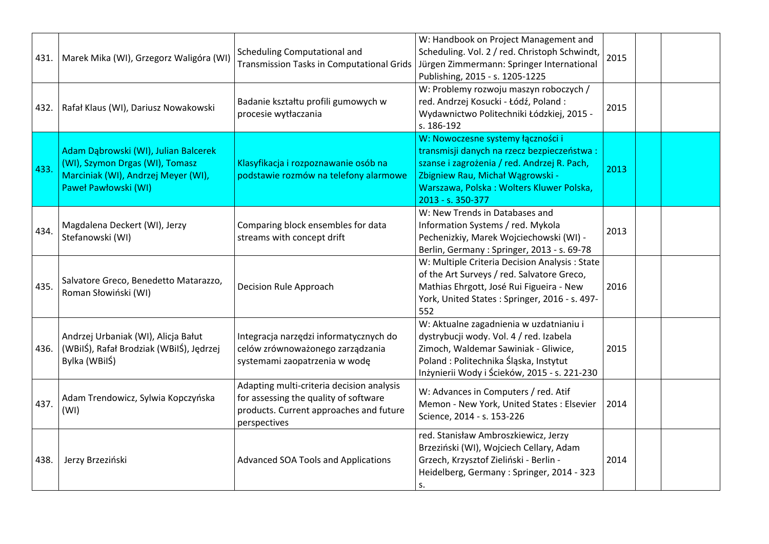| 431. | Marek Mika (WI), Grzegorz Waligóra (WI)                                                                                                | Scheduling Computational and<br><b>Transmission Tasks in Computational Grids</b>                                                              | W: Handbook on Project Management and<br>Scheduling. Vol. 2 / red. Christoph Schwindt,<br>Jürgen Zimmermann: Springer International<br>Publishing, 2015 - s. 1205-1225                                                              | 2015 |  |
|------|----------------------------------------------------------------------------------------------------------------------------------------|-----------------------------------------------------------------------------------------------------------------------------------------------|-------------------------------------------------------------------------------------------------------------------------------------------------------------------------------------------------------------------------------------|------|--|
| 432. | Rafał Klaus (WI), Dariusz Nowakowski                                                                                                   | Badanie kształtu profili gumowych w<br>procesie wytłaczania                                                                                   | W: Problemy rozwoju maszyn roboczych /<br>red. Andrzej Kosucki - Łódź, Poland:<br>Wydawnictwo Politechniki Łódzkiej, 2015 -<br>s. 186-192                                                                                           | 2015 |  |
| 433. | Adam Dąbrowski (WI), Julian Balcerek<br>(WI), Szymon Drgas (WI), Tomasz<br>Marciniak (WI), Andrzej Meyer (WI),<br>Paweł Pawłowski (WI) | Klasyfikacja i rozpoznawanie osób na<br>podstawie rozmów na telefony alarmowe                                                                 | W: Nowoczesne systemy łączności i<br>transmisji danych na rzecz bezpieczeństwa:<br>szanse i zagrożenia / red. Andrzej R. Pach,<br>Zbigniew Rau, Michał Wągrowski -<br>Warszawa, Polska: Wolters Kluwer Polska,<br>2013 - s. 350-377 | 2013 |  |
| 434. | Magdalena Deckert (WI), Jerzy<br>Stefanowski (WI)                                                                                      | Comparing block ensembles for data<br>streams with concept drift                                                                              | W: New Trends in Databases and<br>Information Systems / red. Mykola<br>Pechenizkiy, Marek Wojciechowski (WI) -<br>Berlin, Germany: Springer, 2013 - s. 69-78                                                                        | 2013 |  |
| 435. | Salvatore Greco, Benedetto Matarazzo,<br>Roman Słowiński (WI)                                                                          | Decision Rule Approach                                                                                                                        | W: Multiple Criteria Decision Analysis: State<br>of the Art Surveys / red. Salvatore Greco,<br>Mathias Ehrgott, José Rui Figueira - New<br>York, United States: Springer, 2016 - s. 497-<br>552                                     | 2016 |  |
| 436. | Andrzej Urbaniak (WI), Alicja Bałut<br>(WBilŚ), Rafał Brodziak (WBilŚ), Jędrzej<br>Bylka (WBilŚ)                                       | Integracja narzędzi informatycznych do<br>celów zrównoważonego zarządzania<br>systemami zaopatrzenia w wodę                                   | W: Aktualne zagadnienia w uzdatnianiu i<br>dystrybucji wody. Vol. 4 / red. Izabela<br>Zimoch, Waldemar Sawiniak - Gliwice,<br>Poland: Politechnika Śląska, Instytut<br>Inżynierii Wody i Ścieków, 2015 - s. 221-230                 | 2015 |  |
| 437. | Adam Trendowicz, Sylwia Kopczyńska<br>(WI)                                                                                             | Adapting multi-criteria decision analysis<br>for assessing the quality of software<br>products. Current approaches and future<br>perspectives | W: Advances in Computers / red. Atif<br>Memon - New York, United States : Elsevier<br>Science, 2014 - s. 153-226                                                                                                                    | 2014 |  |
| 438. | Jerzy Brzeziński                                                                                                                       | Advanced SOA Tools and Applications                                                                                                           | red. Stanisław Ambroszkiewicz, Jerzy<br>Brzeziński (WI), Wojciech Cellary, Adam<br>Grzech, Krzysztof Zieliński - Berlin -<br>Heidelberg, Germany: Springer, 2014 - 323<br>s.                                                        | 2014 |  |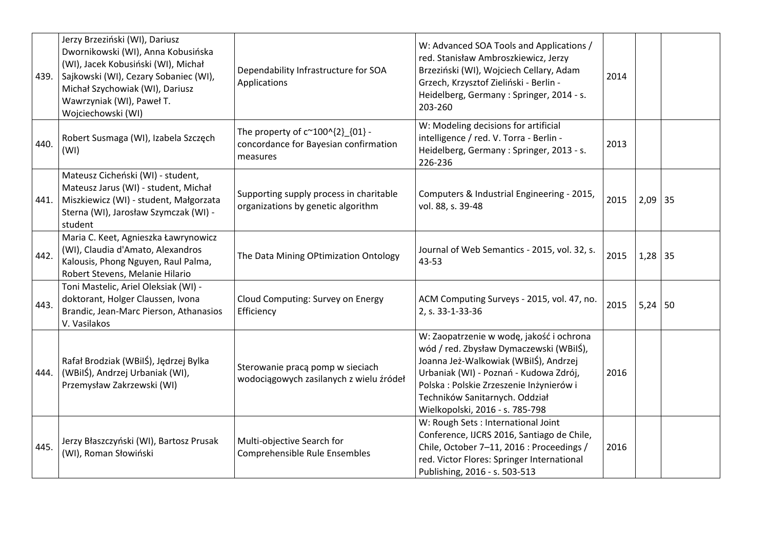|      | Jerzy Brzeziński (WI), Dariusz<br>Dwornikowski (WI), Anna Kobusińska<br>(WI), Jacek Kobusiński (WI), Michał<br>439. Sajkowski (WI), Cezary Sobaniec (WI),<br>Michał Szychowiak (WI), Dariusz<br>Wawrzyniak (WI), Paweł T.<br>Wojciechowski (WI) | Dependability Infrastructure for SOA<br>Applications                                                 | W: Advanced SOA Tools and Applications /<br>red. Stanisław Ambroszkiewicz, Jerzy<br>Brzeziński (WI), Wojciech Cellary, Adam<br>Grzech, Krzysztof Zieliński - Berlin -<br>Heidelberg, Germany: Springer, 2014 - s.<br>203-260                                                            | 2014 |           |  |
|------|-------------------------------------------------------------------------------------------------------------------------------------------------------------------------------------------------------------------------------------------------|------------------------------------------------------------------------------------------------------|-----------------------------------------------------------------------------------------------------------------------------------------------------------------------------------------------------------------------------------------------------------------------------------------|------|-----------|--|
| 440. | Robert Susmaga (WI), Izabela Szczęch<br>(WI)                                                                                                                                                                                                    | The property of $c^{\sim}100^{\circ}{2}$ {01} -<br>concordance for Bayesian confirmation<br>measures | W: Modeling decisions for artificial<br>intelligence / red. V. Torra - Berlin -<br>Heidelberg, Germany: Springer, 2013 - s.<br>226-236                                                                                                                                                  | 2013 |           |  |
| 441. | Mateusz Cicheński (WI) - student,<br>Mateusz Jarus (WI) - student, Michał<br>Miszkiewicz (WI) - student, Małgorzata<br>Sterna (WI), Jarosław Szymczak (WI) -<br>student                                                                         | Supporting supply process in charitable<br>organizations by genetic algorithm                        | Computers & Industrial Engineering - 2015,<br>vol. 88, s. 39-48                                                                                                                                                                                                                         | 2015 | $2,09$ 35 |  |
| 442. | Maria C. Keet, Agnieszka Ławrynowicz<br>(WI), Claudia d'Amato, Alexandros<br>Kalousis, Phong Nguyen, Raul Palma,<br>Robert Stevens, Melanie Hilario                                                                                             | The Data Mining OPtimization Ontology                                                                | Journal of Web Semantics - 2015, vol. 32, s.<br>43-53                                                                                                                                                                                                                                   | 2015 | $1,28$ 35 |  |
| 443. | Toni Mastelic, Ariel Oleksiak (WI) -<br>doktorant, Holger Claussen, Ivona<br>Brandic, Jean-Marc Pierson, Athanasios<br>V. Vasilakos                                                                                                             | Cloud Computing: Survey on Energy<br>Efficiency                                                      | ACM Computing Surveys - 2015, vol. 47, no.<br>2, s. 33-1-33-36                                                                                                                                                                                                                          | 2015 | $5,24$ 50 |  |
| 444. | Rafał Brodziak (WBilŚ), Jędrzej Bylka<br>(WBilŚ), Andrzej Urbaniak (WI),<br>Przemysław Zakrzewski (WI)                                                                                                                                          | Sterowanie pracą pomp w sieciach<br>wodociągowych zasilanych z wielu źródeł                          | W: Zaopatrzenie w wodę, jakość i ochrona<br>wód / red. Zbysław Dymaczewski (WBilŚ),<br>Joanna Jeż-Walkowiak (WBiIŚ), Andrzej<br>Urbaniak (WI) - Poznań - Kudowa Zdrój,<br>Polska : Polskie Zrzeszenie Inżynierów i<br>Techników Sanitarnych. Oddział<br>Wielkopolski, 2016 - s. 785-798 | 2016 |           |  |
| 445. | Jerzy Błaszczyński (WI), Bartosz Prusak<br>(WI), Roman Słowiński                                                                                                                                                                                | Multi-objective Search for<br>Comprehensible Rule Ensembles                                          | W: Rough Sets : International Joint<br>Conference, IJCRS 2016, Santiago de Chile,<br>Chile, October 7-11, 2016 : Proceedings /<br>red. Victor Flores: Springer International<br>Publishing, 2016 - s. 503-513                                                                           | 2016 |           |  |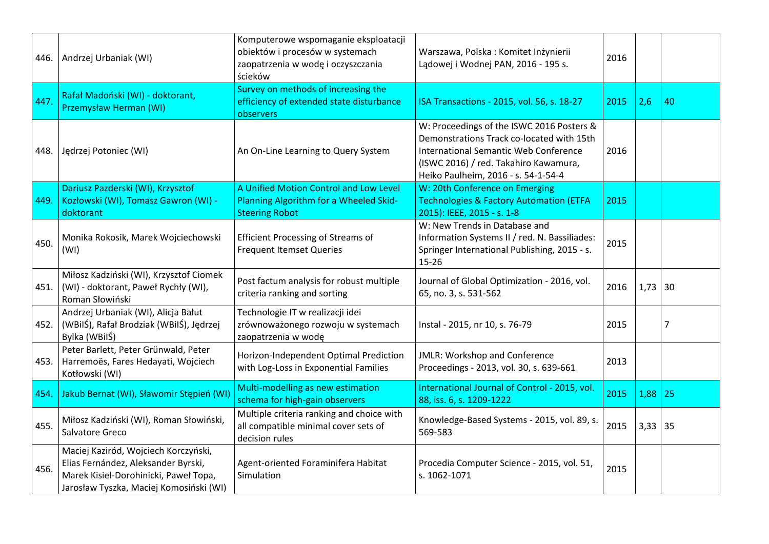| 446. I | Andrzej Urbaniak (WI)                                                                                                                                           | Komputerowe wspomaganie eksploatacji<br>obiektów i procesów w systemach<br>zaopatrzenia w wodę i oczyszczania<br>ścieków | Warszawa, Polska: Komitet Inżynierii<br>Lądowej i Wodnej PAN, 2016 - 195 s.                                                                                                                                            | 2016 |      |    |
|--------|-----------------------------------------------------------------------------------------------------------------------------------------------------------------|--------------------------------------------------------------------------------------------------------------------------|------------------------------------------------------------------------------------------------------------------------------------------------------------------------------------------------------------------------|------|------|----|
| 447.   | Rafał Madoński (WI) - doktorant,<br>Przemysław Herman (WI)                                                                                                      | Survey on methods of increasing the<br>efficiency of extended state disturbance<br>observers                             | ISA Transactions - 2015, vol. 56, s. 18-27                                                                                                                                                                             | 2015 | 2,6  | 40 |
|        | 448. Jędrzej Potoniec (WI)                                                                                                                                      | An On-Line Learning to Query System                                                                                      | W: Proceedings of the ISWC 2016 Posters &<br>Demonstrations Track co-located with 15th<br><b>International Semantic Web Conference</b><br>(ISWC 2016) / red. Takahiro Kawamura,<br>Heiko Paulheim, 2016 - s. 54-1-54-4 | 2016 |      |    |
| 449.   | Dariusz Pazderski (WI), Krzysztof<br>Kozłowski (WI), Tomasz Gawron (WI) -<br>doktorant                                                                          | A Unified Motion Control and Low Level<br>Planning Algorithm for a Wheeled Skid-<br><b>Steering Robot</b>                | W: 20th Conference on Emerging<br><b>Technologies &amp; Factory Automation (ETFA</b><br>2015): IEEE, 2015 - s. 1-8                                                                                                     | 2015 |      |    |
| 450.   | Monika Rokosik, Marek Wojciechowski<br>(WI)                                                                                                                     | <b>Efficient Processing of Streams of</b><br><b>Frequent Itemset Queries</b>                                             | W: New Trends in Database and<br>Information Systems II / red. N. Bassiliades:<br>Springer International Publishing, 2015 - s.<br>$15 - 26$                                                                            | 2015 |      |    |
| 451.   | Miłosz Kadziński (WI), Krzysztof Ciomek<br>(WI) - doktorant, Paweł Rychły (WI),<br>Roman Słowiński                                                              | Post factum analysis for robust multiple<br>criteria ranking and sorting                                                 | Journal of Global Optimization - 2016, vol.<br>65, no. 3, s. 531-562                                                                                                                                                   | 2016 | 1,73 | 30 |
| 452.   | Andrzej Urbaniak (WI), Alicja Bałut<br>(WBilŚ), Rafał Brodziak (WBilŚ), Jędrzej<br>Bylka (WBilŚ)                                                                | Technologie IT w realizacji idei<br>zrównoważonego rozwoju w systemach<br>zaopatrzenia w wodę                            | Instal - 2015, nr 10, s. 76-79                                                                                                                                                                                         | 2015 |      | 7  |
| 453.   | Peter Barlett, Peter Grünwald, Peter<br>Harremoës, Fares Hedayati, Wojciech<br>Kotłowski (WI)                                                                   | Horizon-Independent Optimal Prediction<br>with Log-Loss in Exponential Families                                          | JMLR: Workshop and Conference<br>Proceedings - 2013, vol. 30, s. 639-661                                                                                                                                               | 2013 |      |    |
| 454.   | Jakub Bernat (WI), Sławomir Stępień (WI)                                                                                                                        | Multi-modelling as new estimation<br>schema for high-gain observers                                                      | International Journal of Control - 2015, vol.<br>88, iss. 6, s. 1209-1222                                                                                                                                              | 2015 | 1,88 | 25 |
| 455.   | Miłosz Kadziński (WI), Roman Słowiński,<br>Salvatore Greco                                                                                                      | Multiple criteria ranking and choice with<br>all compatible minimal cover sets of<br>decision rules                      | Knowledge-Based Systems - 2015, vol. 89, s.<br>569-583                                                                                                                                                                 | 2015 | 3,33 | 35 |
| 456.   | Maciej Kaziród, Wojciech Korczyński,<br>Elias Fernández, Aleksander Byrski,<br>Marek Kisiel-Dorohinicki, Paweł Topa,<br>Jarosław Tyszka, Maciej Komosiński (WI) | Agent-oriented Foraminifera Habitat<br>Simulation                                                                        | Procedia Computer Science - 2015, vol. 51,<br>s. 1062-1071                                                                                                                                                             | 2015 |      |    |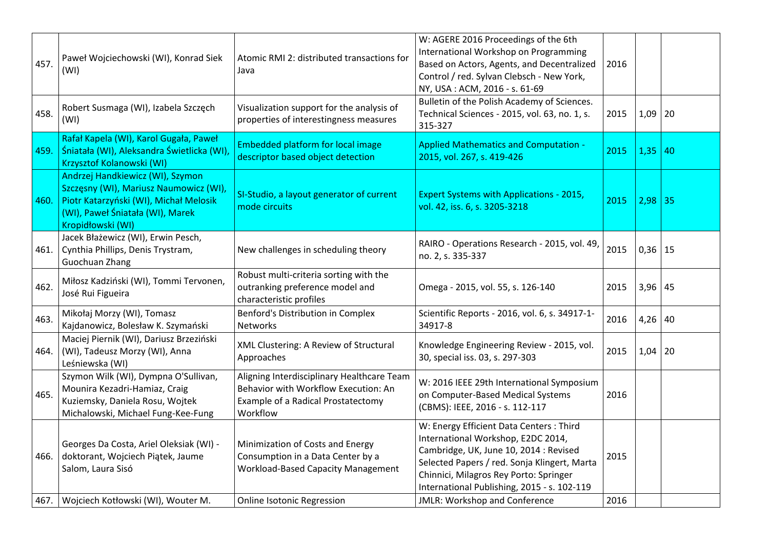| 457.         | Paweł Wojciechowski (WI), Konrad Siek<br>(WI)                                                                                                                                 | Atomic RMI 2: distributed transactions for<br>Java                                                                                               | W: AGERE 2016 Proceedings of the 6th<br>International Workshop on Programming<br>Based on Actors, Agents, and Decentralized<br>Control / red. Sylvan Clebsch - New York,<br>NY, USA: ACM, 2016 - s. 61-69                                                                                                 | 2016         |             |    |
|--------------|-------------------------------------------------------------------------------------------------------------------------------------------------------------------------------|--------------------------------------------------------------------------------------------------------------------------------------------------|-----------------------------------------------------------------------------------------------------------------------------------------------------------------------------------------------------------------------------------------------------------------------------------------------------------|--------------|-------------|----|
| 458.         | Robert Susmaga (WI), Izabela Szczęch<br>(WI)                                                                                                                                  | Visualization support for the analysis of<br>properties of interestingness measures                                                              | Bulletin of the Polish Academy of Sciences.<br>Technical Sciences - 2015, vol. 63, no. 1, s.<br>315-327                                                                                                                                                                                                   | 2015         | 1,09        | 20 |
| 459.         | Rafał Kapela (WI), Karol Gugała, Paweł<br>Śniatała (WI), Aleksandra Świetlicka (WI),<br>Krzysztof Kolanowski (WI)                                                             | <b>Embedded platform for local image</b><br>descriptor based object detection                                                                    | <b>Applied Mathematics and Computation -</b><br>2015, vol. 267, s. 419-426                                                                                                                                                                                                                                | 2015         | 1,35        | 40 |
| 460.         | Andrzej Handkiewicz (WI), Szymon<br>Szczęsny (WI), Mariusz Naumowicz (WI),<br>Piotr Katarzyński (WI), Michał Melosik<br>(WI), Paweł Śniatała (WI), Marek<br>Kropidłowski (WI) | SI-Studio, a layout generator of current<br>mode circuits                                                                                        | <b>Expert Systems with Applications - 2015,</b><br>vol. 42, iss. 6, s. 3205-3218                                                                                                                                                                                                                          | 2015         | 2,98        | 35 |
| 461.         | Jacek Błażewicz (WI), Erwin Pesch,<br>Cynthia Phillips, Denis Trystram,<br>Guochuan Zhang                                                                                     | New challenges in scheduling theory                                                                                                              | RAIRO - Operations Research - 2015, vol. 49,<br>no. 2, s. 335-337                                                                                                                                                                                                                                         | 2015         | $0,36$   15 |    |
| 462.         | Miłosz Kadziński (WI), Tommi Tervonen,<br>José Rui Figueira                                                                                                                   | Robust multi-criteria sorting with the<br>outranking preference model and<br>characteristic profiles                                             | Omega - 2015, vol. 55, s. 126-140                                                                                                                                                                                                                                                                         | 2015         | $3,96$ 45   |    |
| 463.         | Mikołaj Morzy (WI), Tomasz<br>Kajdanowicz, Bolesław K. Szymański                                                                                                              | Benford's Distribution in Complex<br><b>Networks</b>                                                                                             | Scientific Reports - 2016, vol. 6, s. 34917-1-<br>34917-8                                                                                                                                                                                                                                                 | 2016         | $4,26$ 40   |    |
| 464.         | Maciej Piernik (WI), Dariusz Brzeziński<br>(WI), Tadeusz Morzy (WI), Anna<br>Leśniewska (WI)                                                                                  | XML Clustering: A Review of Structural<br>Approaches                                                                                             | Knowledge Engineering Review - 2015, vol.<br>30, special iss. 03, s. 297-303                                                                                                                                                                                                                              | 2015         | 1,04        | 20 |
| 465.         | Szymon Wilk (WI), Dympna O'Sullivan,<br>Mounira Kezadri-Hamiaz, Craig<br>Kuziemsky, Daniela Rosu, Wojtek<br>Michalowski, Michael Fung-Kee-Fung                                | Aligning Interdisciplinary Healthcare Team<br>Behavior with Workflow Execution: An<br>Example of a Radical Prostatectomy<br>Workflow             | W: 2016 IEEE 29th International Symposium<br>on Computer-Based Medical Systems<br>(CBMS): IEEE, 2016 - s. 112-117                                                                                                                                                                                         | 2016         |             |    |
| 466.<br>467. | Georges Da Costa, Ariel Oleksiak (WI) -<br>doktorant, Wojciech Piątek, Jaume<br>Salom, Laura Sisó<br>Wojciech Kotłowski (WI), Wouter M.                                       | Minimization of Costs and Energy<br>Consumption in a Data Center by a<br><b>Workload-Based Capacity Management</b><br>Online Isotonic Regression | W: Energy Efficient Data Centers : Third<br>International Workshop, E2DC 2014,<br>Cambridge, UK, June 10, 2014 : Revised<br>Selected Papers / red. Sonja Klingert, Marta<br>Chinnici, Milagros Rey Porto: Springer<br>International Publishing, 2015 - s. 102-119<br><b>JMLR: Workshop and Conference</b> | 2015<br>2016 |             |    |
|              |                                                                                                                                                                               |                                                                                                                                                  |                                                                                                                                                                                                                                                                                                           |              |             |    |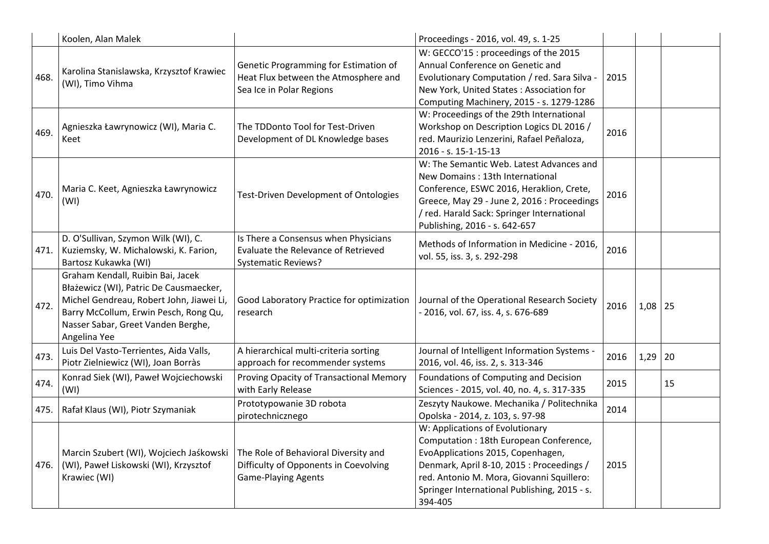|      | Koolen, Alan Malek                                                                                                                                                                                                     |                                                                                                             | Proceedings - 2016, vol. 49, s. 1-25                                                                                                                                                                                                                                |      |           |    |
|------|------------------------------------------------------------------------------------------------------------------------------------------------------------------------------------------------------------------------|-------------------------------------------------------------------------------------------------------------|---------------------------------------------------------------------------------------------------------------------------------------------------------------------------------------------------------------------------------------------------------------------|------|-----------|----|
| 468. | Karolina Stanislawska, Krzysztof Krawiec<br>(WI), Timo Vihma                                                                                                                                                           | Genetic Programming for Estimation of<br>Heat Flux between the Atmosphere and<br>Sea Ice in Polar Regions   | W: GECCO'15 : proceedings of the 2015<br>Annual Conference on Genetic and<br>Evolutionary Computation / red. Sara Silva -<br>New York, United States: Association for<br>Computing Machinery, 2015 - s. 1279-1286                                                   | 2015 |           |    |
| 469. | Agnieszka Ławrynowicz (WI), Maria C.<br>Keet                                                                                                                                                                           | The TDDonto Tool for Test-Driven<br>Development of DL Knowledge bases                                       | W: Proceedings of the 29th International<br>Workshop on Description Logics DL 2016 /<br>red. Maurizio Lenzerini, Rafael Peñaloza,<br>2016 - s. 15-1-15-13                                                                                                           | 2016 |           |    |
| 470. | Maria C. Keet, Agnieszka Ławrynowicz<br>(WI)                                                                                                                                                                           | <b>Test-Driven Development of Ontologies</b>                                                                | W: The Semantic Web. Latest Advances and<br>New Domains: 13th International<br>Conference, ESWC 2016, Heraklion, Crete,<br>Greece, May 29 - June 2, 2016 : Proceedings<br>/ red. Harald Sack: Springer International<br>Publishing, 2016 - s. 642-657               | 2016 |           |    |
| 471. | D. O'Sullivan, Szymon Wilk (WI), C.<br>Kuziemsky, W. Michalowski, K. Farion,<br>Bartosz Kukawka (WI)                                                                                                                   | Is There a Consensus when Physicians<br>Evaluate the Relevance of Retrieved<br><b>Systematic Reviews?</b>   | Methods of Information in Medicine - 2016,<br>vol. 55, iss. 3, s. 292-298                                                                                                                                                                                           | 2016 |           |    |
| 472. | Graham Kendall, Ruibin Bai, Jacek<br>Błażewicz (WI), Patric De Causmaecker,<br>Michel Gendreau, Robert John, Jiawei Li,<br>Barry McCollum, Erwin Pesch, Rong Qu,<br>Nasser Sabar, Greet Vanden Berghe,<br>Angelina Yee | Good Laboratory Practice for optimization<br>research                                                       | Journal of the Operational Research Society<br>- 2016, vol. 67, iss. 4, s. 676-689                                                                                                                                                                                  | 2016 | $1,08$ 25 |    |
| 473. | Luis Del Vasto-Terrientes, Aida Valls,<br>Piotr Zielniewicz (WI), Joan Borràs                                                                                                                                          | A hierarchical multi-criteria sorting<br>approach for recommender systems                                   | Journal of Intelligent Information Systems -<br>2016, vol. 46, iss. 2, s. 313-346                                                                                                                                                                                   | 2016 | 1,29      | 20 |
| 474. | Konrad Siek (WI), Paweł Wojciechowski<br>(WI)                                                                                                                                                                          | Proving Opacity of Transactional Memory<br>with Early Release                                               | Foundations of Computing and Decision<br>Sciences - 2015, vol. 40, no. 4, s. 317-335                                                                                                                                                                                | 2015 |           | 15 |
| 475. | Rafał Klaus (WI), Piotr Szymaniak                                                                                                                                                                                      | Prototypowanie 3D robota<br>pirotechnicznego                                                                | Zeszyty Naukowe. Mechanika / Politechnika<br>Opolska - 2014, z. 103, s. 97-98                                                                                                                                                                                       | 2014 |           |    |
| 476. | Marcin Szubert (WI), Wojciech Jaśkowski<br>(WI), Paweł Liskowski (WI), Krzysztof<br>Krawiec (WI)                                                                                                                       | The Role of Behavioral Diversity and<br>Difficulty of Opponents in Coevolving<br><b>Game-Playing Agents</b> | W: Applications of Evolutionary<br>Computation: 18th European Conference,<br>EvoApplications 2015, Copenhagen,<br>Denmark, April 8-10, 2015 : Proceedings /<br>red. Antonio M. Mora, Giovanni Squillero:<br>Springer International Publishing, 2015 - s.<br>394-405 | 2015 |           |    |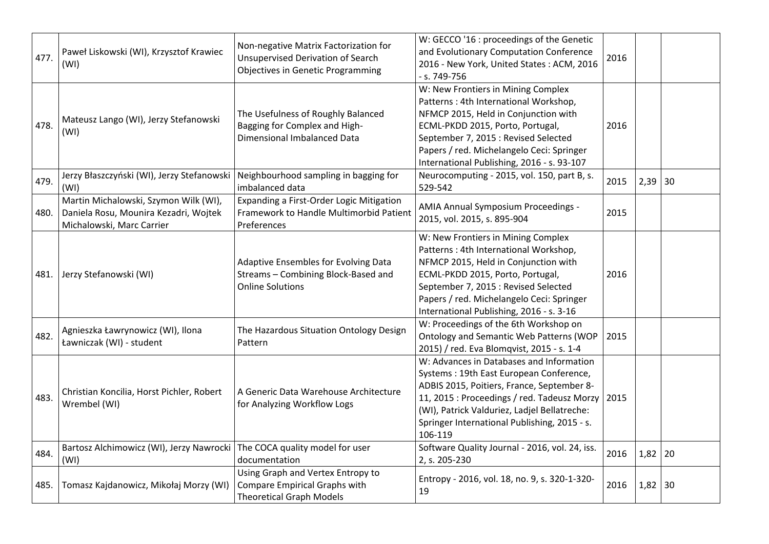| 477. | Paweł Liskowski (WI), Krzysztof Krawiec<br>(WI)                                                             | Non-negative Matrix Factorization for<br><b>Unsupervised Derivation of Search</b><br><b>Objectives in Genetic Programming</b> | W: GECCO '16 : proceedings of the Genetic<br>and Evolutionary Computation Conference<br>2016 - New York, United States: ACM, 2016<br>- s. 749-756                                                                                                                                           | 2016 |           |  |
|------|-------------------------------------------------------------------------------------------------------------|-------------------------------------------------------------------------------------------------------------------------------|---------------------------------------------------------------------------------------------------------------------------------------------------------------------------------------------------------------------------------------------------------------------------------------------|------|-----------|--|
| 478. | Mateusz Lango (WI), Jerzy Stefanowski<br>(WI)                                                               | The Usefulness of Roughly Balanced<br>Bagging for Complex and High-<br>Dimensional Imbalanced Data                            | W: New Frontiers in Mining Complex<br>Patterns: 4th International Workshop,<br>NFMCP 2015, Held in Conjunction with<br>ECML-PKDD 2015, Porto, Portugal,<br>September 7, 2015 : Revised Selected<br>Papers / red. Michelangelo Ceci: Springer<br>International Publishing, 2016 - s. 93-107  | 2016 |           |  |
| 479. | Jerzy Błaszczyński (WI), Jerzy Stefanowski<br>(WI)                                                          | Neighbourhood sampling in bagging for<br>imbalanced data                                                                      | Neurocomputing - 2015, vol. 150, part B, s.<br>529-542                                                                                                                                                                                                                                      | 2015 | $2,39$ 30 |  |
| 480. | Martin Michalowski, Szymon Wilk (WI),<br>Daniela Rosu, Mounira Kezadri, Wojtek<br>Michalowski, Marc Carrier | Expanding a First-Order Logic Mitigation<br>Framework to Handle Multimorbid Patient<br>Preferences                            | AMIA Annual Symposium Proceedings -<br>2015, vol. 2015, s. 895-904                                                                                                                                                                                                                          | 2015 |           |  |
| 481. | Jerzy Stefanowski (WI)                                                                                      | Adaptive Ensembles for Evolving Data<br>Streams - Combining Block-Based and<br><b>Online Solutions</b>                        | W: New Frontiers in Mining Complex<br>Patterns: 4th International Workshop,<br>NFMCP 2015, Held in Conjunction with<br>ECML-PKDD 2015, Porto, Portugal,<br>September 7, 2015 : Revised Selected<br>Papers / red. Michelangelo Ceci: Springer<br>International Publishing, 2016 - s. 3-16    | 2016 |           |  |
| 482. | Agnieszka Ławrynowicz (WI), Ilona<br>Ławniczak (WI) - student                                               | The Hazardous Situation Ontology Design<br>Pattern                                                                            | W: Proceedings of the 6th Workshop on<br>Ontology and Semantic Web Patterns (WOP<br>2015) / red. Eva Blomqvist, 2015 - s. 1-4                                                                                                                                                               | 2015 |           |  |
| 483. | Christian Koncilia, Horst Pichler, Robert<br>Wrembel (WI)                                                   | A Generic Data Warehouse Architecture<br>for Analyzing Workflow Logs                                                          | W: Advances in Databases and Information<br>Systems: 19th East European Conference,<br>ADBIS 2015, Poitiers, France, September 8-<br>11, 2015 : Proceedings / red. Tadeusz Morzy<br>(WI), Patrick Valduriez, Ladjel Bellatreche:<br>Springer International Publishing, 2015 - s.<br>106-119 | 2015 |           |  |
| 484. | Bartosz Alchimowicz (WI), Jerzy Nawrocki<br>(WI)                                                            | The COCA quality model for user<br>documentation                                                                              | Software Quality Journal - 2016, vol. 24, iss.<br>2, s. 205-230                                                                                                                                                                                                                             | 2016 | $1,82$ 20 |  |
| 485. | Tomasz Kajdanowicz, Mikołaj Morzy (WI)                                                                      | Using Graph and Vertex Entropy to<br><b>Compare Empirical Graphs with</b><br><b>Theoretical Graph Models</b>                  | Entropy - 2016, vol. 18, no. 9, s. 320-1-320-<br>19                                                                                                                                                                                                                                         | 2016 | $1,82$ 30 |  |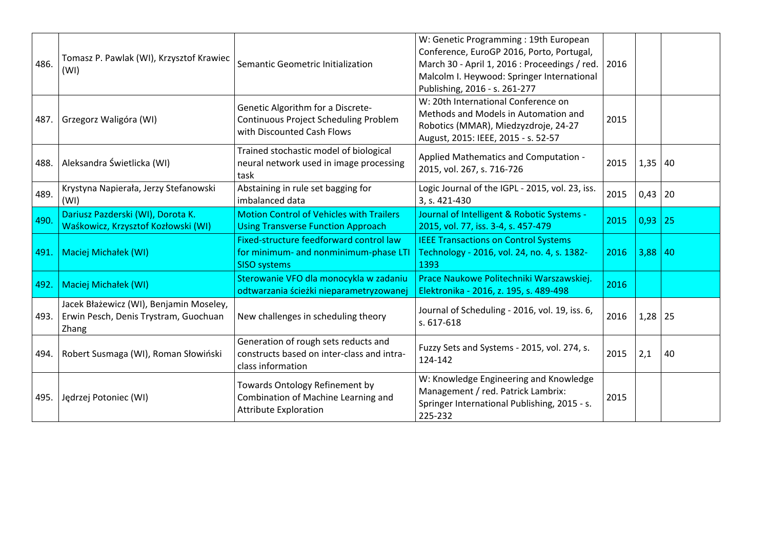| 486. | Tomasz P. Pawlak (WI), Krzysztof Krawiec<br>(WI)                                          | Semantic Geometric Initialization                                                                        | W: Genetic Programming: 19th European<br>Conference, EuroGP 2016, Porto, Portugal,<br>March 30 - April 1, 2016 : Proceedings / red.<br>Malcolm I. Heywood: Springer International<br>Publishing, 2016 - s. 261-277 | 2016 |           |    |
|------|-------------------------------------------------------------------------------------------|----------------------------------------------------------------------------------------------------------|--------------------------------------------------------------------------------------------------------------------------------------------------------------------------------------------------------------------|------|-----------|----|
|      | 487. Grzegorz Waligóra (WI)                                                               | Genetic Algorithm for a Discrete-<br>Continuous Project Scheduling Problem<br>with Discounted Cash Flows | W: 20th International Conference on<br>Methods and Models in Automation and<br>Robotics (MMAR), Miedzyzdroje, 24-27<br>August, 2015: IEEE, 2015 - s. 52-57                                                         | 2015 |           |    |
| 488. | Aleksandra Świetlicka (WI)                                                                | Trained stochastic model of biological<br>neural network used in image processing<br>task                | Applied Mathematics and Computation -<br>2015, vol. 267, s. 716-726                                                                                                                                                | 2015 | $1,35$ 40 |    |
| 489. | Krystyna Napierała, Jerzy Stefanowski<br>(WI)                                             | Abstaining in rule set bagging for<br>imbalanced data                                                    | Logic Journal of the IGPL - 2015, vol. 23, iss.<br>3, s. 421-430                                                                                                                                                   | 2015 | $0,43$ 20 |    |
| 490. | Dariusz Pazderski (WI), Dorota K.<br>Waśkowicz, Krzysztof Kozłowski (WI)                  | <b>Motion Control of Vehicles with Trailers</b><br><b>Using Transverse Function Approach</b>             | Journal of Intelligent & Robotic Systems -<br>2015, vol. 77, iss. 3-4, s. 457-479                                                                                                                                  | 2015 | 0,93      | 25 |
| 491. | Maciej Michałek (WI)                                                                      | Fixed-structure feedforward control law<br>for minimum- and nonminimum-phase LTI<br><b>SISO systems</b>  | <b>IEEE Transactions on Control Systems</b><br>Technology - 2016, vol. 24, no. 4, s. 1382-<br>1393                                                                                                                 | 2016 | 3,88      | 40 |
| 492. | Maciej Michałek (WI)                                                                      | Sterowanie VFO dla monocykla w zadaniu<br>odtwarzania ścieżki nieparametryzowanej                        | Prace Naukowe Politechniki Warszawskiej.<br>Elektronika - 2016, z. 195, s. 489-498                                                                                                                                 | 2016 |           |    |
| 493. | Jacek Błażewicz (WI), Benjamin Moseley,<br>Erwin Pesch, Denis Trystram, Guochuan<br>Zhang | New challenges in scheduling theory                                                                      | Journal of Scheduling - 2016, vol. 19, iss. 6,<br>s. 617-618                                                                                                                                                       | 2016 | $1,28$ 25 |    |
| 494. | Robert Susmaga (WI), Roman Słowiński                                                      | Generation of rough sets reducts and<br>constructs based on inter-class and intra-<br>class information  | Fuzzy Sets and Systems - 2015, vol. 274, s.<br>124-142                                                                                                                                                             | 2015 | 2,1       | 40 |
| 495. | Jędrzej Potoniec (WI)                                                                     | Towards Ontology Refinement by<br>Combination of Machine Learning and<br><b>Attribute Exploration</b>    | W: Knowledge Engineering and Knowledge<br>Management / red. Patrick Lambrix:<br>Springer International Publishing, 2015 - s.<br>225-232                                                                            | 2015 |           |    |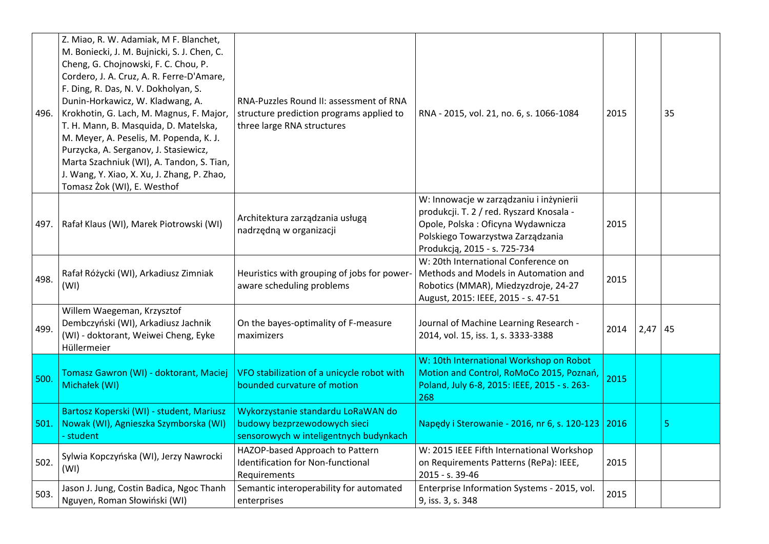| 496. | Z. Miao, R. W. Adamiak, M F. Blanchet,<br>M. Boniecki, J. M. Bujnicki, S. J. Chen, C.<br>Cheng, G. Chojnowski, F. C. Chou, P.<br>Cordero, J. A. Cruz, A. R. Ferre-D'Amare,<br>F. Ding, R. Das, N. V. Dokholyan, S.<br>Dunin-Horkawicz, W. Kladwang, A.<br>Krokhotin, G. Lach, M. Magnus, F. Major,<br>T. H. Mann, B. Masquida, D. Matelska,<br>M. Meyer, A. Peselis, M. Popenda, K. J.<br>Purzycka, A. Serganov, J. Stasiewicz,<br>Marta Szachniuk (WI), A. Tandon, S. Tian,<br>J. Wang, Y. Xiao, X. Xu, J. Zhang, P. Zhao,<br>Tomasz Żok (WI), E. Westhof | RNA-Puzzles Round II: assessment of RNA<br>structure prediction programs applied to<br>three large RNA structures | RNA - 2015, vol. 21, no. 6, s. 1066-1084                                                                                                                                                      | 2015 |      | 35 |
|------|------------------------------------------------------------------------------------------------------------------------------------------------------------------------------------------------------------------------------------------------------------------------------------------------------------------------------------------------------------------------------------------------------------------------------------------------------------------------------------------------------------------------------------------------------------|-------------------------------------------------------------------------------------------------------------------|-----------------------------------------------------------------------------------------------------------------------------------------------------------------------------------------------|------|------|----|
| 497. | Rafał Klaus (WI), Marek Piotrowski (WI)                                                                                                                                                                                                                                                                                                                                                                                                                                                                                                                    | Architektura zarządzania usługą<br>nadrzędną w organizacji                                                        | W: Innowacje w zarządzaniu i inżynierii<br>produkcji. T. 2 / red. Ryszard Knosala -<br>Opole, Polska: Oficyna Wydawnicza<br>Polskiego Towarzystwa Zarządzania<br>Produkcją, 2015 - s. 725-734 | 2015 |      |    |
| 498. | Rafał Różycki (WI), Arkadiusz Zimniak<br>(WI)                                                                                                                                                                                                                                                                                                                                                                                                                                                                                                              | Heuristics with grouping of jobs for power-<br>aware scheduling problems                                          | W: 20th International Conference on<br>Methods and Models in Automation and<br>Robotics (MMAR), Miedzyzdroje, 24-27<br>August, 2015: IEEE, 2015 - s. 47-51                                    | 2015 |      |    |
| 499. | Willem Waegeman, Krzysztof<br>Dembczyński (WI), Arkadiusz Jachnik<br>(WI) - doktorant, Weiwei Cheng, Eyke<br>Hüllermeier                                                                                                                                                                                                                                                                                                                                                                                                                                   | On the bayes-optimality of F-measure<br>maximizers                                                                | Journal of Machine Learning Research -<br>2014, vol. 15, iss. 1, s. 3333-3388                                                                                                                 | 2014 | 2,47 | 45 |
| 500. | Tomasz Gawron (WI) - doktorant, Maciej<br>Michałek (WI)                                                                                                                                                                                                                                                                                                                                                                                                                                                                                                    | VFO stabilization of a unicycle robot with<br>bounded curvature of motion                                         | W: 10th International Workshop on Robot<br>Motion and Control, RoMoCo 2015, Poznań,<br>Poland, July 6-8, 2015: IEEE, 2015 - s. 263-<br>268                                                    | 2015 |      |    |
| 501. | Bartosz Koperski (WI) - student, Mariusz<br>Nowak (WI), Agnieszka Szymborska (WI)<br>- student                                                                                                                                                                                                                                                                                                                                                                                                                                                             | Wykorzystanie standardu LoRaWAN do<br>budowy bezprzewodowych sieci<br>sensorowych w inteligentnych budynkach      | Napędy i Sterowanie - 2016, nr 6, s. 120-123   2016                                                                                                                                           |      |      | 5  |
| 502. | Sylwia Kopczyńska (WI), Jerzy Nawrocki<br>(WI)                                                                                                                                                                                                                                                                                                                                                                                                                                                                                                             | HAZOP-based Approach to Pattern<br><b>Identification for Non-functional</b><br>Requirements                       | W: 2015 IEEE Fifth International Workshop<br>on Requirements Patterns (RePa): IEEE,<br>2015 - s. 39-46                                                                                        | 2015 |      |    |
| 503. | Jason J. Jung, Costin Badica, Ngoc Thanh<br>Nguyen, Roman Słowiński (WI)                                                                                                                                                                                                                                                                                                                                                                                                                                                                                   | Semantic interoperability for automated<br>enterprises                                                            | Enterprise Information Systems - 2015, vol.<br>9, iss. 3, s. 348                                                                                                                              | 2015 |      |    |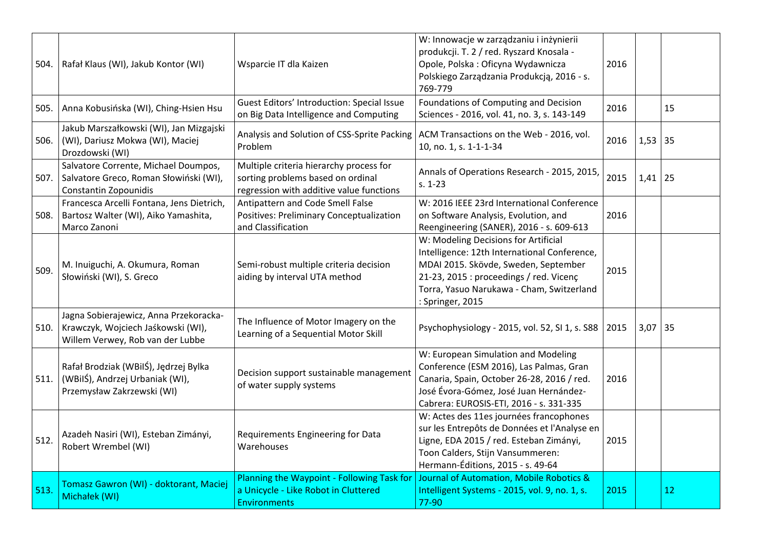| 504. | Rafał Klaus (WI), Jakub Kontor (WI)                                                                              | Wsparcie IT dla Kaizen                                                                                                   | W: Innowacje w zarządzaniu i inżynierii<br>produkcji. T. 2 / red. Ryszard Knosala -<br>Opole, Polska: Oficyna Wydawnicza<br>Polskiego Zarządzania Produkcją, 2016 - s.<br>769-779                                                        | 2016 |           |    |
|------|------------------------------------------------------------------------------------------------------------------|--------------------------------------------------------------------------------------------------------------------------|------------------------------------------------------------------------------------------------------------------------------------------------------------------------------------------------------------------------------------------|------|-----------|----|
| 505. | Anna Kobusińska (WI), Ching-Hsien Hsu                                                                            | Guest Editors' Introduction: Special Issue<br>on Big Data Intelligence and Computing                                     | Foundations of Computing and Decision<br>Sciences - 2016, vol. 41, no. 3, s. 143-149                                                                                                                                                     | 2016 |           | 15 |
| 506. | Jakub Marszałkowski (WI), Jan Mizgajski<br>(WI), Dariusz Mokwa (WI), Maciej<br>Drozdowski (WI)                   | Analysis and Solution of CSS-Sprite Packing<br>Problem                                                                   | ACM Transactions on the Web - 2016, vol.<br>10, no. 1, s. 1-1-1-34                                                                                                                                                                       | 2016 | $1,53$ 35 |    |
|      | Salvatore Corrente, Michael Doumpos,<br>507. Salvatore Greco, Roman Słowiński (WI),<br>Constantin Zopounidis     | Multiple criteria hierarchy process for<br>sorting problems based on ordinal<br>regression with additive value functions | Annals of Operations Research - 2015, 2015,<br>$s. 1 - 23$                                                                                                                                                                               | 2015 | 1,41      | 25 |
| 508. | Francesca Arcelli Fontana, Jens Dietrich,<br>Bartosz Walter (WI), Aiko Yamashita,<br>Marco Zanoni                | Antipattern and Code Smell False<br>Positives: Preliminary Conceptualization<br>and Classification                       | W: 2016 IEEE 23rd International Conference<br>on Software Analysis, Evolution, and<br>Reengineering (SANER), 2016 - s. 609-613                                                                                                           | 2016 |           |    |
| 509. | M. Inuiguchi, A. Okumura, Roman<br>Słowiński (WI), S. Greco                                                      | Semi-robust multiple criteria decision<br>aiding by interval UTA method                                                  | W: Modeling Decisions for Artificial<br>Intelligence: 12th International Conference,<br>MDAI 2015. Skövde, Sweden, September<br>21-23, 2015 : proceedings / red. Vicenç<br>Torra, Yasuo Narukawa - Cham, Switzerland<br>: Springer, 2015 | 2015 |           |    |
| 510. | Jagna Sobierajewicz, Anna Przekoracka-<br>Krawczyk, Wojciech Jaśkowski (WI),<br>Willem Verwey, Rob van der Lubbe | The Influence of Motor Imagery on the<br>Learning of a Sequential Motor Skill                                            | Psychophysiology - 2015, vol. 52, SI 1, s. S88                                                                                                                                                                                           | 2015 | $3,07$ 35 |    |
| 511. | Rafał Brodziak (WBilŚ), Jędrzej Bylka<br>(WBilŚ), Andrzej Urbaniak (WI),<br>Przemysław Zakrzewski (WI)           | Decision support sustainable management<br>of water supply systems                                                       | W: European Simulation and Modeling<br>Conference (ESM 2016), Las Palmas, Gran<br>Canaria, Spain, October 26-28, 2016 / red.<br>José Évora-Gómez, José Juan Hernández-<br>Cabrera: EUROSIS-ETI, 2016 - s. 331-335                        | 2016 |           |    |
| 512. | Azadeh Nasiri (WI), Esteban Zimányi,<br>Robert Wrembel (WI)                                                      | Requirements Engineering for Data<br>Warehouses                                                                          | W: Actes des 11es journées francophones<br>sur les Entrepôts de Données et l'Analyse en<br>Ligne, EDA 2015 / red. Esteban Zimányi,<br>Toon Calders, Stijn Vansummeren:<br>Hermann-Éditions, 2015 - s. 49-64                              | 2015 |           |    |
| 513. | Tomasz Gawron (WI) - doktorant, Maciej<br>Michałek (WI)                                                          | Planning the Waypoint - Following Task for<br>a Unicycle - Like Robot in Cluttered<br><b>Environments</b>                | Journal of Automation, Mobile Robotics &<br>Intelligent Systems - 2015, vol. 9, no. 1, s.<br>77-90                                                                                                                                       | 2015 |           | 12 |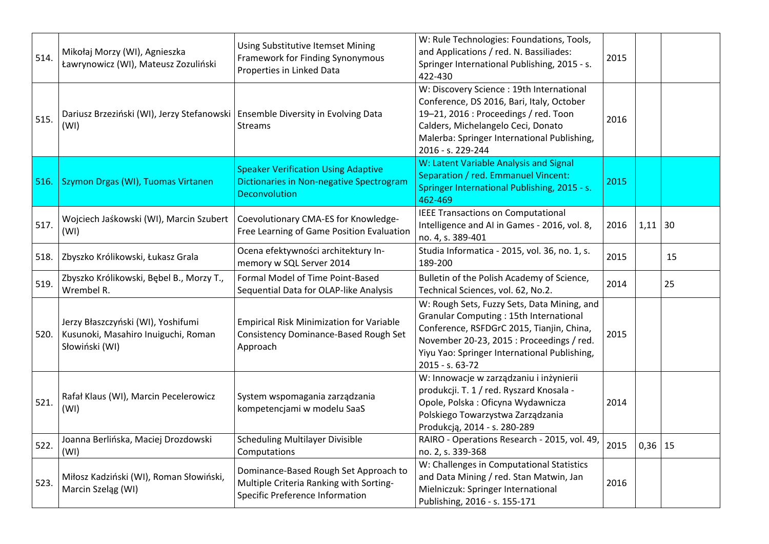| 514. | Mikołaj Morzy (WI), Agnieszka<br>Ławrynowicz (WI), Mateusz Zozuliński                       | Using Substitutive Itemset Mining<br>Framework for Finding Synonymous<br>Properties in Linked Data                    | W: Rule Technologies: Foundations, Tools,<br>and Applications / red. N. Bassiliades:<br>Springer International Publishing, 2015 - s.<br>422-430                                                                                                           | 2015 |           |    |
|------|---------------------------------------------------------------------------------------------|-----------------------------------------------------------------------------------------------------------------------|-----------------------------------------------------------------------------------------------------------------------------------------------------------------------------------------------------------------------------------------------------------|------|-----------|----|
| 515. | Dariusz Brzeziński (WI), Jerzy Stefanowski   Ensemble Diversity in Evolving Data<br>(WI)    | <b>Streams</b>                                                                                                        | W: Discovery Science : 19th International<br>Conference, DS 2016, Bari, Italy, October<br>19-21, 2016 : Proceedings / red. Toon<br>Calders, Michelangelo Ceci, Donato<br>Malerba: Springer International Publishing,<br>2016 - s. 229-244                 | 2016 |           |    |
| 516. | Szymon Drgas (WI), Tuomas Virtanen                                                          | <b>Speaker Verification Using Adaptive</b><br><b>Dictionaries in Non-negative Spectrogram</b><br><b>Deconvolution</b> | W: Latent Variable Analysis and Signal<br>Separation / red. Emmanuel Vincent:<br>Springer International Publishing, 2015 - s.<br>462-469                                                                                                                  | 2015 |           |    |
| 517. | Wojciech Jaśkowski (WI), Marcin Szubert<br>(WI)                                             | Coevolutionary CMA-ES for Knowledge-<br>Free Learning of Game Position Evaluation                                     | <b>IEEE Transactions on Computational</b><br>Intelligence and AI in Games - 2016, vol. 8,<br>no. 4, s. 389-401                                                                                                                                            | 2016 | $1,11$ 30 |    |
| 518. | Zbyszko Królikowski, Łukasz Grala                                                           | Ocena efektywności architektury In-<br>memory w SQL Server 2014                                                       | Studia Informatica - 2015, vol. 36, no. 1, s.<br>189-200                                                                                                                                                                                                  | 2015 |           | 15 |
| 519. | Zbyszko Królikowski, Bębel B., Morzy T.,<br>Wrembel R.                                      | Formal Model of Time Point-Based<br>Sequential Data for OLAP-like Analysis                                            | Bulletin of the Polish Academy of Science,<br>Technical Sciences, vol. 62, No.2.                                                                                                                                                                          | 2014 |           | 25 |
| 520. | Jerzy Błaszczyński (WI), Yoshifumi<br>Kusunoki, Masahiro Inuiguchi, Roman<br>Słowiński (WI) | <b>Empirical Risk Minimization for Variable</b><br>Consistency Dominance-Based Rough Set<br>Approach                  | W: Rough Sets, Fuzzy Sets, Data Mining, and<br><b>Granular Computing: 15th International</b><br>Conference, RSFDGrC 2015, Tianjin, China,<br>November 20-23, 2015 : Proceedings / red.<br>Yiyu Yao: Springer International Publishing,<br>2015 - s. 63-72 | 2015 |           |    |
| 521. | Rafał Klaus (WI), Marcin Pecelerowicz<br>(WI)                                               | System wspomagania zarządzania<br>kompetencjami w modelu SaaS                                                         | W: Innowacje w zarządzaniu i inżynierii<br>produkcji. T. 1 / red. Ryszard Knosala -<br>Opole, Polska: Oficyna Wydawnicza<br>Polskiego Towarzystwa Zarządzania<br>Produkcją, 2014 - s. 280-289                                                             | 2014 |           |    |
| 522. | Joanna Berlińska, Maciej Drozdowski<br>(WI)                                                 | <b>Scheduling Multilayer Divisible</b><br>Computations                                                                | RAIRO - Operations Research - 2015, vol. 49,<br>no. 2, s. 339-368                                                                                                                                                                                         | 2015 | $0,36$ 15 |    |
| 523. | Miłosz Kadziński (WI), Roman Słowiński,<br>Marcin Szeląg (WI)                               | Dominance-Based Rough Set Approach to<br>Multiple Criteria Ranking with Sorting-<br>Specific Preference Information   | W: Challenges in Computational Statistics<br>and Data Mining / red. Stan Matwin, Jan<br>Mielniczuk: Springer International<br>Publishing, 2016 - s. 155-171                                                                                               | 2016 |           |    |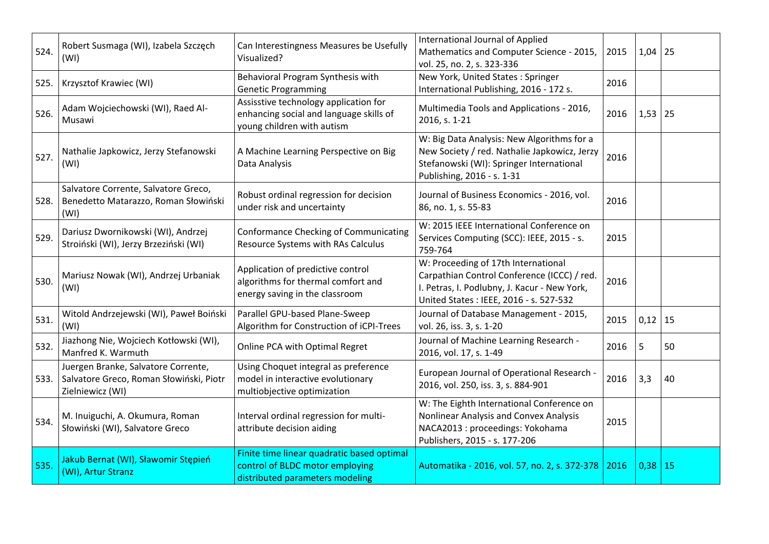| 524. | Robert Susmaga (WI), Izabela Szczęch<br>(WI)                                                       | Can Interestingness Measures be Usefully<br>Visualized?                                                          | International Journal of Applied<br>Mathematics and Computer Science - 2015,<br>vol. 25, no. 2, s. 323-336                                                                   | 2015 | 1,04        | 25 |
|------|----------------------------------------------------------------------------------------------------|------------------------------------------------------------------------------------------------------------------|------------------------------------------------------------------------------------------------------------------------------------------------------------------------------|------|-------------|----|
| 525. | Krzysztof Krawiec (WI)                                                                             | Behavioral Program Synthesis with<br><b>Genetic Programming</b>                                                  | New York, United States: Springer<br>International Publishing, 2016 - 172 s.                                                                                                 | 2016 |             |    |
| 526. | Adam Wojciechowski (WI), Raed Al-<br>Musawi                                                        | Assisstive technology application for<br>enhancing social and language skills of<br>young children with autism   | Multimedia Tools and Applications - 2016,<br>2016, s. 1-21                                                                                                                   | 2016 | 1,53        | 25 |
| 527. | Nathalie Japkowicz, Jerzy Stefanowski<br>(WI)                                                      | A Machine Learning Perspective on Big<br>Data Analysis                                                           | W: Big Data Analysis: New Algorithms for a<br>New Society / red. Nathalie Japkowicz, Jerzy<br>Stefanowski (WI): Springer International<br>Publishing, 2016 - s. 1-31         | 2016 |             |    |
| 528. | Salvatore Corrente, Salvatore Greco,<br>Benedetto Matarazzo, Roman Słowiński<br>(WI)               | Robust ordinal regression for decision<br>under risk and uncertainty                                             | Journal of Business Economics - 2016, vol.<br>86, no. 1, s. 55-83                                                                                                            | 2016 |             |    |
| 529. | Dariusz Dwornikowski (WI), Andrzej<br>Stroiński (WI), Jerzy Brzeziński (WI)                        | <b>Conformance Checking of Communicating</b><br>Resource Systems with RAs Calculus                               | W: 2015 IEEE International Conference on<br>Services Computing (SCC): IEEE, 2015 - s.<br>759-764                                                                             | 2015 |             |    |
| 530. | Mariusz Nowak (WI), Andrzej Urbaniak<br>(WI)                                                       | Application of predictive control<br>algorithms for thermal comfort and<br>energy saving in the classroom        | W: Proceeding of 17th International<br>Carpathian Control Conference (ICCC) / red.<br>I. Petras, I. Podlubny, J. Kacur - New York,<br>United States: IEEE, 2016 - s. 527-532 | 2016 |             |    |
| 531. | Witold Andrzejewski (WI), Paweł Boiński<br>(WI)                                                    | Parallel GPU-based Plane-Sweep<br>Algorithm for Construction of iCPI-Trees                                       | Journal of Database Management - 2015,<br>vol. 26, iss. 3, s. 1-20                                                                                                           | 2015 | 0,12        | 15 |
| 532. | Jiazhong Nie, Wojciech Kotłowski (WI),<br>Manfred K. Warmuth                                       | Online PCA with Optimal Regret                                                                                   | Journal of Machine Learning Research -<br>2016, vol. 17, s. 1-49                                                                                                             | 2016 | 5           | 50 |
| 533. | Juergen Branke, Salvatore Corrente,<br>Salvatore Greco, Roman Słowiński, Piotr<br>Zielniewicz (WI) | Using Choquet integral as preference<br>model in interactive evolutionary<br>multiobjective optimization         | European Journal of Operational Research -<br>2016, vol. 250, iss. 3, s. 884-901                                                                                             | 2016 | 3,3         | 40 |
| 534. | M. Inuiguchi, A. Okumura, Roman<br>Słowiński (WI), Salvatore Greco                                 | Interval ordinal regression for multi-<br>attribute decision aiding                                              | W: The Eighth International Conference on<br>Nonlinear Analysis and Convex Analysis<br>NACA2013 : proceedings: Yokohama<br>Publishers, 2015 - s. 177-206                     | 2015 |             |    |
| 535. | Jakub Bernat (WI), Sławomir Stępień<br>(WI), Artur Stranz                                          | Finite time linear quadratic based optimal<br>control of BLDC motor employing<br>distributed parameters modeling | Automatika - 2016, vol. 57, no. 2, s. 372-378 2016                                                                                                                           |      | $0,38$   15 |    |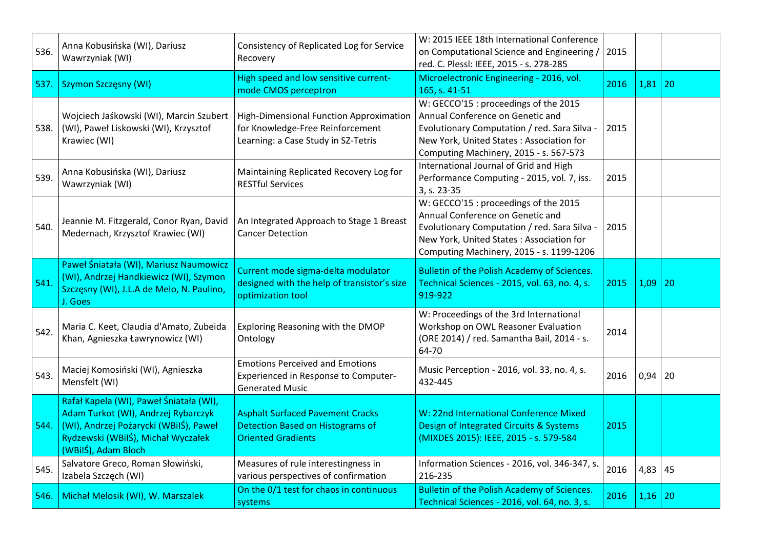| 536. | Anna Kobusińska (WI), Dariusz<br>Wawrzyniak (WI)                                                                                                                                      | Consistency of Replicated Log for Service<br>Recovery                                                              | W: 2015 IEEE 18th International Conference<br>on Computational Science and Engineering /<br>red. C. Plessl: IEEE, 2015 - s. 278-285                                                                               | 2015 |             |    |
|------|---------------------------------------------------------------------------------------------------------------------------------------------------------------------------------------|--------------------------------------------------------------------------------------------------------------------|-------------------------------------------------------------------------------------------------------------------------------------------------------------------------------------------------------------------|------|-------------|----|
|      | 537. Szymon Szczęsny (WI)                                                                                                                                                             | High speed and low sensitive current-<br>mode CMOS perceptron                                                      | Microelectronic Engineering - 2016, vol.<br>165, s. 41-51                                                                                                                                                         | 2016 | 1,81        | 20 |
| 538. | Wojciech Jaśkowski (WI), Marcin Szubert<br>(WI), Paweł Liskowski (WI), Krzysztof<br>Krawiec (WI)                                                                                      | High-Dimensional Function Approximation<br>for Knowledge-Free Reinforcement<br>Learning: a Case Study in SZ-Tetris | W: GECCO'15 : proceedings of the 2015<br>Annual Conference on Genetic and<br>Evolutionary Computation / red. Sara Silva -<br>New York, United States: Association for<br>Computing Machinery, 2015 - s. 567-573   | 2015 |             |    |
| 539. | Anna Kobusińska (WI), Dariusz<br>Wawrzyniak (WI)                                                                                                                                      | Maintaining Replicated Recovery Log for<br><b>RESTful Services</b>                                                 | International Journal of Grid and High<br>Performance Computing - 2015, vol. 7, iss.<br>3, s. 23-35                                                                                                               | 2015 |             |    |
| 540. | Jeannie M. Fitzgerald, Conor Ryan, David<br>Medernach, Krzysztof Krawiec (WI)                                                                                                         | An Integrated Approach to Stage 1 Breast<br><b>Cancer Detection</b>                                                | W: GECCO'15 : proceedings of the 2015<br>Annual Conference on Genetic and<br>Evolutionary Computation / red. Sara Silva -<br>New York, United States: Association for<br>Computing Machinery, 2015 - s. 1199-1206 | 2015 |             |    |
| 541. | Paweł Śniatała (WI), Mariusz Naumowicz<br>(WI), Andrzej Handkiewicz (WI), Szymon<br>Szczęsny (WI), J.L.A de Melo, N. Paulino,<br>J. Goes                                              | Current mode sigma-delta modulator<br>designed with the help of transistor's size<br>optimization tool             | Bulletin of the Polish Academy of Sciences.<br>Technical Sciences - 2015, vol. 63, no. 4, s.<br>919-922                                                                                                           | 2015 | 1,09        | 20 |
| 542. | Maria C. Keet, Claudia d'Amato, Zubeida<br>Khan, Agnieszka Ławrynowicz (WI)                                                                                                           | Exploring Reasoning with the DMOP<br>Ontology                                                                      | W: Proceedings of the 3rd International<br>Workshop on OWL Reasoner Evaluation<br>(ORE 2014) / red. Samantha Bail, 2014 - s.<br>64-70                                                                             | 2014 |             |    |
| 543. | Maciej Komosiński (WI), Agnieszka<br>Mensfelt (WI)                                                                                                                                    | <b>Emotions Perceived and Emotions</b><br>Experienced in Response to Computer-<br><b>Generated Music</b>           | Music Perception - 2016, vol. 33, no. 4, s.<br>432-445                                                                                                                                                            | 2016 | $0,94$ 20   |    |
| 544. | Rafał Kapela (WI), Paweł Śniatała (WI),<br>Adam Turkot (WI), Andrzej Rybarczyk<br>(WI), Andrzej Pożarycki (WBiIŚ), Paweł<br>Rydzewski (WBiIŚ), Michał Wyczałek<br>(WBilŚ), Adam Bloch | <b>Asphalt Surfaced Pavement Cracks</b><br><b>Detection Based on Histograms of</b><br><b>Oriented Gradients</b>    | W: 22nd International Conference Mixed<br>Design of Integrated Circuits & Systems<br>(MIXDES 2015): IEEE, 2015 - s. 579-584                                                                                       | 2015 |             |    |
| 545. | Salvatore Greco, Roman Słowiński,<br>Izabela Szczęch (WI)                                                                                                                             | Measures of rule interestingness in<br>various perspectives of confirmation                                        | Information Sciences - 2016, vol. 346-347, s.<br>216-235                                                                                                                                                          | 2016 | 4,83        | 45 |
|      | 546. Michał Melosik (WI), W. Marszalek                                                                                                                                                | On the 0/1 test for chaos in continuous<br>systems                                                                 | Bulletin of the Polish Academy of Sciences.<br>Technical Sciences - 2016, vol. 64, no. 3, s.                                                                                                                      | 2016 | $1,16$   20 |    |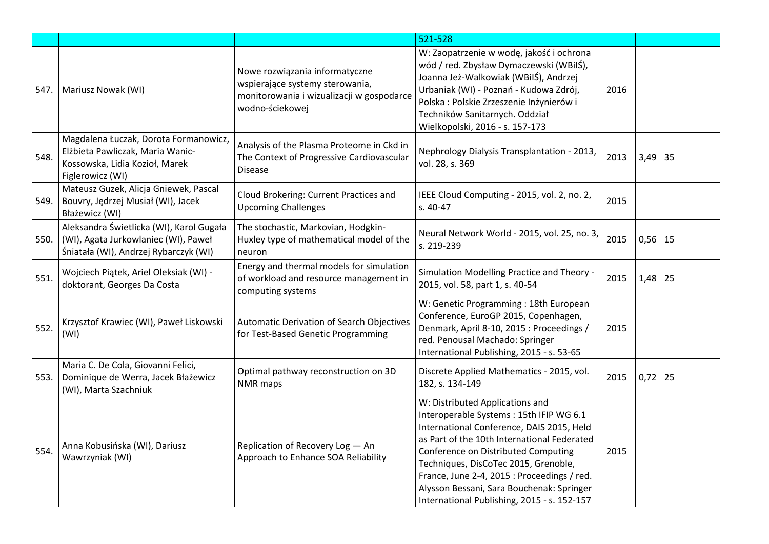|      |                                                                                                                                 |                                                                                                                                   | 521-528                                                                                                                                                                                                                                                                                                                                                                                          |      |           |    |
|------|---------------------------------------------------------------------------------------------------------------------------------|-----------------------------------------------------------------------------------------------------------------------------------|--------------------------------------------------------------------------------------------------------------------------------------------------------------------------------------------------------------------------------------------------------------------------------------------------------------------------------------------------------------------------------------------------|------|-----------|----|
| 547. | Mariusz Nowak (WI)                                                                                                              | Nowe rozwiązania informatyczne<br>wspierające systemy sterowania,<br>monitorowania i wizualizacji w gospodarce<br>wodno-ściekowej | W: Zaopatrzenie w wodę, jakość i ochrona<br>wód / red. Zbysław Dymaczewski (WBiIŚ),<br>Joanna Jeż-Walkowiak (WBilŚ), Andrzej<br>Urbaniak (WI) - Poznań - Kudowa Zdrój,<br>Polska : Polskie Zrzeszenie Inżynierów i<br>Techników Sanitarnych. Oddział<br>Wielkopolski, 2016 - s. 157-173                                                                                                          | 2016 |           |    |
| 548. | Magdalena Łuczak, Dorota Formanowicz,<br>Elżbieta Pawliczak, Maria Wanic-<br>Kossowska, Lidia Kozioł, Marek<br>Figlerowicz (WI) | Analysis of the Plasma Proteome in Ckd in<br>The Context of Progressive Cardiovascular<br><b>Disease</b>                          | Nephrology Dialysis Transplantation - 2013,<br>vol. 28, s. 369                                                                                                                                                                                                                                                                                                                                   | 2013 | $3,49$ 35 |    |
| 549. | Mateusz Guzek, Alicja Gniewek, Pascal<br>Bouvry, Jędrzej Musiał (WI), Jacek<br>Błażewicz (WI)                                   | Cloud Brokering: Current Practices and<br><b>Upcoming Challenges</b>                                                              | IEEE Cloud Computing - 2015, vol. 2, no. 2,<br>s. 40-47                                                                                                                                                                                                                                                                                                                                          | 2015 |           |    |
| 550. | Aleksandra Świetlicka (WI), Karol Gugała<br>(WI), Agata Jurkowlaniec (WI), Paweł<br>Śniatała (WI), Andrzej Rybarczyk (WI)       | The stochastic, Markovian, Hodgkin-<br>Huxley type of mathematical model of the<br>neuron                                         | Neural Network World - 2015, vol. 25, no. 3,<br>s. 219-239                                                                                                                                                                                                                                                                                                                                       | 2015 | $0,56$ 15 |    |
| 551. | Wojciech Piątek, Ariel Oleksiak (WI) -<br>doktorant, Georges Da Costa                                                           | Energy and thermal models for simulation<br>of workload and resource management in<br>computing systems                           | Simulation Modelling Practice and Theory -<br>2015, vol. 58, part 1, s. 40-54                                                                                                                                                                                                                                                                                                                    | 2015 | 1,48      | 25 |
| 552. | Krzysztof Krawiec (WI), Paweł Liskowski<br>(WI)                                                                                 | <b>Automatic Derivation of Search Objectives</b><br>for Test-Based Genetic Programming                                            | W: Genetic Programming : 18th European<br>Conference, EuroGP 2015, Copenhagen,<br>Denmark, April 8-10, 2015 : Proceedings /<br>red. Penousal Machado: Springer<br>International Publishing, 2015 - s. 53-65                                                                                                                                                                                      | 2015 |           |    |
| 553. | Maria C. De Cola, Giovanni Felici,<br>Dominique de Werra, Jacek Błażewicz<br>(WI), Marta Szachniuk                              | Optimal pathway reconstruction on 3D<br>NMR maps                                                                                  | Discrete Applied Mathematics - 2015, vol.<br>182, s. 134-149                                                                                                                                                                                                                                                                                                                                     | 2015 | $0,72$ 25 |    |
| 554. | Anna Kobusińska (WI), Dariusz<br>Wawrzyniak (WI)                                                                                | Replication of Recovery Log - An<br>Approach to Enhance SOA Reliability                                                           | W: Distributed Applications and<br>Interoperable Systems: 15th IFIP WG 6.1<br>International Conference, DAIS 2015, Held<br>as Part of the 10th International Federated<br>Conference on Distributed Computing<br>Techniques, DisCoTec 2015, Grenoble,<br>France, June 2-4, 2015 : Proceedings / red.<br>Alysson Bessani, Sara Bouchenak: Springer<br>International Publishing, 2015 - s. 152-157 | 2015 |           |    |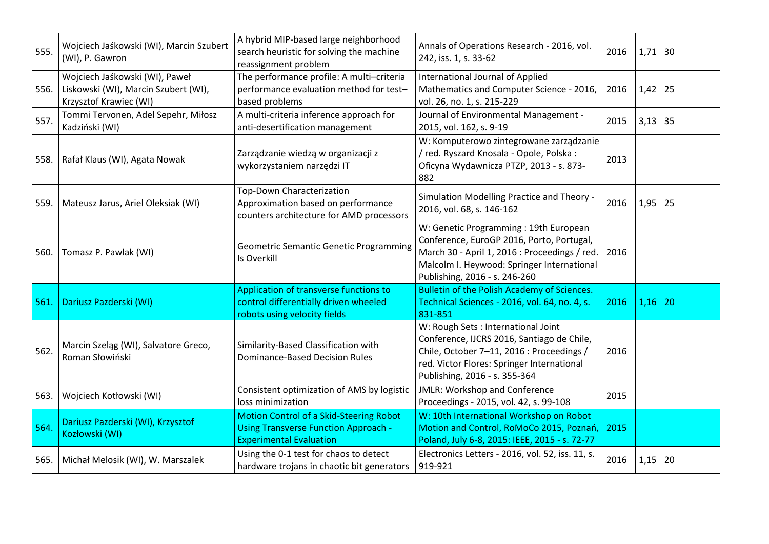| 555. | Wojciech Jaśkowski (WI), Marcin Szubert<br>(WI), P. Gawron                                            | A hybrid MIP-based large neighborhood<br>search heuristic for solving the machine<br>reassignment problem                       | Annals of Operations Research - 2016, vol.<br>242, iss. 1, s. 33-62                                                                                                                                                | 2016 | $1,71$ 30   |    |
|------|-------------------------------------------------------------------------------------------------------|---------------------------------------------------------------------------------------------------------------------------------|--------------------------------------------------------------------------------------------------------------------------------------------------------------------------------------------------------------------|------|-------------|----|
|      | Wojciech Jaśkowski (WI), Paweł<br>556. Liskowski (WI), Marcin Szubert (WI),<br>Krzysztof Krawiec (WI) | The performance profile: A multi-criteria<br>performance evaluation method for test-<br>based problems                          | International Journal of Applied<br>Mathematics and Computer Science - 2016,<br>vol. 26, no. 1, s. 215-229                                                                                                         | 2016 | $1,42$   25 |    |
| 557. | Tommi Tervonen, Adel Sepehr, Miłosz<br>Kadziński (WI)                                                 | A multi-criteria inference approach for<br>anti-desertification management                                                      | Journal of Environmental Management -<br>2015, vol. 162, s. 9-19                                                                                                                                                   | 2015 | $3,13$ 35   |    |
|      | 558.   Rafał Klaus (WI), Agata Nowak                                                                  | Zarządzanie wiedzą w organizacji z<br>wykorzystaniem narzędzi IT                                                                | W: Komputerowo zintegrowane zarządzanie<br>/ red. Ryszard Knosala - Opole, Polska :<br>Oficyna Wydawnicza PTZP, 2013 - s. 873-<br>882                                                                              | 2013 |             |    |
| 559. | Mateusz Jarus, Ariel Oleksiak (WI)                                                                    | Top-Down Characterization<br>Approximation based on performance<br>counters architecture for AMD processors                     | Simulation Modelling Practice and Theory -<br>2016, vol. 68, s. 146-162                                                                                                                                            | 2016 | $1,95$   25 |    |
|      | 560.   Tomasz P. Pawlak (WI)                                                                          | <b>Geometric Semantic Genetic Programming</b><br>Is Overkill                                                                    | W: Genetic Programming: 19th European<br>Conference, EuroGP 2016, Porto, Portugal,<br>March 30 - April 1, 2016 : Proceedings / red.<br>Malcolm I. Heywood: Springer International<br>Publishing, 2016 - s. 246-260 | 2016 |             |    |
| 561. | Dariusz Pazderski (WI)                                                                                | Application of transverse functions to<br>control differentially driven wheeled<br>robots using velocity fields                 | <b>Bulletin of the Polish Academy of Sciences.</b><br>Technical Sciences - 2016, vol. 64, no. 4, s.<br>831-851                                                                                                     | 2016 | $1,16$ 20   |    |
| 562. | Marcin Szeląg (WI), Salvatore Greco,<br>Roman Słowiński                                               | Similarity-Based Classification with<br><b>Dominance-Based Decision Rules</b>                                                   | W: Rough Sets : International Joint<br>Conference, IJCRS 2016, Santiago de Chile,<br>Chile, October 7-11, 2016 : Proceedings /<br>red. Victor Flores: Springer International<br>Publishing, 2016 - s. 355-364      | 2016 |             |    |
|      | 563. Wojciech Kotłowski (WI)                                                                          | Consistent optimization of AMS by logistic<br>loss minimization                                                                 | JMLR: Workshop and Conference<br>Proceedings - 2015, vol. 42, s. 99-108                                                                                                                                            | 2015 |             |    |
| 564. | Dariusz Pazderski (WI), Krzysztof<br>Kozłowski (WI)                                                   | <b>Motion Control of a Skid-Steering Robot</b><br><b>Using Transverse Function Approach -</b><br><b>Experimental Evaluation</b> | W: 10th International Workshop on Robot<br>Motion and Control, RoMoCo 2015, Poznań,<br>Poland, July 6-8, 2015: IEEE, 2015 - s. 72-77                                                                               | 2015 |             |    |
|      | 565.   Michał Melosik (WI), W. Marszalek                                                              | Using the 0-1 test for chaos to detect<br>hardware trojans in chaotic bit generators                                            | Electronics Letters - 2016, vol. 52, iss. 11, s.<br>919-921                                                                                                                                                        | 2016 | 1,15        | 20 |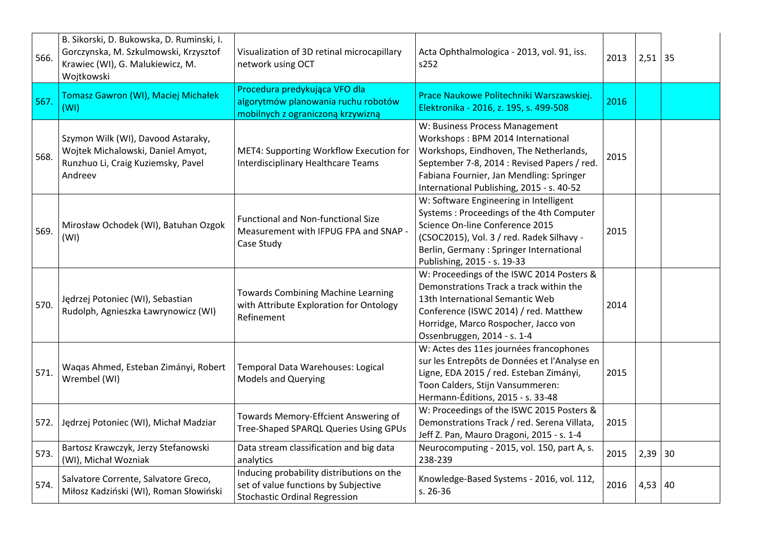| 566. | B. Sikorski, D. Bukowska, D. Ruminski, I.<br>Gorczynska, M. Szkulmowski, Krzysztof<br>Krawiec (WI), G. Malukiewicz, M.<br>Wojtkowski | Visualization of 3D retinal microcapillary<br>network using OCT                                                           | Acta Ophthalmologica - 2013, vol. 91, iss.<br>s252                                                                                                                                                                                                    | 2013 | $2,51$ 35 |  |
|------|--------------------------------------------------------------------------------------------------------------------------------------|---------------------------------------------------------------------------------------------------------------------------|-------------------------------------------------------------------------------------------------------------------------------------------------------------------------------------------------------------------------------------------------------|------|-----------|--|
| 567. | Tomasz Gawron (WI), Maciej Michałek<br>(WI)                                                                                          | Procedura predykująca VFO dla<br>algorytmów planowania ruchu robotów<br>mobilnych z ograniczoną krzywizną                 | Prace Naukowe Politechniki Warszawskiej.<br>Elektronika - 2016, z. 195, s. 499-508                                                                                                                                                                    | 2016 |           |  |
| 568. | Szymon Wilk (WI), Davood Astaraky,<br>Wojtek Michalowski, Daniel Amyot,<br>Runzhuo Li, Craig Kuziemsky, Pavel<br>Andreev             | MET4: Supporting Workflow Execution for<br>Interdisciplinary Healthcare Teams                                             | W: Business Process Management<br>Workshops: BPM 2014 International<br>Workshops, Eindhoven, The Netherlands,<br>September 7-8, 2014 : Revised Papers / red.<br>Fabiana Fournier, Jan Mendling: Springer<br>International Publishing, 2015 - s. 40-52 | 2015 |           |  |
| 569. | Mirosław Ochodek (WI), Batuhan Ozgok<br>(WI)                                                                                         | <b>Functional and Non-functional Size</b><br>Measurement with IFPUG FPA and SNAP -<br>Case Study                          | W: Software Engineering in Intelligent<br>Systems: Proceedings of the 4th Computer<br>Science On-line Conference 2015<br>(CSOC2015), Vol. 3 / red. Radek Silhavy -<br>Berlin, Germany: Springer International<br>Publishing, 2015 - s. 19-33          | 2015 |           |  |
| 570. | Jędrzej Potoniec (WI), Sebastian<br>Rudolph, Agnieszka Ławrynowicz (WI)                                                              | <b>Towards Combining Machine Learning</b><br>with Attribute Exploration for Ontology<br>Refinement                        | W: Proceedings of the ISWC 2014 Posters &<br>Demonstrations Track a track within the<br>13th International Semantic Web<br>Conference (ISWC 2014) / red. Matthew<br>Horridge, Marco Rospocher, Jacco von<br>Ossenbruggen, 2014 - s. 1-4               | 2014 |           |  |
| 571. | Waqas Ahmed, Esteban Zimányi, Robert<br>Wrembel (WI)                                                                                 | Temporal Data Warehouses: Logical<br><b>Models and Querying</b>                                                           | W: Actes des 11es journées francophones<br>sur les Entrepôts de Données et l'Analyse en<br>Ligne, EDA 2015 / red. Esteban Zimányi,<br>Toon Calders, Stijn Vansummeren:<br>Hermann-Éditions, 2015 - s. 33-48                                           | 2015 |           |  |
| 572. | Jędrzej Potoniec (WI), Michał Madziar                                                                                                | Towards Memory-Effcient Answering of<br><b>Tree-Shaped SPARQL Queries Using GPUs</b>                                      | W: Proceedings of the ISWC 2015 Posters &<br>Demonstrations Track / red. Serena Villata,<br>Jeff Z. Pan, Mauro Dragoni, 2015 - s. 1-4                                                                                                                 | 2015 |           |  |
| 573. | Bartosz Krawczyk, Jerzy Stefanowski<br>(WI), Michał Wozniak                                                                          | Data stream classification and big data<br>analytics                                                                      | Neurocomputing - 2015, vol. 150, part A, s.<br>238-239                                                                                                                                                                                                | 2015 | $2,39$ 30 |  |
| 574. | Salvatore Corrente, Salvatore Greco,<br>Miłosz Kadziński (WI), Roman Słowiński                                                       | Inducing probability distributions on the<br>set of value functions by Subjective<br><b>Stochastic Ordinal Regression</b> | Knowledge-Based Systems - 2016, vol. 112,<br>s. 26-36                                                                                                                                                                                                 | 2016 | 4,53   40 |  |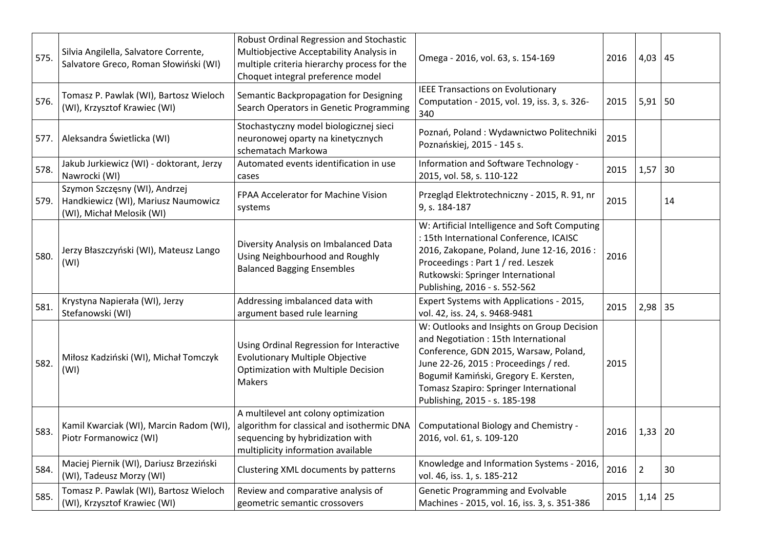| 575. | Silvia Angilella, Salvatore Corrente,<br>Salvatore Greco, Roman Słowiński (WI)                    | Robust Ordinal Regression and Stochastic<br>Multiobjective Acceptability Analysis in<br>multiple criteria hierarchy process for the<br>Choquet integral preference model | Omega - 2016, vol. 63, s. 154-169                                                                                                                                                                                                                                                       | 2016 | 4,03           | 45 |
|------|---------------------------------------------------------------------------------------------------|--------------------------------------------------------------------------------------------------------------------------------------------------------------------------|-----------------------------------------------------------------------------------------------------------------------------------------------------------------------------------------------------------------------------------------------------------------------------------------|------|----------------|----|
| 576. | Tomasz P. Pawlak (WI), Bartosz Wieloch<br>(WI), Krzysztof Krawiec (WI)                            | Semantic Backpropagation for Designing<br>Search Operators in Genetic Programming                                                                                        | <b>IEEE Transactions on Evolutionary</b><br>Computation - 2015, vol. 19, iss. 3, s. 326-<br>340                                                                                                                                                                                         | 2015 | $5,91$ 50      |    |
| 577. | Aleksandra Świetlicka (WI)                                                                        | Stochastyczny model biologicznej sieci<br>neuronowej oparty na kinetycznych<br>schematach Markowa                                                                        | Poznań, Poland: Wydawnictwo Politechniki<br>Poznańskiej, 2015 - 145 s.                                                                                                                                                                                                                  | 2015 |                |    |
| 578. | Jakub Jurkiewicz (WI) - doktorant, Jerzy<br>Nawrocki (WI)                                         | Automated events identification in use<br>cases                                                                                                                          | Information and Software Technology -<br>2015, vol. 58, s. 110-122                                                                                                                                                                                                                      | 2015 | 1,57           | 30 |
| 579. | Szymon Szczęsny (WI), Andrzej<br>Handkiewicz (WI), Mariusz Naumowicz<br>(WI), Michał Melosik (WI) | FPAA Accelerator for Machine Vision<br>systems                                                                                                                           | Przegląd Elektrotechniczny - 2015, R. 91, nr<br>9, s. 184-187                                                                                                                                                                                                                           | 2015 |                | 14 |
| 580. | Jerzy Błaszczyński (WI), Mateusz Lango<br>(WI)                                                    | Diversity Analysis on Imbalanced Data<br>Using Neighbourhood and Roughly<br><b>Balanced Bagging Ensembles</b>                                                            | W: Artificial Intelligence and Soft Computing<br>: 15th International Conference, ICAISC<br>2016, Zakopane, Poland, June 12-16, 2016 :<br>Proceedings: Part 1 / red. Leszek<br>Rutkowski: Springer International<br>Publishing, 2016 - s. 552-562                                       | 2016 |                |    |
| 581. | Krystyna Napierała (WI), Jerzy<br>Stefanowski (WI)                                                | Addressing imbalanced data with<br>argument based rule learning                                                                                                          | Expert Systems with Applications - 2015,<br>vol. 42, iss. 24, s. 9468-9481                                                                                                                                                                                                              | 2015 | 2,98           | 35 |
| 582. | Miłosz Kadziński (WI), Michał Tomczyk<br>(WI)                                                     | Using Ordinal Regression for Interactive<br><b>Evolutionary Multiple Objective</b><br>Optimization with Multiple Decision<br><b>Makers</b>                               | W: Outlooks and Insights on Group Decision<br>and Negotiation: 15th International<br>Conference, GDN 2015, Warsaw, Poland,<br>June 22-26, 2015 : Proceedings / red.<br>Bogumił Kamiński, Gregory E. Kersten,<br>Tomasz Szapiro: Springer International<br>Publishing, 2015 - s. 185-198 | 2015 |                |    |
| 583. | Kamil Kwarciak (WI), Marcin Radom (WI),<br>Piotr Formanowicz (WI)                                 | A multilevel ant colony optimization<br>algorithm for classical and isothermic DNA<br>sequencing by hybridization with<br>multiplicity information available             | Computational Biology and Chemistry -<br>2016, vol. 61, s. 109-120                                                                                                                                                                                                                      | 2016 | 1,33           | 20 |
| 584. | Maciej Piernik (WI), Dariusz Brzeziński<br>(WI), Tadeusz Morzy (WI)                               | Clustering XML documents by patterns                                                                                                                                     | Knowledge and Information Systems - 2016,<br>vol. 46, iss. 1, s. 185-212                                                                                                                                                                                                                | 2016 | $\overline{2}$ | 30 |
| 585. | Tomasz P. Pawlak (WI), Bartosz Wieloch<br>(WI), Krzysztof Krawiec (WI)                            | Review and comparative analysis of<br>geometric semantic crossovers                                                                                                      | Genetic Programming and Evolvable<br>Machines - 2015, vol. 16, iss. 3, s. 351-386                                                                                                                                                                                                       | 2015 | 1,14           | 25 |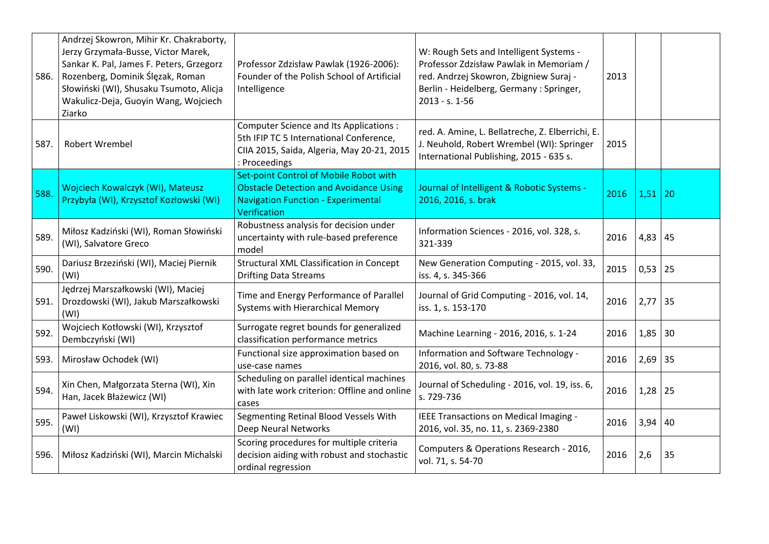| 586. | Andrzej Skowron, Mihir Kr. Chakraborty,<br>Jerzy Grzymała-Busse, Victor Marek,<br>Sankar K. Pal, James F. Peters, Grzegorz<br>Rozenberg, Dominik Ślęzak, Roman<br>Słowiński (WI), Shusaku Tsumoto, Alicja<br>Wakulicz-Deja, Guoyin Wang, Wojciech<br>Ziarko | Professor Zdzisław Pawlak (1926-2006):<br>Founder of the Polish School of Artificial<br>Intelligence                                                  | W: Rough Sets and Intelligent Systems -<br>Professor Zdzisław Pawlak in Memoriam /<br>red. Andrzej Skowron, Zbigniew Suraj -<br>Berlin - Heidelberg, Germany : Springer,<br>$2013 - s. 1 - 56$ | 2013 |           |    |
|------|-------------------------------------------------------------------------------------------------------------------------------------------------------------------------------------------------------------------------------------------------------------|-------------------------------------------------------------------------------------------------------------------------------------------------------|------------------------------------------------------------------------------------------------------------------------------------------------------------------------------------------------|------|-----------|----|
| 587. | <b>Robert Wrembel</b>                                                                                                                                                                                                                                       | <b>Computer Science and Its Applications:</b><br>5th IFIP TC 5 International Conference,<br>CIIA 2015, Saida, Algeria, May 20-21, 2015<br>Proceedings | red. A. Amine, L. Bellatreche, Z. Elberrichi, E.<br>J. Neuhold, Robert Wrembel (WI): Springer<br>International Publishing, 2015 - 635 s.                                                       | 2015 |           |    |
| 588. | Wojciech Kowalczyk (WI), Mateusz<br>Przybyła (WI), Krzysztof Kozłowski (WI)                                                                                                                                                                                 | Set-point Control of Mobile Robot with<br><b>Obstacle Detection and Avoidance Using</b><br><b>Navigation Function - Experimental</b><br>Verification  | Journal of Intelligent & Robotic Systems -<br>2016, 2016, s. brak                                                                                                                              | 2016 | 1,51      | 20 |
| 589. | Miłosz Kadziński (WI), Roman Słowiński<br>(WI), Salvatore Greco                                                                                                                                                                                             | Robustness analysis for decision under<br>uncertainty with rule-based preference<br>model                                                             | Information Sciences - 2016, vol. 328, s.<br>321-339                                                                                                                                           | 2016 | 4,83      | 45 |
| 590. | Dariusz Brzeziński (WI), Maciej Piernik<br>(WI)                                                                                                                                                                                                             | Structural XML Classification in Concept<br><b>Drifting Data Streams</b>                                                                              | New Generation Computing - 2015, vol. 33,<br>iss. 4, s. 345-366                                                                                                                                | 2015 | $0,53$ 25 |    |
| 591. | Jędrzej Marszałkowski (WI), Maciej<br>Drozdowski (WI), Jakub Marszałkowski<br>(WI)                                                                                                                                                                          | Time and Energy Performance of Parallel<br>Systems with Hierarchical Memory                                                                           | Journal of Grid Computing - 2016, vol. 14,<br>iss. 1, s. 153-170                                                                                                                               | 2016 | $2,77$ 35 |    |
| 592. | Wojciech Kotłowski (WI), Krzysztof<br>Dembczyński (WI)                                                                                                                                                                                                      | Surrogate regret bounds for generalized<br>classification performance metrics                                                                         | Machine Learning - 2016, 2016, s. 1-24                                                                                                                                                         | 2016 | $1,85$ 30 |    |
| 593. | Mirosław Ochodek (WI)                                                                                                                                                                                                                                       | Functional size approximation based on<br>use-case names                                                                                              | Information and Software Technology -<br>2016, vol. 80, s. 73-88                                                                                                                               | 2016 | 2,69 35   |    |
| 594. | Xin Chen, Małgorzata Sterna (WI), Xin<br>Han, Jacek Błażewicz (WI)                                                                                                                                                                                          | Scheduling on parallel identical machines<br>with late work criterion: Offline and online<br>cases                                                    | Journal of Scheduling - 2016, vol. 19, iss. 6,<br>s. 729-736                                                                                                                                   | 2016 | 1,28      | 25 |
| 595. | Paweł Liskowski (WI), Krzysztof Krawiec<br>(WI)                                                                                                                                                                                                             | Segmenting Retinal Blood Vessels With<br>Deep Neural Networks                                                                                         | IEEE Transactions on Medical Imaging -<br>2016, vol. 35, no. 11, s. 2369-2380                                                                                                                  | 2016 | $3,94$ 40 |    |
| 596. | Miłosz Kadziński (WI), Marcin Michalski                                                                                                                                                                                                                     | Scoring procedures for multiple criteria<br>decision aiding with robust and stochastic<br>ordinal regression                                          | Computers & Operations Research - 2016,<br>vol. 71, s. 54-70                                                                                                                                   | 2016 | 2,6       | 35 |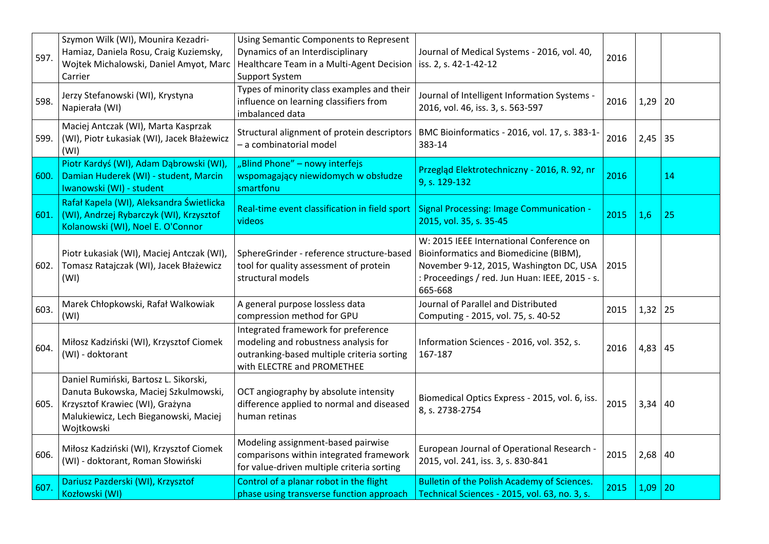| 597. | Szymon Wilk (WI), Mounira Kezadri-<br>Hamiaz, Daniela Rosu, Craig Kuziemsky,<br>Wojtek Michalowski, Daniel Amyot, Marc<br>Carrier                                       | Using Semantic Components to Represent<br>Dynamics of an Interdisciplinary<br>Healthcare Team in a Multi-Agent Decision   iss. 2, s. 42-1-42-12<br><b>Support System</b> | Journal of Medical Systems - 2016, vol. 40,                                                                                                                                                | 2016 |             |    |
|------|-------------------------------------------------------------------------------------------------------------------------------------------------------------------------|--------------------------------------------------------------------------------------------------------------------------------------------------------------------------|--------------------------------------------------------------------------------------------------------------------------------------------------------------------------------------------|------|-------------|----|
| 598. | Jerzy Stefanowski (WI), Krystyna<br>Napierała (WI)                                                                                                                      | Types of minority class examples and their<br>influence on learning classifiers from<br>imbalanced data                                                                  | Journal of Intelligent Information Systems -<br>2016, vol. 46, iss. 3, s. 563-597                                                                                                          | 2016 | $1,29$ 20   |    |
| 599. | Maciej Antczak (WI), Marta Kasprzak<br>(WI), Piotr Łukasiak (WI), Jacek Błażewicz<br>(WI)                                                                               | Structural alignment of protein descriptors<br>- a combinatorial model                                                                                                   | BMC Bioinformatics - 2016, vol. 17, s. 383-1-<br>383-14                                                                                                                                    | 2016 | $2,45$ 35   |    |
| 600. | Piotr Kardyś (WI), Adam Dąbrowski (WI),<br>Damian Huderek (WI) - student, Marcin<br>Iwanowski (WI) - student                                                            | "Blind Phone" - nowy interfejs<br>wspomagający niewidomych w obsłudze<br>smartfonu                                                                                       | Przegląd Elektrotechniczny - 2016, R. 92, nr<br>9, s. 129-132                                                                                                                              | 2016 |             | 14 |
| 601. | Rafał Kapela (WI), Aleksandra Świetlicka<br>(WI), Andrzej Rybarczyk (WI), Krzysztof<br>Kolanowski (WI), Noel E. O'Connor                                                | Real-time event classification in field sport<br>videos                                                                                                                  | <b>Signal Processing: Image Communication -</b><br>2015, vol. 35, s. 35-45                                                                                                                 | 2015 | 1,6         | 25 |
| 602. | Piotr Łukasiak (WI), Maciej Antczak (WI),<br>Tomasz Ratajczak (WI), Jacek Błażewicz<br>(WI)                                                                             | SphereGrinder - reference structure-based<br>tool for quality assessment of protein<br>structural models                                                                 | W: 2015 IEEE International Conference on<br>Bioinformatics and Biomedicine (BIBM),<br>November 9-12, 2015, Washington DC, USA<br>: Proceedings / red. Jun Huan: IEEE, 2015 - s.<br>665-668 | 2015 |             |    |
| 603. | Marek Chłopkowski, Rafał Walkowiak<br>(WI)                                                                                                                              | A general purpose lossless data<br>compression method for GPU                                                                                                            | Journal of Parallel and Distributed<br>Computing - 2015, vol. 75, s. 40-52                                                                                                                 | 2015 | $1,32$   25 |    |
| 604. | Miłosz Kadziński (WI), Krzysztof Ciomek<br>(WI) - doktorant                                                                                                             | Integrated framework for preference<br>modeling and robustness analysis for<br>outranking-based multiple criteria sorting<br>with ELECTRE and PROMETHEE                  | Information Sciences - 2016, vol. 352, s.<br>167-187                                                                                                                                       | 2016 | $4,83$ 45   |    |
| 605. | Daniel Rumiński, Bartosz L. Sikorski,<br>Danuta Bukowska, Maciej Szkulmowski,<br>Krzysztof Krawiec (WI), Grażyna<br>Malukiewicz, Lech Bieganowski, Maciej<br>Wojtkowski | OCT angiography by absolute intensity<br>difference applied to normal and diseased<br>human retinas                                                                      | Biomedical Optics Express - 2015, vol. 6, iss.<br>8, s. 2738-2754                                                                                                                          | 2015 | $3,34$ 40   |    |
| 606. | Miłosz Kadziński (WI), Krzysztof Ciomek<br>(WI) - doktorant, Roman Słowiński                                                                                            | Modeling assignment-based pairwise<br>comparisons within integrated framework<br>for value-driven multiple criteria sorting                                              | European Journal of Operational Research -<br>2015, vol. 241, iss. 3, s. 830-841                                                                                                           | 2015 | $2,68$ 40   |    |
| 607. | Dariusz Pazderski (WI), Krzysztof<br>Kozłowski (WI)                                                                                                                     | Control of a planar robot in the flight<br>phase using transverse function approach                                                                                      | <b>Bulletin of the Polish Academy of Sciences.</b><br>Technical Sciences - 2015, vol. 63, no. 3, s.                                                                                        | 2015 | 1,09        | 20 |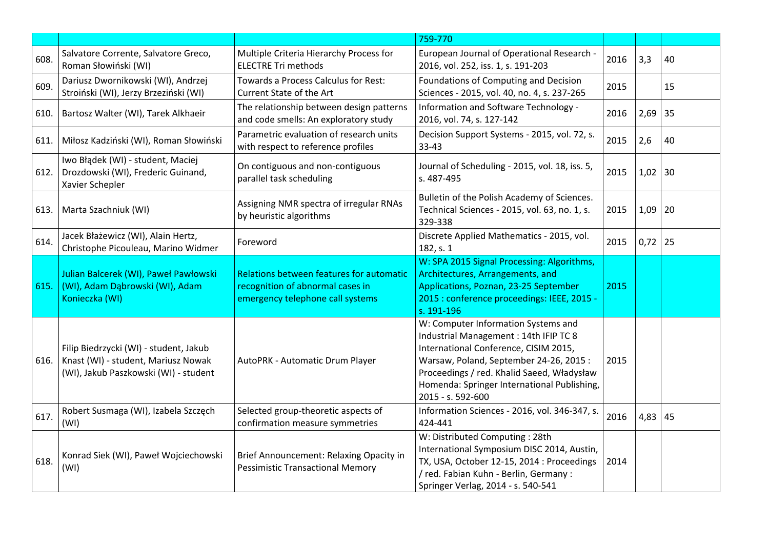|      |                                                                                                                        |                                                                                                                  | 759-770                                                                                                                                                                                                                                                                           |      |      |    |
|------|------------------------------------------------------------------------------------------------------------------------|------------------------------------------------------------------------------------------------------------------|-----------------------------------------------------------------------------------------------------------------------------------------------------------------------------------------------------------------------------------------------------------------------------------|------|------|----|
| 608. | Salvatore Corrente, Salvatore Greco,<br>Roman Słowiński (WI)                                                           | Multiple Criteria Hierarchy Process for<br><b>ELECTRE Tri methods</b>                                            | European Journal of Operational Research -<br>2016, vol. 252, iss. 1, s. 191-203                                                                                                                                                                                                  | 2016 | 3,3  | 40 |
| 609. | Dariusz Dwornikowski (WI), Andrzej<br>Stroiński (WI), Jerzy Brzeziński (WI)                                            | Towards a Process Calculus for Rest:<br>Current State of the Art                                                 | Foundations of Computing and Decision<br>Sciences - 2015, vol. 40, no. 4, s. 237-265                                                                                                                                                                                              | 2015 |      | 15 |
| 610. | Bartosz Walter (WI), Tarek Alkhaeir                                                                                    | The relationship between design patterns<br>and code smells: An exploratory study                                | Information and Software Technology -<br>2016, vol. 74, s. 127-142                                                                                                                                                                                                                | 2016 | 2,69 | 35 |
| 611. | Miłosz Kadziński (WI), Roman Słowiński                                                                                 | Parametric evaluation of research units<br>with respect to reference profiles                                    | Decision Support Systems - 2015, vol. 72, s.<br>33-43                                                                                                                                                                                                                             | 2015 | 2,6  | 40 |
| 612. | Iwo Błądek (WI) - student, Maciej<br>Drozdowski (WI), Frederic Guinand,<br>Xavier Schepler                             | On contiguous and non-contiguous<br>parallel task scheduling                                                     | Journal of Scheduling - 2015, vol. 18, iss. 5,<br>s. 487-495                                                                                                                                                                                                                      | 2015 | 1,02 | 30 |
| 613. | Marta Szachniuk (WI)                                                                                                   | Assigning NMR spectra of irregular RNAs<br>by heuristic algorithms                                               | Bulletin of the Polish Academy of Sciences.<br>Technical Sciences - 2015, vol. 63, no. 1, s.<br>329-338                                                                                                                                                                           | 2015 | 1,09 | 20 |
| 614. | Jacek Błażewicz (WI), Alain Hertz,<br>Christophe Picouleau, Marino Widmer                                              | Foreword                                                                                                         | Discrete Applied Mathematics - 2015, vol.<br>182, s. 1                                                                                                                                                                                                                            | 2015 | 0,72 | 25 |
| 615. | Julian Balcerek (WI), Paweł Pawłowski<br>(WI), Adam Dąbrowski (WI), Adam<br>Konieczka (WI)                             | Relations between features for automatic<br>recognition of abnormal cases in<br>emergency telephone call systems | W: SPA 2015 Signal Processing: Algorithms,<br>Architectures, Arrangements, and<br>Applications, Poznan, 23-25 September<br>2015 : conference proceedings: IEEE, 2015 -<br>s. 191-196                                                                                              | 2015 |      |    |
| 616. | Filip Biedrzycki (WI) - student, Jakub<br>Knast (WI) - student, Mariusz Nowak<br>(WI), Jakub Paszkowski (WI) - student | AutoPRK - Automatic Drum Player                                                                                  | W: Computer Information Systems and<br>Industrial Management: 14th IFIP TC 8<br>International Conference, CISIM 2015,<br>Warsaw, Poland, September 24-26, 2015:<br>Proceedings / red. Khalid Saeed, Władysław<br>Homenda: Springer International Publishing,<br>2015 - s. 592-600 | 2015 |      |    |
| 617. | Robert Susmaga (WI), Izabela Szczęch<br>(WI)                                                                           | Selected group-theoretic aspects of<br>confirmation measure symmetries                                           | Information Sciences - 2016, vol. 346-347, s.<br>424-441                                                                                                                                                                                                                          | 2016 | 4,83 | 45 |
| 618. | Konrad Siek (WI), Paweł Wojciechowski<br>(WI)                                                                          | Brief Announcement: Relaxing Opacity in<br><b>Pessimistic Transactional Memory</b>                               | W: Distributed Computing: 28th<br>International Symposium DISC 2014, Austin,<br>TX, USA, October 12-15, 2014 : Proceedings<br>/ red. Fabian Kuhn - Berlin, Germany :<br>Springer Verlag, 2014 - s. 540-541                                                                        | 2014 |      |    |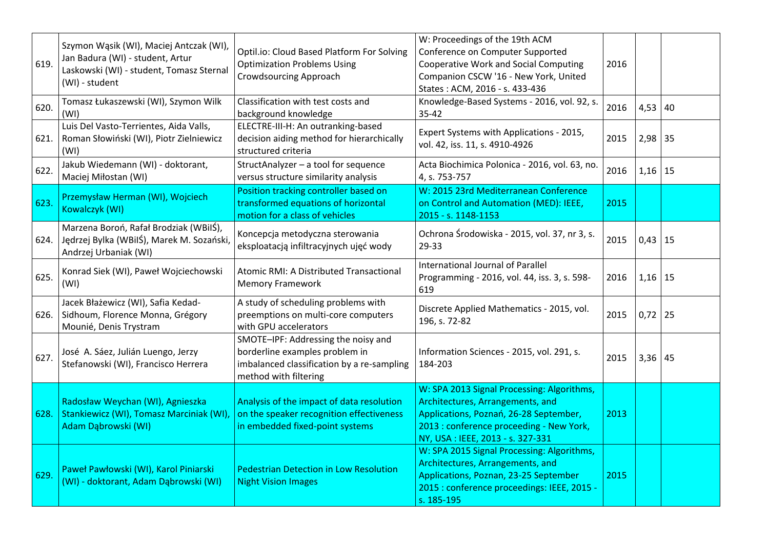| 619. | Szymon Wąsik (WI), Maciej Antczak (WI),<br>Jan Badura (WI) - student, Artur<br>Laskowski (WI) - student, Tomasz Sternal<br>(WI) - student | Optil.io: Cloud Based Platform For Solving<br><b>Optimization Problems Using</b><br><b>Crowdsourcing Approach</b>                            | W: Proceedings of the 19th ACM<br>Conference on Computer Supported<br><b>Cooperative Work and Social Computing</b><br>Companion CSCW '16 - New York, United<br>States: ACM, 2016 - s. 433-436            | 2016 |           |    |
|------|-------------------------------------------------------------------------------------------------------------------------------------------|----------------------------------------------------------------------------------------------------------------------------------------------|----------------------------------------------------------------------------------------------------------------------------------------------------------------------------------------------------------|------|-----------|----|
| 620. | Tomasz Łukaszewski (WI), Szymon Wilk<br>(WI)                                                                                              | Classification with test costs and<br>background knowledge                                                                                   | Knowledge-Based Systems - 2016, vol. 92, s.<br>$35 - 42$                                                                                                                                                 | 2016 | 4,53   40 |    |
| 621. | Luis Del Vasto-Terrientes, Aida Valls,<br>Roman Słowiński (WI), Piotr Zielniewicz<br>(WI)                                                 | ELECTRE-III-H: An outranking-based<br>decision aiding method for hierarchically<br>structured criteria                                       | Expert Systems with Applications - 2015,<br>vol. 42, iss. 11, s. 4910-4926                                                                                                                               | 2015 | 2,98      | 35 |
| 622. | Jakub Wiedemann (WI) - doktorant,<br>Maciej Miłostan (WI)                                                                                 | StructAnalyzer - a tool for sequence<br>versus structure similarity analysis                                                                 | Acta Biochimica Polonica - 2016, vol. 63, no.<br>4, s. 753-757                                                                                                                                           | 2016 | $1,16$ 15 |    |
| 623. | Przemysław Herman (WI), Wojciech<br>Kowalczyk (WI)                                                                                        | Position tracking controller based on<br>transformed equations of horizontal<br>motion for a class of vehicles                               | W: 2015 23rd Mediterranean Conference<br>on Control and Automation (MED): IEEE,<br>2015 - s. 1148-1153                                                                                                   | 2015 |           |    |
| 624. | Marzena Boroń, Rafał Brodziak (WBilŚ),<br>Jędrzej Bylka (WBilŚ), Marek M. Sozański,<br>Andrzej Urbaniak (WI)                              | Koncepcja metodyczna sterowania<br>eksploatacją infiltracyjnych ujęć wody                                                                    | Ochrona Środowiska - 2015, vol. 37, nr 3, s.<br>29-33                                                                                                                                                    | 2015 | 0,43      | 15 |
| 625. | Konrad Siek (WI), Paweł Wojciechowski<br>(WI)                                                                                             | Atomic RMI: A Distributed Transactional<br>Memory Framework                                                                                  | International Journal of Parallel<br>Programming - 2016, vol. 44, iss. 3, s. 598-<br>619                                                                                                                 | 2016 | 1,16      | 15 |
| 626. | Jacek Błażewicz (WI), Safia Kedad-<br>Sidhoum, Florence Monna, Grégory<br>Mounié, Denis Trystram                                          | A study of scheduling problems with<br>preemptions on multi-core computers<br>with GPU accelerators                                          | Discrete Applied Mathematics - 2015, vol.<br>196, s. 72-82                                                                                                                                               | 2015 | 0,72      | 25 |
| 627. | José A. Sáez, Julián Luengo, Jerzy<br>Stefanowski (WI), Francisco Herrera                                                                 | SMOTE-IPF: Addressing the noisy and<br>borderline examples problem in<br>imbalanced classification by a re-sampling<br>method with filtering | Information Sciences - 2015, vol. 291, s.<br>184-203                                                                                                                                                     | 2015 | $3,36$ 45 |    |
| 628. | Radosław Weychan (WI), Agnieszka<br>Stankiewicz (WI), Tomasz Marciniak (WI),<br>Adam Dąbrowski (WI)                                       | Analysis of the impact of data resolution<br>on the speaker recognition effectiveness<br>in embedded fixed-point systems                     | W: SPA 2013 Signal Processing: Algorithms,<br>Architectures, Arrangements, and<br>Applications, Poznań, 26-28 September,<br>2013 : conference proceeding - New York,<br>NY, USA: IEEE, 2013 - s. 327-331 | 2013 |           |    |
| 629. | Paweł Pawłowski (WI), Karol Piniarski<br>(WI) - doktorant, Adam Dąbrowski (WI)                                                            | <b>Pedestrian Detection in Low Resolution</b><br><b>Night Vision Images</b>                                                                  | W: SPA 2015 Signal Processing: Algorithms,<br>Architectures, Arrangements, and<br>Applications, Poznan, 23-25 September<br>2015 : conference proceedings: IEEE, 2015 -<br>s. 185-195                     | 2015 |           |    |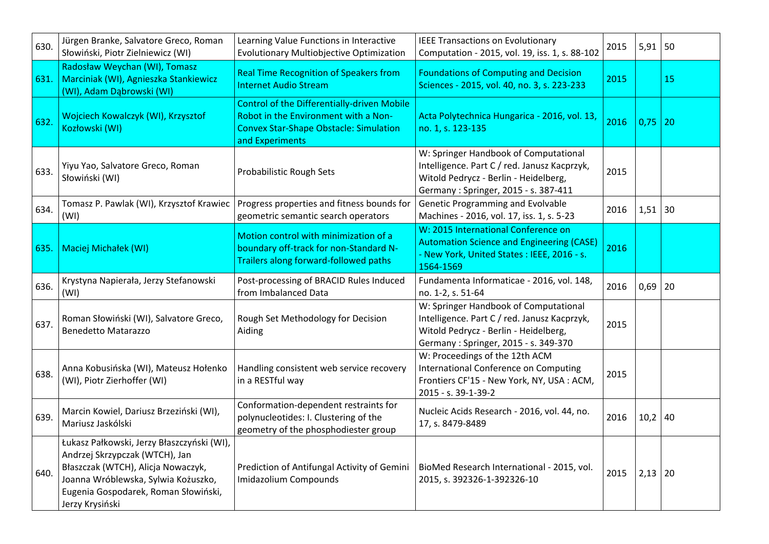| 630. | Jürgen Branke, Salvatore Greco, Roman<br>Słowiński, Piotr Zielniewicz (WI)                                                                                                                                           | Learning Value Functions in Interactive<br><b>Evolutionary Multiobjective Optimization</b>                                                                     | <b>IEEE Transactions on Evolutionary</b><br>Computation - 2015, vol. 19, iss. 1, s. 88-102                                                                             | 2015 | 5,91        | 50 |
|------|----------------------------------------------------------------------------------------------------------------------------------------------------------------------------------------------------------------------|----------------------------------------------------------------------------------------------------------------------------------------------------------------|------------------------------------------------------------------------------------------------------------------------------------------------------------------------|------|-------------|----|
| 631. | Radosław Weychan (WI), Tomasz<br>Marciniak (WI), Agnieszka Stankiewicz<br>(WI), Adam Dąbrowski (WI)                                                                                                                  | <b>Real Time Recognition of Speakers from</b><br><b>Internet Audio Stream</b>                                                                                  | <b>Foundations of Computing and Decision</b><br>Sciences - 2015, vol. 40, no. 3, s. 223-233                                                                            | 2015 |             | 15 |
| 632. | Wojciech Kowalczyk (WI), Krzysztof<br>Kozłowski (WI)                                                                                                                                                                 | <b>Control of the Differentially-driven Mobile</b><br>Robot in the Environment with a Non-<br><b>Convex Star-Shape Obstacle: Simulation</b><br>and Experiments | Acta Polytechnica Hungarica - 2016, vol. 13,<br>no. 1, s. 123-135                                                                                                      | 2016 | 0,75        | 20 |
| 633. | Yiyu Yao, Salvatore Greco, Roman<br>Słowiński (WI)                                                                                                                                                                   | Probabilistic Rough Sets                                                                                                                                       | W: Springer Handbook of Computational<br>Intelligence. Part C / red. Janusz Kacprzyk,<br>Witold Pedrycz - Berlin - Heidelberg,<br>Germany: Springer, 2015 - s. 387-411 | 2015 |             |    |
| 634. | Tomasz P. Pawlak (WI), Krzysztof Krawiec<br>(WI)                                                                                                                                                                     | Progress properties and fitness bounds for<br>geometric semantic search operators                                                                              | <b>Genetic Programming and Evolvable</b><br>Machines - 2016, vol. 17, iss. 1, s. 5-23                                                                                  | 2016 | $1,51$ 30   |    |
| 635. | Maciej Michałek (WI)                                                                                                                                                                                                 | Motion control with minimization of a<br>boundary off-track for non-Standard N-<br>Trailers along forward-followed paths                                       | W: 2015 International Conference on<br><b>Automation Science and Engineering (CASE)</b><br>- New York, United States : IEEE, 2016 - s.<br>1564-1569                    | 2016 |             |    |
| 636. | Krystyna Napierała, Jerzy Stefanowski<br>(WI)                                                                                                                                                                        | Post-processing of BRACID Rules Induced<br>from Imbalanced Data                                                                                                | Fundamenta Informaticae - 2016, vol. 148,<br>no. 1-2, s. 51-64                                                                                                         | 2016 | $0,69$   20 |    |
| 637. | Roman Słowiński (WI), Salvatore Greco,<br><b>Benedetto Matarazzo</b>                                                                                                                                                 | Rough Set Methodology for Decision<br>Aiding                                                                                                                   | W: Springer Handbook of Computational<br>Intelligence. Part C / red. Janusz Kacprzyk,<br>Witold Pedrycz - Berlin - Heidelberg,<br>Germany: Springer, 2015 - s. 349-370 | 2015 |             |    |
| 638. | Anna Kobusińska (WI), Mateusz Hołenko<br>(WI), Piotr Zierhoffer (WI)                                                                                                                                                 | Handling consistent web service recovery<br>in a RESTful way                                                                                                   | W: Proceedings of the 12th ACM<br>International Conference on Computing<br>Frontiers CF'15 - New York, NY, USA: ACM,<br>2015 - s. 39-1-39-2                            | 2015 |             |    |
| 639. | Marcin Kowiel, Dariusz Brzeziński (WI),<br>Mariusz Jaskólski                                                                                                                                                         | Conformation-dependent restraints for<br>polynucleotides: I. Clustering of the<br>geometry of the phosphodiester group                                         | Nucleic Acids Research - 2016, vol. 44, no.<br>17, s. 8479-8489                                                                                                        | 2016 | 10,2        | 40 |
| 640. | Łukasz Pałkowski, Jerzy Błaszczyński (WI),<br>Andrzej Skrzypczak (WTCH), Jan<br>Błaszczak (WTCH), Alicja Nowaczyk,<br>Joanna Wróblewska, Sylwia Kożuszko,<br>Eugenia Gospodarek, Roman Słowiński,<br>Jerzy Krysiński | Prediction of Antifungal Activity of Gemini<br>Imidazolium Compounds                                                                                           | BioMed Research International - 2015, vol.<br>2015, s. 392326-1-392326-10                                                                                              | 2015 | 2,13        | 20 |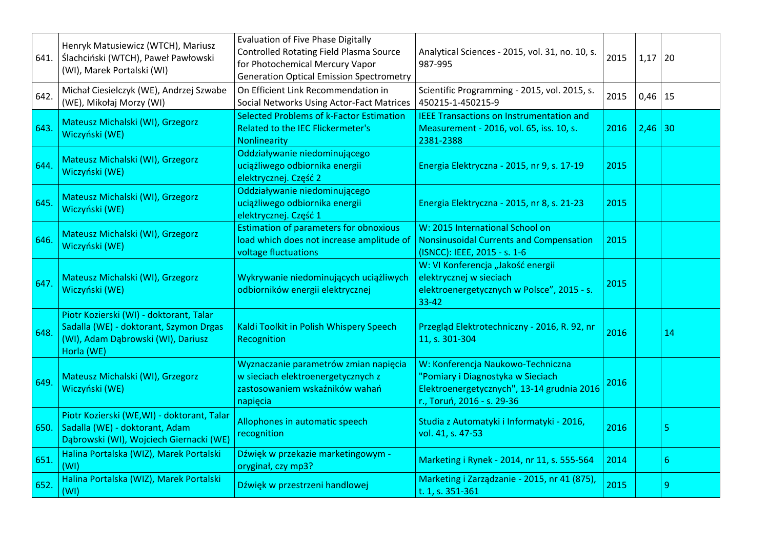| 641. | Henryk Matusiewicz (WTCH), Mariusz<br>Ślachciński (WTCH), Paweł Pawłowski<br>(WI), Marek Portalski (WI)                               | <b>Evaluation of Five Phase Digitally</b><br><b>Controlled Rotating Field Plasma Source</b><br>for Photochemical Mercury Vapor<br><b>Generation Optical Emission Spectrometry</b> | Analytical Sciences - 2015, vol. 31, no. 10, s.<br>987-995                                                                                         | 2015 | 1,17      | 20 |
|------|---------------------------------------------------------------------------------------------------------------------------------------|-----------------------------------------------------------------------------------------------------------------------------------------------------------------------------------|----------------------------------------------------------------------------------------------------------------------------------------------------|------|-----------|----|
| 642. | Michał Ciesielczyk (WE), Andrzej Szwabe<br>(WE), Mikołaj Morzy (WI)                                                                   | On Efficient Link Recommendation in<br>Social Networks Using Actor-Fact Matrices                                                                                                  | Scientific Programming - 2015, vol. 2015, s.<br>450215-1-450215-9                                                                                  | 2015 | 0,46      | 15 |
| 643. | Mateusz Michalski (WI), Grzegorz<br>Wiczyński (WE)                                                                                    | <b>Selected Problems of k-Factor Estimation</b><br><b>Related to the IEC Flickermeter's</b><br>Nonlinearity                                                                       | <b>IEEE Transactions on Instrumentation and</b><br>Measurement - 2016, vol. 65, iss. 10, s.<br>2381-2388                                           | 2016 | $2,46$ 30 |    |
| 644. | Mateusz Michalski (WI), Grzegorz<br>Wiczyński (WE)                                                                                    | Oddziaływanie niedominującego<br>uciążliwego odbiornika energii<br>elektrycznej. Część 2                                                                                          | Energia Elektryczna - 2015, nr 9, s. 17-19                                                                                                         | 2015 |           |    |
| 645. | Mateusz Michalski (WI), Grzegorz<br>Wiczyński (WE)                                                                                    | Oddziaływanie niedominującego<br>uciążliwego odbiornika energii<br>elektrycznej. Część 1                                                                                          | Energia Elektryczna - 2015, nr 8, s. 21-23                                                                                                         | 2015 |           |    |
| 646. | Mateusz Michalski (WI), Grzegorz<br>Wiczyński (WE)                                                                                    | <b>Estimation of parameters for obnoxious</b><br>load which does not increase amplitude of<br>voltage fluctuations                                                                | W: 2015 International School on<br><b>Nonsinusoidal Currents and Compensation</b><br>(ISNCC): IEEE, 2015 - s. 1-6                                  | 2015 |           |    |
| 647. | Mateusz Michalski (WI), Grzegorz<br>Wiczyński (WE)                                                                                    | Wykrywanie niedominujących uciążliwych<br>odbiorników energii elektrycznej                                                                                                        | W: VI Konferencja "Jakość energii<br>elektrycznej w sieciach<br>elektroenergetycznych w Polsce", 2015 - s.<br>$33 - 42$                            | 2015 |           |    |
| 648. | Piotr Kozierski (WI) - doktorant, Talar<br>Sadalla (WE) - doktorant, Szymon Drgas<br>(WI), Adam Dąbrowski (WI), Dariusz<br>Horla (WE) | Kaldi Toolkit in Polish Whispery Speech<br>Recognition                                                                                                                            | Przegląd Elektrotechniczny - 2016, R. 92, nr<br>11, s. 301-304                                                                                     | 2016 |           | 14 |
| 649. | Mateusz Michalski (WI), Grzegorz<br>Wiczyński (WE)                                                                                    | Wyznaczanie parametrów zmian napięcia<br>w sieciach elektroenergetycznych z<br>zastosowaniem wskaźników wahań<br>napięcia                                                         | W: Konferencja Naukowo-Techniczna<br>"Pomiary i Diagnostyka w Sieciach<br>Elektroenergetycznych", 13-14 grudnia 2016<br>r., Toruń, 2016 - s. 29-36 | 2016 |           |    |
| 650. | Piotr Kozierski (WE,WI) - doktorant, Talar<br>Sadalla (WE) - doktorant, Adam<br>Dąbrowski (WI), Wojciech Giernacki (WE)               | Allophones in automatic speech<br>recognition                                                                                                                                     | Studia z Automatyki i Informatyki - 2016,<br>vol. 41, s. 47-53                                                                                     | 2016 |           | 5  |
| 651. | Halina Portalska (WIZ), Marek Portalski<br>(WI)                                                                                       | Dźwięk w przekazie marketingowym -<br>oryginał, czy mp3?                                                                                                                          | Marketing i Rynek - 2014, nr 11, s. 555-564                                                                                                        | 2014 |           | 6  |
| 652. | Halina Portalska (WIZ), Marek Portalski<br>(WI)                                                                                       | Dźwięk w przestrzeni handlowej                                                                                                                                                    | Marketing i Zarządzanie - 2015, nr 41 (875),<br>t. 1, s. 351-361                                                                                   | 2015 |           | 9  |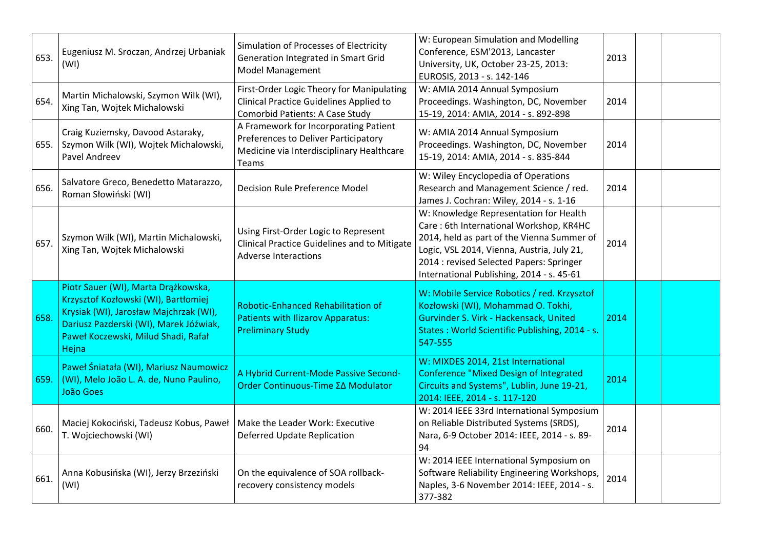| 653. | Eugeniusz M. Sroczan, Andrzej Urbaniak<br>(WI)                                                                                                                                                                  | Simulation of Processes of Electricity<br>Generation Integrated in Smart Grid<br><b>Model Management</b>                              | W: European Simulation and Modelling<br>Conference, ESM'2013, Lancaster<br>University, UK, October 23-25, 2013:<br>EUROSIS, 2013 - s. 142-146                                                                                                                          | 2013 |  |
|------|-----------------------------------------------------------------------------------------------------------------------------------------------------------------------------------------------------------------|---------------------------------------------------------------------------------------------------------------------------------------|------------------------------------------------------------------------------------------------------------------------------------------------------------------------------------------------------------------------------------------------------------------------|------|--|
| 654. | Martin Michalowski, Szymon Wilk (WI),<br>Xing Tan, Wojtek Michalowski                                                                                                                                           | First-Order Logic Theory for Manipulating<br><b>Clinical Practice Guidelines Applied to</b><br><b>Comorbid Patients: A Case Study</b> | W: AMIA 2014 Annual Symposium<br>Proceedings. Washington, DC, November<br>15-19, 2014: AMIA, 2014 - s. 892-898                                                                                                                                                         | 2014 |  |
| 655. | Craig Kuziemsky, Davood Astaraky,<br>Szymon Wilk (WI), Wojtek Michalowski,<br>Pavel Andreev                                                                                                                     | A Framework for Incorporating Patient<br>Preferences to Deliver Participatory<br>Medicine via Interdisciplinary Healthcare<br>Teams   | W: AMIA 2014 Annual Symposium<br>Proceedings. Washington, DC, November<br>15-19, 2014: AMIA, 2014 - s. 835-844                                                                                                                                                         | 2014 |  |
| 656. | Salvatore Greco, Benedetto Matarazzo,<br>Roman Słowiński (WI)                                                                                                                                                   | <b>Decision Rule Preference Model</b>                                                                                                 | W: Wiley Encyclopedia of Operations<br>Research and Management Science / red.<br>James J. Cochran: Wiley, 2014 - s. 1-16                                                                                                                                               | 2014 |  |
| 657. | Szymon Wilk (WI), Martin Michalowski,<br>Xing Tan, Wojtek Michalowski                                                                                                                                           | Using First-Order Logic to Represent<br>Clinical Practice Guidelines and to Mitigate<br><b>Adverse Interactions</b>                   | W: Knowledge Representation for Health<br>Care: 6th International Workshop, KR4HC<br>2014, held as part of the Vienna Summer of<br>Logic, VSL 2014, Vienna, Austria, July 21,<br>2014 : revised Selected Papers: Springer<br>International Publishing, 2014 - s. 45-61 | 2014 |  |
| 658. | Piotr Sauer (WI), Marta Drążkowska,<br>Krzysztof Kozłowski (WI), Bartłomiej<br>Krysiak (WI), Jarosław Majchrzak (WI),<br>Dariusz Pazderski (WI), Marek Jóźwiak,<br>Paweł Koczewski, Milud Shadi, Rafał<br>Hejna | <b>Robotic-Enhanced Rehabilitation of</b><br><b>Patients with Ilizarov Apparatus:</b><br><b>Preliminary Study</b>                     | W: Mobile Service Robotics / red. Krzysztof<br>Kozłowski (WI), Mohammad O. Tokhi,<br>Gurvinder S. Virk - Hackensack, United<br>States: World Scientific Publishing, 2014 - s.<br>547-555                                                                               | 2014 |  |
| 659. | Paweł Śniatała (WI), Mariusz Naumowicz<br>(WI), Melo João L. A. de, Nuno Paulino,<br>João Goes                                                                                                                  | A Hybrid Current-Mode Passive Second-<br>Order Continuous-Time ΣΔ Modulator                                                           | W: MIXDES 2014, 21st International<br><b>Conference "Mixed Design of Integrated</b><br>Circuits and Systems", Lublin, June 19-21,<br>2014: IEEE, 2014 - s. 117-120                                                                                                     | 2014 |  |
| 660. | Maciej Kokociński, Tadeusz Kobus, Paweł<br>T. Wojciechowski (WI)                                                                                                                                                | Make the Leader Work: Executive<br>Deferred Update Replication                                                                        | W: 2014 IEEE 33rd International Symposium<br>on Reliable Distributed Systems (SRDS),<br>Nara, 6-9 October 2014: IEEE, 2014 - s. 89-<br>94                                                                                                                              | 2014 |  |
| 661. | Anna Kobusińska (WI), Jerzy Brzeziński<br>(WI)                                                                                                                                                                  | On the equivalence of SOA rollback-<br>recovery consistency models                                                                    | W: 2014 IEEE International Symposium on<br>Software Reliability Engineering Workshops,<br>Naples, 3-6 November 2014: IEEE, 2014 - s.<br>377-382                                                                                                                        | 2014 |  |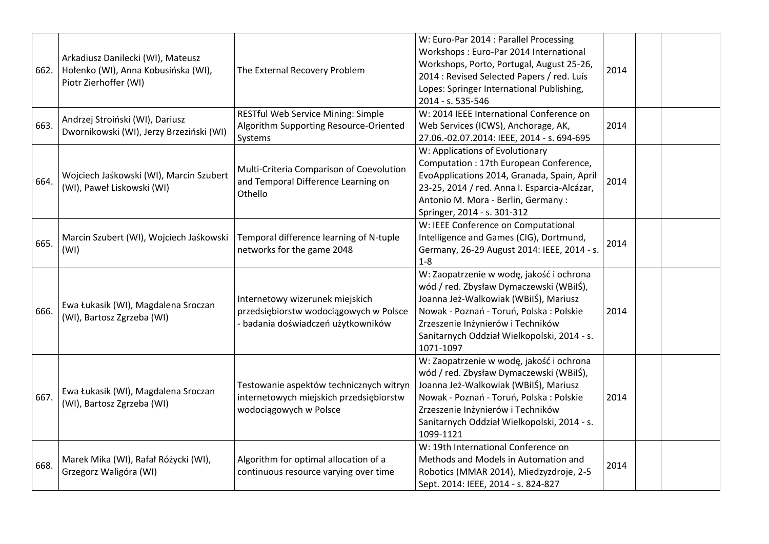| 662. | Arkadiusz Danilecki (WI), Mateusz<br>Hołenko (WI), Anna Kobusińska (WI),<br>Piotr Zierhoffer (WI) | The External Recovery Problem                                                                                   | W: Euro-Par 2014 : Parallel Processing<br>Workshops: Euro-Par 2014 International<br>Workshops, Porto, Portugal, August 25-26,<br>2014 : Revised Selected Papers / red. Luís<br>Lopes: Springer International Publishing,<br>2014 - s. 535-546                             | 2014 |  |
|------|---------------------------------------------------------------------------------------------------|-----------------------------------------------------------------------------------------------------------------|---------------------------------------------------------------------------------------------------------------------------------------------------------------------------------------------------------------------------------------------------------------------------|------|--|
| 663. | Andrzej Stroiński (WI), Dariusz<br>Dwornikowski (WI), Jerzy Brzeziński (WI)                       | RESTful Web Service Mining: Simple<br>Algorithm Supporting Resource-Oriented<br>Systems                         | W: 2014 IEEE International Conference on<br>Web Services (ICWS), Anchorage, AK,<br>27.06.-02.07.2014: IEEE, 2014 - s. 694-695                                                                                                                                             | 2014 |  |
| 664. | Wojciech Jaśkowski (WI), Marcin Szubert<br>(WI), Paweł Liskowski (WI)                             | Multi-Criteria Comparison of Coevolution<br>and Temporal Difference Learning on<br>Othello                      | W: Applications of Evolutionary<br>Computation: 17th European Conference,<br>EvoApplications 2014, Granada, Spain, April<br>23-25, 2014 / red. Anna I. Esparcia-Alcázar,<br>Antonio M. Mora - Berlin, Germany:<br>Springer, 2014 - s. 301-312                             | 2014 |  |
| 665. | Marcin Szubert (WI), Wojciech Jaśkowski<br>(WI)                                                   | Temporal difference learning of N-tuple<br>networks for the game 2048                                           | W: IEEE Conference on Computational<br>Intelligence and Games (CIG), Dortmund,<br>Germany, 26-29 August 2014: IEEE, 2014 - s.<br>$1 - 8$                                                                                                                                  | 2014 |  |
| 666. | Ewa Łukasik (WI), Magdalena Sroczan<br>(WI), Bartosz Zgrzeba (WI)                                 | Internetowy wizerunek miejskich<br>przedsiębiorstw wodociągowych w Polsce<br>- badania doświadczeń użytkowników | W: Zaopatrzenie w wodę, jakość i ochrona<br>wód / red. Zbysław Dymaczewski (WBiIŚ),<br>Joanna Jeż-Walkowiak (WBilŚ), Mariusz<br>Nowak - Poznań - Toruń, Polska : Polskie<br>Zrzeszenie Inżynierów i Techników<br>Sanitarnych Oddział Wielkopolski, 2014 - s.<br>1071-1097 | 2014 |  |
| 667. | Ewa Łukasik (WI), Magdalena Sroczan<br>(WI), Bartosz Zgrzeba (WI)                                 | Testowanie aspektów technicznych witryn<br>internetowych miejskich przedsiębiorstw<br>wodociągowych w Polsce    | W: Zaopatrzenie w wodę, jakość i ochrona<br>wód / red. Zbysław Dymaczewski (WBiIŚ),<br>Joanna Jeż-Walkowiak (WBilŚ), Mariusz<br>Nowak - Poznań - Toruń, Polska : Polskie<br>Zrzeszenie Inżynierów i Techników<br>Sanitarnych Oddział Wielkopolski, 2014 - s.<br>1099-1121 | 2014 |  |
| 668. | Marek Mika (WI), Rafał Różycki (WI),<br>Grzegorz Waligóra (WI)                                    | Algorithm for optimal allocation of a<br>continuous resource varying over time                                  | W: 19th International Conference on<br>Methods and Models in Automation and<br>Robotics (MMAR 2014), Miedzyzdroje, 2-5<br>Sept. 2014: IEEE, 2014 - s. 824-827                                                                                                             | 2014 |  |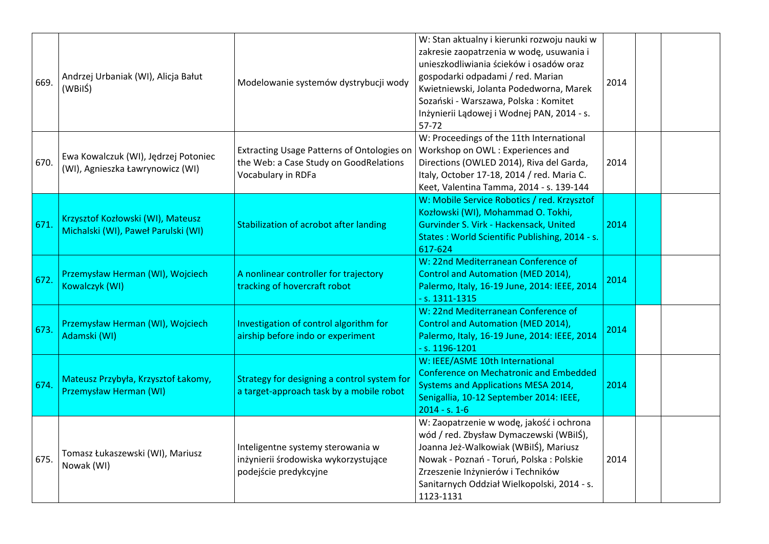| 669. | Andrzej Urbaniak (WI), Alicja Bałut<br>(WBilŚ)                           | Modelowanie systemów dystrybucji wody                                                                             | W: Stan aktualny i kierunki rozwoju nauki w<br>zakresie zaopatrzenia w wodę, usuwania i<br>unieszkodliwiania ścieków i osadów oraz<br>gospodarki odpadami / red. Marian<br>Kwietniewski, Jolanta Podedworna, Marek<br>Sozański - Warszawa, Polska: Komitet<br>Inżynierii Lądowej i Wodnej PAN, 2014 - s.<br>$57 - 72$ | 2014 |  |
|------|--------------------------------------------------------------------------|-------------------------------------------------------------------------------------------------------------------|-----------------------------------------------------------------------------------------------------------------------------------------------------------------------------------------------------------------------------------------------------------------------------------------------------------------------|------|--|
| 670. | Ewa Kowalczuk (WI), Jędrzej Potoniec<br>(WI), Agnieszka Ławrynowicz (WI) | <b>Extracting Usage Patterns of Ontologies on</b><br>the Web: a Case Study on GoodRelations<br>Vocabulary in RDFa | W: Proceedings of the 11th International<br>Workshop on OWL: Experiences and<br>Directions (OWLED 2014), Riva del Garda,<br>Italy, October 17-18, 2014 / red. Maria C.<br>Keet, Valentina Tamma, 2014 - s. 139-144                                                                                                    | 2014 |  |
| 671. | Krzysztof Kozłowski (WI), Mateusz<br>Michalski (WI), Paweł Parulski (WI) | <b>Stabilization of acrobot after landing</b>                                                                     | W: Mobile Service Robotics / red. Krzysztof<br>Kozłowski (WI), Mohammad O. Tokhi,<br>Gurvinder S. Virk - Hackensack, United<br>States: World Scientific Publishing, 2014 - s.<br>617-624                                                                                                                              | 2014 |  |
| 672. | Przemysław Herman (WI), Wojciech<br>Kowalczyk (WI)                       | A nonlinear controller for trajectory<br>tracking of hovercraft robot                                             | W: 22nd Mediterranean Conference of<br><b>Control and Automation (MED 2014),</b><br>Palermo, Italy, 16-19 June, 2014: IEEE, 2014<br>$- s. 1311 - 1315$                                                                                                                                                                | 2014 |  |
| 673. | Przemysław Herman (WI), Wojciech<br>Adamski (WI)                         | Investigation of control algorithm for<br>airship before indo or experiment                                       | W: 22nd Mediterranean Conference of<br>Control and Automation (MED 2014),<br>Palermo, Italy, 16-19 June, 2014: IEEE, 2014<br>$- s. 1196 - 1201$                                                                                                                                                                       | 2014 |  |
| 674. | Mateusz Przybyła, Krzysztof Łakomy,<br>Przemysław Herman (WI)            | Strategy for designing a control system for<br>a target-approach task by a mobile robot                           | W: IEEE/ASME 10th International<br><b>Conference on Mechatronic and Embedded</b><br><b>Systems and Applications MESA 2014,</b><br>Senigallia, 10-12 September 2014: IEEE,<br>$2014 - s. 1 - 6$                                                                                                                        | 2014 |  |
| 675. | Tomasz Łukaszewski (WI), Mariusz<br>Nowak (WI)                           | Inteligentne systemy sterowania w<br>inżynierii środowiska wykorzystujące<br>podejście predykcyjne                | W: Zaopatrzenie w wodę, jakość i ochrona<br>wód / red. Zbysław Dymaczewski (WBiIŚ),<br>Joanna Jeż-Walkowiak (WBilŚ), Mariusz<br>Nowak - Poznań - Toruń, Polska : Polskie<br>Zrzeszenie Inżynierów i Techników<br>Sanitarnych Oddział Wielkopolski, 2014 - s.<br>1123-1131                                             | 2014 |  |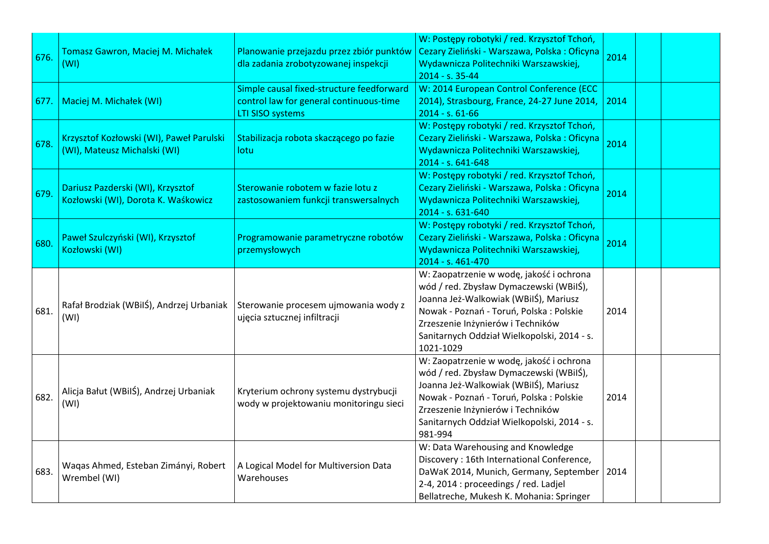| 676. | Tomasz Gawron, Maciej M. Michałek<br>(WI)                                | Planowanie przejazdu przez zbiór punktów<br>dla zadania zrobotyzowanej inspekcji                                | W: Postępy robotyki / red. Krzysztof Tchoń,<br>Cezary Zieliński - Warszawa, Polska: Oficyna<br>Wydawnicza Politechniki Warszawskiej,<br>2014 - s. 35-44                                                                                                                   | 2014 |  |
|------|--------------------------------------------------------------------------|-----------------------------------------------------------------------------------------------------------------|---------------------------------------------------------------------------------------------------------------------------------------------------------------------------------------------------------------------------------------------------------------------------|------|--|
| 677. | Maciej M. Michałek (WI)                                                  | Simple causal fixed-structure feedforward<br>control law for general continuous-time<br><b>LTI SISO systems</b> | W: 2014 European Control Conference (ECC<br>2014), Strasbourg, France, 24-27 June 2014,<br>2014 - s. 61-66                                                                                                                                                                | 2014 |  |
| 678. | Krzysztof Kozłowski (WI), Paweł Parulski<br>(WI), Mateusz Michalski (WI) | Stabilizacja robota skaczącego po fazie<br>lotu.                                                                | W: Postępy robotyki / red. Krzysztof Tchoń,<br>Cezary Zieliński - Warszawa, Polska: Oficyna<br>Wydawnicza Politechniki Warszawskiej,<br>2014 - s. 641-648                                                                                                                 | 2014 |  |
| 679. | Dariusz Pazderski (WI), Krzysztof<br>Kozłowski (WI), Dorota K. Waśkowicz | Sterowanie robotem w fazie lotu z<br>zastosowaniem funkcji transwersalnych                                      | W: Postępy robotyki / red. Krzysztof Tchoń,<br>Cezary Zieliński - Warszawa, Polska: Oficyna<br>Wydawnicza Politechniki Warszawskiej,<br>2014 - s. 631-640                                                                                                                 | 2014 |  |
| 680. | Paweł Szulczyński (WI), Krzysztof<br>Kozłowski (WI)                      | Programowanie parametryczne robotów<br>przemysłowych                                                            | W: Postępy robotyki / red. Krzysztof Tchoń,<br>Cezary Zieliński - Warszawa, Polska: Oficyna<br>Wydawnicza Politechniki Warszawskiej,<br>2014 - s. 461-470                                                                                                                 | 2014 |  |
| 681. | Rafał Brodziak (WBilŚ), Andrzej Urbaniak<br>(WI)                         | Sterowanie procesem ujmowania wody z<br>ujęcia sztucznej infiltracji                                            | W: Zaopatrzenie w wodę, jakość i ochrona<br>wód / red. Zbysław Dymaczewski (WBilŚ),<br>Joanna Jeż-Walkowiak (WBilŚ), Mariusz<br>Nowak - Poznań - Toruń, Polska : Polskie<br>Zrzeszenie Inżynierów i Techników<br>Sanitarnych Oddział Wielkopolski, 2014 - s.<br>1021-1029 | 2014 |  |
| 682. | Alicja Bałut (WBilŚ), Andrzej Urbaniak<br>(WI)                           | Kryterium ochrony systemu dystrybucji<br>wody w projektowaniu monitoringu sieci                                 | W: Zaopatrzenie w wodę, jakość i ochrona<br>wód / red. Zbysław Dymaczewski (WBilŚ),<br>Joanna Jeż-Walkowiak (WBiIŚ), Mariusz<br>Nowak - Poznań - Toruń, Polska : Polskie<br>Zrzeszenie Inżynierów i Techników<br>Sanitarnych Oddział Wielkopolski, 2014 - s.<br>981-994   | 2014 |  |
| 683. | Waqas Ahmed, Esteban Zimányi, Robert<br>Wrembel (WI)                     | A Logical Model for Multiversion Data<br>Warehouses                                                             | W: Data Warehousing and Knowledge<br>Discovery: 16th International Conference,<br>DaWaK 2014, Munich, Germany, September   2014<br>2-4, 2014 : proceedings / red. Ladjel<br>Bellatreche, Mukesh K. Mohania: Springer                                                      |      |  |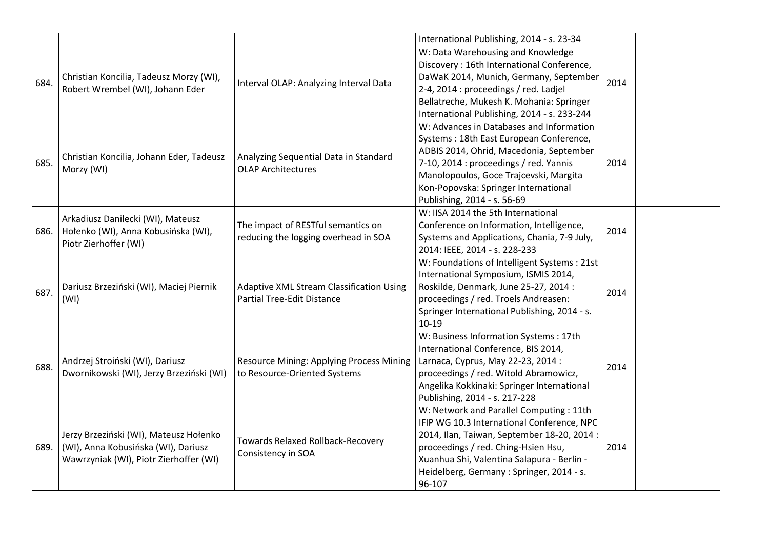|      |                                                                                                                         |                                                                                      | International Publishing, 2014 - s. 23-34                                                                                                                                                                                                                                                 |      |  |
|------|-------------------------------------------------------------------------------------------------------------------------|--------------------------------------------------------------------------------------|-------------------------------------------------------------------------------------------------------------------------------------------------------------------------------------------------------------------------------------------------------------------------------------------|------|--|
| 684. | Christian Koncilia, Tadeusz Morzy (WI),<br>Robert Wrembel (WI), Johann Eder                                             | Interval OLAP: Analyzing Interval Data                                               | W: Data Warehousing and Knowledge<br>Discovery: 16th International Conference,<br>DaWaK 2014, Munich, Germany, September<br>2-4, 2014 : proceedings / red. Ladjel<br>Bellatreche, Mukesh K. Mohania: Springer<br>International Publishing, 2014 - s. 233-244                              | 2014 |  |
| 685. | Christian Koncilia, Johann Eder, Tadeusz<br>Morzy (WI)                                                                  | Analyzing Sequential Data in Standard<br><b>OLAP Architectures</b>                   | W: Advances in Databases and Information<br>Systems: 18th East European Conference,<br>ADBIS 2014, Ohrid, Macedonia, September<br>7-10, 2014 : proceedings / red. Yannis<br>Manolopoulos, Goce Trajcevski, Margita<br>Kon-Popovska: Springer International<br>Publishing, 2014 - s. 56-69 | 2014 |  |
| 686. | Arkadiusz Danilecki (WI), Mateusz<br>Hołenko (WI), Anna Kobusińska (WI),<br>Piotr Zierhoffer (WI)                       | The impact of RESTful semantics on<br>reducing the logging overhead in SOA           | W: IISA 2014 the 5th International<br>Conference on Information, Intelligence,<br>Systems and Applications, Chania, 7-9 July,<br>2014: IEEE, 2014 - s. 228-233                                                                                                                            | 2014 |  |
| 687. | Dariusz Brzeziński (WI), Maciej Piernik<br>(WI)                                                                         | <b>Adaptive XML Stream Classification Using</b><br><b>Partial Tree-Edit Distance</b> | W: Foundations of Intelligent Systems : 21st<br>International Symposium, ISMIS 2014,<br>Roskilde, Denmark, June 25-27, 2014 :<br>proceedings / red. Troels Andreasen:<br>Springer International Publishing, 2014 - s.<br>$10-19$                                                          | 2014 |  |
| 688. | Andrzej Stroiński (WI), Dariusz<br>Dwornikowski (WI), Jerzy Brzeziński (WI)                                             | Resource Mining: Applying Process Mining<br>to Resource-Oriented Systems             | W: Business Information Systems: 17th<br>International Conference, BIS 2014,<br>Larnaca, Cyprus, May 22-23, 2014 :<br>proceedings / red. Witold Abramowicz,<br>Angelika Kokkinaki: Springer International<br>Publishing, 2014 - s. 217-228                                                | 2014 |  |
| 689. | Jerzy Brzeziński (WI), Mateusz Hołenko<br>(WI), Anna Kobusińska (WI), Dariusz<br>Wawrzyniak (WI), Piotr Zierhoffer (WI) | <b>Towards Relaxed Rollback-Recovery</b><br>Consistency in SOA                       | W: Network and Parallel Computing : 11th<br>IFIP WG 10.3 International Conference, NPC<br>2014, Ilan, Taiwan, September 18-20, 2014 :<br>proceedings / red. Ching-Hsien Hsu,<br>Xuanhua Shi, Valentina Salapura - Berlin -<br>Heidelberg, Germany: Springer, 2014 - s.<br>96-107          | 2014 |  |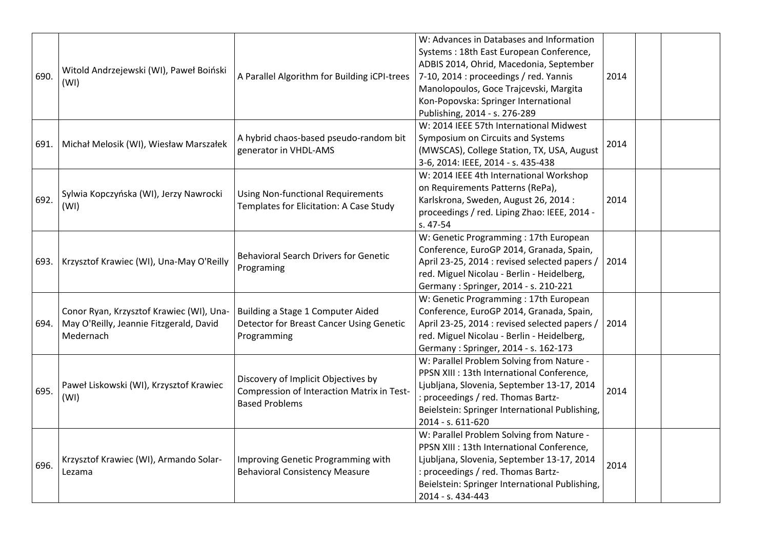| 690. | Witold Andrzejewski (WI), Paweł Boiński<br>(WI)                                                  | A Parallel Algorithm for Building iCPI-trees                                                               | W: Advances in Databases and Information<br>Systems: 18th East European Conference,<br>ADBIS 2014, Ohrid, Macedonia, September<br>7-10, 2014 : proceedings / red. Yannis<br>Manolopoulos, Goce Trajcevski, Margita<br>Kon-Popovska: Springer International<br>Publishing, 2014 - s. 276-289 | 2014 |  |
|------|--------------------------------------------------------------------------------------------------|------------------------------------------------------------------------------------------------------------|---------------------------------------------------------------------------------------------------------------------------------------------------------------------------------------------------------------------------------------------------------------------------------------------|------|--|
| 691. | Michał Melosik (WI), Wiesław Marszałek                                                           | A hybrid chaos-based pseudo-random bit<br>generator in VHDL-AMS                                            | W: 2014 IEEE 57th International Midwest<br>Symposium on Circuits and Systems<br>(MWSCAS), College Station, TX, USA, August<br>3-6, 2014: IEEE, 2014 - s. 435-438                                                                                                                            | 2014 |  |
| 692. | Sylwia Kopczyńska (WI), Jerzy Nawrocki<br>(WI)                                                   | <b>Using Non-functional Requirements</b><br>Templates for Elicitation: A Case Study                        | W: 2014 IEEE 4th International Workshop<br>on Requirements Patterns (RePa),<br>Karlskrona, Sweden, August 26, 2014:<br>proceedings / red. Liping Zhao: IEEE, 2014 -<br>s. 47-54                                                                                                             | 2014 |  |
| 693. | Krzysztof Krawiec (WI), Una-May O'Reilly                                                         | <b>Behavioral Search Drivers for Genetic</b><br>Programing                                                 | W: Genetic Programming : 17th European<br>Conference, EuroGP 2014, Granada, Spain,<br>April 23-25, 2014 : revised selected papers /<br>red. Miguel Nicolau - Berlin - Heidelberg,<br>Germany: Springer, 2014 - s. 210-221                                                                   | 2014 |  |
| 694. | Conor Ryan, Krzysztof Krawiec (WI), Una-<br>May O'Reilly, Jeannie Fitzgerald, David<br>Medernach | Building a Stage 1 Computer Aided<br>Detector for Breast Cancer Using Genetic<br>Programming               | W: Genetic Programming: 17th European<br>Conference, EuroGP 2014, Granada, Spain,<br>April 23-25, 2014 : revised selected papers /<br>red. Miguel Nicolau - Berlin - Heidelberg,<br>Germany: Springer, 2014 - s. 162-173                                                                    | 2014 |  |
| 695. | Paweł Liskowski (WI), Krzysztof Krawiec<br>(WI)                                                  | Discovery of Implicit Objectives by<br>Compression of Interaction Matrix in Test-<br><b>Based Problems</b> | W: Parallel Problem Solving from Nature -<br>PPSN XIII : 13th International Conference,<br>Ljubljana, Slovenia, September 13-17, 2014<br>: proceedings / red. Thomas Bartz-<br>Beielstein: Springer International Publishing,<br>2014 - s. 611-620                                          | 2014 |  |
| 696. | Krzysztof Krawiec (WI), Armando Solar-<br>Lezama                                                 | Improving Genetic Programming with<br><b>Behavioral Consistency Measure</b>                                | W: Parallel Problem Solving from Nature -<br>PPSN XIII : 13th International Conference,<br>Ljubljana, Slovenia, September 13-17, 2014<br>: proceedings / red. Thomas Bartz-<br>Beielstein: Springer International Publishing,<br>2014 - s. 434-443                                          | 2014 |  |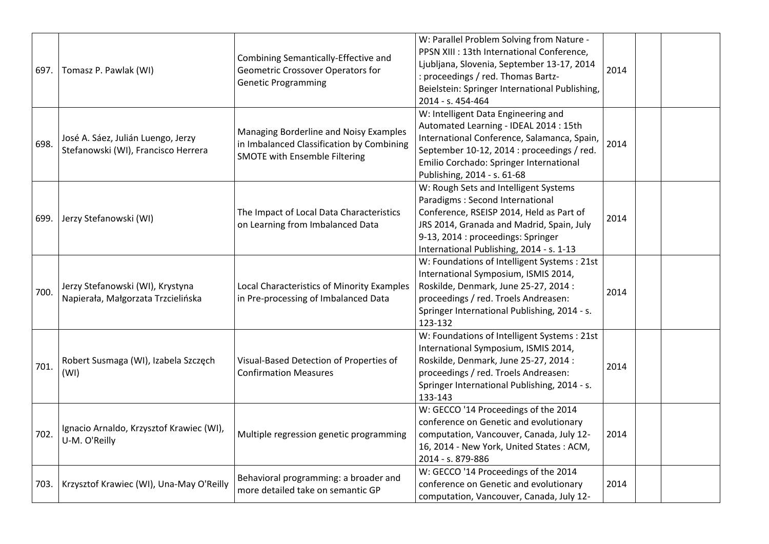| 697.   | Tomasz P. Pawlak (WI)                                                     | Combining Semantically-Effective and<br>Geometric Crossover Operators for<br><b>Genetic Programming</b>                     | W: Parallel Problem Solving from Nature -<br>PPSN XIII : 13th International Conference,<br>Ljubljana, Slovenia, September 13-17, 2014<br>: proceedings / red. Thomas Bartz-<br>Beielstein: Springer International Publishing,<br>2014 - s. 454-464   | 2014 |  |
|--------|---------------------------------------------------------------------------|-----------------------------------------------------------------------------------------------------------------------------|------------------------------------------------------------------------------------------------------------------------------------------------------------------------------------------------------------------------------------------------------|------|--|
| 698.   | José A. Sáez, Julián Luengo, Jerzy<br>Stefanowski (WI), Francisco Herrera | Managing Borderline and Noisy Examples<br>in Imbalanced Classification by Combining<br><b>SMOTE with Ensemble Filtering</b> | W: Intelligent Data Engineering and<br>Automated Learning - IDEAL 2014 : 15th<br>International Conference, Salamanca, Spain,<br>September 10-12, 2014 : proceedings / red.<br>Emilio Corchado: Springer International<br>Publishing, 2014 - s. 61-68 | 2014 |  |
| 699.   | Jerzy Stefanowski (WI)                                                    | The Impact of Local Data Characteristics<br>on Learning from Imbalanced Data                                                | W: Rough Sets and Intelligent Systems<br>Paradigms: Second International<br>Conference, RSEISP 2014, Held as Part of<br>JRS 2014, Granada and Madrid, Spain, July<br>9-13, 2014 : proceedings: Springer<br>International Publishing, 2014 - s. 1-13  | 2014 |  |
| 700.   | Jerzy Stefanowski (WI), Krystyna<br>Napierała, Małgorzata Trzcielińska    | Local Characteristics of Minority Examples<br>in Pre-processing of Imbalanced Data                                          | W: Foundations of Intelligent Systems : 21st<br>International Symposium, ISMIS 2014,<br>Roskilde, Denmark, June 25-27, 2014 :<br>proceedings / red. Troels Andreasen:<br>Springer International Publishing, 2014 - s.<br>123-132                     | 2014 |  |
| 701.   | Robert Susmaga (WI), Izabela Szczęch<br>(WI)                              | Visual-Based Detection of Properties of<br><b>Confirmation Measures</b>                                                     | W: Foundations of Intelligent Systems : 21st<br>International Symposium, ISMIS 2014,<br>Roskilde, Denmark, June 25-27, 2014 :<br>proceedings / red. Troels Andreasen:<br>Springer International Publishing, 2014 - s.<br>133-143                     | 2014 |  |
| 702.   | Ignacio Arnaldo, Krzysztof Krawiec (WI),<br>U-M. O'Reilly                 | Multiple regression genetic programming                                                                                     | W: GECCO '14 Proceedings of the 2014<br>conference on Genetic and evolutionary<br>computation, Vancouver, Canada, July 12-<br>16, 2014 - New York, United States: ACM,<br>2014 - s. 879-886                                                          | 2014 |  |
| 703. l | Krzysztof Krawiec (WI), Una-May O'Reilly                                  | Behavioral programming: a broader and<br>more detailed take on semantic GP                                                  | W: GECCO '14 Proceedings of the 2014<br>conference on Genetic and evolutionary<br>computation, Vancouver, Canada, July 12-                                                                                                                           | 2014 |  |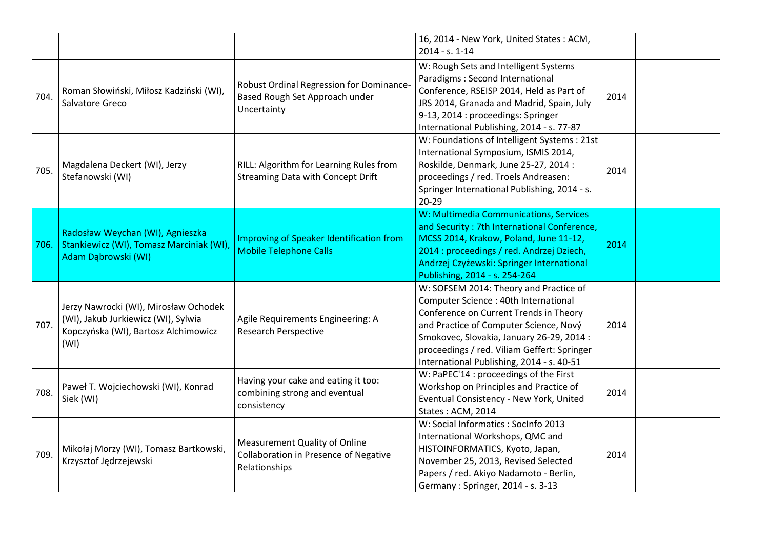|      |                                                                                                                              |                                                                                                | 16, 2014 - New York, United States: ACM,<br>2014 - s. 1-14                                                                                                                                                                                                                                                  |      |  |
|------|------------------------------------------------------------------------------------------------------------------------------|------------------------------------------------------------------------------------------------|-------------------------------------------------------------------------------------------------------------------------------------------------------------------------------------------------------------------------------------------------------------------------------------------------------------|------|--|
| 704. | Roman Słowiński, Miłosz Kadziński (WI),<br>Salvatore Greco                                                                   | Robust Ordinal Regression for Dominance-<br>Based Rough Set Approach under<br>Uncertainty      | W: Rough Sets and Intelligent Systems<br>Paradigms : Second International<br>Conference, RSEISP 2014, Held as Part of<br>JRS 2014, Granada and Madrid, Spain, July<br>9-13, 2014 : proceedings: Springer<br>International Publishing, 2014 - s. 77-87                                                       | 2014 |  |
| 705. | Magdalena Deckert (WI), Jerzy<br>Stefanowski (WI)                                                                            | RILL: Algorithm for Learning Rules from<br>Streaming Data with Concept Drift                   | W: Foundations of Intelligent Systems : 21st<br>International Symposium, ISMIS 2014,<br>Roskilde, Denmark, June 25-27, 2014 :<br>proceedings / red. Troels Andreasen:<br>Springer International Publishing, 2014 - s.<br>$20 - 29$                                                                          | 2014 |  |
| 706. | Radosław Weychan (WI), Agnieszka<br>Stankiewicz (WI), Tomasz Marciniak (WI),<br>Adam Dąbrowski (WI)                          | Improving of Speaker Identification from<br><b>Mobile Telephone Calls</b>                      | W: Multimedia Communications, Services<br>and Security: 7th International Conference,<br>MCSS 2014, Krakow, Poland, June 11-12,<br>2014 : proceedings / red. Andrzej Dziech,<br>Andrzej Czyżewski: Springer International<br>Publishing, 2014 - s. 254-264                                                  | 2014 |  |
| 707. | Jerzy Nawrocki (WI), Mirosław Ochodek<br>(WI), Jakub Jurkiewicz (WI), Sylwia<br>Kopczyńska (WI), Bartosz Alchimowicz<br>(WI) | Agile Requirements Engineering: A<br><b>Research Perspective</b>                               | W: SOFSEM 2014: Theory and Practice of<br>Computer Science : 40th International<br>Conference on Current Trends in Theory<br>and Practice of Computer Science, Nový<br>Smokovec, Slovakia, January 26-29, 2014:<br>proceedings / red. Viliam Geffert: Springer<br>International Publishing, 2014 - s. 40-51 | 2014 |  |
| 708. | Paweł T. Wojciechowski (WI), Konrad<br>Siek (WI)                                                                             | Having your cake and eating it too:<br>combining strong and eventual<br>consistency            | W: PaPEC'14 : proceedings of the First<br>Workshop on Principles and Practice of<br>Eventual Consistency - New York, United<br>States: ACM, 2014                                                                                                                                                            | 2014 |  |
| 709. | Mikołaj Morzy (WI), Tomasz Bartkowski,<br>Krzysztof Jędrzejewski                                                             | <b>Measurement Quality of Online</b><br>Collaboration in Presence of Negative<br>Relationships | W: Social Informatics: SocInfo 2013<br>International Workshops, QMC and<br>HISTOINFORMATICS, Kyoto, Japan,<br>November 25, 2013, Revised Selected<br>Papers / red. Akiyo Nadamoto - Berlin,<br>Germany: Springer, 2014 - s. 3-13                                                                            | 2014 |  |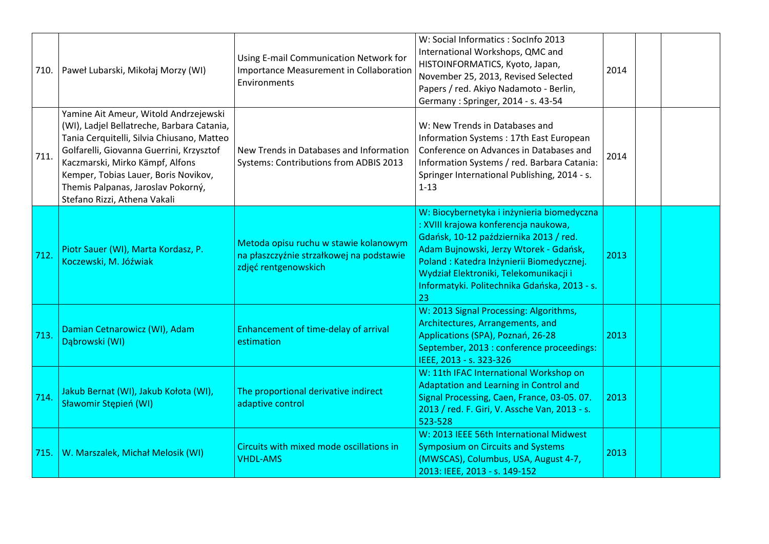| 710. | Paweł Lubarski, Mikołaj Morzy (WI)                                                                                                                                                                                                                                                                                             | Using E-mail Communication Network for<br>Importance Measurement in Collaboration<br>Environments         | W: Social Informatics: SocInfo 2013<br>International Workshops, QMC and<br>HISTOINFORMATICS, Kyoto, Japan,<br>November 25, 2013, Revised Selected<br>Papers / red. Akiyo Nadamoto - Berlin,<br>Germany: Springer, 2014 - s. 43-54                                                                                   | 2014 |  |
|------|--------------------------------------------------------------------------------------------------------------------------------------------------------------------------------------------------------------------------------------------------------------------------------------------------------------------------------|-----------------------------------------------------------------------------------------------------------|---------------------------------------------------------------------------------------------------------------------------------------------------------------------------------------------------------------------------------------------------------------------------------------------------------------------|------|--|
| 711. | Yamine Ait Ameur, Witold Andrzejewski<br>(WI), Ladjel Bellatreche, Barbara Catania,<br>Tania Cerquitelli, Silvia Chiusano, Matteo<br>Golfarelli, Giovanna Guerrini, Krzysztof<br>Kaczmarski, Mirko Kämpf, Alfons<br>Kemper, Tobias Lauer, Boris Novikov,<br>Themis Palpanas, Jaroslav Pokorný,<br>Stefano Rizzi, Athena Vakali | New Trends in Databases and Information<br>Systems: Contributions from ADBIS 2013                         | W: New Trends in Databases and<br>Information Systems: 17th East European<br>Conference on Advances in Databases and<br>Information Systems / red. Barbara Catania:<br>Springer International Publishing, 2014 - s.<br>$1 - 13$                                                                                     | 2014 |  |
| 712. | Piotr Sauer (WI), Marta Kordasz, P.<br>Koczewski, M. Jóźwiak                                                                                                                                                                                                                                                                   | Metoda opisu ruchu w stawie kolanowym<br>na płaszczyźnie strzałkowej na podstawie<br>zdjęć rentgenowskich | W: Biocybernetyka i inżynieria biomedyczna<br>: XVIII krajowa konferencja naukowa,<br>Gdańsk, 10-12 października 2013 / red.<br>Adam Bujnowski, Jerzy Wtorek - Gdańsk,<br>Poland : Katedra Inżynierii Biomedycznej.<br>Wydział Elektroniki, Telekomunikacji i<br>Informatyki. Politechnika Gdańska, 2013 - s.<br>23 | 2013 |  |
| 713. | Damian Cetnarowicz (WI), Adam<br>Dąbrowski (WI)                                                                                                                                                                                                                                                                                | Enhancement of time-delay of arrival<br>estimation                                                        | W: 2013 Signal Processing: Algorithms,<br>Architectures, Arrangements, and<br>Applications (SPA), Poznań, 26-28<br>September, 2013 : conference proceedings:<br>IEEE, 2013 - s. 323-326                                                                                                                             | 2013 |  |
| 714. | Jakub Bernat (WI), Jakub Kołota (WI),<br>Sławomir Stępień (WI)                                                                                                                                                                                                                                                                 | The proportional derivative indirect<br>adaptive control                                                  | W: 11th IFAC International Workshop on<br>Adaptation and Learning in Control and<br>Signal Processing, Caen, France, 03-05. 07.<br>2013 / red. F. Giri, V. Assche Van, 2013 - s.<br>523-528                                                                                                                         | 2013 |  |
| 715. | W. Marszalek, Michał Melosik (WI)                                                                                                                                                                                                                                                                                              | Circuits with mixed mode oscillations in<br><b>VHDL-AMS</b>                                               | W: 2013 IEEE 56th International Midwest<br><b>Symposium on Circuits and Systems</b><br>(MWSCAS), Columbus, USA, August 4-7,<br>2013: IEEE, 2013 - s. 149-152                                                                                                                                                        | 2013 |  |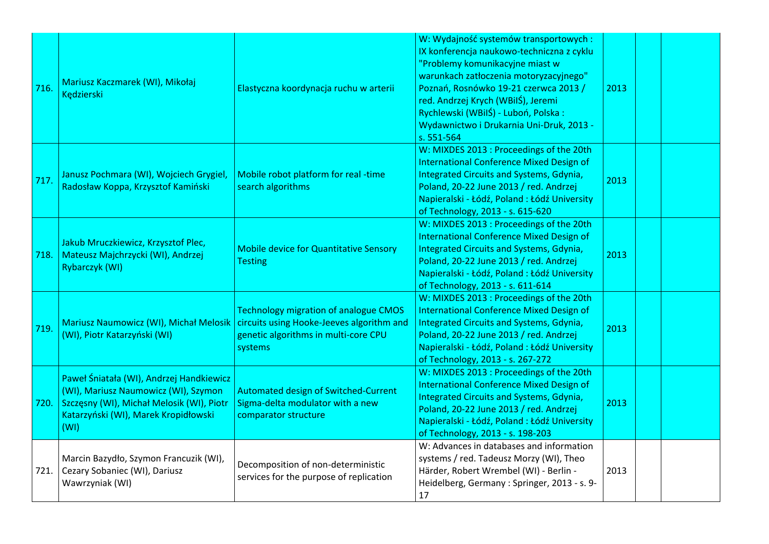| 716. | Mariusz Kaczmarek (WI), Mikołaj<br>Kędzierski                                                                                                                                 | Elastyczna koordynacja ruchu w arterii                                                                                                       | W: Wydajność systemów transportowych :<br>IX konferencja naukowo-techniczna z cyklu<br>"Problemy komunikacyjne miast w<br>warunkach zatłoczenia motoryzacyjnego"<br>Poznań, Rosnówko 19-21 czerwca 2013 /<br>red. Andrzej Krych (WBilŚ), Jeremi<br>Rychlewski (WBilŚ) - Luboń, Polska:<br>Wydawnictwo i Drukarnia Uni-Druk, 2013 -<br>s. 551-564 | 2013 |  |
|------|-------------------------------------------------------------------------------------------------------------------------------------------------------------------------------|----------------------------------------------------------------------------------------------------------------------------------------------|--------------------------------------------------------------------------------------------------------------------------------------------------------------------------------------------------------------------------------------------------------------------------------------------------------------------------------------------------|------|--|
| 717. | Janusz Pochmara (WI), Wojciech Grygiel,<br>Radosław Koppa, Krzysztof Kamiński                                                                                                 | Mobile robot platform for real -time<br>search algorithms                                                                                    | W: MIXDES 2013 : Proceedings of the 20th<br><b>International Conference Mixed Design of</b><br>Integrated Circuits and Systems, Gdynia,<br>Poland, 20-22 June 2013 / red. Andrzej<br>Napieralski - Łódź, Poland : Łódź University<br>of Technology, 2013 - s. 615-620                                                                            | 2013 |  |
| 718. | Jakub Mruczkiewicz, Krzysztof Plec,<br>Mateusz Majchrzycki (WI), Andrzej<br>Rybarczyk (WI)                                                                                    | <b>Mobile device for Quantitative Sensory</b><br><b>Testing</b>                                                                              | W: MIXDES 2013 : Proceedings of the 20th<br><b>International Conference Mixed Design of</b><br>Integrated Circuits and Systems, Gdynia,<br>Poland, 20-22 June 2013 / red. Andrzej<br>Napieralski - Łódź, Poland : Łódź University<br>of Technology, 2013 - s. 611-614                                                                            | 2013 |  |
| 719. | Mariusz Naumowicz (WI), Michał Melosik<br>(WI), Piotr Katarzyński (WI)                                                                                                        | <b>Technology migration of analogue CMOS</b><br>circuits using Hooke-Jeeves algorithm and<br>genetic algorithms in multi-core CPU<br>systems | W: MIXDES 2013 : Proceedings of the 20th<br><b>International Conference Mixed Design of</b><br><b>Integrated Circuits and Systems, Gdynia,</b><br>Poland, 20-22 June 2013 / red. Andrzej<br>Napieralski - Łódź, Poland : Łódź University<br>of Technology, 2013 - s. 267-272                                                                     | 2013 |  |
| 720. | Paweł Śniatała (WI), Andrzej Handkiewicz<br>(WI), Mariusz Naumowicz (WI), Szymon<br>Szczęsny (WI), Michał Melosik (WI), Piotr<br>Katarzyński (WI), Marek Kropidłowski<br>(WI) | <b>Automated design of Switched-Current</b><br>Sigma-delta modulator with a new<br>comparator structure                                      | W: MIXDES 2013 : Proceedings of the 20th<br><b>International Conference Mixed Design of</b><br>Integrated Circuits and Systems, Gdynia,<br>Poland, 20-22 June 2013 / red. Andrzej<br>Napieralski - Łódź, Poland : Łódź University<br>of Technology, 2013 - s. 198-203                                                                            | 2013 |  |
|      | Marcin Bazydło, Szymon Francuzik (WI),<br>721. Cezary Sobaniec (WI), Dariusz<br>Wawrzyniak (WI)                                                                               | Decomposition of non-deterministic<br>services for the purpose of replication                                                                | W: Advances in databases and information<br>systems / red. Tadeusz Morzy (WI), Theo<br>Härder, Robert Wrembel (WI) - Berlin -<br>Heidelberg, Germany: Springer, 2013 - s. 9-<br>17                                                                                                                                                               | 2013 |  |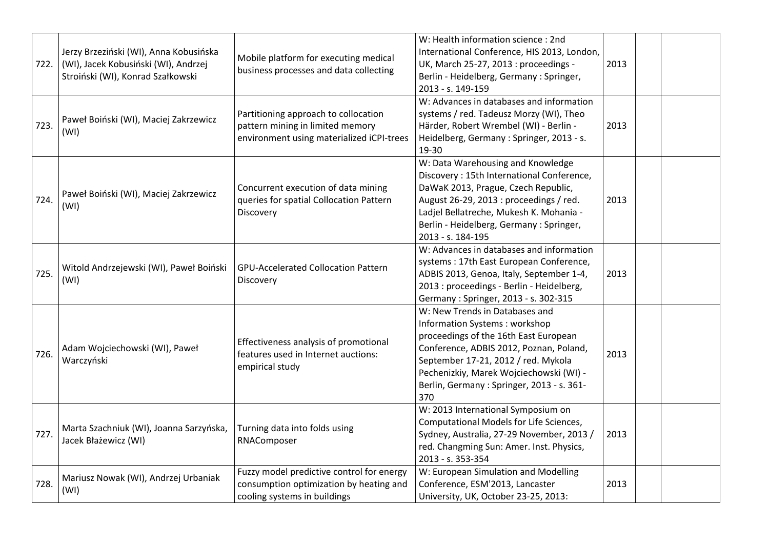| 722. | Jerzy Brzeziński (WI), Anna Kobusińska<br>(WI), Jacek Kobusiński (WI), Andrzej<br>Stroiński (WI), Konrad Szałkowski | Mobile platform for executing medical<br>business processes and data collecting                                       | W: Health information science : 2nd<br>International Conference, HIS 2013, London,<br>UK, March 25-27, 2013 : proceedings -<br>Berlin - Heidelberg, Germany : Springer,<br>2013 - s. 149-159                                                                                                     | 2013 |  |
|------|---------------------------------------------------------------------------------------------------------------------|-----------------------------------------------------------------------------------------------------------------------|--------------------------------------------------------------------------------------------------------------------------------------------------------------------------------------------------------------------------------------------------------------------------------------------------|------|--|
| 723. | Paweł Boiński (WI), Maciej Zakrzewicz<br>(WI)                                                                       | Partitioning approach to collocation<br>pattern mining in limited memory<br>environment using materialized iCPI-trees | W: Advances in databases and information<br>systems / red. Tadeusz Morzy (WI), Theo<br>Härder, Robert Wrembel (WI) - Berlin -<br>Heidelberg, Germany: Springer, 2013 - s.<br>19-30                                                                                                               | 2013 |  |
| 724. | Paweł Boiński (WI), Maciej Zakrzewicz<br>(WI)                                                                       | Concurrent execution of data mining<br>queries for spatial Collocation Pattern<br>Discovery                           | W: Data Warehousing and Knowledge<br>Discovery: 15th International Conference,<br>DaWaK 2013, Prague, Czech Republic,<br>August 26-29, 2013 : proceedings / red.<br>Ladjel Bellatreche, Mukesh K. Mohania -<br>Berlin - Heidelberg, Germany : Springer,<br>2013 - s. 184-195                     | 2013 |  |
| 725. | Witold Andrzejewski (WI), Paweł Boiński<br>(WI)                                                                     | <b>GPU-Accelerated Collocation Pattern</b><br>Discovery                                                               | W: Advances in databases and information<br>systems: 17th East European Conference,<br>ADBIS 2013, Genoa, Italy, September 1-4,<br>2013 : proceedings - Berlin - Heidelberg,<br>Germany: Springer, 2013 - s. 302-315                                                                             | 2013 |  |
| 726. | Adam Wojciechowski (WI), Paweł<br>Warczyński                                                                        | Effectiveness analysis of promotional<br>features used in Internet auctions:<br>empirical study                       | W: New Trends in Databases and<br><b>Information Systems: workshop</b><br>proceedings of the 16th East European<br>Conference, ADBIS 2012, Poznan, Poland,<br>September 17-21, 2012 / red. Mykola<br>Pechenizkiy, Marek Wojciechowski (WI) -<br>Berlin, Germany: Springer, 2013 - s. 361-<br>370 | 2013 |  |
| 727. | Marta Szachniuk (WI), Joanna Sarzyńska,<br>Jacek Błażewicz (WI)                                                     | Turning data into folds using<br>RNAComposer                                                                          | W: 2013 International Symposium on<br>Computational Models for Life Sciences,<br>Sydney, Australia, 27-29 November, 2013 /<br>red. Changming Sun: Amer. Inst. Physics,<br>2013 - s. 353-354                                                                                                      | 2013 |  |
| 728. | Mariusz Nowak (WI), Andrzej Urbaniak<br>(WI)                                                                        | Fuzzy model predictive control for energy<br>consumption optimization by heating and<br>cooling systems in buildings  | W: European Simulation and Modelling<br>Conference, ESM'2013, Lancaster<br>University, UK, October 23-25, 2013:                                                                                                                                                                                  | 2013 |  |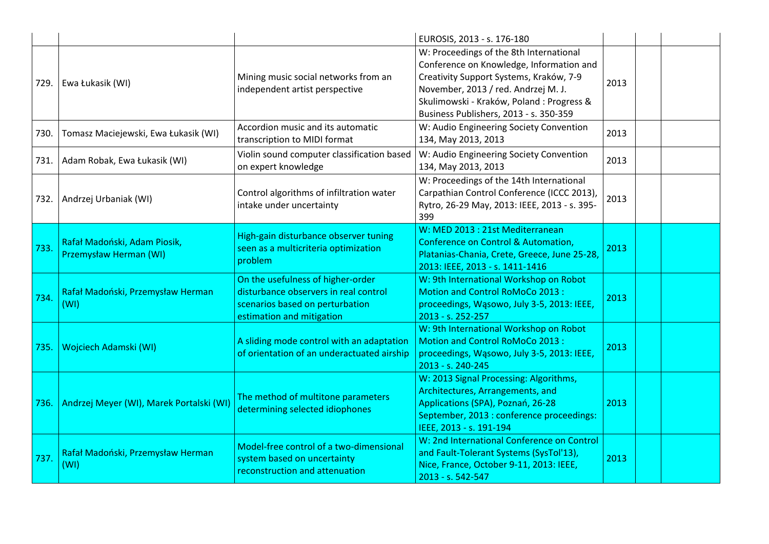|      |                                                        |                                                                                                                                            | EUROSIS, 2013 - s. 176-180                                                                                                                                                                                                                                   |      |  |
|------|--------------------------------------------------------|--------------------------------------------------------------------------------------------------------------------------------------------|--------------------------------------------------------------------------------------------------------------------------------------------------------------------------------------------------------------------------------------------------------------|------|--|
| 729. | Ewa Łukasik (WI)                                       | Mining music social networks from an<br>independent artist perspective                                                                     | W: Proceedings of the 8th International<br>Conference on Knowledge, Information and<br>Creativity Support Systems, Kraków, 7-9<br>November, 2013 / red. Andrzej M. J.<br>Skulimowski - Kraków, Poland : Progress &<br>Business Publishers, 2013 - s. 350-359 | 2013 |  |
| 730. | Tomasz Maciejewski, Ewa Łukasik (WI)                   | Accordion music and its automatic<br>transcription to MIDI format                                                                          | W: Audio Engineering Society Convention<br>134, May 2013, 2013                                                                                                                                                                                               | 2013 |  |
| 731. | Adam Robak, Ewa Łukasik (WI)                           | Violin sound computer classification based<br>on expert knowledge                                                                          | W: Audio Engineering Society Convention<br>134, May 2013, 2013                                                                                                                                                                                               | 2013 |  |
| 732. | Andrzej Urbaniak (WI)                                  | Control algorithms of infiltration water<br>intake under uncertainty                                                                       | W: Proceedings of the 14th International<br>Carpathian Control Conference (ICCC 2013),<br>Rytro, 26-29 May, 2013: IEEE, 2013 - s. 395-<br>399                                                                                                                | 2013 |  |
| 733. | Rafał Madoński, Adam Piosik,<br>Przemysław Herman (WI) | High-gain disturbance observer tuning<br>seen as a multicriteria optimization<br>problem                                                   | W: MED 2013 : 21st Mediterranean<br>Conference on Control & Automation,<br>Platanias-Chania, Crete, Greece, June 25-28,<br>2013: IEEE, 2013 - s. 1411-1416                                                                                                   | 2013 |  |
| 734. | Rafał Madoński, Przemysław Herman<br>(WI)              | On the usefulness of higher-order<br>disturbance observers in real control<br>scenarios based on perturbation<br>estimation and mitigation | W: 9th International Workshop on Robot<br>Motion and Control RoMoCo 2013:<br>proceedings, Wąsowo, July 3-5, 2013: IEEE,<br>2013 - s. 252-257                                                                                                                 | 2013 |  |
| 735. | Wojciech Adamski (WI)                                  | A sliding mode control with an adaptation<br>of orientation of an underactuated airship                                                    | W: 9th International Workshop on Robot<br>Motion and Control RoMoCo 2013:<br>proceedings, Wąsowo, July 3-5, 2013: IEEE,<br>2013 - s. 240-245                                                                                                                 | 2013 |  |
| 736. | Andrzej Meyer (WI), Marek Portalski (WI)               | The method of multitone parameters<br>determining selected idiophones                                                                      | W: 2013 Signal Processing: Algorithms,<br>Architectures, Arrangements, and<br>Applications (SPA), Poznań, 26-28<br>September, 2013 : conference proceedings:<br>IEEE, 2013 - s. 191-194                                                                      | 2013 |  |
| 737. | Rafał Madoński, Przemysław Herman<br>(WI)              | Model-free control of a two-dimensional<br>system based on uncertainty<br>reconstruction and attenuation                                   | W: 2nd International Conference on Control<br>and Fault-Tolerant Systems (SysTol'13),<br>Nice, France, October 9-11, 2013: IEEE,<br>2013 - s. 542-547                                                                                                        | 2013 |  |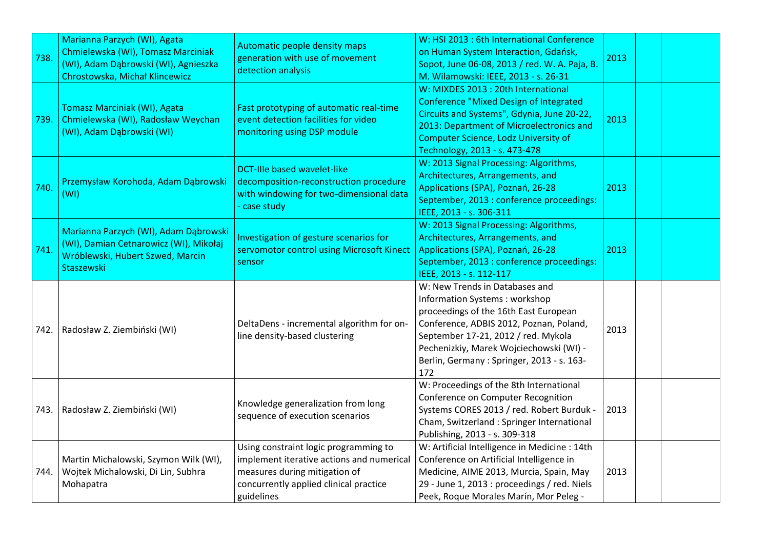| 738.   | Marianna Parzych (WI), Agata<br>Chmielewska (WI), Tomasz Marciniak<br>(WI), Adam Dąbrowski (WI), Agnieszka<br>Chrostowska, Michał Klincewicz | Automatic people density maps<br>generation with use of movement<br>detection analysis                                                                                      | W: HSI 2013 : 6th International Conference<br>on Human System Interaction, Gdańsk,<br>Sopot, June 06-08, 2013 / red. W. A. Paja, B.<br>M. Wilamowski: IEEE, 2013 - s. 26-31                                                                                                               | 2013 |  |
|--------|----------------------------------------------------------------------------------------------------------------------------------------------|-----------------------------------------------------------------------------------------------------------------------------------------------------------------------------|-------------------------------------------------------------------------------------------------------------------------------------------------------------------------------------------------------------------------------------------------------------------------------------------|------|--|
| 739.   | Tomasz Marciniak (WI), Agata<br>Chmielewska (WI), Radosław Weychan<br>(WI), Adam Dąbrowski (WI)                                              | Fast prototyping of automatic real-time<br>event detection facilities for video<br>monitoring using DSP module                                                              | W: MIXDES 2013 : 20th International<br><b>Conference "Mixed Design of Integrated</b><br>Circuits and Systems", Gdynia, June 20-22,<br>2013: Department of Microelectronics and<br><b>Computer Science, Lodz University of</b><br>Technology, 2013 - s. 473-478                            | 2013 |  |
| 740.   | Przemysław Korohoda, Adam Dąbrowski<br>(WI)                                                                                                  | <b>DCT-Ille based wavelet-like</b><br>decomposition-reconstruction procedure<br>with windowing for two-dimensional data<br>case study                                       | W: 2013 Signal Processing: Algorithms,<br>Architectures, Arrangements, and<br>Applications (SPA), Poznań, 26-28<br>September, 2013 : conference proceedings:<br>IEEE, 2013 - s. 306-311                                                                                                   | 2013 |  |
| 741.   | Marianna Parzych (WI), Adam Dąbrowski<br>(WI), Damian Cetnarowicz (WI), Mikołaj<br>Wróblewski, Hubert Szwed, Marcin<br>Staszewski            | Investigation of gesture scenarios for<br>servomotor control using Microsoft Kinect<br>sensor                                                                               | W: 2013 Signal Processing: Algorithms,<br>Architectures, Arrangements, and<br>Applications (SPA), Poznań, 26-28<br>September, 2013 : conference proceedings:<br>IEEE, 2013 - s. 112-117                                                                                                   | 2013 |  |
| 742.   | Radosław Z. Ziembiński (WI)                                                                                                                  | DeltaDens - incremental algorithm for on-<br>line density-based clustering                                                                                                  | W: New Trends in Databases and<br>Information Systems: workshop<br>proceedings of the 16th East European<br>Conference, ADBIS 2012, Poznan, Poland,<br>September 17-21, 2012 / red. Mykola<br>Pechenizkiy, Marek Wojciechowski (WI) -<br>Berlin, Germany: Springer, 2013 - s. 163-<br>172 | 2013 |  |
| 743. I | Radosław Z. Ziembiński (WI)                                                                                                                  | Knowledge generalization from long<br>sequence of execution scenarios                                                                                                       | W: Proceedings of the 8th International<br>Conference on Computer Recognition<br>Systems CORES 2013 / red. Robert Burduk -<br>Cham, Switzerland : Springer International<br>Publishing, 2013 - s. 309-318                                                                                 | 2013 |  |
| 744.   | Martin Michalowski, Szymon Wilk (WI),<br>Wojtek Michalowski, Di Lin, Subhra<br>Mohapatra                                                     | Using constraint logic programming to<br>implement iterative actions and numerical<br>measures during mitigation of<br>concurrently applied clinical practice<br>guidelines | W: Artificial Intelligence in Medicine : 14th<br>Conference on Artificial Intelligence in<br>Medicine, AIME 2013, Murcia, Spain, May<br>29 - June 1, 2013 : proceedings / red. Niels<br>Peek, Roque Morales Marín, Mor Peleg -                                                            | 2013 |  |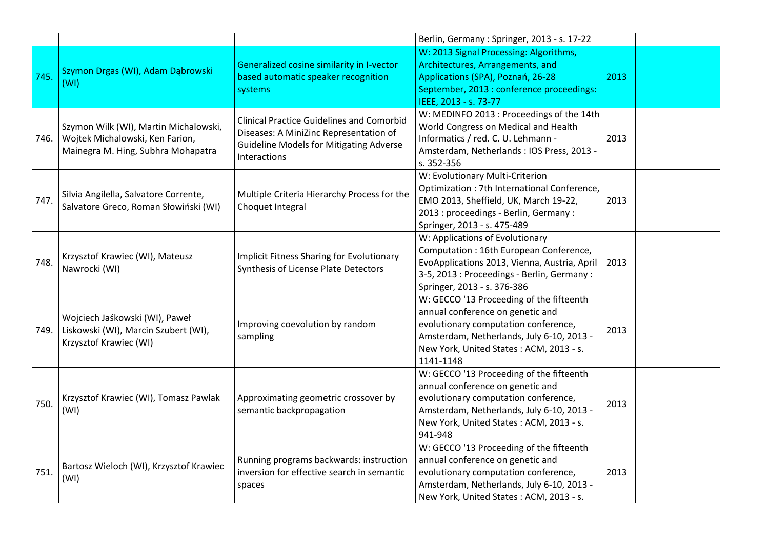|      |                                                                                                                |                                                                                                                                                              | Berlin, Germany: Springer, 2013 - s. 17-22                                                                                                                                                                                |      |  |
|------|----------------------------------------------------------------------------------------------------------------|--------------------------------------------------------------------------------------------------------------------------------------------------------------|---------------------------------------------------------------------------------------------------------------------------------------------------------------------------------------------------------------------------|------|--|
| 745. | Szymon Drgas (WI), Adam Dąbrowski<br>(WI)                                                                      | Generalized cosine similarity in I-vector<br>based automatic speaker recognition<br>systems                                                                  | W: 2013 Signal Processing: Algorithms,<br>Architectures, Arrangements, and<br>Applications (SPA), Poznań, 26-28<br>September, 2013 : conference proceedings:<br>IEEE, 2013 - s. 73-77                                     | 2013 |  |
| 746. | Szymon Wilk (WI), Martin Michalowski,<br>Wojtek Michalowski, Ken Farion,<br>Mainegra M. Hing, Subhra Mohapatra | <b>Clinical Practice Guidelines and Comorbid</b><br>Diseases: A MiniZinc Representation of<br><b>Guideline Models for Mitigating Adverse</b><br>Interactions | W: MEDINFO 2013 : Proceedings of the 14th<br>World Congress on Medical and Health<br>Informatics / red. C. U. Lehmann -<br>Amsterdam, Netherlands: IOS Press, 2013 -<br>s. 352-356                                        | 2013 |  |
| 747. | Silvia Angilella, Salvatore Corrente,<br>Salvatore Greco, Roman Słowiński (WI)                                 | Multiple Criteria Hierarchy Process for the<br>Choquet Integral                                                                                              | W: Evolutionary Multi-Criterion<br>Optimization : 7th International Conference,<br>EMO 2013, Sheffield, UK, March 19-22,<br>2013 : proceedings - Berlin, Germany :<br>Springer, 2013 - s. 475-489                         | 2013 |  |
| 748. | Krzysztof Krawiec (WI), Mateusz<br>Nawrocki (WI)                                                               | <b>Implicit Fitness Sharing for Evolutionary</b><br>Synthesis of License Plate Detectors                                                                     | W: Applications of Evolutionary<br>Computation: 16th European Conference,<br>EvoApplications 2013, Vienna, Austria, April<br>3-5, 2013 : Proceedings - Berlin, Germany :<br>Springer, 2013 - s. 376-386                   | 2013 |  |
| 749. | Wojciech Jaśkowski (WI), Paweł<br>Liskowski (WI), Marcin Szubert (WI),<br>Krzysztof Krawiec (WI)               | Improving coevolution by random<br>sampling                                                                                                                  | W: GECCO '13 Proceeding of the fifteenth<br>annual conference on genetic and<br>evolutionary computation conference,<br>Amsterdam, Netherlands, July 6-10, 2013 -<br>New York, United States: ACM, 2013 - s.<br>1141-1148 | 2013 |  |
| 750. | Krzysztof Krawiec (WI), Tomasz Pawlak<br>(WI)                                                                  | Approximating geometric crossover by<br>semantic backpropagation                                                                                             | W: GECCO '13 Proceeding of the fifteenth<br>annual conference on genetic and<br>evolutionary computation conference,<br>Amsterdam, Netherlands, July 6-10, 2013 -<br>New York, United States: ACM, 2013 - s.<br>941-948   | 2013 |  |
| 751. | Bartosz Wieloch (WI), Krzysztof Krawiec<br>(WI)                                                                | Running programs backwards: instruction<br>inversion for effective search in semantic<br>spaces                                                              | W: GECCO '13 Proceeding of the fifteenth<br>annual conference on genetic and<br>evolutionary computation conference,<br>Amsterdam, Netherlands, July 6-10, 2013 -<br>New York, United States: ACM, 2013 - s.              | 2013 |  |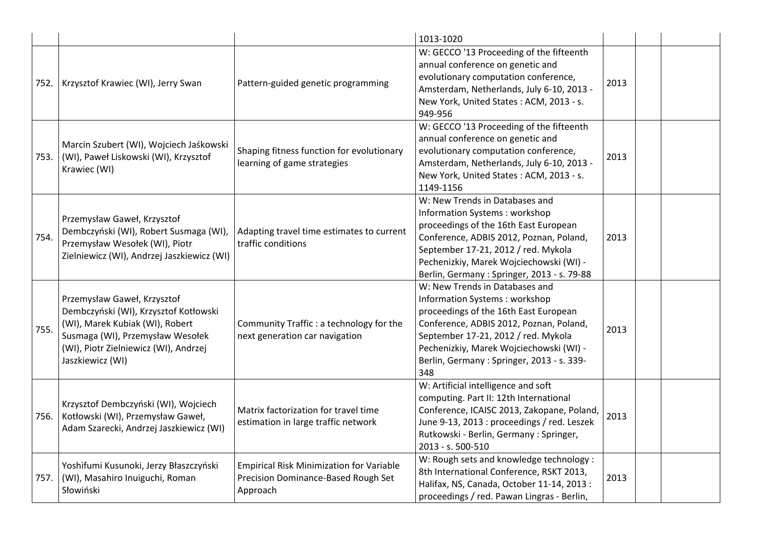|      |                                                                                                                                                                                                          |                                                                                                    | 1013-1020                                                                                                                                                                                                                                                                                 |      |  |
|------|----------------------------------------------------------------------------------------------------------------------------------------------------------------------------------------------------------|----------------------------------------------------------------------------------------------------|-------------------------------------------------------------------------------------------------------------------------------------------------------------------------------------------------------------------------------------------------------------------------------------------|------|--|
| 752. | Krzysztof Krawiec (WI), Jerry Swan                                                                                                                                                                       | Pattern-guided genetic programming                                                                 | W: GECCO '13 Proceeding of the fifteenth<br>annual conference on genetic and<br>evolutionary computation conference,<br>Amsterdam, Netherlands, July 6-10, 2013 -<br>New York, United States: ACM, 2013 - s.<br>949-956                                                                   | 2013 |  |
| 753. | Marcin Szubert (WI), Wojciech Jaśkowski<br>(WI), Paweł Liskowski (WI), Krzysztof<br>Krawiec (WI)                                                                                                         | Shaping fitness function for evolutionary<br>learning of game strategies                           | W: GECCO '13 Proceeding of the fifteenth<br>annual conference on genetic and<br>evolutionary computation conference,<br>Amsterdam, Netherlands, July 6-10, 2013 -<br>New York, United States: ACM, 2013 - s.<br>1149-1156                                                                 | 2013 |  |
| 754. | Przemysław Gaweł, Krzysztof<br>Dembczyński (WI), Robert Susmaga (WI),<br>Przemysław Wesołek (WI), Piotr<br>Zielniewicz (WI), Andrzej Jaszkiewicz (WI)                                                    | Adapting travel time estimates to current<br>traffic conditions                                    | W: New Trends in Databases and<br>Information Systems: workshop<br>proceedings of the 16th East European<br>Conference, ADBIS 2012, Poznan, Poland,<br>September 17-21, 2012 / red. Mykola<br>Pechenizkiy, Marek Wojciechowski (WI) -<br>Berlin, Germany: Springer, 2013 - s. 79-88       | 2013 |  |
| 755. | Przemysław Gaweł, Krzysztof<br>Dembczyński (WI), Krzysztof Kotłowski<br>(WI), Marek Kubiak (WI), Robert<br>Susmaga (WI), Przemysław Wesołek<br>(WI), Piotr Zielniewicz (WI), Andrzej<br>Jaszkiewicz (WI) | Community Traffic: a technology for the<br>next generation car navigation                          | W: New Trends in Databases and<br>Information Systems: workshop<br>proceedings of the 16th East European<br>Conference, ADBIS 2012, Poznan, Poland,<br>September 17-21, 2012 / red. Mykola<br>Pechenizkiy, Marek Wojciechowski (WI) -<br>Berlin, Germany: Springer, 2013 - s. 339-<br>348 | 2013 |  |
| 756. | Krzysztof Dembczyński (WI), Wojciech<br>Kotłowski (WI), Przemysław Gaweł,<br>Adam Szarecki, Andrzej Jaszkiewicz (WI)                                                                                     | Matrix factorization for travel time<br>estimation in large traffic network                        | W: Artificial intelligence and soft<br>computing. Part II: 12th International<br>Conference, ICAISC 2013, Zakopane, Poland,<br>June 9-13, 2013 : proceedings / red. Leszek<br>Rutkowski - Berlin, Germany: Springer,<br>2013 - s. 500-510                                                 | 2013 |  |
| 757. | Yoshifumi Kusunoki, Jerzy Błaszczyński<br>(WI), Masahiro Inuiguchi, Roman<br>Słowiński                                                                                                                   | <b>Empirical Risk Minimization for Variable</b><br>Precision Dominance-Based Rough Set<br>Approach | W: Rough sets and knowledge technology :<br>8th International Conference, RSKT 2013,<br>Halifax, NS, Canada, October 11-14, 2013 :<br>proceedings / red. Pawan Lingras - Berlin,                                                                                                          | 2013 |  |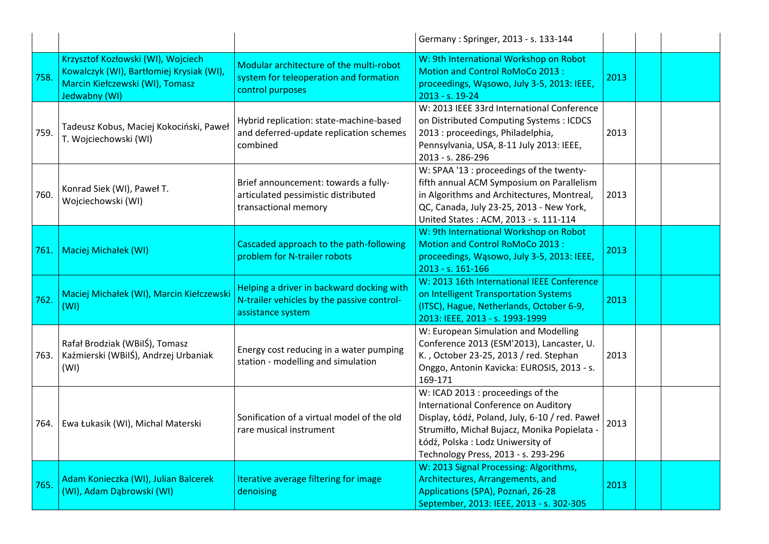|      |                                                                                                                                    |                                                                                                              | Germany: Springer, 2013 - s. 133-144                                                                                                                                                                                                                   |      |  |
|------|------------------------------------------------------------------------------------------------------------------------------------|--------------------------------------------------------------------------------------------------------------|--------------------------------------------------------------------------------------------------------------------------------------------------------------------------------------------------------------------------------------------------------|------|--|
| 758. | Krzysztof Kozłowski (WI), Wojciech<br>Kowalczyk (WI), Bartłomiej Krysiak (WI),<br>Marcin Kiełczewski (WI), Tomasz<br>Jedwabny (WI) | Modular architecture of the multi-robot<br>system for teleoperation and formation<br>control purposes        | W: 9th International Workshop on Robot<br>Motion and Control RoMoCo 2013:<br>proceedings, Wąsowo, July 3-5, 2013: IEEE,<br>2013 - s. 19-24                                                                                                             | 2013 |  |
| 759. | Tadeusz Kobus, Maciej Kokociński, Paweł<br>T. Wojciechowski (WI)                                                                   | Hybrid replication: state-machine-based<br>and deferred-update replication schemes<br>combined               | W: 2013 IEEE 33rd International Conference<br>on Distributed Computing Systems : ICDCS<br>2013 : proceedings, Philadelphia,<br>Pennsylvania, USA, 8-11 July 2013: IEEE,<br>2013 - s. 286-296                                                           | 2013 |  |
| 760. | Konrad Siek (WI), Paweł T.<br>Wojciechowski (WI)                                                                                   | Brief announcement: towards a fully-<br>articulated pessimistic distributed<br>transactional memory          | W: SPAA '13 : proceedings of the twenty-<br>fifth annual ACM Symposium on Parallelism<br>in Algorithms and Architectures, Montreal,<br>QC, Canada, July 23-25, 2013 - New York,<br>United States: ACM, 2013 - s. 111-114                               | 2013 |  |
| 761. | Maciej Michałek (WI)                                                                                                               | Cascaded approach to the path-following<br>problem for N-trailer robots                                      | W: 9th International Workshop on Robot<br>Motion and Control RoMoCo 2013:<br>proceedings, Wąsowo, July 3-5, 2013: IEEE,<br>2013 - s. 161-166                                                                                                           | 2013 |  |
| 762. | Maciej Michałek (WI), Marcin Kiełczewski<br>(WI)                                                                                   | Helping a driver in backward docking with<br>N-trailer vehicles by the passive control-<br>assistance system | W: 2013 16th International IEEE Conference<br>on Intelligent Transportation Systems<br>(ITSC), Hague, Netherlands, October 6-9,<br>2013: IEEE, 2013 - s. 1993-1999                                                                                     | 2013 |  |
| 763. | Rafał Brodziak (WBilŚ), Tomasz<br>Kaźmierski (WBilŚ), Andrzej Urbaniak<br>(WI)                                                     | Energy cost reducing in a water pumping<br>station - modelling and simulation                                | W: European Simulation and Modelling<br>Conference 2013 (ESM'2013), Lancaster, U.<br>K., October 23-25, 2013 / red. Stephan<br>Onggo, Antonin Kavicka: EUROSIS, 2013 - s.<br>169-171                                                                   | 2013 |  |
| 764. | Ewa Łukasik (WI), Michal Materski                                                                                                  | Sonification of a virtual model of the old<br>rare musical instrument                                        | W: ICAD 2013 : proceedings of the<br>International Conference on Auditory<br>Display, Łódź, Poland, July, 6-10 / red. Paweł<br>Strumiłło, Michał Bujacz, Monika Popielata -<br>Łódź, Polska: Lodz Uniwersity of<br>Technology Press, 2013 - s. 293-296 | 2013 |  |
| 765. | Adam Konieczka (WI), Julian Balcerek<br>(WI), Adam Dąbrowski (WI)                                                                  | Iterative average filtering for image<br>denoising                                                           | W: 2013 Signal Processing: Algorithms,<br>Architectures, Arrangements, and<br>Applications (SPA), Poznań, 26-28<br>September, 2013: IEEE, 2013 - s. 302-305                                                                                            | 2013 |  |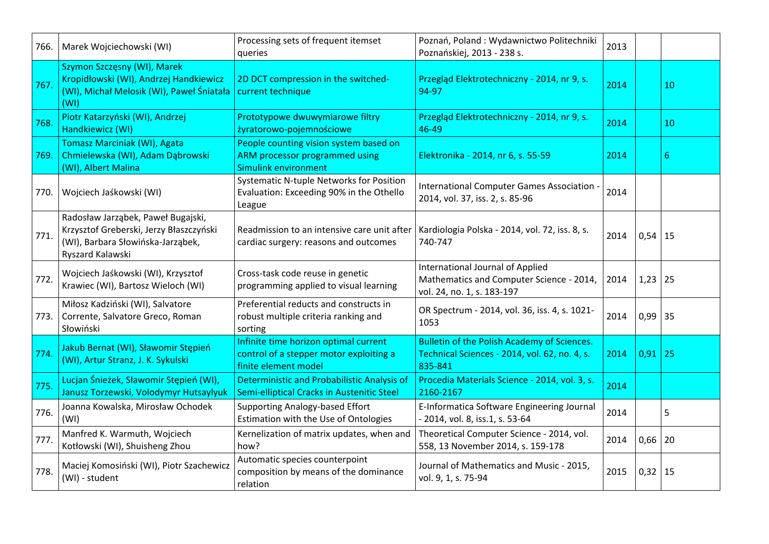| 766. | Marek Wojciechowski (WI)                                                                                                               | Processing sets of frequent itemset<br>queries                                                           | Poznań, Poland: Wydawnictwo Politechniki<br>Poznańskiej, 2013 - 238 s.                                     | 2013 |             |    |
|------|----------------------------------------------------------------------------------------------------------------------------------------|----------------------------------------------------------------------------------------------------------|------------------------------------------------------------------------------------------------------------|------|-------------|----|
| 767. | Szymon Szczęsny (WI), Marek<br>Kropidłowski (WI), Andrzej Handkiewicz<br>(WI), Michał Melosik (WI), Paweł Śniatała<br>(WI)             | 2D DCT compression in the switched-<br>current technique                                                 | Przegląd Elektrotechniczny - 2014, nr 9, s.<br>94-97                                                       | 2014 |             | 10 |
| 768. | Piotr Katarzyński (WI), Andrzej<br>Handkiewicz (WI)                                                                                    | Prototypowe dwuwymiarowe filtry<br>żyratorowo-pojemnościowe                                              | Przegląd Elektrotechniczny - 2014, nr 9, s.<br>46-49                                                       | 2014 |             | 10 |
| 769. | Tomasz Marciniak (WI), Agata<br>Chmielewska (WI), Adam Dąbrowski<br>(WI), Albert Malina                                                | People counting vision system based on<br>ARM processor programmed using<br><b>Simulink environment</b>  | Elektronika - 2014, nr 6, s. 55-59                                                                         | 2014 |             | 6  |
| 770. | Wojciech Jaśkowski (WI)                                                                                                                | Systematic N-tuple Networks for Position<br>Evaluation: Exceeding 90% in the Othello<br>League           | International Computer Games Association ·<br>2014, vol. 37, iss. 2, s. 85-96                              | 2014 |             |    |
| 771. | Radosław Jarząbek, Paweł Bugajski,<br>Krzysztof Greberski, Jerzy Błaszczyński<br>(WI), Barbara Słowińska-Jarząbek,<br>Ryszard Kalawski | Readmission to an intensive care unit after<br>cardiac surgery: reasons and outcomes                     | Kardiologia Polska - 2014, vol. 72, iss. 8, s.<br>740-747                                                  | 2014 | $0,54$   15 |    |
| 772. | Wojciech Jaśkowski (WI), Krzysztof<br>Krawiec (WI), Bartosz Wieloch (WI)                                                               | Cross-task code reuse in genetic<br>programming applied to visual learning                               | International Journal of Applied<br>Mathematics and Computer Science - 2014,<br>vol. 24, no. 1, s. 183-197 | 2014 | $1,23$   25 |    |
| 773. | Miłosz Kadziński (WI), Salvatore<br>Corrente, Salvatore Greco, Roman<br>Słowiński                                                      | Preferential reducts and constructs in<br>robust multiple criteria ranking and<br>sorting                | OR Spectrum - 2014, vol. 36, iss. 4, s. 1021-<br>1053                                                      | 2014 | $0,99$ 35   |    |
| 774. | Jakub Bernat (WI), Sławomir Stępień<br>(WI), Artur Stranz, J. K. Sykulski                                                              | Infinite time horizon optimal current<br>control of a stepper motor exploiting a<br>finite element model | Bulletin of the Polish Academy of Sciences.<br>Technical Sciences - 2014, vol. 62, no. 4, s.<br>835-841    | 2014 | 0,91        | 25 |
| 775. | Lucjan Śnieżek, Sławomir Stępień (WI),<br>Janusz Torzewski, Volodymyr Hutsaylyuk                                                       | <b>Deterministic and Probabilistic Analysis of</b><br>Semi-elliptical Cracks in Austenitic Steel         | Procedia Materials Science - 2014, vol. 3, s.<br>2160-2167                                                 | 2014 |             |    |
| 776. | Joanna Kowalska, Mirosław Ochodek<br>(WI)                                                                                              | <b>Supporting Analogy-based Effort</b><br>Estimation with the Use of Ontologies                          | E-Informatica Software Engineering Journal<br>- 2014, vol. 8, iss.1, s. 53-64                              | 2014 |             | 5  |
| 777. | Manfred K. Warmuth, Wojciech<br>Kotłowski (WI), Shuisheng Zhou                                                                         | Kernelization of matrix updates, when and<br>how?                                                        | Theoretical Computer Science - 2014, vol.<br>558, 13 November 2014, s. 159-178                             | 2014 | 0,66        | 20 |
| 778. | Maciej Komosiński (WI), Piotr Szachewicz<br>(WI) - student                                                                             | Automatic species counterpoint<br>composition by means of the dominance<br>relation                      | Journal of Mathematics and Music - 2015,<br>vol. 9, 1, s. 75-94                                            | 2015 | 0,32        | 15 |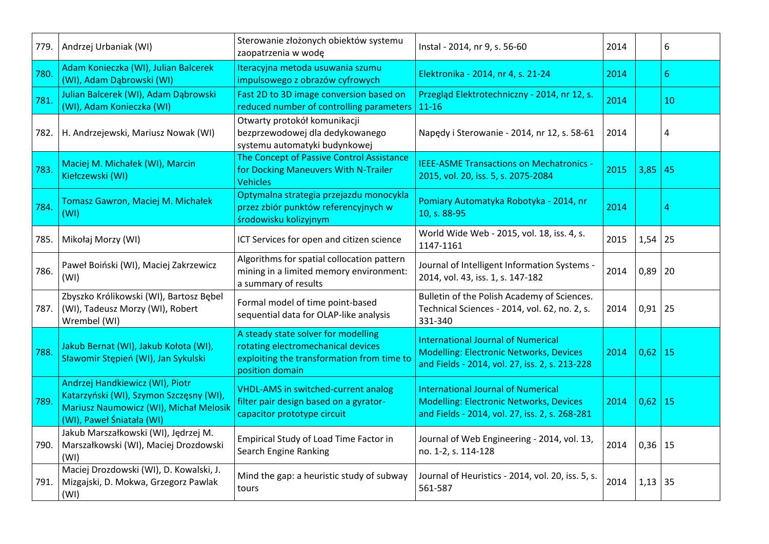| 779. | Andrzej Urbaniak (WI)                                                                                                                             | Sterowanie złożonych obiektów systemu<br>zaopatrzenia w wodę                                                                               | Instal - 2014, nr 9, s. 56-60                                                                                                                 | 2014 |             | 6                |
|------|---------------------------------------------------------------------------------------------------------------------------------------------------|--------------------------------------------------------------------------------------------------------------------------------------------|-----------------------------------------------------------------------------------------------------------------------------------------------|------|-------------|------------------|
| 780. | Adam Konieczka (WI), Julian Balcerek<br>(WI), Adam Dąbrowski (WI)                                                                                 | Iteracyjna metoda usuwania szumu<br>impulsowego z obrazów cyfrowych                                                                        | Elektronika - 2014, nr 4, s. 21-24                                                                                                            | 2014 |             | $6 \overline{6}$ |
| 781. | Julian Balcerek (WI), Adam Dąbrowski<br>(WI), Adam Konieczka (WI)                                                                                 | Fast 2D to 3D image conversion based on<br>reduced number of controlling parameters                                                        | Przegląd Elektrotechniczny - 2014, nr 12, s.<br>$11 - 16$                                                                                     | 2014 |             | 10               |
| 782. | H. Andrzejewski, Mariusz Nowak (WI)                                                                                                               | Otwarty protokół komunikacji<br>bezprzewodowej dla dedykowanego<br>systemu automatyki budynkowej                                           | Napedy i Sterowanie - 2014, nr 12, s. 58-61                                                                                                   | 2014 |             | 4                |
| 783. | Maciej M. Michałek (WI), Marcin<br>Kiełczewski (WI)                                                                                               | The Concept of Passive Control Assistance<br>for Docking Maneuvers With N-Trailer<br><b>Vehicles</b>                                       | <b>IEEE-ASME Transactions on Mechatronics -</b><br>2015, vol. 20, iss. 5, s. 2075-2084                                                        | 2015 | 3,85        | 45               |
| 784. | Tomasz Gawron, Maciej M. Michałek<br>(WI)                                                                                                         | Optymalna strategia przejazdu monocykla<br>przez zbiór punktów referencyjnych w<br>środowisku kolizyjnym                                   | Pomiary Automatyka Robotyka - 2014, nr<br>10, s. 88-95                                                                                        | 2014 |             | 4                |
| 785. | Mikołaj Morzy (WI)                                                                                                                                | ICT Services for open and citizen science                                                                                                  | World Wide Web - 2015, vol. 18, iss. 4, s.<br>1147-1161                                                                                       | 2015 | 1,54        | 25               |
| 786. | Paweł Boiński (WI), Maciej Zakrzewicz<br>(WI)                                                                                                     | Algorithms for spatial collocation pattern<br>mining in a limited memory environment:<br>a summary of results                              | Journal of Intelligent Information Systems -<br>2014, vol. 43, iss. 1, s. 147-182                                                             | 2014 | 0,89        | 20               |
|      | Zbyszko Królikowski (WI), Bartosz Bębel<br>787. (WI), Tadeusz Morzy (WI), Robert<br>Wrembel (WI)                                                  | Formal model of time point-based<br>sequential data for OLAP-like analysis                                                                 | Bulletin of the Polish Academy of Sciences.<br>Technical Sciences - 2014, vol. 62, no. 2, s.<br>331-340                                       | 2014 | 0,91        | 25               |
| 788. | Jakub Bernat (WI), Jakub Kołota (WI),<br>Sławomir Stępień (WI), Jan Sykulski                                                                      | A steady state solver for modelling<br>rotating electromechanical devices<br>exploiting the transformation from time to<br>position domain | International Journal of Numerical<br><b>Modelling: Electronic Networks, Devices</b><br>and Fields - 2014, vol. 27, iss. 2, s. 213-228        | 2014 | $0,62$   15 |                  |
| 789  | Andrzej Handkiewicz (WI), Piotr<br>Katarzyński (WI), Szymon Szczęsny (WI),<br>Mariusz Naumowicz (WI), Michał Melosik<br>(WI), Paweł Śniatała (WI) | <b>VHDL-AMS in switched-current analog</b><br>filter pair design based on a gyrator-<br>capacitor prototype circuit                        | <b>International Journal of Numerical</b><br><b>Modelling: Electronic Networks, Devices</b><br>and Fields - 2014, vol. 27, iss. 2, s. 268-281 | 2014 | $0,62$ 15   |                  |
| 790. | Jakub Marszałkowski (WI), Jędrzej M.<br>Marszałkowski (WI), Maciej Drozdowski<br>(WI)                                                             | Empirical Study of Load Time Factor in<br>Search Engine Ranking                                                                            | Journal of Web Engineering - 2014, vol. 13,<br>no. 1-2, s. 114-128                                                                            | 2014 | 0,36        | 15               |
| 791. | Maciej Drozdowski (WI), D. Kowalski, J.<br>Mizgajski, D. Mokwa, Grzegorz Pawlak<br>(WI)                                                           | Mind the gap: a heuristic study of subway<br>tours                                                                                         | Journal of Heuristics - 2014, vol. 20, iss. 5, s.<br>561-587                                                                                  | 2014 | 1,13        | 35               |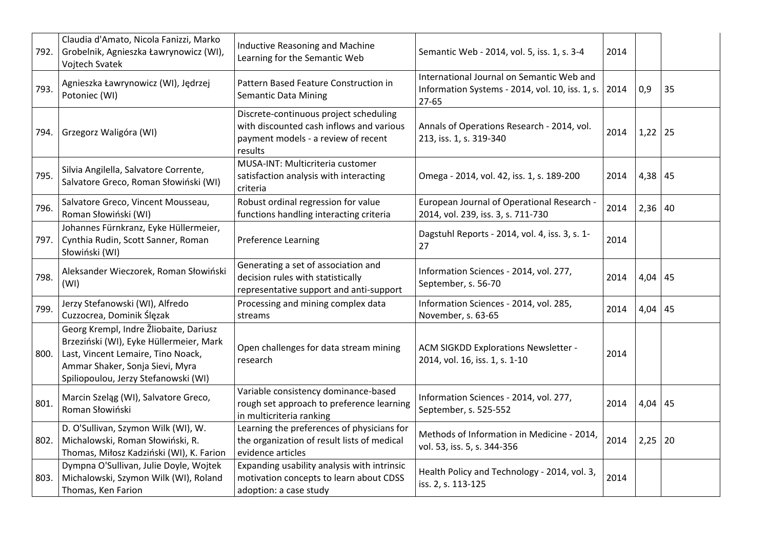| 792. | Claudia d'Amato, Nicola Fanizzi, Marko<br>Grobelnik, Agnieszka Ławrynowicz (WI),<br>Vojtech Svatek                                                                                                      | <b>Inductive Reasoning and Machine</b><br>Learning for the Semantic Web                                                              | Semantic Web - 2014, vol. 5, iss. 1, s. 3-4                                                           | 2014 |           |    |
|------|---------------------------------------------------------------------------------------------------------------------------------------------------------------------------------------------------------|--------------------------------------------------------------------------------------------------------------------------------------|-------------------------------------------------------------------------------------------------------|------|-----------|----|
| 793. | Agnieszka Ławrynowicz (WI), Jędrzej<br>Potoniec (WI)                                                                                                                                                    | Pattern Based Feature Construction in<br><b>Semantic Data Mining</b>                                                                 | International Journal on Semantic Web and<br>Information Systems - 2014, vol. 10, iss. 1, s.<br>27-65 | 2014 | 0,9       | 35 |
| 794. | Grzegorz Waligóra (WI)                                                                                                                                                                                  | Discrete-continuous project scheduling<br>with discounted cash inflows and various<br>payment models - a review of recent<br>results | Annals of Operations Research - 2014, vol.<br>213, iss. 1, s. 319-340                                 | 2014 | $1,22$ 25 |    |
| 795. | Silvia Angilella, Salvatore Corrente,<br>Salvatore Greco, Roman Słowiński (WI)                                                                                                                          | MUSA-INT: Multicriteria customer<br>satisfaction analysis with interacting<br>criteria                                               | Omega - 2014, vol. 42, iss. 1, s. 189-200                                                             | 2014 | $4,38$ 45 |    |
| 796. | Salvatore Greco, Vincent Mousseau,<br>Roman Słowiński (WI)                                                                                                                                              | Robust ordinal regression for value<br>functions handling interacting criteria                                                       | European Journal of Operational Research -<br>2014, vol. 239, iss. 3, s. 711-730                      | 2014 | $2,36$ 40 |    |
| 797. | Johannes Fürnkranz, Eyke Hüllermeier,<br>Cynthia Rudin, Scott Sanner, Roman<br>Słowiński (WI)                                                                                                           | Preference Learning                                                                                                                  | Dagstuhl Reports - 2014, vol. 4, iss. 3, s. 1-<br>27                                                  | 2014 |           |    |
| 798. | Aleksander Wieczorek, Roman Słowiński<br>(WI)                                                                                                                                                           | Generating a set of association and<br>decision rules with statistically<br>representative support and anti-support                  | Information Sciences - 2014, vol. 277,<br>September, s. 56-70                                         | 2014 | $4,04$ 45 |    |
| 799. | Jerzy Stefanowski (WI), Alfredo<br>Cuzzocrea, Dominik Ślęzak                                                                                                                                            | Processing and mining complex data<br>streams                                                                                        | Information Sciences - 2014, vol. 285,<br>November, s. 63-65                                          | 2014 | $4,04$ 45 |    |
|      | Georg Krempl, Indre Žliobaite, Dariusz<br>Brzeziński (WI), Eyke Hüllermeier, Mark<br>800. Last, Vincent Lemaire, Tino Noack,<br>Ammar Shaker, Sonja Sievi, Myra<br>Spiliopoulou, Jerzy Stefanowski (WI) | Open challenges for data stream mining<br>research                                                                                   | ACM SIGKDD Explorations Newsletter -<br>2014, vol. 16, iss. 1, s. 1-10                                | 2014 |           |    |
| 801. | Marcin Szeląg (WI), Salvatore Greco,<br>Roman Słowiński                                                                                                                                                 | Variable consistency dominance-based<br>rough set approach to preference learning<br>in multicriteria ranking                        | Information Sciences - 2014, vol. 277,<br>September, s. 525-552                                       | 2014 | $4,04$ 45 |    |
| 802. | D. O'Sullivan, Szymon Wilk (WI), W.<br>Michalowski, Roman Słowiński, R.<br>Thomas, Miłosz Kadziński (WI), K. Farion                                                                                     | Learning the preferences of physicians for<br>the organization of result lists of medical<br>evidence articles                       | Methods of Information in Medicine - 2014,<br>vol. 53, iss. 5, s. 344-356                             | 2014 | $2,25$ 20 |    |
| 803. | Dympna O'Sullivan, Julie Doyle, Wojtek<br>Michalowski, Szymon Wilk (WI), Roland<br>Thomas, Ken Farion                                                                                                   | Expanding usability analysis with intrinsic<br>motivation concepts to learn about CDSS<br>adoption: a case study                     | Health Policy and Technology - 2014, vol. 3,<br>iss. 2, s. 113-125                                    | 2014 |           |    |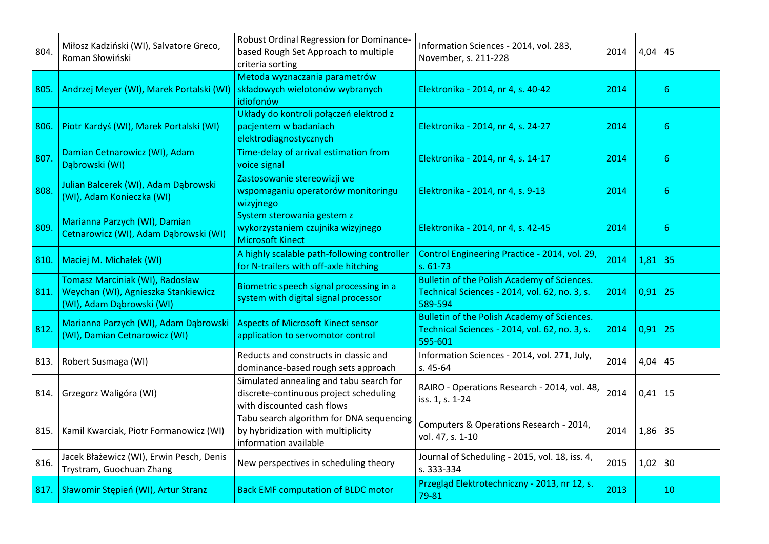| 804. | Miłosz Kadziński (WI), Salvatore Greco,<br>Roman Słowiński                                          | Robust Ordinal Regression for Dominance-<br>based Rough Set Approach to multiple<br>criteria sorting            | Information Sciences - 2014, vol. 283,<br>November, s. 211-228                                                 | 2014 | $4,04$ 45   |                  |
|------|-----------------------------------------------------------------------------------------------------|-----------------------------------------------------------------------------------------------------------------|----------------------------------------------------------------------------------------------------------------|------|-------------|------------------|
| 805. | Andrzej Meyer (WI), Marek Portalski (WI)                                                            | Metoda wyznaczania parametrów<br>składowych wielotonów wybranych<br>idiofonów                                   | Elektronika - 2014, nr 4, s. 40-42                                                                             | 2014 |             | $6 \overline{6}$ |
| 806. | Piotr Kardyś (WI), Marek Portalski (WI)                                                             | Układy do kontroli połączeń elektrod z<br>pacjentem w badaniach<br>elektrodiagnostycznych                       | Elektronika - 2014, nr 4, s. 24-27                                                                             | 2014 |             | 6                |
| 807. | Damian Cetnarowicz (WI), Adam<br>Dąbrowski (WI)                                                     | Time-delay of arrival estimation from<br>voice signal                                                           | Elektronika - 2014, nr 4, s. 14-17                                                                             | 2014 |             | 6                |
| 808. | Julian Balcerek (WI), Adam Dąbrowski<br>(WI), Adam Konieczka (WI)                                   | Zastosowanie stereowizji we<br>wspomaganiu operatorów monitoringu<br>wizyjnego                                  | Elektronika - 2014, nr 4, s. 9-13                                                                              | 2014 |             | $6 \overline{6}$ |
| 809. | Marianna Parzych (WI), Damian<br>Cetnarowicz (WI), Adam Dąbrowski (WI)                              | System sterowania gestem z<br>wykorzystaniem czujnika wizyjnego<br><b>Microsoft Kinect</b>                      | Elektronika - 2014, nr 4, s. 42-45                                                                             | 2014 |             | 6                |
| 810. | Maciej M. Michałek (WI)                                                                             | A highly scalable path-following controller<br>for N-trailers with off-axle hitching                            | Control Engineering Practice - 2014, vol. 29,<br>$s. 61-73$                                                    | 2014 | 1,81        | 35               |
| 811. | Tomasz Marciniak (WI), Radosław<br>Weychan (WI), Agnieszka Stankiewicz<br>(WI), Adam Dąbrowski (WI) | Biometric speech signal processing in a<br>system with digital signal processor                                 | <b>Bulletin of the Polish Academy of Sciences.</b><br>Technical Sciences - 2014, vol. 62, no. 3, s.<br>589-594 | 2014 | 0,91        | 25               |
| 812. | Marianna Parzych (WI), Adam Dąbrowski<br>(WI), Damian Cetnarowicz (WI)                              | <b>Aspects of Microsoft Kinect sensor</b><br>application to servomotor control                                  | <b>Bulletin of the Polish Academy of Sciences.</b><br>Technical Sciences - 2014, vol. 62, no. 3, s.<br>595-601 | 2014 | 0,91        | 25               |
| 813. | Robert Susmaga (WI)                                                                                 | Reducts and constructs in classic and<br>dominance-based rough sets approach                                    | Information Sciences - 2014, vol. 271, July,<br>$s.45-64$                                                      | 2014 | 4,04        | 45               |
| 814. | Grzegorz Waligóra (WI)                                                                              | Simulated annealing and tabu search for<br>discrete-continuous project scheduling<br>with discounted cash flows | RAIRO - Operations Research - 2014, vol. 48,<br>iss. 1, s. 1-24                                                | 2014 | $0,41$   15 |                  |
| 815. | Kamil Kwarciak, Piotr Formanowicz (WI)                                                              | Tabu search algorithm for DNA sequencing<br>by hybridization with multiplicity<br>information available         | Computers & Operations Research - 2014,<br>vol. 47, s. 1-10                                                    | 2014 | $1,86$ 35   |                  |
| 816. | Jacek Błażewicz (WI), Erwin Pesch, Denis<br>Trystram, Guochuan Zhang                                | New perspectives in scheduling theory                                                                           | Journal of Scheduling - 2015, vol. 18, iss. 4,<br>s. 333-334                                                   | 2015 | $1,02$ 30   |                  |
| 817. | Sławomir Stępień (WI), Artur Stranz                                                                 | <b>Back EMF computation of BLDC motor</b>                                                                       | Przegląd Elektrotechniczny - 2013, nr 12, s.<br>79-81                                                          | 2013 |             | 10               |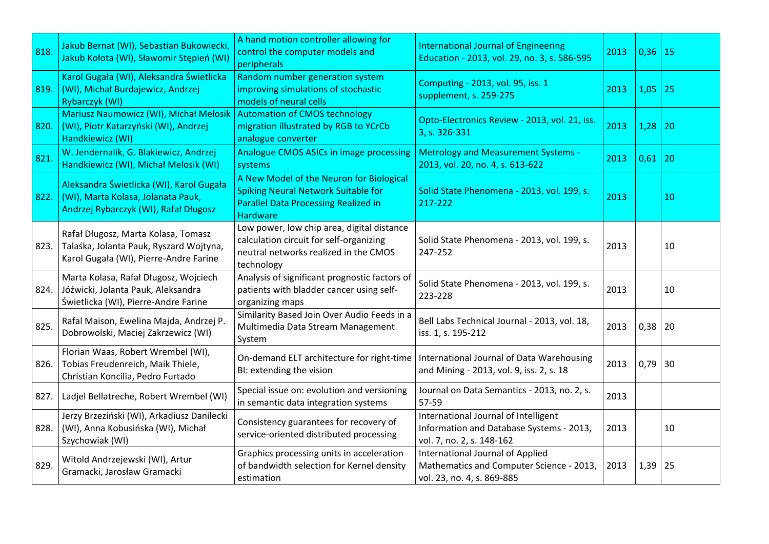| 818. | Jakub Bernat (WI), Sebastian Bukowiecki,<br>Jakub Kołota (WI), Sławomir Stępień (WI)                                     | A hand motion controller allowing for<br>control the computer models and<br>peripherals                                                                  | <b>International Journal of Engineering</b><br>Education - 2013, vol. 29, no. 3, s. 586-595                   | 2013 | $0,36$   15 |    |
|------|--------------------------------------------------------------------------------------------------------------------------|----------------------------------------------------------------------------------------------------------------------------------------------------------|---------------------------------------------------------------------------------------------------------------|------|-------------|----|
| 819. | Karol Gugała (WI), Aleksandra Świetlicka<br>(WI), Michał Burdajewicz, Andrzej<br>Rybarczyk (WI)                          | Random number generation system<br>improving simulations of stochastic<br>models of neural cells                                                         | Computing - 2013, vol. 95, iss. 1<br>supplement, s. 259-275                                                   | 2013 | 1,05        | 25 |
| 820. | Mariusz Naumowicz (WI), Michał Melosik<br>(WI), Piotr Katarzyński (WI), Andrzej<br>Handkiewicz (WI)                      | <b>Automation of CMOS technology</b><br>migration illustrated by RGB to YCrCb<br>analogue converter                                                      | Opto-Electronics Review - 2013, vol. 21, iss.<br>3, s. 326-331                                                | 2013 | 1,28        | 20 |
| 821. | W. Jendernalik, G. Blakiewicz, Andrzej<br>Handkiewicz (WI), Michał Melosik (WI)                                          | Analogue CMOS ASICs in image processing<br>systems                                                                                                       | <b>Metrology and Measurement Systems -</b><br>2013, vol. 20, no. 4, s. 613-622                                | 2013 | $0,61$   20 |    |
| 822. | Aleksandra Świetlicka (WI), Karol Gugała<br>(WI), Marta Kolasa, Jolanata Pauk,<br>Andrzej Rybarczyk (WI), Rafał Długosz  | A New Model of the Neuron for Biological<br><b>Spiking Neural Network Suitable for</b><br><b>Parallel Data Processing Realized in</b><br><b>Hardware</b> | Solid State Phenomena - 2013, vol. 199, s.<br>217-222                                                         | 2013 |             | 10 |
| 823. | Rafał Długosz, Marta Kolasa, Tomasz<br>Talaśka, Jolanta Pauk, Ryszard Wojtyna,<br>Karol Gugała (WI), Pierre-Andre Farine | Low power, low chip area, digital distance<br>calculation circuit for self-organizing<br>neutral networks realized in the CMOS<br>technology             | Solid State Phenomena - 2013, vol. 199, s.<br>247-252                                                         | 2013 |             | 10 |
|      | Marta Kolasa, Rafał Długosz, Wojciech<br>824. Jóźwicki, Jolanta Pauk, Aleksandra<br>Świetlicka (WI), Pierre-Andre Farine | Analysis of significant prognostic factors of<br>patients with bladder cancer using self-<br>organizing maps                                             | Solid State Phenomena - 2013, vol. 199, s.<br>223-228                                                         | 2013 |             | 10 |
| 825. | Rafal Maison, Ewelina Majda, Andrzej P.<br>Dobrowolski, Maciej Zakrzewicz (WI)                                           | Similarity Based Join Over Audio Feeds in a<br>Multimedia Data Stream Management<br>System                                                               | Bell Labs Technical Journal - 2013, vol. 18,<br>iss. 1, s. 195-212                                            | 2013 | 0,38        | 20 |
| 826. | Florian Waas, Robert Wrembel (WI),<br>Tobias Freudenreich, Maik Thiele,<br>Christian Koncilia, Pedro Furtado             | On-demand ELT architecture for right-time<br>BI: extending the vision                                                                                    | International Journal of Data Warehousing<br>and Mining - 2013, vol. 9, iss. 2, s. 18                         | 2013 | 0,79        | 30 |
|      | 827. Ladjel Bellatreche, Robert Wrembel (WI)                                                                             | Special issue on: evolution and versioning<br>in semantic data integration systems                                                                       | Journal on Data Semantics - 2013, no. 2, s.<br>57-59                                                          | 2013 |             |    |
| 828. | Jerzy Brzeziński (WI), Arkadiusz Danilecki<br>(WI), Anna Kobusińska (WI), Michał<br>Szychowiak (WI)                      | Consistency guarantees for recovery of<br>service-oriented distributed processing                                                                        | International Journal of Intelligent<br>Information and Database Systems - 2013,<br>vol. 7, no. 2, s. 148-162 | 2013 |             | 10 |
| 829. | Witold Andrzejewski (WI), Artur<br>Gramacki, Jarosław Gramacki                                                           | Graphics processing units in acceleration<br>of bandwidth selection for Kernel density<br>estimation                                                     | International Journal of Applied<br>Mathematics and Computer Science - 2013,<br>vol. 23, no. 4, s. 869-885    | 2013 | 1,39        | 25 |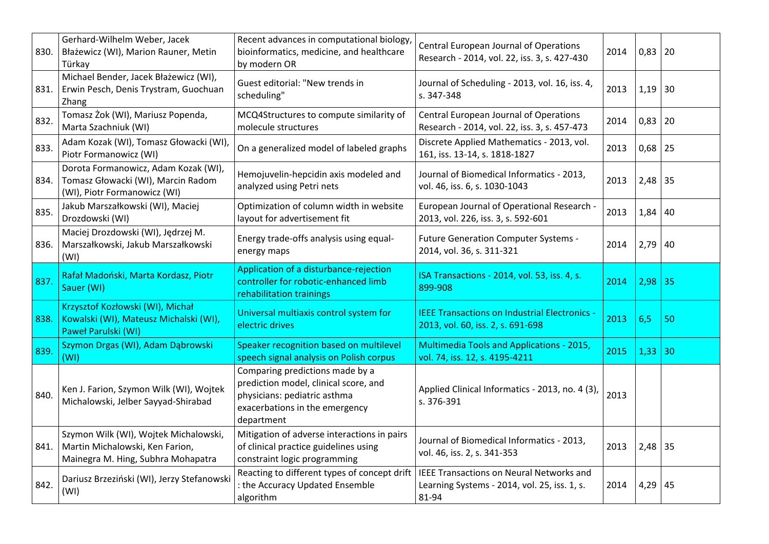| 830. | Gerhard-Wilhelm Weber, Jacek<br>Błażewicz (WI), Marion Rauner, Metin<br>Türkay                                 | Recent advances in computational biology,<br>bioinformatics, medicine, and healthcare<br>by modern OR                                                    | Central European Journal of Operations<br>Research - 2014, vol. 22, iss. 3, s. 427-430                   | 2014 | $0,83$   20 |    |
|------|----------------------------------------------------------------------------------------------------------------|----------------------------------------------------------------------------------------------------------------------------------------------------------|----------------------------------------------------------------------------------------------------------|------|-------------|----|
| 831. | Michael Bender, Jacek Błażewicz (WI),<br>Erwin Pesch, Denis Trystram, Guochuan<br>Zhang                        | Guest editorial: "New trends in<br>scheduling"                                                                                                           | Journal of Scheduling - 2013, vol. 16, iss. 4,<br>s. 347-348                                             | 2013 | $1,19$ 30   |    |
| 832. | Tomasz Żok (WI), Mariusz Popenda,<br>Marta Szachniuk (WI)                                                      | MCQ4Structures to compute similarity of<br>molecule structures                                                                                           | Central European Journal of Operations<br>Research - 2014, vol. 22, iss. 3, s. 457-473                   | 2014 | $0,83$ 20   |    |
| 833. | Adam Kozak (WI), Tomasz Głowacki (WI),<br>Piotr Formanowicz (WI)                                               | On a generalized model of labeled graphs                                                                                                                 | Discrete Applied Mathematics - 2013, vol.<br>161, iss. 13-14, s. 1818-1827                               | 2013 | $0,68$   25 |    |
| 834. | Dorota Formanowicz, Adam Kozak (WI),<br>Tomasz Głowacki (WI), Marcin Radom<br>(WI), Piotr Formanowicz (WI)     | Hemojuvelin-hepcidin axis modeled and<br>analyzed using Petri nets                                                                                       | Journal of Biomedical Informatics - 2013,<br>vol. 46, iss. 6, s. 1030-1043                               | 2013 | $2,48$ 35   |    |
| 835. | Jakub Marszałkowski (WI), Maciej<br>Drozdowski (WI)                                                            | Optimization of column width in website<br>layout for advertisement fit                                                                                  | European Journal of Operational Research -<br>2013, vol. 226, iss. 3, s. 592-601                         | 2013 | 1,84        | 40 |
| 836. | Maciej Drozdowski (WI), Jędrzej M.<br>Marszałkowski, Jakub Marszałkowski<br>(WI)                               | Energy trade-offs analysis using equal-<br>energy maps                                                                                                   | <b>Future Generation Computer Systems -</b><br>2014, vol. 36, s. 311-321                                 | 2014 | 2,79        | 40 |
| 837. | Rafał Madoński, Marta Kordasz, Piotr<br>Sauer (WI)                                                             | Application of a disturbance-rejection<br>controller for robotic-enhanced limb<br>rehabilitation trainings                                               | ISA Transactions - 2014, vol. 53, iss. 4, s.<br>899-908                                                  | 2014 | 2,98        | 35 |
| 838. | Krzysztof Kozłowski (WI), Michał<br>Kowalski (WI), Mateusz Michalski (WI),<br>Paweł Parulski (WI)              | Universal multiaxis control system for<br>electric drives                                                                                                | <b>IEEE Transactions on Industrial Electronics -</b><br>2013, vol. 60, iss. 2, s. 691-698                | 2013 | 6,5         | 50 |
| 839. | Szymon Drgas (WI), Adam Dąbrowski<br>(WI)                                                                      | Speaker recognition based on multilevel<br>speech signal analysis on Polish corpus                                                                       | <b>Multimedia Tools and Applications - 2015,</b><br>vol. 74, iss. 12, s. 4195-4211                       | 2015 | 1,33        | 30 |
| 840. | Ken J. Farion, Szymon Wilk (WI), Wojtek<br>Michalowski, Jelber Sayyad-Shirabad                                 | Comparing predictions made by a<br>prediction model, clinical score, and<br>physicians: pediatric asthma<br>exacerbations in the emergency<br>department | Applied Clinical Informatics - 2013, no. 4 (3),<br>s. 376-391                                            | 2013 |             |    |
| 841. | Szymon Wilk (WI), Wojtek Michalowski,<br>Martin Michalowski, Ken Farion,<br>Mainegra M. Hing, Subhra Mohapatra | Mitigation of adverse interactions in pairs<br>of clinical practice guidelines using<br>constraint logic programming                                     | Journal of Biomedical Informatics - 2013,<br>vol. 46, iss. 2, s. 341-353                                 | 2013 | $2,48$ 35   |    |
| 842. | Dariusz Brzeziński (WI), Jerzy Stefanowski<br>(WI)                                                             | Reacting to different types of concept drift<br>: the Accuracy Updated Ensemble<br>algorithm                                                             | <b>IEEE Transactions on Neural Networks and</b><br>Learning Systems - 2014, vol. 25, iss. 1, s.<br>81-94 | 2014 | 4,29        | 45 |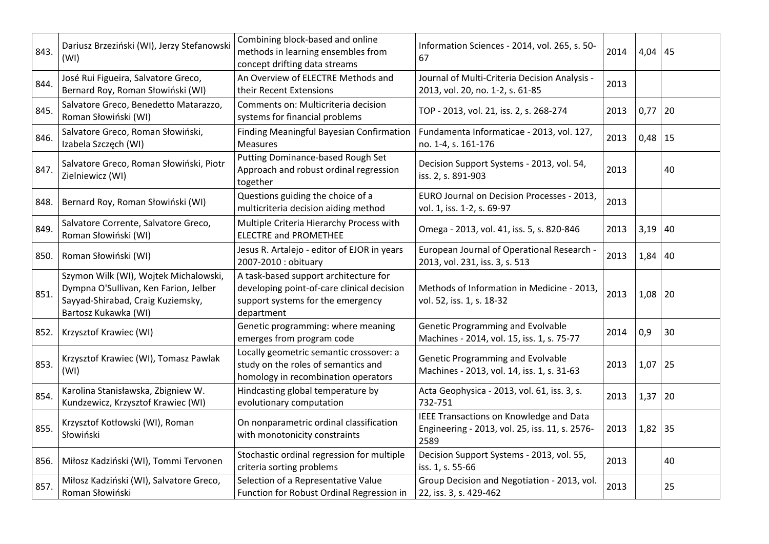| 843. | Dariusz Brzeziński (WI), Jerzy Stefanowski<br>(WI)                                                                                          | Combining block-based and online<br>methods in learning ensembles from<br>concept drifting data streams                                | Information Sciences - 2014, vol. 265, s. 50-<br>67                                               | 2014 | $4,04$ 45   |    |
|------|---------------------------------------------------------------------------------------------------------------------------------------------|----------------------------------------------------------------------------------------------------------------------------------------|---------------------------------------------------------------------------------------------------|------|-------------|----|
| 844. | José Rui Figueira, Salvatore Greco,<br>Bernard Roy, Roman Słowiński (WI)                                                                    | An Overview of ELECTRE Methods and<br>their Recent Extensions                                                                          | Journal of Multi-Criteria Decision Analysis -<br>2013, vol. 20, no. 1-2, s. 61-85                 | 2013 |             |    |
| 845. | Salvatore Greco, Benedetto Matarazzo,<br>Roman Słowiński (WI)                                                                               | Comments on: Multicriteria decision<br>systems for financial problems                                                                  | TOP - 2013, vol. 21, iss. 2, s. 268-274                                                           | 2013 | 0,77        | 20 |
| 846. | Salvatore Greco, Roman Słowiński,<br>Izabela Szczęch (WI)                                                                                   | Finding Meaningful Bayesian Confirmation<br><b>Measures</b>                                                                            | Fundamenta Informaticae - 2013, vol. 127,<br>no. 1-4, s. 161-176                                  | 2013 | $0,48$   15 |    |
| 847. | Salvatore Greco, Roman Słowiński, Piotr<br>Zielniewicz (WI)                                                                                 | Putting Dominance-based Rough Set<br>Approach and robust ordinal regression<br>together                                                | Decision Support Systems - 2013, vol. 54,<br>iss. 2, s. 891-903                                   | 2013 |             | 40 |
| 848. | Bernard Roy, Roman Słowiński (WI)                                                                                                           | Questions guiding the choice of a<br>multicriteria decision aiding method                                                              | EURO Journal on Decision Processes - 2013,<br>vol. 1, iss. 1-2, s. 69-97                          | 2013 |             |    |
| 849. | Salvatore Corrente, Salvatore Greco,<br>Roman Słowiński (WI)                                                                                | Multiple Criteria Hierarchy Process with<br><b>ELECTRE and PROMETHEE</b>                                                               | Omega - 2013, vol. 41, iss. 5, s. 820-846                                                         | 2013 | 3,19        | 40 |
|      | 850. Roman Słowiński (WI)                                                                                                                   | Jesus R. Artalejo - editor of EJOR in years<br>2007-2010 : obituary                                                                    | European Journal of Operational Research -<br>2013, vol. 231, iss. 3, s. 513                      | 2013 | $1,84$ 40   |    |
| 851. | Szymon Wilk (WI), Wojtek Michalowski,<br>Dympna O'Sullivan, Ken Farion, Jelber<br>Sayyad-Shirabad, Craig Kuziemsky,<br>Bartosz Kukawka (WI) | A task-based support architecture for<br>developing point-of-care clinical decision<br>support systems for the emergency<br>department | Methods of Information in Medicine - 2013,<br>vol. 52, iss. 1, s. 18-32                           | 2013 | $1,08$   20 |    |
|      | 852.   Krzysztof Krawiec (WI)                                                                                                               | Genetic programming: where meaning<br>emerges from program code                                                                        | Genetic Programming and Evolvable<br>Machines - 2014, vol. 15, iss. 1, s. 75-77                   | 2014 | 0,9         | 30 |
| 853. | Krzysztof Krawiec (WI), Tomasz Pawlak<br>(WI)                                                                                               | Locally geometric semantic crossover: a<br>study on the roles of semantics and<br>homology in recombination operators                  | <b>Genetic Programming and Evolvable</b><br>Machines - 2013, vol. 14, iss. 1, s. 31-63            | 2013 | $1,07$ 25   |    |
| 854. | Karolina Stanisławska, Zbigniew W.<br>Kundzewicz, Krzysztof Krawiec (WI)                                                                    | Hindcasting global temperature by<br>evolutionary computation                                                                          | Acta Geophysica - 2013, vol. 61, iss. 3, s.<br>732-751                                            | 2013 | $1,37$   20 |    |
| 855. | Krzysztof Kotłowski (WI), Roman<br>Słowiński                                                                                                | On nonparametric ordinal classification<br>with monotonicity constraints                                                               | IEEE Transactions on Knowledge and Data<br>Engineering - 2013, vol. 25, iss. 11, s. 2576-<br>2589 | 2013 | $1,82$ 35   |    |
| 856. | Miłosz Kadziński (WI), Tommi Tervonen                                                                                                       | Stochastic ordinal regression for multiple<br>criteria sorting problems                                                                | Decision Support Systems - 2013, vol. 55,<br>iss. 1, s. 55-66                                     | 2013 |             | 40 |
| 857. | Miłosz Kadziński (WI), Salvatore Greco,<br>Roman Słowiński                                                                                  | Selection of a Representative Value<br>Function for Robust Ordinal Regression in                                                       | Group Decision and Negotiation - 2013, vol.<br>22, iss. 3, s. 429-462                             | 2013 |             | 25 |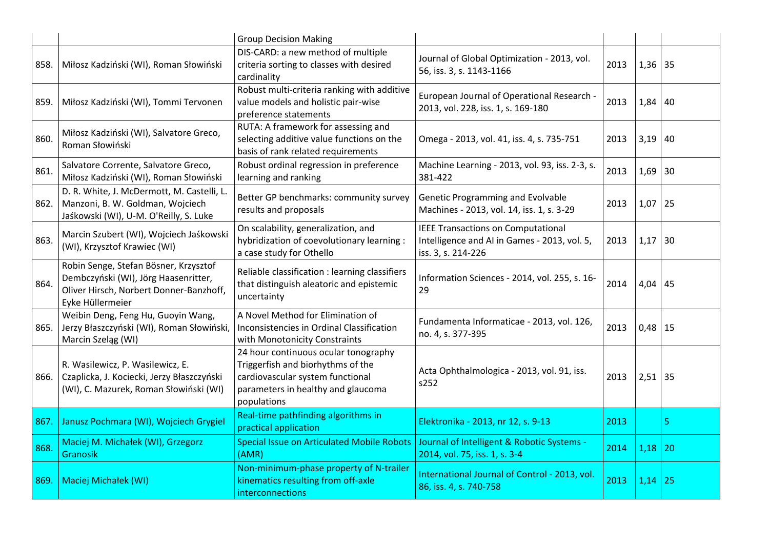|      |                                                                                                                                              | <b>Group Decision Making</b>                                                                                                                                       |                                                                                                                 |      |           |    |
|------|----------------------------------------------------------------------------------------------------------------------------------------------|--------------------------------------------------------------------------------------------------------------------------------------------------------------------|-----------------------------------------------------------------------------------------------------------------|------|-----------|----|
| 858. | Miłosz Kadziński (WI), Roman Słowiński                                                                                                       | DIS-CARD: a new method of multiple<br>criteria sorting to classes with desired<br>cardinality                                                                      | Journal of Global Optimization - 2013, vol.<br>56, iss. 3, s. 1143-1166                                         | 2013 | $1,36$ 35 |    |
| 859. | Miłosz Kadziński (WI), Tommi Tervonen                                                                                                        | Robust multi-criteria ranking with additive<br>value models and holistic pair-wise<br>preference statements                                                        | European Journal of Operational Research -<br>2013, vol. 228, iss. 1, s. 169-180                                | 2013 | 1,84      | 40 |
| 860. | Miłosz Kadziński (WI), Salvatore Greco,<br>Roman Słowiński                                                                                   | RUTA: A framework for assessing and<br>selecting additive value functions on the<br>basis of rank related requirements                                             | Omega - 2013, vol. 41, iss. 4, s. 735-751                                                                       | 2013 | 3,19      | 40 |
| 861. | Salvatore Corrente, Salvatore Greco,<br>Miłosz Kadziński (WI), Roman Słowiński                                                               | Robust ordinal regression in preference<br>learning and ranking                                                                                                    | Machine Learning - 2013, vol. 93, iss. 2-3, s.<br>381-422                                                       | 2013 | 1,69      | 30 |
| 862. | D. R. White, J. McDermott, M. Castelli, L.<br>Manzoni, B. W. Goldman, Wojciech<br>Jaśkowski (WI), U-M. O'Reilly, S. Luke                     | Better GP benchmarks: community survey<br>results and proposals                                                                                                    | Genetic Programming and Evolvable<br>Machines - 2013, vol. 14, iss. 1, s. 3-29                                  | 2013 | 1,07      | 25 |
| 863. | Marcin Szubert (WI), Wojciech Jaśkowski<br>(WI), Krzysztof Krawiec (WI)                                                                      | On scalability, generalization, and<br>hybridization of coevolutionary learning :<br>a case study for Othello                                                      | <b>IEEE Transactions on Computational</b><br>Intelligence and AI in Games - 2013, vol. 5,<br>iss. 3, s. 214-226 | 2013 | 1,17      | 30 |
| 864. | Robin Senge, Stefan Bösner, Krzysztof<br>Dembczyński (WI), Jörg Haasenritter,<br>Oliver Hirsch, Norbert Donner-Banzhoff,<br>Eyke Hüllermeier | Reliable classification : learning classifiers<br>that distinguish aleatoric and epistemic<br>uncertainty                                                          | Information Sciences - 2014, vol. 255, s. 16-<br>29                                                             | 2014 | 4,04      | 45 |
| 865. | Weibin Deng, Feng Hu, Guoyin Wang,<br>Jerzy Błaszczyński (WI), Roman Słowiński,<br>Marcin Szeląg (WI)                                        | A Novel Method for Elimination of<br>Inconsistencies in Ordinal Classification<br>with Monotonicity Constraints                                                    | Fundamenta Informaticae - 2013, vol. 126,<br>no. 4, s. 377-395                                                  | 2013 | 0,48      | 15 |
| 866. | R. Wasilewicz, P. Wasilewicz, E.<br>Czaplicka, J. Kociecki, Jerzy Błaszczyński<br>(WI), C. Mazurek, Roman Słowiński (WI)                     | 24 hour continuous ocular tonography<br>Triggerfish and biorhythms of the<br>cardiovascular system functional<br>parameters in healthy and glaucoma<br>populations | Acta Ophthalmologica - 2013, vol. 91, iss.<br>s252                                                              | 2013 | $2,51$ 35 |    |
| 867. | Janusz Pochmara (WI), Wojciech Grygiel                                                                                                       | Real-time pathfinding algorithms in<br>practical application                                                                                                       | Elektronika - 2013, nr 12, s. 9-13                                                                              | 2013 |           | 5  |
| 868. | Maciej M. Michałek (WI), Grzegorz<br>Granosik                                                                                                | <b>Special Issue on Articulated Mobile Robots</b><br>(AMR)                                                                                                         | Journal of Intelligent & Robotic Systems -<br>2014, vol. 75, iss. 1, s. 3-4                                     | 2014 | 1,18      | 20 |
| 869. | Maciej Michałek (WI)                                                                                                                         | Non-minimum-phase property of N-trailer<br>kinematics resulting from off-axle<br>interconnections                                                                  | International Journal of Control - 2013, vol.<br>86, iss. 4, s. 740-758                                         | 2013 | 1,14      | 25 |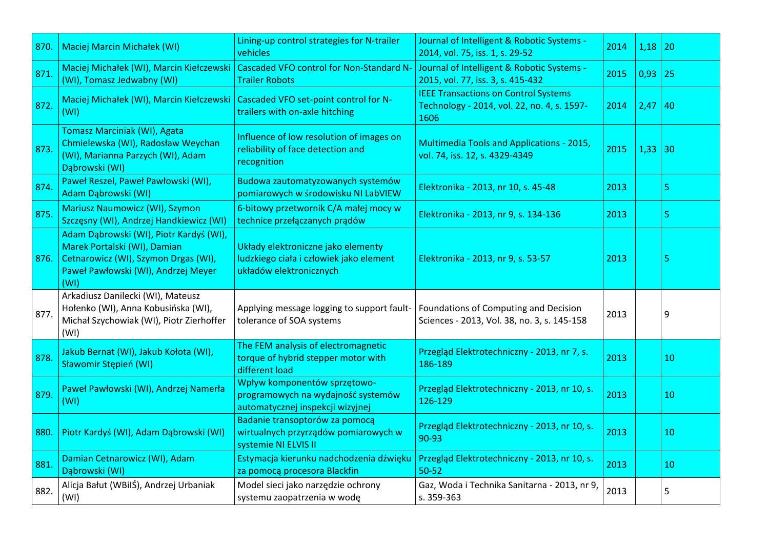| 870. | <b>Maciej Marcin Michałek (WI)</b>                                                                                                                             | Lining-up control strategies for N-trailer<br>vehicles                                                   | Journal of Intelligent & Robotic Systems -<br>2014, vol. 75, iss. 1, s. 29-52                      | 2014 | 1,18 | 20 |
|------|----------------------------------------------------------------------------------------------------------------------------------------------------------------|----------------------------------------------------------------------------------------------------------|----------------------------------------------------------------------------------------------------|------|------|----|
| 871. | Maciej Michałek (WI), Marcin Kiełczewski<br>(WI), Tomasz Jedwabny (WI)                                                                                         | <b>Cascaded VFO control for Non-Standard N-</b><br><b>Trailer Robots</b>                                 | Journal of Intelligent & Robotic Systems -<br>2015, vol. 77, iss. 3, s. 415-432                    | 2015 | 0,93 | 25 |
| 872. | Maciej Michałek (WI), Marcin Kiełczewski<br>(WI)                                                                                                               | Cascaded VFO set-point control for N-<br>trailers with on-axle hitching                                  | <b>IEEE Transactions on Control Systems</b><br>Technology - 2014, vol. 22, no. 4, s. 1597-<br>1606 | 2014 | 2,47 | 40 |
| 873. | <b>Tomasz Marciniak (WI), Agata</b><br>Chmielewska (WI), Radosław Weychan<br>(WI), Marianna Parzych (WI), Adam<br>Dąbrowski (WI)                               | Influence of low resolution of images on<br>reliability of face detection and<br>recognition             | <b>Multimedia Tools and Applications - 2015,</b><br>vol. 74, iss. 12, s. 4329-4349                 | 2015 | 1,33 | 30 |
| 874. | Paweł Reszel, Paweł Pawłowski (WI),<br>Adam Dąbrowski (WI)                                                                                                     | Budowa zautomatyzowanych systemów<br>pomiarowych w środowisku NI LabVIEW                                 | Elektronika - 2013, nr 10, s. 45-48                                                                | 2013 |      | 5  |
| 875. | <b>Mariusz Naumowicz (WI), Szymon</b><br>Szczęsny (WI), Andrzej Handkiewicz (WI)                                                                               | 6-bitowy przetwornik C/A małej mocy w<br>technice przełączanych prądów                                   | Elektronika - 2013, nr 9, s. 134-136                                                               | 2013 |      | 5  |
| 876. | Adam Dąbrowski (WI), Piotr Kardyś (WI),<br>Marek Portalski (WI), Damian<br>Cetnarowicz (WI), Szymon Drgas (WI),<br>Paweł Pawłowski (WI), Andrzej Meyer<br>(WI) | Układy elektroniczne jako elementy<br>ludzkiego ciała i człowiek jako element<br>układów elektronicznych | Elektronika - 2013, nr 9, s. 53-57                                                                 | 2013 |      | 5  |
| 877. | Arkadiusz Danilecki (WI), Mateusz<br>Hołenko (WI), Anna Kobusińska (WI),<br>Michał Szychowiak (WI), Piotr Zierhoffer<br>(WI)                                   | Applying message logging to support fault-<br>tolerance of SOA systems                                   | Foundations of Computing and Decision<br>Sciences - 2013, Vol. 38, no. 3, s. 145-158               | 2013 |      | 9  |
| 878. | Jakub Bernat (WI), Jakub Kołota (WI),<br>Sławomir Stępień (WI)                                                                                                 | The FEM analysis of electromagnetic<br>torque of hybrid stepper motor with<br>different load             | Przegląd Elektrotechniczny - 2013, nr 7, s.<br>186-189                                             | 2013 |      | 10 |
| 879. | Paweł Pawłowski (WI), Andrzej Namerła<br>(WI)                                                                                                                  | Wpływ komponentów sprzętowo-<br>programowych na wydajność systemów<br>automatycznej inspekcji wizyjnej   | Przegląd Elektrotechniczny - 2013, nr 10, s.<br>126-129                                            | 2013 |      | 10 |
| 880. | Piotr Kardyś (WI), Adam Dąbrowski (WI)                                                                                                                         | Badanie transoptorów za pomocą<br>wirtualnych przyrządów pomiarowych w<br>systemie NI ELVIS II           | Przegląd Elektrotechniczny - 2013, nr 10, s.<br>90-93                                              | 2013 |      | 10 |
| 881. | Damian Cetnarowicz (WI), Adam<br>Dąbrowski (WI)                                                                                                                | Estymacja kierunku nadchodzenia dźwięku<br>za pomocą procesora Blackfin                                  | Przegląd Elektrotechniczny - 2013, nr 10, s.<br>$50 - 52$                                          | 2013 |      | 10 |
| 882. | Alicja Bałut (WBilŚ), Andrzej Urbaniak<br>(WI)                                                                                                                 | Model sieci jako narzędzie ochrony<br>systemu zaopatrzenia w wodę                                        | Gaz, Woda i Technika Sanitarna - 2013, nr 9,<br>s. 359-363                                         | 2013 |      | 5  |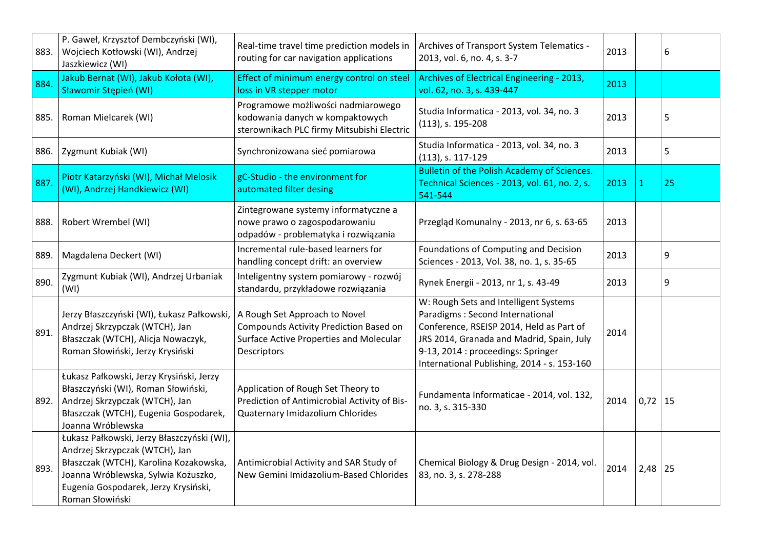| 883. | P. Gaweł, Krzysztof Dembczyński (WI),<br>Wojciech Kotłowski (WI), Andrzej<br>Jaszkiewicz (WI)                                                                                                                            | Real-time travel time prediction models in<br>routing for car navigation applications                                             | Archives of Transport System Telematics -<br>2013, vol. 6, no. 4, s. 3-7                                                                                                                                                                               | 2013 |              | 6  |
|------|--------------------------------------------------------------------------------------------------------------------------------------------------------------------------------------------------------------------------|-----------------------------------------------------------------------------------------------------------------------------------|--------------------------------------------------------------------------------------------------------------------------------------------------------------------------------------------------------------------------------------------------------|------|--------------|----|
| 884. | Jakub Bernat (WI), Jakub Kołota (WI),<br>Sławomir Stępień (WI)                                                                                                                                                           | Effect of minimum energy control on steel<br>loss in VR stepper motor                                                             | Archives of Electrical Engineering - 2013,<br>vol. 62, no. 3, s. 439-447                                                                                                                                                                               | 2013 |              |    |
| 885. | Roman Mielcarek (WI)                                                                                                                                                                                                     | Programowe możliwości nadmiarowego<br>kodowania danych w kompaktowych<br>sterownikach PLC firmy Mitsubishi Electric               | Studia Informatica - 2013, vol. 34, no. 3<br>(113), s. 195-208                                                                                                                                                                                         | 2013 |              | 5  |
| 886. | Zygmunt Kubiak (WI)                                                                                                                                                                                                      | Synchronizowana sieć pomiarowa                                                                                                    | Studia Informatica - 2013, vol. 34, no. 3<br>(113), s. 117-129                                                                                                                                                                                         | 2013 |              | 5  |
| 887. | Piotr Katarzyński (WI), Michał Melosik<br>(WI), Andrzej Handkiewicz (WI)                                                                                                                                                 | gC-Studio - the environment for<br>automated filter desing                                                                        | Bulletin of the Polish Academy of Sciences.<br>Technical Sciences - 2013, vol. 61, no. 2, s.<br>541-544                                                                                                                                                | 2013 | $\mathbf{1}$ | 25 |
| 888. | Robert Wrembel (WI)                                                                                                                                                                                                      | Zintegrowane systemy informatyczne a<br>nowe prawo o zagospodarowaniu<br>odpadów - problematyka i rozwiązania                     | Przegląd Komunalny - 2013, nr 6, s. 63-65                                                                                                                                                                                                              | 2013 |              |    |
| 889. | Magdalena Deckert (WI)                                                                                                                                                                                                   | Incremental rule-based learners for<br>handling concept drift: an overview                                                        | Foundations of Computing and Decision<br>Sciences - 2013, Vol. 38, no. 1, s. 35-65                                                                                                                                                                     | 2013 |              | 9  |
| 890. | Zygmunt Kubiak (WI), Andrzej Urbaniak<br>(WI)                                                                                                                                                                            | Inteligentny system pomiarowy - rozwój<br>standardu, przykładowe rozwiązania                                                      | Rynek Energii - 2013, nr 1, s. 43-49                                                                                                                                                                                                                   | 2013 |              | 9  |
| 891. | Jerzy Błaszczyński (WI), Łukasz Pałkowski,<br>Andrzej Skrzypczak (WTCH), Jan<br>Błaszczak (WTCH), Alicja Nowaczyk,<br>Roman Słowiński, Jerzy Krysiński                                                                   | A Rough Set Approach to Novel<br>Compounds Activity Prediction Based on<br>Surface Active Properties and Molecular<br>Descriptors | W: Rough Sets and Intelligent Systems<br>Paradigms: Second International<br>Conference, RSEISP 2014, Held as Part of<br>JRS 2014, Granada and Madrid, Spain, July<br>9-13, 2014 : proceedings: Springer<br>International Publishing, 2014 - s. 153-160 | 2014 |              |    |
| 892. | Łukasz Pałkowski, Jerzy Krysiński, Jerzy<br>Błaszczyński (WI), Roman Słowiński,<br>Andrzej Skrzypczak (WTCH), Jan<br>Błaszczak (WTCH), Eugenia Gospodarek,<br>Joanna Wróblewska                                          | Application of Rough Set Theory to<br>Prediction of Antimicrobial Activity of Bis-<br>Quaternary Imidazolium Chlorides            | Fundamenta Informaticae - 2014, vol. 132,<br>no. 3, s. 315-330                                                                                                                                                                                         | 2014 | $0,72$ 15    |    |
| 893. | Łukasz Pałkowski, Jerzy Błaszczyński (WI),<br>Andrzej Skrzypczak (WTCH), Jan<br>Błaszczak (WTCH), Karolina Kozakowska,<br>Joanna Wróblewska, Sylwia Kożuszko,<br>Eugenia Gospodarek, Jerzy Krysiński,<br>Roman Słowiński | Antimicrobial Activity and SAR Study of<br>New Gemini Imidazolium-Based Chlorides                                                 | Chemical Biology & Drug Design - 2014, vol.<br>83, no. 3, s. 278-288                                                                                                                                                                                   | 2014 | $2,48$ 25    |    |